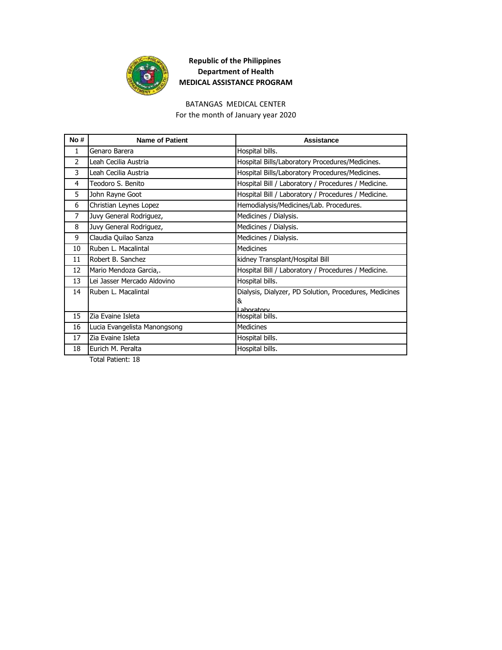

#### BATANGAS MEDICAL CENTER

For the month of January year 2020

| No #           | <b>Name of Patient</b>       | Assistance                                             |
|----------------|------------------------------|--------------------------------------------------------|
| $\mathbf{1}$   | Genaro Barera                | Hospital bills.                                        |
| $\overline{2}$ | Leah Cecilia Austria         | Hospital Bills/Laboratory Procedures/Medicines.        |
| 3              | Leah Cecilia Austria         | Hospital Bills/Laboratory Procedures/Medicines.        |
| 4              | Teodoro S. Benito            | Hospital Bill / Laboratory / Procedures / Medicine.    |
| 5              | John Rayne Goot              | Hospital Bill / Laboratory / Procedures / Medicine.    |
| 6              | Christian Leynes Lopez       | Hemodialysis/Medicines/Lab. Procedures.                |
| 7              | Juvy General Rodriguez,      | Medicines / Dialysis.                                  |
| 8              | Juvy General Rodriguez,      | Medicines / Dialysis.                                  |
| 9              | Claudia Quilao Sanza         | Medicines / Dialysis.                                  |
| 10             | Ruben L. Macalintal          | <b>Medicines</b>                                       |
| 11             | Robert B. Sanchez            | kidney Transplant/Hospital Bill                        |
| 12             | Mario Mendoza Garcia,.       | Hospital Bill / Laboratory / Procedures / Medicine.    |
| 13             | Lei Jasser Mercado Aldovino  | Hospital bills.                                        |
| 14             | Ruben L. Macalintal          | Dialysis, Dialyzer, PD Solution, Procedures, Medicines |
|                |                              | 8                                                      |
| 15             | Zia Evaine Isleta            | I ahoratory<br>Hospital bills.                         |
| 16             | Lucia Evangelista Manongsong | <b>Medicines</b>                                       |
| 17             | Zia Evaine Isleta            | Hospital bills.                                        |
| 18             | Eurich M. Peralta            | Hospital bills.                                        |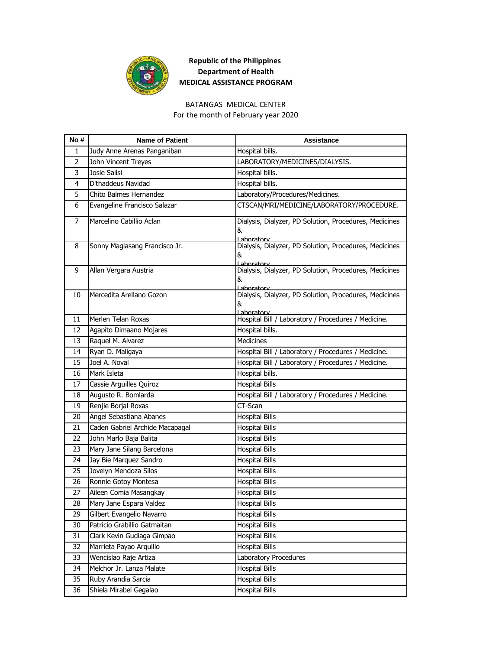

#### BATANGAS MEDICAL CENTER

For the month of February year 2020

| No# | <b>Name of Patient</b>          | Assistance                                                                |
|-----|---------------------------------|---------------------------------------------------------------------------|
| 1   | Judy Anne Arenas Panganiban     | Hospital bills.                                                           |
| 2   | John Vincent Treyes             | LABORATORY/MEDICINES/DIALYSIS.                                            |
| 3   | Josie Salisi                    | Hospital bills.                                                           |
| 4   | D'thaddeus Navidad              | Hospital bills.                                                           |
| 5   | Chito Balmes Hernandez          | Laboratory/Procedures/Medicines.                                          |
| 6   | Evangeline Francisco Salazar    | CTSCAN/MRI/MEDICINE/LABORATORY/PROCEDURE.                                 |
| 7   | Marcelino Cabillio Aclan        | Dialysis, Dialyzer, PD Solution, Procedures, Medicines<br>&<br>Laboratory |
| 8   | Sonny Maglasang Francisco Jr.   | Dialysis, Dialyzer, PD Solution, Procedures, Medicines<br>&<br>Laboratory |
| 9   | Allan Vergara Austria           | Dialysis, Dialyzer, PD Solution, Procedures, Medicines<br>&<br>Laboratory |
| 10  | Mercedita Arellano Gozon        | Dialysis, Dialyzer, PD Solution, Procedures, Medicines<br>&<br>Lahoratory |
| 11  | Merlen Telan Roxas              | Hospital Bill / Laboratory / Procedures / Medicine.                       |
| 12  | Agapito Dimaano Mojares         | Hospital bills.                                                           |
| 13  | Raquel M. Alvarez               | <b>Medicines</b>                                                          |
| 14  | Ryan D. Maligaya                | Hospital Bill / Laboratory / Procedures / Medicine.                       |
| 15  | Joel A. Noval                   | Hospital Bill / Laboratory / Procedures / Medicine.                       |
| 16  | Mark Isleta                     | Hospital bills.                                                           |
| 17  | Cassie Arguilles Quiroz         | <b>Hospital Bills</b>                                                     |
| 18  | Augusto R. Bomlarda             | Hospital Bill / Laboratory / Procedures / Medicine.                       |
| 19  | Renjie Borjal Roxas             | CT-Scan                                                                   |
| 20  | Angel Sebastiana Abanes         | <b>Hospital Bills</b>                                                     |
| 21  | Caden Gabriel Archide Macapagal | <b>Hospital Bills</b>                                                     |
| 22  | John Marlo Baja Balita          | <b>Hospital Bills</b>                                                     |
| 23  | Mary Jane Silang Barcelona      | Hospital Bills                                                            |
| 24  | Jay Bie Marquez Sandro          | <b>Hospital Bills</b>                                                     |
| 25  | Jovelyn Mendoza Silos           | <b>Hospital Bills</b>                                                     |
| 26  | Ronnie Gotoy Montesa            | <b>Hospital Bills</b>                                                     |
| 27  | Aileen Comia Masangkay          | <b>Hospital Bills</b>                                                     |
| 28  | Mary Jane Espara Valdez         | <b>Hospital Bills</b>                                                     |
| 29  | Gilbert Evangelio Navarro       | <b>Hospital Bills</b>                                                     |
| 30  | Patricio Grabillio Gatmaitan    | <b>Hospital Bills</b>                                                     |
| 31  | Clark Kevin Gudiaga Gimpao      | <b>Hospital Bills</b>                                                     |
| 32  | Marrieta Payao Arquillo         | <b>Hospital Bills</b>                                                     |
| 33  | Wencislao Raje Artiza           | Laboratory Procedures                                                     |
| 34  | Melchor Jr. Lanza Malate        | <b>Hospital Bills</b>                                                     |
| 35  | Ruby Arandia Sarcia             | <b>Hospital Bills</b>                                                     |
| 36  | Shiela Mirabel Gegalao          | <b>Hospital Bills</b>                                                     |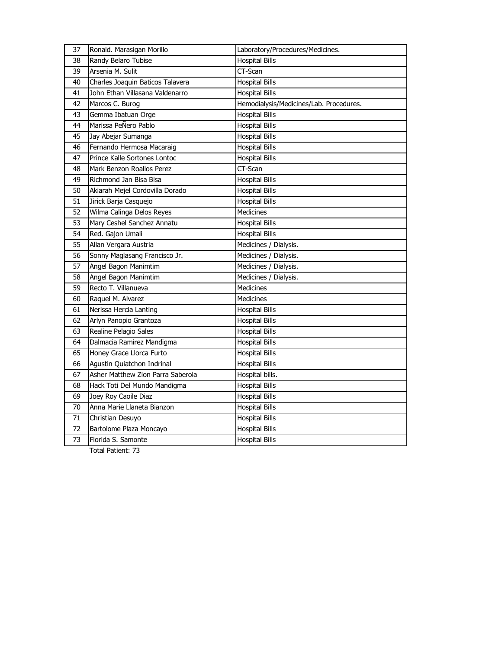| 37              | Ronald. Marasigan Morillo         | Laboratory/Procedures/Medicines.        |
|-----------------|-----------------------------------|-----------------------------------------|
| 38              | Randy Belaro Tubise               | <b>Hospital Bills</b>                   |
| 39              | Arsenia M. Sulit                  | $\overline{CT}$ -Scan                   |
| 40              | Charles Joaquin Baticos Talavera  | <b>Hospital Bills</b>                   |
| 41              | John Ethan Villasana Valdenarro   | <b>Hospital Bills</b>                   |
| 42              | Marcos C. Burog                   | Hemodialysis/Medicines/Lab. Procedures. |
| 43              | Gemma Ibatuan Orge                | <b>Hospital Bills</b>                   |
| 44              | Marissa PeÑero Pablo              | <b>Hospital Bills</b>                   |
| 45              | Jay Abejar Sumanga                | <b>Hospital Bills</b>                   |
| 46              | Fernando Hermosa Macaraig         | <b>Hospital Bills</b>                   |
| 47              | Prince Kalle Sortones Lontoc      | <b>Hospital Bills</b>                   |
| 48              | Mark Benzon Roallos Perez         | CT-Scan                                 |
| 49              | Richmond Jan Bisa Bisa            | <b>Hospital Bills</b>                   |
| 50              | Akiarah Mejel Cordovilla Dorado   | <b>Hospital Bills</b>                   |
| 51              | Jirick Barja Casquejo             | <b>Hospital Bills</b>                   |
| $\overline{52}$ | Wilma Calinga Delos Reyes         | Medicines                               |
| 53              | Mary Ceshel Sanchez Annatu        | <b>Hospital Bills</b>                   |
| 54              | Red. Gajon Umali                  | <b>Hospital Bills</b>                   |
| 55              | Allan Vergara Austria             | Medicines / Dialysis.                   |
| 56              | Sonny Maglasang Francisco Jr.     | Medicines / Dialysis.                   |
| 57              | Angel Bagon Manimtim              | Medicines / Dialysis.                   |
| 58              | Angel Bagon Manimtim              | Medicines / Dialysis.                   |
| 59              | Recto T. Villanueva               | Medicines                               |
| 60              | Raquel M. Alvarez                 | <b>Medicines</b>                        |
| 61              | Nerissa Hercia Lanting            | <b>Hospital Bills</b>                   |
| 62              | Arlyn Panopio Grantoza            | <b>Hospital Bills</b>                   |
| 63              | Realine Pelagio Sales             | <b>Hospital Bills</b>                   |
| 64              | Dalmacia Ramirez Mandigma         | Hospital Bills                          |
| 65              | Honey Grace Llorca Furto          | <b>Hospital Bills</b>                   |
| 66              | Agustin Quiatchon Indrinal        | <b>Hospital Bills</b>                   |
| 67              | Asher Matthew Zion Parra Saberola | Hospital bills.                         |
| 68              | Hack Toti Del Mundo Mandigma      | <b>Hospital Bills</b>                   |
| 69              | Joey Roy Caoile Diaz              | <b>Hospital Bills</b>                   |
| 70              | Anna Marie Llaneta Bianzon        | <b>Hospital Bills</b>                   |
| 71              | Christian Desuyo                  | <b>Hospital Bills</b>                   |
| 72              | Bartolome Plaza Moncayo           | <b>Hospital Bills</b>                   |
| 73              | Florida S. Samonte                | <b>Hospital Bills</b>                   |
|                 |                                   |                                         |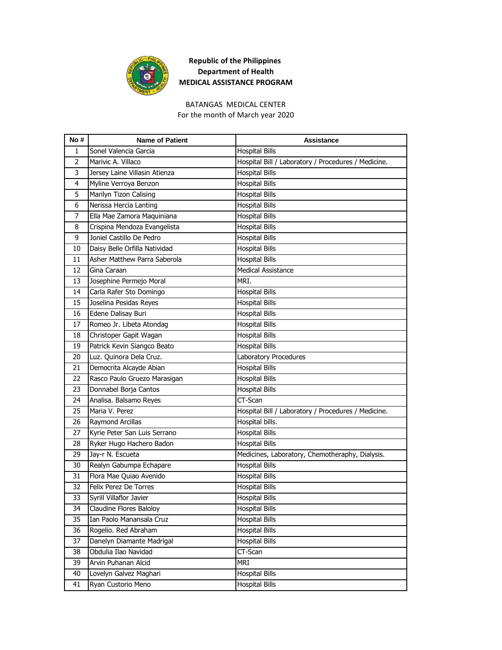

## BATANGAS MEDICAL CENTER

For the month of March year 2020

| No# | <b>Name of Patient</b>        | <b>Assistance</b>                                   |
|-----|-------------------------------|-----------------------------------------------------|
| 1   | Sonel Valencia Garcia         | <b>Hospital Bills</b>                               |
| 2   | Marivic A. Villaco            | Hospital Bill / Laboratory / Procedures / Medicine. |
| 3   | Jersey Laine Villasin Atienza | <b>Hospital Bills</b>                               |
| 4   | Myline Verroya Benzon         | <b>Hospital Bills</b>                               |
| 5   | Marilyn Tizon Calising        | Hospital Bills                                      |
| 6   | Nerissa Hercia Lanting        | Hospital Bills                                      |
| 7   | Ella Mae Zamora Maquiniana    | <b>Hospital Bills</b>                               |
| 8   | Crispina Mendoza Evangelista  | Hospital Bills                                      |
| 9   | Joniel Castillo De Pedro      | <b>Hospital Bills</b>                               |
| 10  | Daisy Belle Orfilla Natividad | <b>Hospital Bills</b>                               |
| 11  | Asher Matthew Parra Saberola  | <b>Hospital Bills</b>                               |
| 12  | Gina Caraan                   | <b>Medical Assistance</b>                           |
| 13  | Josephine Permejo Moral       | MRI.                                                |
| 14  | Carla Rafer Sto Domingo       | <b>Hospital Bills</b>                               |
| 15  | Joselina Pesidas Reyes        | Hospital Bills                                      |
| 16  | Edene Dalisay Buri            | <b>Hospital Bills</b>                               |
| 17  | Romeo Jr. Libeta Atondag      | <b>Hospital Bills</b>                               |
| 18  | Christoper Gapit Wagan        | Hospital Bills                                      |
| 19  | Patrick Kevin Siangco Beato   | <b>Hospital Bills</b>                               |
| 20  | Luz. Quinora Dela Cruz.       | Laboratory Procedures                               |
| 21  | Democrita Alcayde Abian       | <b>Hospital Bills</b>                               |
| 22  | Rasco Paulo Gruezo Marasigan  | <b>Hospital Bills</b>                               |
| 23  | Donnabel Borja Cantos         | <b>Hospital Bills</b>                               |
| 24  | Analisa. Balsamo Reyes        | CT-Scan                                             |
| 25  | Maria V. Perez                | Hospital Bill / Laboratory / Procedures / Medicine. |
| 26  | Raymond Arcillas              | Hospital bills.                                     |
| 27  | Kyrie Peter San Luis Serrano  | <b>Hospital Bills</b>                               |
| 28  | Ryker Hugo Hachero Badon      | Hospital Bills                                      |
| 29  | Jay-r N. Escueta              | Medicines, Laboratory, Chemotheraphy, Dialysis.     |
| 30  | Realyn Gabumpa Echapare       | <b>Hospital Bills</b>                               |
| 31  | Flora Mae Quiao Avenido       | <b>Hospital Bills</b>                               |
| 32  | Felix Perez De Torres         | <b>Hospital Bills</b>                               |
| 33  | Syrill Villaflor Javier       | <b>Hospital Bills</b>                               |
| 34  | Claudine Flores Baloloy       | <b>Hospital Bills</b>                               |
| 35  | Ian Paolo Manansala Cruz      | <b>Hospital Bills</b>                               |
| 36  | Rogelio. Red Abraham          | <b>Hospital Bills</b>                               |
| 37  | Danelyn Diamante Madrigal     | <b>Hospital Bills</b>                               |
| 38  | Obdulia Ilao Navidad          | CT-Scan                                             |
| 39  | Arvin Puhanan Alcid           | MRI                                                 |
| 40  | Lovelyn Galvez Maghari        | <b>Hospital Bills</b>                               |
| 41  | Ryan Custorio Meno            | <b>Hospital Bills</b>                               |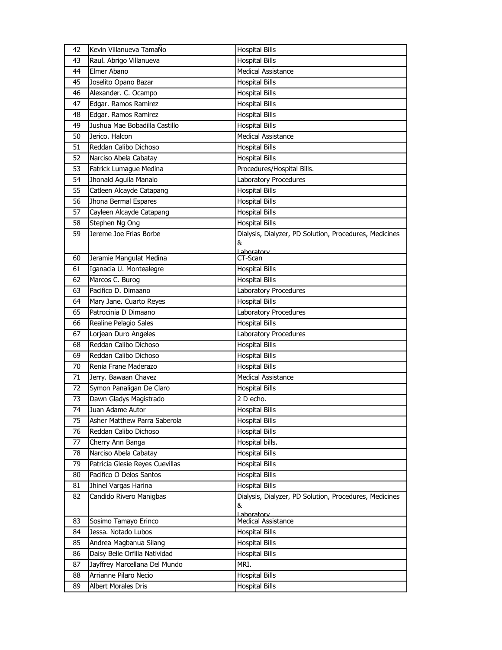| 42 | Kevin Villanueva TamaÑo         | <b>Hospital Bills</b>                                  |
|----|---------------------------------|--------------------------------------------------------|
| 43 | Raul. Abrigo Villanueva         | Hospital Bills                                         |
| 44 | Elmer Abano                     | Medical Assistance                                     |
| 45 | Joselito Opano Bazar            | <b>Hospital Bills</b>                                  |
| 46 | Alexander. C. Ocampo            | <b>Hospital Bills</b>                                  |
| 47 | Edgar. Ramos Ramirez            | <b>Hospital Bills</b>                                  |
| 48 | Edgar. Ramos Ramirez            | <b>Hospital Bills</b>                                  |
| 49 | Jushua Mae Bobadilla Castillo   | <b>Hospital Bills</b>                                  |
| 50 | Jerico. Halcon                  | Medical Assistance                                     |
| 51 | Reddan Calibo Dichoso           | <b>Hospital Bills</b>                                  |
| 52 | Narciso Abela Cabatay           | <b>Hospital Bills</b>                                  |
| 53 | Fatrick Lumague Medina          | Procedures/Hospital Bills.                             |
| 54 | Jhonald Aguila Manalo           | Laboratory Procedures                                  |
| 55 | Catleen Alcayde Catapang        | <b>Hospital Bills</b>                                  |
| 56 | Jhona Bermal Espares            | <b>Hospital Bills</b>                                  |
| 57 | Cayleen Alcayde Catapang        | <b>Hospital Bills</b>                                  |
| 58 | Stephen Ng Ong                  | <b>Hospital Bills</b>                                  |
| 59 | Jereme Joe Frias Borbe          | Dialysis, Dialyzer, PD Solution, Procedures, Medicines |
|    |                                 | &                                                      |
| 60 | Jeramie Mangulat Medina         | Laboratory<br>CT-Scan                                  |
| 61 | Iganacia U. Montealegre         | <b>Hospital Bills</b>                                  |
| 62 | Marcos C. Burog                 | <b>Hospital Bills</b>                                  |
| 63 | Pacifico D. Dimaano             | Laboratory Procedures                                  |
| 64 | Mary Jane. Cuarto Reyes         | <b>Hospital Bills</b>                                  |
| 65 | Patrocinia D Dimaano            | Laboratory Procedures                                  |
| 66 | Realine Pelagio Sales           | <b>Hospital Bills</b>                                  |
| 67 | Lorjean Duro Angeles            | Laboratory Procedures                                  |
| 68 | Reddan Calibo Dichoso           | <b>Hospital Bills</b>                                  |
| 69 | Reddan Calibo Dichoso           | <b>Hospital Bills</b>                                  |
| 70 | Renia Frane Maderazo            | <b>Hospital Bills</b>                                  |
| 71 | Jerry. Bawaan Chavez            | <b>Medical Assistance</b>                              |
| 72 | Symon Panaligan De Claro        | <b>Hospital Bills</b>                                  |
| 73 | Dawn Gladys Magistrado          | 2 D echo.                                              |
| 74 | Juan Adame Autor                | <b>Hospital Bills</b>                                  |
| 75 | Asher Matthew Parra Saberola    | <b>Hospital Bills</b>                                  |
| 76 | Reddan Calibo Dichoso           | <b>Hospital Bills</b>                                  |
| 77 | Cherry Ann Banga                | Hospital bills.                                        |
| 78 | Narciso Abela Cabatay           | <b>Hospital Bills</b>                                  |
| 79 | Patricia Glesie Reyes Cuevillas | <b>Hospital Bills</b>                                  |
| 80 | Pacifico O Delos Santos         | <b>Hospital Bills</b>                                  |
| 81 | Jhinel Vargas Harina            | <b>Hospital Bills</b>                                  |
| 82 | Candido Rivero Manigbas         | Dialysis, Dialyzer, PD Solution, Procedures, Medicines |
|    |                                 | &                                                      |
|    |                                 | Lahoratory                                             |
| 83 | Sosimo Tamayo Erinco            | Medical Assistance                                     |
| 84 | Jessa. Notado Lubos             | <b>Hospital Bills</b>                                  |
| 85 | Andrea Magbanua Silang          | <b>Hospital Bills</b>                                  |
| 86 | Daisy Belle Orfilla Natividad   | <b>Hospital Bills</b>                                  |
| 87 | Jayffrey Marcellana Del Mundo   | MRI.                                                   |
| 88 | Arrianne Pilaro Necio           | <b>Hospital Bills</b>                                  |
| 89 | Albert Morales Dris             | <b>Hospital Bills</b>                                  |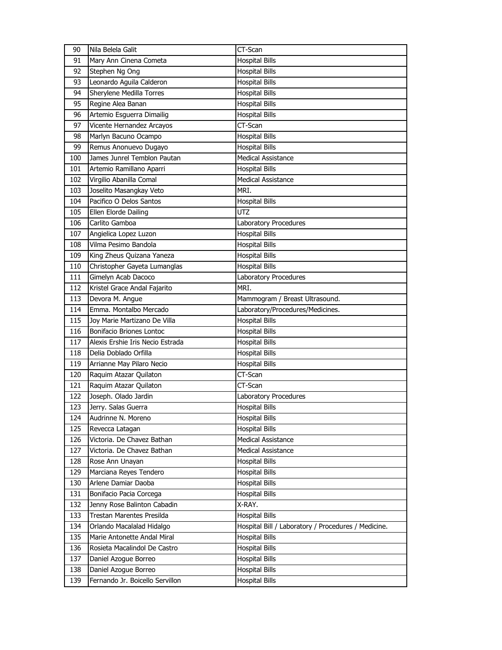| 90  | Nila Belela Galit                | CT-Scan                                             |
|-----|----------------------------------|-----------------------------------------------------|
| 91  | Mary Ann Cinena Cometa           | <b>Hospital Bills</b>                               |
| 92  | Stephen Ng Ong                   | <b>Hospital Bills</b>                               |
| 93  | Leonardo Aguila Calderon         | <b>Hospital Bills</b>                               |
| 94  | <b>Sherylene Medilla Torres</b>  | <b>Hospital Bills</b>                               |
| 95  | Regine Alea Banan                | <b>Hospital Bills</b>                               |
| 96  | Artemio Esguerra Dimailig        | <b>Hospital Bills</b>                               |
| 97  | Vicente Hernandez Arcayos        | CT-Scan                                             |
| 98  | Marlyn Bacuno Ocampo             | <b>Hospital Bills</b>                               |
| 99  | Remus Anonuevo Dugayo            | <b>Hospital Bills</b>                               |
| 100 | James Junrel Temblon Pautan      | <b>Medical Assistance</b>                           |
| 101 | Artemio Ramillano Aparri         | <b>Hospital Bills</b>                               |
| 102 | Virgilio Abanilla Comal          | Medical Assistance                                  |
| 103 | Joselito Masangkay Veto          | MRI.                                                |
| 104 | Pacifico O Delos Santos          | <b>Hospital Bills</b>                               |
| 105 | Ellen Elorde Dailing             | UTZ                                                 |
| 106 | Carlito Gamboa                   | Laboratory Procedures                               |
| 107 | Angielica Lopez Luzon            | <b>Hospital Bills</b>                               |
| 108 | Vilma Pesimo Bandola             | <b>Hospital Bills</b>                               |
| 109 | King Zheus Quizana Yaneza        | <b>Hospital Bills</b>                               |
| 110 | Christopher Gayeta Lumanglas     | <b>Hospital Bills</b>                               |
| 111 | Gimelyn Acab Dacoco              | Laboratory Procedures                               |
| 112 | Kristel Grace Andal Fajarito     | MRI.                                                |
| 113 | Devora M. Angue                  | Mammogram / Breast Ultrasound.                      |
| 114 | Emma. Montalbo Mercado           | Laboratory/Procedures/Medicines.                    |
| 115 | Joy Marie Martizano De Villa     | <b>Hospital Bills</b>                               |
| 116 | Bonifacio Briones Lontoc         | <b>Hospital Bills</b>                               |
| 117 | Alexis Ershie Iris Necio Estrada | <b>Hospital Bills</b>                               |
| 118 | Delia Doblado Orfilla            | <b>Hospital Bills</b>                               |
| 119 | Arrianne May Pilaro Necio        | <b>Hospital Bills</b>                               |
| 120 | Raquim Atazar Quilaton           | CT-Scan                                             |
| 121 | Raquim Atazar Quilaton           | CT-Scan                                             |
| 122 | Joseph. Olado Jardin             | Laboratory Procedures                               |
| 123 | Jerry. Salas Guerra              | <b>Hospital Bills</b>                               |
| 124 | Audrinne N. Moreno               | <b>Hospital Bills</b>                               |
| 125 | Revecca Latagan                  | <b>Hospital Bills</b>                               |
| 126 |                                  |                                                     |
| 127 | Victoria. De Chavez Bathan       | <b>Medical Assistance</b>                           |
|     | Victoria. De Chavez Bathan       | <b>Medical Assistance</b>                           |
| 128 | Rose Ann Unayan                  | <b>Hospital Bills</b>                               |
| 129 | Marciana Reyes Tendero           | <b>Hospital Bills</b>                               |
| 130 | Arlene Damiar Daoba              | <b>Hospital Bills</b>                               |
| 131 | Bonifacio Pacia Corcega          | Hospital Bills                                      |
| 132 | Jenny Rose Balinton Cabadin      | X-RAY.                                              |
| 133 | Trestan Marentes Presilda        | <b>Hospital Bills</b>                               |
| 134 | Orlando Macalalad Hidalgo        | Hospital Bill / Laboratory / Procedures / Medicine. |
| 135 | Marie Antonette Andal Miral      | <b>Hospital Bills</b>                               |
| 136 | Rosieta Macalindol De Castro     | <b>Hospital Bills</b>                               |
| 137 | Daniel Azogue Borreo             | <b>Hospital Bills</b>                               |
| 138 | Daniel Azogue Borreo             | <b>Hospital Bills</b>                               |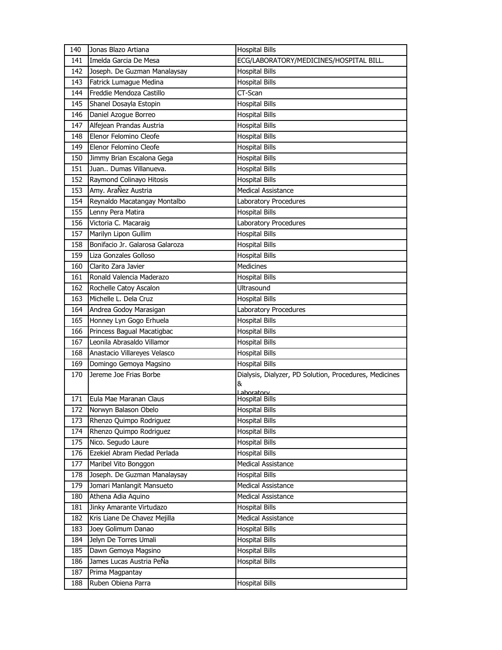| 140 | Jonas Blazo Artiana             | <b>Hospital Bills</b>                                  |
|-----|---------------------------------|--------------------------------------------------------|
| 141 | Imelda Garcia De Mesa           | ECG/LABORATORY/MEDICINES/HOSPITAL BILL.                |
| 142 | Joseph. De Guzman Manalaysay    | <b>Hospital Bills</b>                                  |
| 143 | Fatrick Lumague Medina          | <b>Hospital Bills</b>                                  |
| 144 | Freddie Mendoza Castillo        | CT-Scan                                                |
| 145 | Shanel Dosayla Estopin          | <b>Hospital Bills</b>                                  |
| 146 | Daniel Azogue Borreo            | <b>Hospital Bills</b>                                  |
| 147 | Alfejean Prandas Austria        | <b>Hospital Bills</b>                                  |
| 148 | Elenor Felomino Cleofe          | <b>Hospital Bills</b>                                  |
| 149 | Elenor Felomino Cleofe          | <b>Hospital Bills</b>                                  |
| 150 | Jimmy Brian Escalona Gega       | <b>Hospital Bills</b>                                  |
| 151 | Juan Dumas Villanueva.          | <b>Hospital Bills</b>                                  |
| 152 | Raymond Colinayo Hitosis        | <b>Hospital Bills</b>                                  |
| 153 | Amy. AraÑez Austria             | <b>Medical Assistance</b>                              |
| 154 | Reynaldo Macatangay Montalbo    | Laboratory Procedures                                  |
| 155 | Lenny Pera Matira               | <b>Hospital Bills</b>                                  |
| 156 | Victoria C. Macaraig            | Laboratory Procedures                                  |
| 157 | Marilyn Lipon Gullim            | <b>Hospital Bills</b>                                  |
| 158 | Bonifacio Jr. Galarosa Galaroza | <b>Hospital Bills</b>                                  |
| 159 | Liza Gonzales Golloso           | <b>Hospital Bills</b>                                  |
| 160 | Clarito Zara Javier             | <b>Medicines</b>                                       |
| 161 | Ronald Valencia Maderazo        | <b>Hospital Bills</b>                                  |
| 162 | Rochelle Catoy Ascalon          | Ultrasound                                             |
| 163 | Michelle L. Dela Cruz           | <b>Hospital Bills</b>                                  |
| 164 | Andrea Godoy Marasigan          | Laboratory Procedures                                  |
| 165 | Honney Lyn Gogo Erhuela         | <b>Hospital Bills</b>                                  |
| 166 | Princess Bagual Macatigbac      | <b>Hospital Bills</b>                                  |
| 167 | Leonila Abrasaldo Villamor      | <b>Hospital Bills</b>                                  |
| 168 | Anastacio Villareyes Velasco    | <b>Hospital Bills</b>                                  |
| 169 | Domingo Gemoya Magsino          | <b>Hospital Bills</b>                                  |
| 170 | Jereme Joe Frias Borbe          | Dialysis, Dialyzer, PD Solution, Procedures, Medicines |
|     |                                 | &                                                      |
| 171 | Eula Mae Maranan Claus          | Laboratory<br><b>Hospital Bills</b>                    |
| 172 | Norwyn Balason Obelo            | <b>Hospital Bills</b>                                  |
| 173 | Rhenzo Quimpo Rodriguez         | <b>Hospital Bills</b>                                  |
| 174 | Rhenzo Quimpo Rodriguez         | <b>Hospital Bills</b>                                  |
| 175 | Nico. Segudo Laure              | <b>Hospital Bills</b>                                  |
| 176 | Ezekiel Abram Piedad Perlada    | <b>Hospital Bills</b>                                  |
| 177 | Maribel Vito Bonggon            | Medical Assistance                                     |
| 178 | Joseph. De Guzman Manalaysay    | <b>Hospital Bills</b>                                  |
| 179 | Jomari Manlangit Mansueto       | Medical Assistance                                     |
| 180 | Athena Adia Aquino              | <b>Medical Assistance</b>                              |
| 181 | Jinky Amarante Virtudazo        | <b>Hospital Bills</b>                                  |
| 182 | Kris Liane De Chavez Mejilla    | Medical Assistance                                     |
| 183 | Joey Golimum Danao              | <b>Hospital Bills</b>                                  |
| 184 | Jelyn De Torres Umali           | <b>Hospital Bills</b>                                  |
| 185 | Dawn Gemoya Magsino             | <b>Hospital Bills</b>                                  |
| 186 | James Lucas Austria PeÑa        | <b>Hospital Bills</b>                                  |
| 187 | Prima Magpantay                 |                                                        |
| 188 | Ruben Obiena Parra              | <b>Hospital Bills</b>                                  |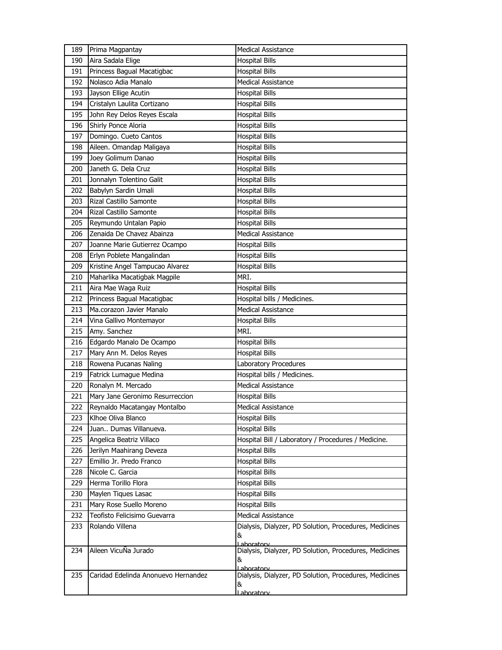| 189 | Prima Magpantay                     | <b>Medical Assistance</b>                                   |
|-----|-------------------------------------|-------------------------------------------------------------|
| 190 | Aira Sadala Elige                   | <b>Hospital Bills</b>                                       |
| 191 | Princess Bagual Macatigbac          | <b>Hospital Bills</b>                                       |
| 192 | Nolasco Adia Manalo                 | Medical Assistance                                          |
| 193 | Jayson Ellige Acutin                | <b>Hospital Bills</b>                                       |
| 194 | Cristalyn Laulita Cortizano         | <b>Hospital Bills</b>                                       |
| 195 | John Rey Delos Reyes Escala         | <b>Hospital Bills</b>                                       |
| 196 | Shirly Ponce Aloria                 | <b>Hospital Bills</b>                                       |
| 197 | Domingo. Cueto Cantos               | <b>Hospital Bills</b>                                       |
| 198 | Aileen. Omandap Maligaya            | <b>Hospital Bills</b>                                       |
| 199 | Joey Golimum Danao                  | <b>Hospital Bills</b>                                       |
| 200 | Janeth G. Dela Cruz                 | <b>Hospital Bills</b>                                       |
| 201 | Jonnalyn Tolentino Galit            | <b>Hospital Bills</b>                                       |
| 202 | Babylyn Sardin Umali                | <b>Hospital Bills</b>                                       |
| 203 | Rizal Castillo Samonte              | <b>Hospital Bills</b>                                       |
| 204 | Rizal Castillo Samonte              | <b>Hospital Bills</b>                                       |
| 205 | Reymundo Untalan Papio              | <b>Hospital Bills</b>                                       |
| 206 | Zenaida De Chavez Abainza           | Medical Assistance                                          |
| 207 | Joanne Marie Gutierrez Ocampo       | <b>Hospital Bills</b>                                       |
| 208 | Erlyn Poblete Mangalindan           | <b>Hospital Bills</b>                                       |
| 209 | Kristine Angel Tampucao Alvarez     | <b>Hospital Bills</b>                                       |
| 210 | Maharlika Macatigbak Magpile        | MRI.                                                        |
| 211 | Aira Mae Waga Ruiz                  | <b>Hospital Bills</b>                                       |
| 212 | Princess Bagual Macatigbac          | Hospital bills / Medicines.                                 |
| 213 | Ma.corazon Javier Manalo            | <b>Medical Assistance</b>                                   |
| 214 | Vina Gallivo Montemayor             | <b>Hospital Bills</b>                                       |
| 215 | Amy. Sanchez                        | MRI.                                                        |
| 216 | Edgardo Manalo De Ocampo            | <b>Hospital Bills</b>                                       |
| 217 | Mary Ann M. Delos Reyes             | <b>Hospital Bills</b>                                       |
| 218 | Rowena Pucanas Naling               | Laboratory Procedures                                       |
| 219 | Fatrick Lumague Medina              | Hospital bills / Medicines.                                 |
| 220 | Ronalyn M. Mercado                  | <b>Medical Assistance</b>                                   |
| 221 | Mary Jane Geronimo Resurreccion     | <b>Hospital Bills</b>                                       |
| 222 | Reynaldo Macatangay Montalbo        | <b>Medical Assistance</b>                                   |
| 223 | Klhoe Oliva Blanco                  | <b>Hospital Bills</b>                                       |
| 224 | Juan Dumas Villanueva.              | <b>Hospital Bills</b>                                       |
| 225 | Angelica Beatriz Villaco            | Hospital Bill / Laboratory / Procedures / Medicine.         |
| 226 | Jerilyn Maahirang Deveza            | <b>Hospital Bills</b>                                       |
| 227 | Emillio Jr. Predo Franco            | <b>Hospital Bills</b>                                       |
| 228 | Nicole C. Garcia                    | <b>Hospital Bills</b>                                       |
| 229 | Herma Torillo Flora                 | <b>Hospital Bills</b>                                       |
| 230 | Maylen Tiques Lasac                 | <b>Hospital Bills</b>                                       |
| 231 | Mary Rose Suello Moreno             | <b>Hospital Bills</b>                                       |
| 232 | Teofisto Felicisimo Guevarra        | <b>Medical Assistance</b>                                   |
| 233 | Rolando Villena                     | Dialysis, Dialyzer, PD Solution, Procedures, Medicines<br>& |
|     |                                     | Laboratory                                                  |
| 234 | Aileen VicuÑa Jurado                | Dialysis, Dialyzer, PD Solution, Procedures, Medicines<br>& |
|     |                                     | Laboratory                                                  |
| 235 | Caridad Edelinda Anonuevo Hernandez | Dialysis, Dialyzer, PD Solution, Procedures, Medicines<br>& |
|     |                                     |                                                             |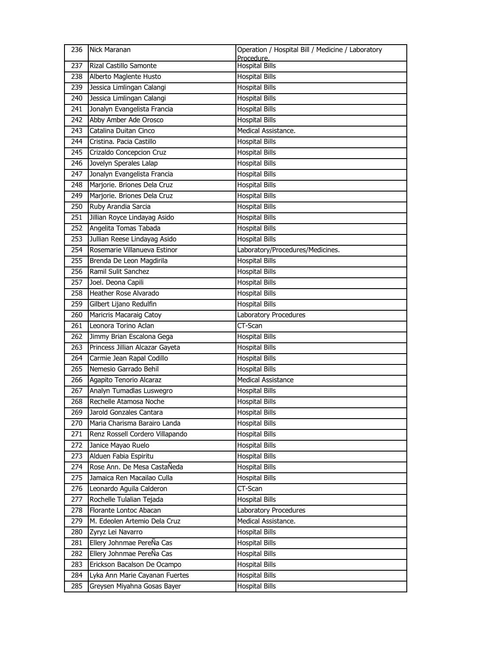| 236 | Nick Maranan                    | Operation / Hospital Bill / Medicine / Laboratory<br>Procedure. |
|-----|---------------------------------|-----------------------------------------------------------------|
| 237 | <b>Rizal Castillo Samonte</b>   | <b>Hospital Bills</b>                                           |
| 238 | Alberto Maglente Husto          | <b>Hospital Bills</b>                                           |
| 239 | Jessica Limlingan Calangi       | <b>Hospital Bills</b>                                           |
| 240 | Jessica Limlingan Calangi       | <b>Hospital Bills</b>                                           |
| 241 | Jonalyn Evangelista Francia     | <b>Hospital Bills</b>                                           |
| 242 | Abby Amber Ade Orosco           | <b>Hospital Bills</b>                                           |
| 243 | Catalina Duitan Cinco           | Medical Assistance.                                             |
| 244 | Cristina. Pacia Castillo        | <b>Hospital Bills</b>                                           |
| 245 | Crizaldo Concepcion Cruz        | <b>Hospital Bills</b>                                           |
| 246 | Jovelyn Sperales Lalap          | <b>Hospital Bills</b>                                           |
| 247 | Jonalyn Evangelista Francia     | <b>Hospital Bills</b>                                           |
| 248 | Marjorie. Briones Dela Cruz     | <b>Hospital Bills</b>                                           |
| 249 | Marjorie. Briones Dela Cruz     | <b>Hospital Bills</b>                                           |
| 250 | Ruby Arandia Sarcia             | <b>Hospital Bills</b>                                           |
| 251 | Jillian Royce Lindayag Asido    | <b>Hospital Bills</b>                                           |
| 252 | Angelita Tomas Tabada           | <b>Hospital Bills</b>                                           |
| 253 | Jullian Reese Lindayag Asido    | <b>Hospital Bills</b>                                           |
| 254 | Rosemarie Villanueva Estinor    | Laboratory/Procedures/Medicines.                                |
| 255 | Brenda De Leon Magdirila        | <b>Hospital Bills</b>                                           |
| 256 | Ramil Sulit Sanchez             | <b>Hospital Bills</b>                                           |
| 257 | Joel. Deona Capili              | <b>Hospital Bills</b>                                           |
| 258 | Heather Rose Alvarado           | <b>Hospital Bills</b>                                           |
| 259 | Gilbert Lijano Redulfin         | <b>Hospital Bills</b>                                           |
| 260 | Maricris Macaraig Catoy         | Laboratory Procedures                                           |
| 261 | Leonora Torino Aclan            | CT-Scan                                                         |
| 262 | Jimmy Brian Escalona Gega       | <b>Hospital Bills</b>                                           |
| 263 | Princess Jillian Alcazar Gayeta | <b>Hospital Bills</b>                                           |
| 264 | Carmie Jean Rapal Codillo       | <b>Hospital Bills</b>                                           |
| 265 | Nemesio Garrado Behil           | <b>Hospital Bills</b>                                           |
| 266 | Agapito Tenorio Alcaraz         | <b>Medical Assistance</b>                                       |
| 267 | Analyn Tumadlas Luswegro        | <b>Hospital Bills</b>                                           |
| 268 | Rechelle Atamosa Noche          | <b>Hospital Bills</b>                                           |
| 269 | Jarold Gonzales Cantara         | <b>Hospital Bills</b>                                           |
| 270 | Maria Charisma Barairo Landa    | Hospital Bills                                                  |
| 271 | Renz Rossell Cordero Villapando | <b>Hospital Bills</b>                                           |
| 272 | Janice Mayao Ruelo              | <b>Hospital Bills</b>                                           |
| 273 | Alduen Fabia Espiritu           | <b>Hospital Bills</b>                                           |
| 274 | Rose Ann. De Mesa CastaÑeda     | <b>Hospital Bills</b>                                           |
| 275 | Jamaica Ren Macailao Culla      | <b>Hospital Bills</b>                                           |
| 276 | Leonardo Aguila Calderon        | CT-Scan                                                         |
| 277 | Rochelle Tulalian Tejada        | <b>Hospital Bills</b>                                           |
| 278 | Florante Lontoc Abacan          | Laboratory Procedures                                           |
| 279 | M. Edeolen Artemio Dela Cruz    | Medical Assistance.                                             |
| 280 | Zyryz Lei Navarro               | <b>Hospital Bills</b>                                           |
| 281 | Ellery Johnmae PereÑa Cas       | <b>Hospital Bills</b>                                           |
| 282 | Ellery Johnmae PereÑa Cas       | <b>Hospital Bills</b>                                           |
| 283 | Erickson Bacalson De Ocampo     | <b>Hospital Bills</b>                                           |
| 284 | Lyka Ann Marie Cayanan Fuertes  | <b>Hospital Bills</b>                                           |
| 285 | Greysen Miyahna Gosas Bayer     | <b>Hospital Bills</b>                                           |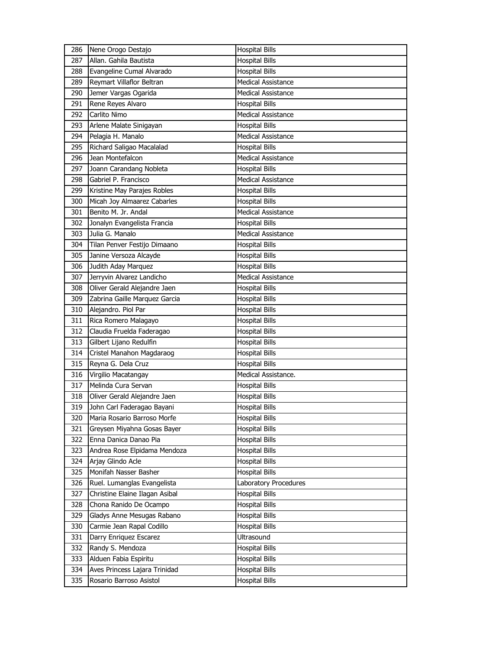| 286        | Nene Orogo Destajo                                       | <b>Hospital Bills</b>                          |
|------------|----------------------------------------------------------|------------------------------------------------|
| 287        | Allan. Gahila Bautista                                   | <b>Hospital Bills</b>                          |
| 288        | Evangeline Cumal Alvarado                                | <b>Hospital Bills</b>                          |
| 289        | Reymart Villaflor Beltran                                | <b>Medical Assistance</b>                      |
| 290        | Jemer Vargas Ogarida                                     | <b>Medical Assistance</b>                      |
| 291        | Rene Reyes Alvaro                                        | <b>Hospital Bills</b>                          |
| 292        | Carlito Nimo                                             | <b>Medical Assistance</b>                      |
| 293        | Arlene Malate Sinigayan                                  | <b>Hospital Bills</b>                          |
| 294        | Pelagia H. Manalo                                        | <b>Medical Assistance</b>                      |
| 295        | Richard Saligao Macalalad                                | <b>Hospital Bills</b>                          |
| 296        | Jean Montefalcon                                         | <b>Medical Assistance</b>                      |
| 297        | Joann Carandang Nobleta                                  | <b>Hospital Bills</b>                          |
| 298        | Gabriel P. Francisco                                     | <b>Medical Assistance</b>                      |
| 299        | Kristine May Parajes Robles                              | <b>Hospital Bills</b>                          |
| 300        | Micah Joy Almaarez Cabarles                              | <b>Hospital Bills</b>                          |
| 301        | Benito M. Jr. Andal                                      | Medical Assistance                             |
| 302        | Jonalyn Evangelista Francia                              | <b>Hospital Bills</b>                          |
| 303        | Julia G. Manalo                                          | <b>Medical Assistance</b>                      |
| 304        | Tilan Penver Festijo Dimaano                             | <b>Hospital Bills</b>                          |
| 305        | Janine Versoza Alcayde                                   | <b>Hospital Bills</b>                          |
| 306        | Judith Aday Marquez                                      | <b>Hospital Bills</b>                          |
| 307        | Jerryvin Alvarez Landicho                                | <b>Medical Assistance</b>                      |
| 308        | Oliver Gerald Alejandre Jaen                             | <b>Hospital Bills</b>                          |
| 309        | Zabrina Gaille Marquez Garcia                            | <b>Hospital Bills</b>                          |
| 310        | Alejandro. Piol Par                                      | <b>Hospital Bills</b>                          |
| 311        | Rica Romero Malagayo                                     | <b>Hospital Bills</b>                          |
|            |                                                          |                                                |
| 312        | Claudia Fruelda Faderagao                                | <b>Hospital Bills</b>                          |
| 313        | Gilbert Lijano Redulfin                                  | <b>Hospital Bills</b>                          |
| 314        | Cristel Manahon Magdaraog                                | <b>Hospital Bills</b>                          |
| 315        | Reyna G. Dela Cruz                                       | <b>Hospital Bills</b>                          |
| 316        | Virgilio Macatangay                                      | Medical Assistance.                            |
| 317        | Melinda Cura Servan                                      | <b>Hospital Bills</b>                          |
| 318        | Oliver Gerald Alejandre Jaen                             | <b>Hospital Bills</b>                          |
| 319        | John Carl Faderagao Bayani                               | <b>Hospital Bills</b>                          |
| 320        | Maria Rosario Barroso Morfe                              | <b>Hospital Bills</b>                          |
| 321        | Greysen Miyahna Gosas Bayer                              | Hospital Bills                                 |
| 322        | Enna Danica Danao Pia                                    | <b>Hospital Bills</b>                          |
| 323        | Andrea Rose Elpidama Mendoza                             | <b>Hospital Bills</b>                          |
| 324        | Arjay Glindo Acle                                        | <b>Hospital Bills</b>                          |
| 325        | Monifah Nasser Basher                                    | <b>Hospital Bills</b>                          |
| 326        | Ruel. Lumanglas Evangelista                              | Laboratory Procedures                          |
| 327        | Christine Elaine Ilagan Asibal                           | <b>Hospital Bills</b>                          |
| 328        | Chona Ranido De Ocampo                                   | <b>Hospital Bills</b>                          |
| 329        | Gladys Anne Mesugas Rabano                               | <b>Hospital Bills</b>                          |
| 330        | Carmie Jean Rapal Codillo                                | <b>Hospital Bills</b>                          |
| 331        | Darry Enriquez Escarez                                   | Ultrasound                                     |
| 332        | Randy S. Mendoza                                         | <b>Hospital Bills</b>                          |
| 333        | Alduen Fabia Espiritu                                    | <b>Hospital Bills</b>                          |
| 334<br>335 | Aves Princess Lajara Trinidad<br>Rosario Barroso Asistol | <b>Hospital Bills</b><br><b>Hospital Bills</b> |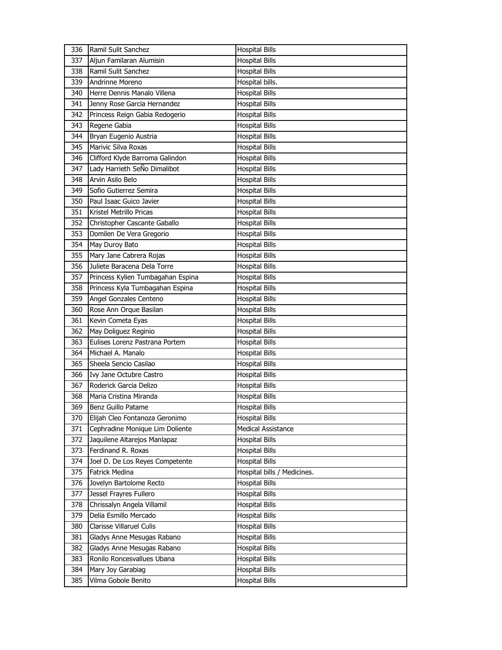| 336 | Ramil Sulit Sanchez               | <b>Hospital Bills</b>       |
|-----|-----------------------------------|-----------------------------|
| 337 | Aljun Familaran Alumisin          | <b>Hospital Bills</b>       |
| 338 | Ramil Sulit Sanchez               | <b>Hospital Bills</b>       |
| 339 | Andrinne Moreno                   | Hospital bills.             |
| 340 | Herre Dennis Manalo Villena       | <b>Hospital Bills</b>       |
| 341 | Jenny Rose Garcia Hernandez       | <b>Hospital Bills</b>       |
| 342 | Princess Reign Gabia Redogerio    | <b>Hospital Bills</b>       |
| 343 | Regene Gabia                      | <b>Hospital Bills</b>       |
| 344 | Bryan Eugenio Austria             | <b>Hospital Bills</b>       |
| 345 | Marivic Silva Roxas               | <b>Hospital Bills</b>       |
| 346 | Clifford Klyde Barroma Galindon   | <b>Hospital Bills</b>       |
| 347 | Lady Harrieth SeÑo Dimalibot      | <b>Hospital Bills</b>       |
| 348 | Arvin Asilo Belo                  | <b>Hospital Bills</b>       |
| 349 | Sofio Gutierrez Semira            | <b>Hospital Bills</b>       |
| 350 | Paul Isaac Guico Javier           | <b>Hospital Bills</b>       |
| 351 | Kristel Metrillo Pricas           | <b>Hospital Bills</b>       |
| 352 | Christopher Cascante Gaballo      | <b>Hospital Bills</b>       |
| 353 | Domilen De Vera Gregorio          | <b>Hospital Bills</b>       |
| 354 | May Duroy Bato                    | <b>Hospital Bills</b>       |
| 355 | Mary Jane Cabrera Rojas           | <b>Hospital Bills</b>       |
| 356 | Juliete Baracena Dela Torre       | <b>Hospital Bills</b>       |
| 357 | Princess Kylien Tumbagahan Espina | <b>Hospital Bills</b>       |
| 358 | Princess Kyla Tumbagahan Espina   | <b>Hospital Bills</b>       |
| 359 | Angel Gonzales Centeno            | <b>Hospital Bills</b>       |
| 360 | Rose Ann Orque Basilan            | <b>Hospital Bills</b>       |
| 361 | Kevin Cometa Eyas                 | <b>Hospital Bills</b>       |
| 362 | May Doliguez Reginio              | <b>Hospital Bills</b>       |
|     |                                   |                             |
| 363 | Eulises Lorenz Pastrana Portem    | <b>Hospital Bills</b>       |
| 364 | Michael A. Manalo                 | <b>Hospital Bills</b>       |
| 365 | Sheela Sencio Casilao             | <b>Hospital Bills</b>       |
| 366 | Ivy Jane Octubre Castro           | <b>Hospital Bills</b>       |
| 367 | Roderick Garcia Delizo            | <b>Hospital Bills</b>       |
| 368 | Maria Cristina Miranda            | <b>Hospital Bills</b>       |
| 369 | Benz Guillo Patame                | <b>Hospital Bills</b>       |
| 370 | Elijah Cleo Fontanoza Geronimo    | <b>Hospital Bills</b>       |
| 371 | Cephradine Monique Lim Doliente   | Medical Assistance          |
| 372 | Jaquilene Altarejos Manlapaz      | <b>Hospital Bills</b>       |
| 373 | Ferdinand R. Roxas                | <b>Hospital Bills</b>       |
| 374 | Joel D. De Los Reyes Competente   | <b>Hospital Bills</b>       |
| 375 | <b>Fatrick Medina</b>             | Hospital bills / Medicines. |
| 376 | Jovelyn Bartolome Recto           | <b>Hospital Bills</b>       |
| 377 | Jessel Frayres Fullero            | Hospital Bills              |
| 378 | Chrissalyn Angela Villamil        | <b>Hospital Bills</b>       |
| 379 | Delia Esmillo Mercado             | <b>Hospital Bills</b>       |
| 380 | Clarisse Villaruel Culis          | <b>Hospital Bills</b>       |
| 381 | Gladys Anne Mesugas Rabano        | <b>Hospital Bills</b>       |
| 382 | Gladys Anne Mesugas Rabano        | Hospital Bills              |
| 383 | Ronilo Roncesvallues Ubana        | <b>Hospital Bills</b>       |
| 384 | Mary Joy Garabiag                 | <b>Hospital Bills</b>       |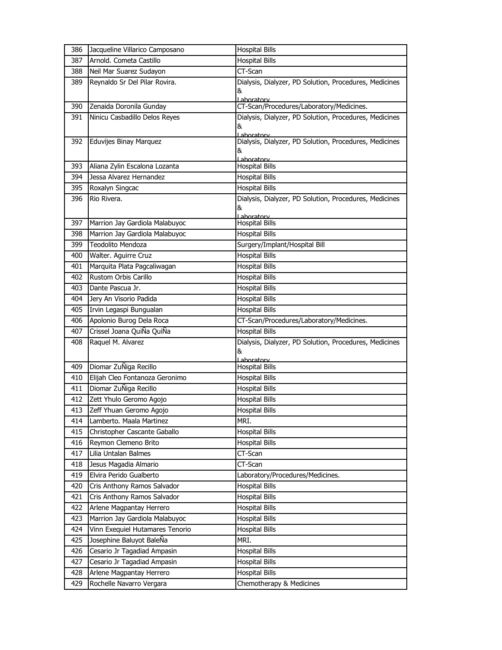| 386 | Jacqueline Villarico Camposano  | <b>Hospital Bills</b>                                       |
|-----|---------------------------------|-------------------------------------------------------------|
| 387 | Arnold. Cometa Castillo         | <b>Hospital Bills</b>                                       |
| 388 | Neil Mar Suarez Sudayon         | CT-Scan                                                     |
| 389 | Reynaldo Sr Del Pilar Rovira.   | Dialysis, Dialyzer, PD Solution, Procedures, Medicines      |
|     |                                 | &                                                           |
| 390 | Zenaida Doronila Gunday         | Laboratory<br>CT-Scan/Procedures/Laboratory/Medicines.      |
| 391 | Ninicu Casbadillo Delos Reyes   | Dialysis, Dialyzer, PD Solution, Procedures, Medicines      |
|     |                                 | &                                                           |
|     |                                 | Laboratory                                                  |
| 392 | Eduvijes Binay Marquez          | Dialysis, Dialyzer, PD Solution, Procedures, Medicines<br>& |
|     |                                 | Lahoratory                                                  |
| 393 | Aliana Zylin Escalona Lozanta   | <b>Hospital Bills</b>                                       |
| 394 | Jessa Alvarez Hernandez         | <b>Hospital Bills</b>                                       |
| 395 | Roxalyn Singcac                 | Hospital Bills                                              |
| 396 | Rio Rivera.                     | Dialysis, Dialyzer, PD Solution, Procedures, Medicines      |
|     |                                 | &<br>Lahoratory                                             |
| 397 | Marrion Jay Gardiola Malabuyoc  | <b>Hospital Bills</b>                                       |
| 398 | Marrion Jay Gardiola Malabuyoc  | <b>Hospital Bills</b>                                       |
| 399 | <b>Teodolito Mendoza</b>        | Surgery/Implant/Hospital Bill                               |
| 400 | Walter. Aguirre Cruz            | <b>Hospital Bills</b>                                       |
| 401 | Marquita Plata Pagcaliwagan     | <b>Hospital Bills</b>                                       |
| 402 | Rustom Orbis Carillo            | <b>Hospital Bills</b>                                       |
| 403 | Dante Pascua Jr.                | <b>Hospital Bills</b>                                       |
| 404 | Jery An Visorio Padida          | <b>Hospital Bills</b>                                       |
| 405 | Irvin Legaspi Bungualan         | <b>Hospital Bills</b>                                       |
| 406 | Apolonio Burog Dela Roca        | CT-Scan/Procedures/Laboratory/Medicines.                    |
| 407 | Crissel Joana QuiÑa QuiÑa       | <b>Hospital Bills</b>                                       |
| 408 | Raquel M. Alvarez               | Dialysis, Dialyzer, PD Solution, Procedures, Medicines      |
|     |                                 | &                                                           |
| 409 | Diomar ZuÑiga Recillo           | Laboratory<br><b>Hospital Bills</b>                         |
| 410 | Elijah Cleo Fontanoza Geronimo  | <b>Hospital Bills</b>                                       |
| 411 | Diomar ZuÑiga Recillo           | <b>Hospital Bills</b>                                       |
| 412 | Zett Yhulo Geromo Agojo         | <b>Hospital Bills</b>                                       |
| 413 | Zeff Yhuan Geromo Agojo         | <b>Hospital Bills</b>                                       |
| 414 | Lamberto. Maala Martinez        | MRI.                                                        |
| 415 | Christopher Cascante Gaballo    | <b>Hospital Bills</b>                                       |
| 416 | Reymon Clemeno Brito            | <b>Hospital Bills</b>                                       |
| 417 | Lilia Untalan Balmes            | CT-Scan                                                     |
| 418 | Jesus Magadia Almario           | CT-Scan                                                     |
| 419 | Elvira Perido Gualberto         | Laboratory/Procedures/Medicines.                            |
| 420 | Cris Anthony Ramos Salvador     | <b>Hospital Bills</b>                                       |
| 421 | Cris Anthony Ramos Salvador     | <b>Hospital Bills</b>                                       |
| 422 | Arlene Magpantay Herrero        | Hospital Bills                                              |
| 423 | Marrion Jay Gardiola Malabuyoc  | <b>Hospital Bills</b>                                       |
| 424 | Vinn Exequiel Hutamares Tenorio | <b>Hospital Bills</b>                                       |
| 425 | Josephine Baluyot BaleÑa        | MRI.                                                        |
| 426 | Cesario Jr Tagadiad Ampasin     | <b>Hospital Bills</b>                                       |
| 427 | Cesario Jr Tagadiad Ampasin     | <b>Hospital Bills</b>                                       |
| 428 | Arlene Magpantay Herrero        | <b>Hospital Bills</b>                                       |
| 429 | Rochelle Navarro Vergara        | Chemotherapy & Medicines                                    |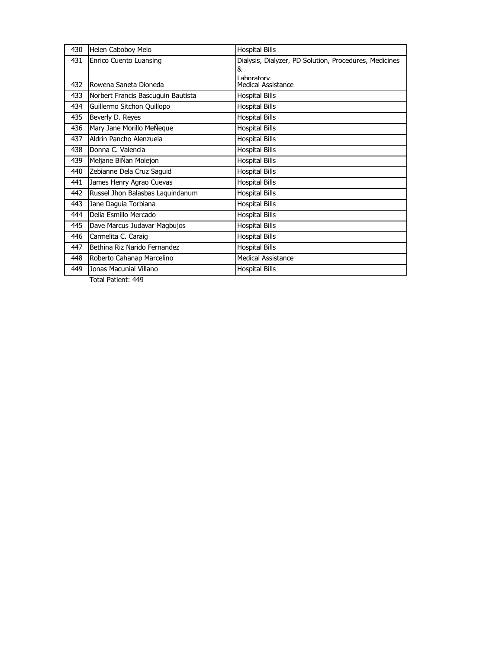| 430 | Helen Caboboy Melo                 | <b>Hospital Bills</b>                                  |
|-----|------------------------------------|--------------------------------------------------------|
| 431 | Enrico Cuento Luansing             | Dialysis, Dialyzer, PD Solution, Procedures, Medicines |
|     |                                    | &<br>Laboratory                                        |
| 432 | Rowena Saneta Dioneda              | <b>Medical Assistance</b>                              |
| 433 | Norbert Francis Bascuguin Bautista | <b>Hospital Bills</b>                                  |
| 434 | Guillermo Sitchon Quillopo         | <b>Hospital Bills</b>                                  |
| 435 | Beverly D. Reyes                   | <b>Hospital Bills</b>                                  |
| 436 | Mary Jane Morillo MeNeque          | <b>Hospital Bills</b>                                  |
| 437 | Aldrin Pancho Alenzuela            | <b>Hospital Bills</b>                                  |
| 438 | Donna C. Valencia                  | <b>Hospital Bills</b>                                  |
| 439 | Meljane BiÑan Molejon              | <b>Hospital Bills</b>                                  |
| 440 | Zebianne Dela Cruz Saguid          | <b>Hospital Bills</b>                                  |
| 441 | James Henry Agrao Cuevas           | <b>Hospital Bills</b>                                  |
| 442 | Russel Jhon Balasbas Laquindanum   | <b>Hospital Bills</b>                                  |
| 443 | Jane Daguia Torbiana               | <b>Hospital Bills</b>                                  |
| 444 | Delia Esmillo Mercado              | <b>Hospital Bills</b>                                  |
| 445 | Dave Marcus Judavar Magbujos       | <b>Hospital Bills</b>                                  |
| 446 | Carmelita C. Caraig                | <b>Hospital Bills</b>                                  |
| 447 | Bethina Riz Narido Fernandez       | <b>Hospital Bills</b>                                  |
| 448 | Roberto Cahanap Marcelino          | <b>Medical Assistance</b>                              |
| 449 | Jonas Macunial Villano             | <b>Hospital Bills</b>                                  |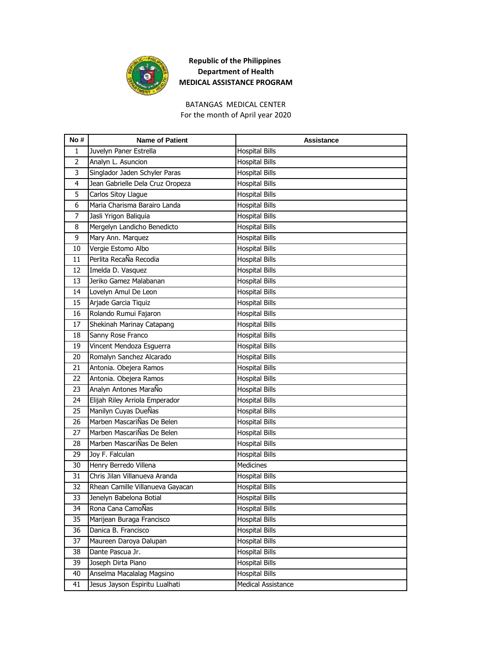

BATANGAS MEDICAL CENTER For the month of April year 2020

| No #           | <b>Name of Patient</b>           | <b>Assistance</b>     |
|----------------|----------------------------------|-----------------------|
| 1              | Juvelyn Paner Estrella           | <b>Hospital Bills</b> |
| $\overline{2}$ | Analyn L. Asuncion               | <b>Hospital Bills</b> |
| 3              | Singlador Jaden Schyler Paras    | <b>Hospital Bills</b> |
| 4              | Jean Gabrielle Dela Cruz Oropeza | <b>Hospital Bills</b> |
| 5              | Carlos Sitoy Llague              | <b>Hospital Bills</b> |
| 6              | Maria Charisma Barairo Landa     | Hospital Bills        |
| 7              | Jasli Yrigon Baliquia            | <b>Hospital Bills</b> |
| 8              | Mergelyn Landicho Benedicto      | <b>Hospital Bills</b> |
| 9              | Mary Ann. Marquez                | <b>Hospital Bills</b> |
| 10             | Vergie Estomo Albo               | <b>Hospital Bills</b> |
| 11             | Perlita RecaÑa Recodia           | Hospital Bills        |
| 12             | Imelda D. Vasquez                | <b>Hospital Bills</b> |
| 13             | Jeriko Gamez Malabanan           | <b>Hospital Bills</b> |
| 14             | Lovelyn Amul De Leon             | <b>Hospital Bills</b> |
| 15             | Arjade Garcia Tiquiz             | <b>Hospital Bills</b> |
| 16             | Rolando Rumui Fajaron            | <b>Hospital Bills</b> |
| 17             | Shekinah Marinay Catapang        | Hospital Bills        |
| 18             | Sanny Rose Franco                | <b>Hospital Bills</b> |
| 19             | Vincent Mendoza Esquerra         | <b>Hospital Bills</b> |
| 20             | Romalyn Sanchez Alcarado         | <b>Hospital Bills</b> |
| 21             | Antonia. Obejera Ramos           | Hospital Bills        |
| 22             | Antonia. Obejera Ramos           | <b>Hospital Bills</b> |
| 23             | Analyn Antones MaraÑo            | <b>Hospital Bills</b> |
| 24             | Elijah Riley Arriola Emperador   | Hospital Bills        |
| 25             | Manilyn Cuyas DueÑas             | <b>Hospital Bills</b> |
| 26             | Marben MascariÑas De Belen       | <b>Hospital Bills</b> |
| 27             | Marben MascariÑas De Belen       | Hospital Bills        |
| 28             | Marben MascariÑas De Belen       | <b>Hospital Bills</b> |
| 29             | Joy F. Falculan                  | <b>Hospital Bills</b> |
| 30             | Henry Berredo Villena            | Medicines             |
| 31             | Chris Jilan Villanueva Aranda    | <b>Hospital Bills</b> |
| 32             | Rhean Camille Villanueva Gayacan | <b>Hospital Bills</b> |
| 33             | Jenelyn Babelona Botial          | <b>Hospital Bills</b> |
| 34             | Rona Cana CamoÑas                | <b>Hospital Bills</b> |
| 35             | Marijean Buraga Francisco        | <b>Hospital Bills</b> |
| 36             | Danica B. Francisco              | <b>Hospital Bills</b> |
| 37             | Maureen Daroya Dalupan           | <b>Hospital Bills</b> |
| 38             | Dante Pascua Jr.                 | <b>Hospital Bills</b> |
| 39             | Joseph Dirta Piano               | <b>Hospital Bills</b> |
| 40             | Anselma Macalalag Magsino        | <b>Hospital Bills</b> |
| 41             | Jesus Jayson Espiritu Lualhati   | Medical Assistance    |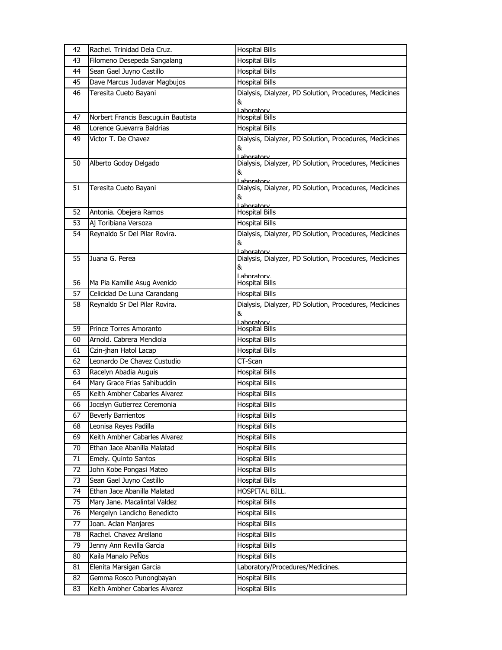| 42 | Rachel. Trinidad Dela Cruz.        | <b>Hospital Bills</b>                                                |
|----|------------------------------------|----------------------------------------------------------------------|
| 43 | Filomeno Desepeda Sangalang        | <b>Hospital Bills</b>                                                |
| 44 | Sean Gael Juyno Castillo           | <b>Hospital Bills</b>                                                |
| 45 | Dave Marcus Judavar Magbujos       | <b>Hospital Bills</b>                                                |
| 46 | Teresita Cueto Bayani              | Dialysis, Dialyzer, PD Solution, Procedures, Medicines               |
|    |                                    | &                                                                    |
| 47 | Norbert Francis Bascuguin Bautista | Laboratory<br><b>Hospital Bills</b>                                  |
| 48 | Lorence Guevarra Baldrias          | <b>Hospital Bills</b>                                                |
| 49 | Victor T. De Chavez                | Dialysis, Dialyzer, PD Solution, Procedures, Medicines               |
|    |                                    | &                                                                    |
| 50 | Alberto Godoy Delgado              | Lahoratory<br>Dialysis, Dialyzer, PD Solution, Procedures, Medicines |
|    |                                    | &                                                                    |
|    |                                    | Laboratory                                                           |
| 51 | Teresita Cueto Bayani              | Dialysis, Dialyzer, PD Solution, Procedures, Medicines               |
|    |                                    | &<br>Laboratory                                                      |
| 52 | Antonia. Obejera Ramos             | <b>Hospital Bills</b>                                                |
| 53 | Aj Toribiana Versoza               | <b>Hospital Bills</b>                                                |
| 54 | Reynaldo Sr Del Pilar Rovira.      | Dialysis, Dialyzer, PD Solution, Procedures, Medicines               |
|    |                                    | &                                                                    |
| 55 | Juana G. Perea                     | Laboratory<br>Dialysis, Dialyzer, PD Solution, Procedures, Medicines |
|    |                                    | &                                                                    |
| 56 | Ma Pia Kamille Asug Avenido        | Laboratory<br><b>Hospital Bills</b>                                  |
| 57 | Celicidad De Luna Carandang        | <b>Hospital Bills</b>                                                |
| 58 | Reynaldo Sr Del Pilar Rovira.      | Dialysis, Dialyzer, PD Solution, Procedures, Medicines               |
|    |                                    | &                                                                    |
|    |                                    | Laboratory                                                           |
| 59 | Prince Torres Amoranto             | <b>Hospital Bills</b>                                                |
| 60 | Arnold, Cabrera Mendiola           | <b>Hospital Bills</b>                                                |
| 61 | Czin-jhan Hatol Lacap              | <b>Hospital Bills</b>                                                |
| 62 | Leonardo De Chavez Custudio        | CT-Scan                                                              |
| 63 | Racelyn Abadia Auguis              | <b>Hospital Bills</b>                                                |
| 64 | Mary Grace Frias Sahibuddin        | <b>Hospital Bills</b>                                                |
| 65 | Keith Ambher Cabarles Alvarez      | <b>Hospital Bills</b>                                                |
| 66 | Jocelyn Gutierrez Ceremonia        | <b>Hospital Bills</b>                                                |
| 67 | <b>Beverly Barrientos</b>          | <b>Hospital Bills</b>                                                |
| 68 | Leonisa Reyes Padilla              | <b>Hospital Bills</b>                                                |
| 69 | Keith Ambher Cabarles Alvarez      | <b>Hospital Bills</b>                                                |
| 70 | Ethan Jace Abanilla Malatad        | <b>Hospital Bills</b>                                                |
| 71 | Emely. Quinto Santos               | <b>Hospital Bills</b>                                                |
| 72 | John Kobe Pongasi Mateo            | <b>Hospital Bills</b>                                                |
| 73 | Sean Gael Juyno Castillo           | <b>Hospital Bills</b>                                                |
| 74 | Ethan Jace Abanilla Malatad        | HOSPITAL BILL.                                                       |
| 75 | Mary Jane. Macalintal Valdez       | <b>Hospital Bills</b>                                                |
| 76 | Mergelyn Landicho Benedicto        | <b>Hospital Bills</b>                                                |
| 77 | Joan. Aclan Manjares               | <b>Hospital Bills</b>                                                |
| 78 | Rachel. Chavez Arellano            | <b>Hospital Bills</b>                                                |
| 79 | Jenny Ann Revilla Garcia           | <b>Hospital Bills</b>                                                |
| 80 | Kaila Manalo PeÑos                 | <b>Hospital Bills</b>                                                |
| 81 | Elenita Marsigan Garcia            | Laboratory/Procedures/Medicines.                                     |
| 82 | Gemma Rosco Punongbayan            | <b>Hospital Bills</b>                                                |
| 83 | Keith Ambher Cabarles Alvarez      | <b>Hospital Bills</b>                                                |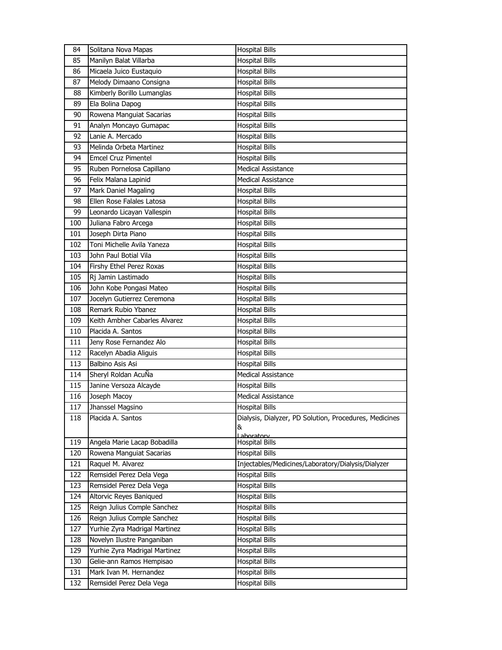| 84         | Solitana Nova Mapas           | <b>Hospital Bills</b>                                  |
|------------|-------------------------------|--------------------------------------------------------|
| 85         | Manilyn Balat Villarba        | <b>Hospital Bills</b>                                  |
| 86         | Micaela Juico Eustaquio       | <b>Hospital Bills</b>                                  |
| 87         | Melody Dimaano Consigna       | <b>Hospital Bills</b>                                  |
| 88         | Kimberly Borillo Lumanglas    | <b>Hospital Bills</b>                                  |
| 89         | Ela Bolina Dapog              | <b>Hospital Bills</b>                                  |
| 90         | Rowena Manguiat Sacarias      | <b>Hospital Bills</b>                                  |
| 91         | Analyn Moncayo Gumapac        | <b>Hospital Bills</b>                                  |
| 92         | Lanie A. Mercado              | <b>Hospital Bills</b>                                  |
| 93         | Melinda Orbeta Martinez       | <b>Hospital Bills</b>                                  |
| 94         | <b>Emcel Cruz Pimentel</b>    | <b>Hospital Bills</b>                                  |
| 95         | Ruben Pornelosa Capillano     | <b>Medical Assistance</b>                              |
| 96         | Felix Malana Lapinid          | <b>Medical Assistance</b>                              |
| 97         | Mark Daniel Magaling          | <b>Hospital Bills</b>                                  |
| 98         | Ellen Rose Falales Latosa     | <b>Hospital Bills</b>                                  |
| 99         | Leonardo Licayan Vallespin    | <b>Hospital Bills</b>                                  |
| 100        | Juliana Fabro Arcega          | <b>Hospital Bills</b>                                  |
| 101        | Joseph Dirta Piano            | <b>Hospital Bills</b>                                  |
| 102        | Toni Michelle Avila Yaneza    | <b>Hospital Bills</b>                                  |
| 103        | John Paul Botial Vila         | <b>Hospital Bills</b>                                  |
| 104        | Firshy Ethel Perez Roxas      | <b>Hospital Bills</b>                                  |
| 105        | Rj Jamin Lastimado            | <b>Hospital Bills</b>                                  |
| 106        | John Kobe Pongasi Mateo       | <b>Hospital Bills</b>                                  |
| 107        | Jocelyn Gutierrez Ceremona    | <b>Hospital Bills</b>                                  |
| 108        | Remark Rubio Ybanez           | <b>Hospital Bills</b>                                  |
| 109        | Keith Ambher Cabarles Alvarez | <b>Hospital Bills</b>                                  |
| 110        | Placida A. Santos             | <b>Hospital Bills</b>                                  |
| 111        | Jeny Rose Fernandez Alo       | <b>Hospital Bills</b>                                  |
| 112        | Racelyn Abadia Aliguis        | <b>Hospital Bills</b>                                  |
| 113        | Balbino Asis Asi              | <b>Hospital Bills</b>                                  |
| 114        | Sheryl Roldan AcuÑa           | <b>Medical Assistance</b>                              |
| 115        | Janine Versoza Alcayde        | <b>Hospital Bills</b>                                  |
| 116        | Joseph Macoy                  | Medical Assistance                                     |
| 117        | Jhanssel Magsino              | Hospital Bills                                         |
| 118        | Placida A. Santos             | Dialysis, Dialyzer, PD Solution, Procedures, Medicines |
|            |                               | &                                                      |
| 119        | Angela Marie Lacap Bobadilla  | Laboratory<br><b>Hospital Bills</b>                    |
| 120        | Rowena Manguiat Sacarias      | <b>Hospital Bills</b>                                  |
| 121        | Raquel M. Alvarez             | Injectables/Medicines/Laboratory/Dialysis/Dialyzer     |
| 122        | Remsidel Perez Dela Vega      | <b>Hospital Bills</b>                                  |
| 123        | Remsidel Perez Dela Vega      | <b>Hospital Bills</b>                                  |
| 124        | Altorvic Reyes Baniqued       | <b>Hospital Bills</b>                                  |
|            | Reign Julius Comple Sanchez   | <b>Hospital Bills</b>                                  |
| 125<br>126 | Reign Julius Comple Sanchez   | <b>Hospital Bills</b>                                  |
|            |                               |                                                        |
| 127<br>128 | Yurhie Zyra Madrigal Martinez | <b>Hospital Bills</b>                                  |
|            | Novelyn Ilustre Panganiban    | Hospital Bills                                         |
| 129        | Yurhie Zyra Madrigal Martinez | <b>Hospital Bills</b>                                  |
| 130        | Gelie-ann Ramos Hempisao      | <b>Hospital Bills</b>                                  |
| 131        | Mark Ivan M. Hernandez        | <b>Hospital Bills</b>                                  |
| 132        | Remsidel Perez Dela Vega      | <b>Hospital Bills</b>                                  |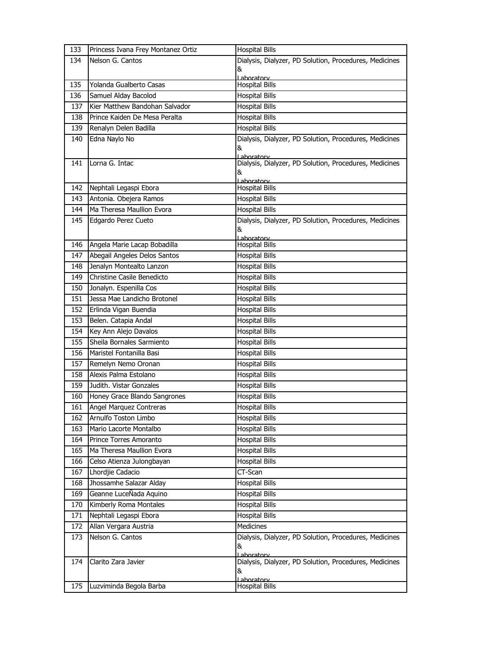| 133 | Princess Ivana Frey Montanez Ortiz | <b>Hospital Bills</b>                                       |
|-----|------------------------------------|-------------------------------------------------------------|
| 134 | Nelson G. Cantos                   | Dialysis, Dialyzer, PD Solution, Procedures, Medicines      |
|     |                                    | &                                                           |
| 135 | Yolanda Gualberto Casas            | Laboratory<br><b>Hospital Bills</b>                         |
| 136 | Samuel Alday Bacolod               | <b>Hospital Bills</b>                                       |
| 137 | Kier Matthew Bandohan Salvador     | <b>Hospital Bills</b>                                       |
| 138 | Prince Kaiden De Mesa Peralta      | <b>Hospital Bills</b>                                       |
| 139 | Renalyn Delen Badilla              | <b>Hospital Bills</b>                                       |
| 140 | Edna Naylo No                      | Dialysis, Dialyzer, PD Solution, Procedures, Medicines      |
|     |                                    | &                                                           |
|     | Lorna G. Intac                     | Laboratory                                                  |
| 141 |                                    | Dialysis, Dialyzer, PD Solution, Procedures, Medicines<br>& |
|     |                                    | Laboratory                                                  |
| 142 | Nephtali Legaspi Ebora             | <b>Hospital Bills</b>                                       |
| 143 | Antonia. Obejera Ramos             | <b>Hospital Bills</b>                                       |
| 144 | Ma Theresa Maullion Evora          | <b>Hospital Bills</b>                                       |
| 145 | Edgardo Perez Cueto                | Dialysis, Dialyzer, PD Solution, Procedures, Medicines      |
|     |                                    | &<br>Laboratory                                             |
| 146 | Angela Marie Lacap Bobadilla       | <b>Hospital Bills</b>                                       |
| 147 | Abegail Angeles Delos Santos       | <b>Hospital Bills</b>                                       |
| 148 | Jenalyn Montealto Lanzon           | <b>Hospital Bills</b>                                       |
| 149 | Christine Casile Benedicto         | <b>Hospital Bills</b>                                       |
| 150 | Jonalyn. Espenilla Cos             | <b>Hospital Bills</b>                                       |
| 151 | Jessa Mae Landicho Brotonel        | <b>Hospital Bills</b>                                       |
| 152 | Erlinda Vigan Buendia              | <b>Hospital Bills</b>                                       |
| 153 | Belen. Catapia Andal               | <b>Hospital Bills</b>                                       |
| 154 | Key Ann Alejo Davalos              | <b>Hospital Bills</b>                                       |
| 155 | Sheila Bornales Sarmiento          | <b>Hospital Bills</b>                                       |
| 156 | Maristel Fontanilla Basi           | <b>Hospital Bills</b>                                       |
| 157 | Remelyn Nemo Oronan                | <b>Hospital Bills</b>                                       |
| 158 | Alexis Palma Estolano              | <b>Hospital Bills</b>                                       |
| 159 | Judith, Vistar Gonzales            | <b>Hospital Bills</b>                                       |
| 160 | Honey Grace Blando Sangrones       | <b>Hospital Bills</b>                                       |
| 161 | Angel Marquez Contreras            | <b>Hospital Bills</b>                                       |
| 162 | Arnulfo Toston Limbo               | <b>Hospital Bills</b>                                       |
| 163 | Mario Lacorte Montalbo             | <b>Hospital Bills</b>                                       |
| 164 | Prince Torres Amoranto             | <b>Hospital Bills</b>                                       |
| 165 | Ma Theresa Maullion Evora          | <b>Hospital Bills</b>                                       |
| 166 | Celso Atienza Julongbayan          | <b>Hospital Bills</b>                                       |
| 167 | Lhordjie Cadacio                   | CT-Scan                                                     |
| 168 | Jhossamhe Salazar Alday            | <b>Hospital Bills</b>                                       |
| 169 | Geanne LuceÑada Aquino             | <b>Hospital Bills</b>                                       |
| 170 | Kimberly Roma Montales             | <b>Hospital Bills</b>                                       |
| 171 | Nephtali Legaspi Ebora             | <b>Hospital Bills</b>                                       |
| 172 | Allan Vergara Austria              | <b>Medicines</b>                                            |
| 173 | Nelson G. Cantos                   | Dialysis, Dialyzer, PD Solution, Procedures, Medicines      |
|     |                                    | &<br>Laboratory                                             |
| 174 | Clarito Zara Javier                | Dialysis, Dialyzer, PD Solution, Procedures, Medicines      |
|     |                                    | &                                                           |
| 175 | Luzviminda Begola Barba            | Laboratory                                                  |
|     |                                    | Hospital Bills                                              |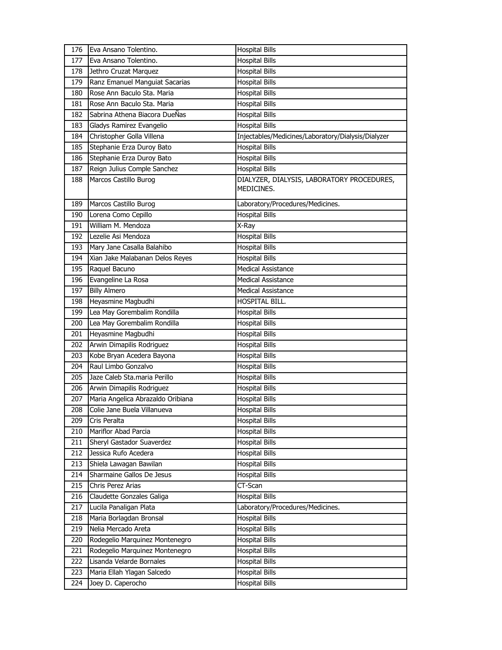| 176 | Eva Ansano Tolentino.             | <b>Hospital Bills</b>                                    |
|-----|-----------------------------------|----------------------------------------------------------|
| 177 | Eva Ansano Tolentino.             | <b>Hospital Bills</b>                                    |
| 178 | Jethro Cruzat Marquez             | <b>Hospital Bills</b>                                    |
| 179 | Ranz Emanuel Manguiat Sacarias    | <b>Hospital Bills</b>                                    |
| 180 | Rose Ann Baculo Sta. Maria        | <b>Hospital Bills</b>                                    |
| 181 | Rose Ann Baculo Sta. Maria        | <b>Hospital Bills</b>                                    |
| 182 | Sabrina Athena Biacora DueÑas     | <b>Hospital Bills</b>                                    |
| 183 | Gladys Ramirez Evangelio          | <b>Hospital Bills</b>                                    |
| 184 | Christopher Golla Villena         | Injectables/Medicines/Laboratory/Dialysis/Dialyzer       |
| 185 | Stephanie Erza Duroy Bato         | <b>Hospital Bills</b>                                    |
| 186 | Stephanie Erza Duroy Bato         | <b>Hospital Bills</b>                                    |
| 187 | Reign Julius Comple Sanchez       | <b>Hospital Bills</b>                                    |
| 188 | Marcos Castillo Burog             | DIALYZER, DIALYSIS, LABORATORY PROCEDURES,<br>MEDICINES. |
| 189 | Marcos Castillo Burog             | Laboratory/Procedures/Medicines.                         |
| 190 | Lorena Como Cepillo               | <b>Hospital Bills</b>                                    |
| 191 | William M. Mendoza                | X-Ray                                                    |
| 192 | Lezelie Asi Mendoza               | <b>Hospital Bills</b>                                    |
| 193 | Mary Jane Casalla Balahibo        | <b>Hospital Bills</b>                                    |
| 194 | Xian Jake Malabanan Delos Reyes   | <b>Hospital Bills</b>                                    |
| 195 | Raquel Bacuno                     | <b>Medical Assistance</b>                                |
| 196 | Evangeline La Rosa                | <b>Medical Assistance</b>                                |
| 197 | <b>Billy Almero</b>               | <b>Medical Assistance</b>                                |
| 198 | Heyasmine Magbudhi                | HOSPITAL BILL.                                           |
| 199 | Lea May Gorembalim Rondilla       | <b>Hospital Bills</b>                                    |
| 200 | Lea May Gorembalim Rondilla       | <b>Hospital Bills</b>                                    |
| 201 | Heyasmine Magbudhi                | <b>Hospital Bills</b>                                    |
| 202 | Arwin Dimapilis Rodriguez         | <b>Hospital Bills</b>                                    |
| 203 | Kobe Bryan Acedera Bayona         | <b>Hospital Bills</b>                                    |
| 204 | Raul Limbo Gonzalvo               | <b>Hospital Bills</b>                                    |
| 205 | Jaze Caleb Sta.maria Perillo      | <b>Hospital Bills</b>                                    |
| 206 | Arwin Dimapilis Rodriguez         | <b>Hospital Bills</b>                                    |
| 207 | Maria Angelica Abrazaldo Oribiana | <b>Hospital Bills</b>                                    |
| 208 | Colie Jane Buela Villanueva       | <b>Hospital Bills</b>                                    |
| 209 | Cris Peralta                      | <b>Hospital Bills</b>                                    |
| 210 | Mariflor Abad Parcia              | <b>Hospital Bills</b>                                    |
| 211 | Sheryl Gastador Suaverdez         | <b>Hospital Bills</b>                                    |
| 212 | Jessica Rufo Acedera              | <b>Hospital Bills</b>                                    |
| 213 | Shiela Lawagan Bawilan            | <b>Hospital Bills</b>                                    |
| 214 | Sharmaine Gallos De Jesus         | <b>Hospital Bills</b>                                    |
| 215 | Chris Perez Arias                 | CT-Scan                                                  |
| 216 | Claudette Gonzales Galiga         | <b>Hospital Bills</b>                                    |
| 217 | Lucila Panaligan Plata            | Laboratory/Procedures/Medicines.                         |
| 218 | Maria Borlagdan Bronsal           | <b>Hospital Bills</b>                                    |
| 219 | Nelia Mercado Areta               | <b>Hospital Bills</b>                                    |
| 220 | Rodegelio Marquinez Montenegro    | <b>Hospital Bills</b>                                    |
| 221 | Rodegelio Marquinez Montenegro    | <b>Hospital Bills</b>                                    |
| 222 | Lisanda Velarde Bornales          | Hospital Bills                                           |
| 223 | Maria Ellah Ylagan Salcedo        | Hospital Bills                                           |
| 224 | Joey D. Caperocho                 | Hospital Bills                                           |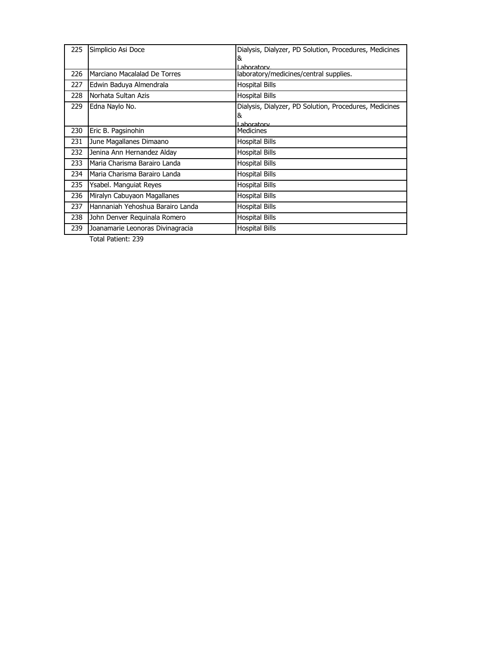| 225 | Simplicio Asi Doce               | Dialysis, Dialyzer, PD Solution, Procedures, Medicines |
|-----|----------------------------------|--------------------------------------------------------|
|     |                                  | 8                                                      |
|     |                                  | Laboratory                                             |
| 226 | Marciano Macalalad De Torres     | laboratory/medicines/central supplies.                 |
| 227 | Edwin Baduya Almendrala          | Hospital Bills                                         |
| 228 | Norhata Sultan Azis              | Hospital Bills                                         |
| 229 | Edna Naylo No.                   | Dialysis, Dialyzer, PD Solution, Procedures, Medicines |
|     |                                  | &                                                      |
|     |                                  | I aboratory                                            |
| 230 | Eric B. Pagsinohin               | <b>Medicines</b>                                       |
| 231 | June Magallanes Dimaano          | <b>Hospital Bills</b>                                  |
| 232 | Jenina Ann Hernandez Alday       | <b>Hospital Bills</b>                                  |
| 233 | Maria Charisma Barairo Landa     | <b>Hospital Bills</b>                                  |
| 234 | Maria Charisma Barairo Landa     | <b>Hospital Bills</b>                                  |
| 235 | Ysabel. Manguiat Reyes           | <b>Hospital Bills</b>                                  |
| 236 | Miralyn Cabuyaon Magallanes      | Hospital Bills                                         |
| 237 | Hannaniah Yehoshua Barairo Landa | <b>Hospital Bills</b>                                  |
| 238 | John Denver Requinala Romero     | <b>Hospital Bills</b>                                  |
| 239 | Joanamarie Leonoras Divinagracia | <b>Hospital Bills</b>                                  |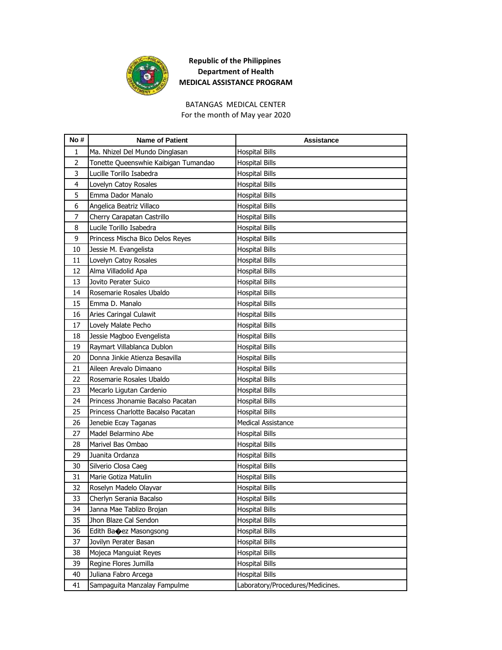

#### For the month of May year 2020 BATANGAS MEDICAL CENTER

| No#            | <b>Name of Patient</b>               | <b>Assistance</b>                |
|----------------|--------------------------------------|----------------------------------|
| 1              | Ma. Nhizel Del Mundo Dinglasan       | <b>Hospital Bills</b>            |
| $\overline{2}$ | Tonette Queenswhie Kaibigan Tumandao | <b>Hospital Bills</b>            |
| 3              | Lucille Torillo Isabedra             | <b>Hospital Bills</b>            |
| 4              | Lovelyn Catoy Rosales                | <b>Hospital Bills</b>            |
| 5              | Emma Dador Manalo                    | <b>Hospital Bills</b>            |
| 6              | Angelica Beatriz Villaco             | <b>Hospital Bills</b>            |
| 7              | Cherry Carapatan Castrillo           | <b>Hospital Bills</b>            |
| 8              | Lucile Torillo Isabedra              | <b>Hospital Bills</b>            |
| 9              | Princess Mischa Bico Delos Reyes     | <b>Hospital Bills</b>            |
| 10             | Jessie M. Evangelista                | <b>Hospital Bills</b>            |
| 11             | Lovelyn Catoy Rosales                | Hospital Bills                   |
| 12             | Alma Villadolid Apa                  | <b>Hospital Bills</b>            |
| 13             | Jovito Perater Suico                 | <b>Hospital Bills</b>            |
| 14             | Rosemarie Rosales Ubaldo             | <b>Hospital Bills</b>            |
| 15             | Emma D. Manalo                       | <b>Hospital Bills</b>            |
| 16             | Aries Caringal Culawit               | Hospital Bills                   |
| 17             | Lovely Malate Pecho                  | <b>Hospital Bills</b>            |
| 18             | Jessie Magboo Evengelista            | <b>Hospital Bills</b>            |
| 19             | Raymart Villablanca Dublon           | <b>Hospital Bills</b>            |
| 20             | Donna Jinkie Atienza Besavilla       | <b>Hospital Bills</b>            |
| 21             | Aileen Arevalo Dimaano               | <b>Hospital Bills</b>            |
| 22             | Rosemarie Rosales Ubaldo             | <b>Hospital Bills</b>            |
| 23             | Mecarlo Ligutan Cardenio             | <b>Hospital Bills</b>            |
| 24             | Princess Jhonamie Bacalso Pacatan    | Hospital Bills                   |
| 25             | Princess Charlotte Bacalso Pacatan   | <b>Hospital Bills</b>            |
| 26             | Jenebie Ecay Taganas                 | <b>Medical Assistance</b>        |
| 27             | Madel Belarmino Abe                  | <b>Hospital Bills</b>            |
| 28             | Marivel Bas Ombao                    | <b>Hospital Bills</b>            |
| 29             | Juanita Ordanza                      | <b>Hospital Bills</b>            |
| 30             | Silverio Closa Caeg                  | Hospital Bills                   |
| 31             | Marie Gotiza Matulin                 | <b>Hospital Bills</b>            |
| 32             | Roselyn Madelo Olayvar               | <b>Hospital Bills</b>            |
| 33             | Cherlyn Serania Bacalso              | <b>Hospital Bills</b>            |
| 34             | Janna Mae Tablizo Brojan             | <b>Hospital Bills</b>            |
| 35             | Jhon Blaze Cal Sendon                | <b>Hospital Bills</b>            |
| 36             | Edith Banez Masongsong               | <b>Hospital Bills</b>            |
| 37             | Jovilyn Perater Basan                | <b>Hospital Bills</b>            |
| 38             | Mojeca Manguiat Reyes                | <b>Hospital Bills</b>            |
| 39             | Regine Flores Jumilla                | <b>Hospital Bills</b>            |
| 40             | Juliana Fabro Arcega                 | <b>Hospital Bills</b>            |
| 41             | Sampaguita Manzalay Fampulme         | Laboratory/Procedures/Medicines. |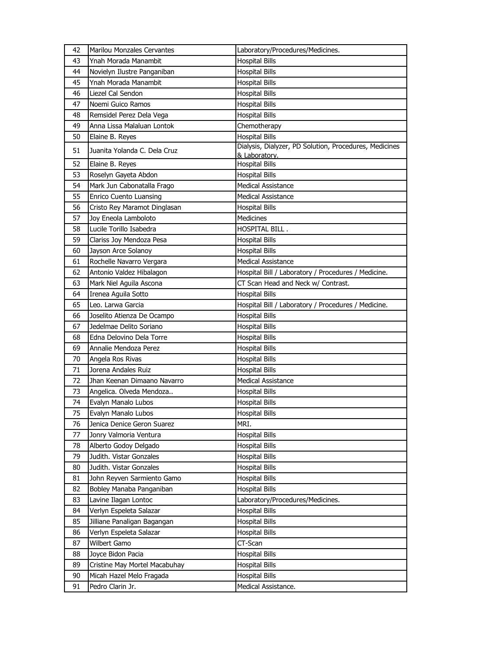| 42 | Marilou Monzales Cervantes    | Laboratory/Procedures/Medicines.                                        |
|----|-------------------------------|-------------------------------------------------------------------------|
| 43 | Ynah Morada Manambit          | <b>Hospital Bills</b>                                                   |
| 44 | Novielyn Ilustre Panganiban   | <b>Hospital Bills</b>                                                   |
| 45 | Ynah Morada Manambit          | <b>Hospital Bills</b>                                                   |
| 46 | Liezel Cal Sendon             | <b>Hospital Bills</b>                                                   |
| 47 | Noemi Guico Ramos             | <b>Hospital Bills</b>                                                   |
| 48 | Remsidel Perez Dela Vega      | <b>Hospital Bills</b>                                                   |
| 49 | Anna Lissa Malaluan Lontok    | Chemotherapy                                                            |
| 50 | Elaine B. Reyes               | <b>Hospital Bills</b>                                                   |
| 51 | Juanita Yolanda C. Dela Cruz  | Dialysis, Dialyzer, PD Solution, Procedures, Medicines<br>& Laboratory. |
| 52 | Elaine B. Reyes               | <b>Hospital Bills</b>                                                   |
| 53 | Roselyn Gayeta Abdon          | <b>Hospital Bills</b>                                                   |
| 54 | Mark Jun Cabonatalla Frago    | <b>Medical Assistance</b>                                               |
| 55 | Enrico Cuento Luansing        | <b>Medical Assistance</b>                                               |
| 56 | Cristo Rey Maramot Dinglasan  | <b>Hospital Bills</b>                                                   |
| 57 | Joy Eneola Lamboloto          | Medicines                                                               |
| 58 | Lucile Torillo Isabedra       | HOSPITAL BILL.                                                          |
| 59 | Clariss Joy Mendoza Pesa      | <b>Hospital Bills</b>                                                   |
| 60 | Jayson Arce Solanoy           | <b>Hospital Bills</b>                                                   |
| 61 | Rochelle Navarro Vergara      | <b>Medical Assistance</b>                                               |
| 62 | Antonio Valdez Hibalagon      | Hospital Bill / Laboratory / Procedures / Medicine.                     |
| 63 | Mark Niel Aguila Ascona       | CT Scan Head and Neck w/ Contrast.                                      |
| 64 | Irenea Aguila Sotto           | <b>Hospital Bills</b>                                                   |
| 65 | Leo. Larwa Garcia             | Hospital Bill / Laboratory / Procedures / Medicine.                     |
| 66 | Joselito Atienza De Ocampo    | <b>Hospital Bills</b>                                                   |
| 67 | Jedelmae Delito Soriano       | <b>Hospital Bills</b>                                                   |
| 68 | Edna Delovino Dela Torre      | <b>Hospital Bills</b>                                                   |
| 69 | Annalie Mendoza Perez         | <b>Hospital Bills</b>                                                   |
| 70 | Angela Ros Rivas              | <b>Hospital Bills</b>                                                   |
| 71 | Jorena Andales Ruiz           | <b>Hospital Bills</b>                                                   |
| 72 | Jhan Keenan Dimaano Navarro   | <b>Medical Assistance</b>                                               |
| 73 | Angelica. Olveda Mendoza      | <b>Hospital Bills</b>                                                   |
| 74 | Evalyn Manalo Lubos           | <b>Hospital Bills</b>                                                   |
| 75 | Evalyn Manalo Lubos           | <b>Hospital Bills</b>                                                   |
| 76 | Jenica Denice Geron Suarez    | MRI.                                                                    |
| 77 | Jonry Valmoria Ventura        | <b>Hospital Bills</b>                                                   |
| 78 | Alberto Godoy Delgado         | <b>Hospital Bills</b>                                                   |
| 79 | Judith. Vistar Gonzales       | <b>Hospital Bills</b>                                                   |
| 80 | Judith. Vistar Gonzales       | <b>Hospital Bills</b>                                                   |
| 81 | John Reyven Sarmiento Gamo    | <b>Hospital Bills</b>                                                   |
| 82 | Bobley Manaba Panganiban      | <b>Hospital Bills</b>                                                   |
| 83 | Lavine Ilagan Lontoc          | Laboratory/Procedures/Medicines.                                        |
| 84 | Verlyn Espeleta Salazar       | <b>Hospital Bills</b>                                                   |
| 85 | Jilliane Panaligan Bagangan   | <b>Hospital Bills</b>                                                   |
| 86 | Verlyn Espeleta Salazar       | <b>Hospital Bills</b>                                                   |
| 87 | Wilbert Gamo                  | CT-Scan                                                                 |
| 88 | Joyce Bidon Pacia             | <b>Hospital Bills</b>                                                   |
| 89 | Cristine May Mortel Macabuhay | <b>Hospital Bills</b>                                                   |
| 90 | Micah Hazel Melo Fragada      | <b>Hospital Bills</b>                                                   |
| 91 | Pedro Clarin Jr.              | Medical Assistance.                                                     |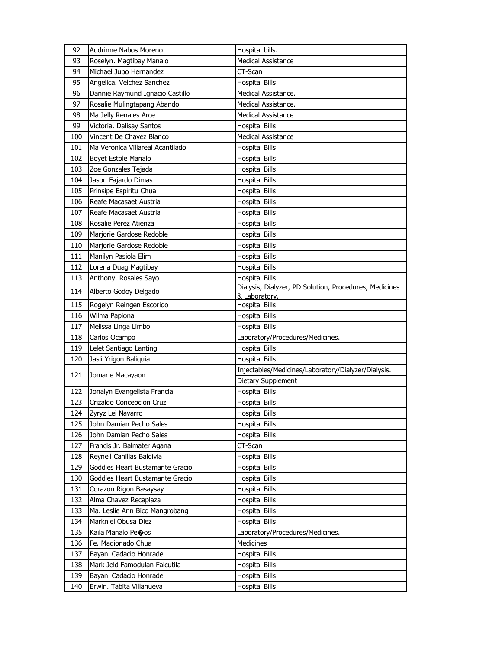| 92  | Audrinne Nabos Moreno            | Hospital bills.                                                         |
|-----|----------------------------------|-------------------------------------------------------------------------|
| 93  | Roselyn. Magtibay Manalo         | Medical Assistance                                                      |
| 94  | Michael Jubo Hernandez           | CT-Scan                                                                 |
| 95  | Angelica. Velchez Sanchez        | <b>Hospital Bills</b>                                                   |
| 96  | Dannie Raymund Ignacio Castillo  | Medical Assistance.                                                     |
| 97  | Rosalie Mulingtapang Abando      | Medical Assistance.                                                     |
| 98  | Ma Jelly Renales Arce            | <b>Medical Assistance</b>                                               |
| 99  | Victoria. Dalisay Santos         | <b>Hospital Bills</b>                                                   |
| 100 | Vincent De Chavez Blanco         | <b>Medical Assistance</b>                                               |
| 101 | Ma Veronica Villareal Acantilado | <b>Hospital Bills</b>                                                   |
| 102 | Boyet Estole Manalo              | <b>Hospital Bills</b>                                                   |
| 103 | Zoe Gonzales Tejada              | <b>Hospital Bills</b>                                                   |
| 104 | Jason Fajardo Dimas              | <b>Hospital Bills</b>                                                   |
| 105 | Prinsipe Espiritu Chua           | <b>Hospital Bills</b>                                                   |
| 106 | Reafe Macasaet Austria           | <b>Hospital Bills</b>                                                   |
| 107 | Reafe Macasaet Austria           | <b>Hospital Bills</b>                                                   |
| 108 | Rosalie Perez Atienza            | <b>Hospital Bills</b>                                                   |
| 109 | Marjorie Gardose Redoble         | <b>Hospital Bills</b>                                                   |
| 110 | Marjorie Gardose Redoble         | <b>Hospital Bills</b>                                                   |
| 111 | Manilyn Pasiola Elim             | <b>Hospital Bills</b>                                                   |
| 112 | Lorena Duag Magtibay             | <b>Hospital Bills</b>                                                   |
| 113 | Anthony. Rosales Sayo            | <b>Hospital Bills</b>                                                   |
| 114 | Alberto Godoy Delgado            | Dialysis, Dialyzer, PD Solution, Procedures, Medicines<br>& Laboratory. |
| 115 | Rogelyn Reingen Escorido         | <b>Hospital Bills</b>                                                   |
| 116 | Wilma Papiona                    | <b>Hospital Bills</b>                                                   |
| 117 | Melissa Linga Limbo              | <b>Hospital Bills</b>                                                   |
| 118 | Carlos Ocampo                    | Laboratory/Procedures/Medicines.                                        |
| 119 | Lelet Santiago Lanting           | <b>Hospital Bills</b>                                                   |
| 120 | Jasli Yrigon Baliquia            | <b>Hospital Bills</b>                                                   |
| 121 | Jomarie Macayaon                 | Injectables/Medicines/Laboratory/Dialyzer/Dialysis.                     |
|     |                                  | Dietary Supplement                                                      |
| 122 | Jonalyn Evangelista Francia      | <b>Hospital Bills</b>                                                   |
| 123 | Crizaldo Concepcion Cruz         | <b>Hospital Bills</b>                                                   |
| 124 | Zyryz Lei Navarro                | <b>Hospital Bills</b>                                                   |
| 125 | John Damian Pecho Sales          | Hospital Bills                                                          |
| 126 | John Damian Pecho Sales          | <b>Hospital Bills</b>                                                   |
| 127 | Francis Jr. Balmater Agana       | CT-Scan                                                                 |
| 128 | Reynell Canillas Baldivia        | <b>Hospital Bills</b>                                                   |
| 129 | Goddies Heart Bustamante Gracio  | <b>Hospital Bills</b>                                                   |
| 130 | Goddies Heart Bustamante Gracio  | <b>Hospital Bills</b>                                                   |
| 131 | Corazon Rigon Basaysay           | <b>Hospital Bills</b>                                                   |
| 132 | Alma Chavez Recaplaza            | <b>Hospital Bills</b>                                                   |
| 133 | Ma. Leslie Ann Bico Mangrobang   | <b>Hospital Bills</b>                                                   |
| 134 | Markniel Obusa Diez              | <b>Hospital Bills</b>                                                   |
| 135 | Kaila Manalo Peoos               | Laboratory/Procedures/Medicines.                                        |
| 136 | Fe. Madionado Chua               | <b>Medicines</b>                                                        |
| 137 | Bayani Cadacio Honrade           | <b>Hospital Bills</b>                                                   |
| 138 | Mark Jeld Famodulan Falcutila    | <b>Hospital Bills</b>                                                   |
| 139 | Bayani Cadacio Honrade           | <b>Hospital Bills</b>                                                   |
| 140 | Erwin. Tabita Villanueva         | <b>Hospital Bills</b>                                                   |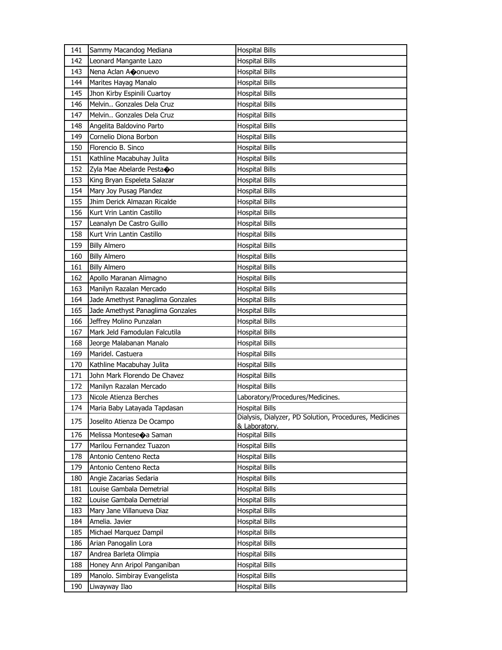| 141 | Sammy Macandog Mediana           | <b>Hospital Bills</b>                                                   |
|-----|----------------------------------|-------------------------------------------------------------------------|
| 142 | Leonard Mangante Lazo            | <b>Hospital Bills</b>                                                   |
| 143 | Nena Aclan Aconuevo              | <b>Hospital Bills</b>                                                   |
| 144 | Marites Hayag Manalo             | <b>Hospital Bills</b>                                                   |
| 145 | Jhon Kirby Espinili Cuartoy      | <b>Hospital Bills</b>                                                   |
| 146 | Melvin Gonzales Dela Cruz        | <b>Hospital Bills</b>                                                   |
| 147 | Melvin Gonzales Dela Cruz        | <b>Hospital Bills</b>                                                   |
| 148 | Angelita Baldovino Parto         | <b>Hospital Bills</b>                                                   |
| 149 | Cornelio Diona Borbon            | <b>Hospital Bills</b>                                                   |
| 150 | Florencio B. Sinco               | <b>Hospital Bills</b>                                                   |
| 151 | Kathline Macabuhay Julita        | <b>Hospital Bills</b>                                                   |
| 152 | Zyla Mae Abelarde Pesta�o        | <b>Hospital Bills</b>                                                   |
| 153 | King Bryan Espeleta Salazar      | <b>Hospital Bills</b>                                                   |
| 154 | Mary Joy Pusag Plandez           | <b>Hospital Bills</b>                                                   |
| 155 | Jhim Derick Almazan Ricalde      | <b>Hospital Bills</b>                                                   |
| 156 | Kurt Vrin Lantin Castillo        | <b>Hospital Bills</b>                                                   |
| 157 | Leanalyn De Castro Guillo        | <b>Hospital Bills</b>                                                   |
| 158 | Kurt Vrin Lantin Castillo        | <b>Hospital Bills</b>                                                   |
| 159 | <b>Billy Almero</b>              | <b>Hospital Bills</b>                                                   |
| 160 | <b>Billy Almero</b>              | <b>Hospital Bills</b>                                                   |
| 161 | <b>Billy Almero</b>              | <b>Hospital Bills</b>                                                   |
| 162 | Apollo Maranan Alimagno          | <b>Hospital Bills</b>                                                   |
| 163 | Manilyn Razalan Mercado          | <b>Hospital Bills</b>                                                   |
| 164 | Jade Amethyst Panaglima Gonzales | <b>Hospital Bills</b>                                                   |
| 165 | Jade Amethyst Panaglima Gonzales | <b>Hospital Bills</b>                                                   |
| 166 | Jeffrey Molino Punzalan          | Hospital Bills                                                          |
| 167 | Mark Jeld Famodulan Falcutila    | <b>Hospital Bills</b>                                                   |
| 168 | Jeorge Malabanan Manalo          | <b>Hospital Bills</b>                                                   |
| 169 | Maridel. Castuera                | <b>Hospital Bills</b>                                                   |
| 170 | Kathline Macabuhay Julita        | <b>Hospital Bills</b>                                                   |
| 171 | John Mark Florendo De Chavez     | <b>Hospital Bills</b>                                                   |
| 172 | Manilyn Razalan Mercado          | <b>Hospital Bills</b>                                                   |
| 173 | Nicole Atienza Berches           | Laboratory/Procedures/Medicines.                                        |
| 174 | Maria Baby Latayada Tapdasan     | <b>Hospital Bills</b>                                                   |
| 175 | Joselito Atienza De Ocampo       | Dialysis, Dialyzer, PD Solution, Procedures, Medicines<br>& Laboratory. |
| 176 | Melissa Montese�a Saman          | Hospital Bills                                                          |
| 177 | Marilou Fernandez Tuazon         | Hospital Bills                                                          |
| 178 | Antonio Centeno Recta            | <b>Hospital Bills</b>                                                   |
| 179 | Antonio Centeno Recta            | <b>Hospital Bills</b>                                                   |
| 180 | Angie Zacarias Sedaria           | <b>Hospital Bills</b>                                                   |
| 181 | Louise Gambala Demetrial         | <b>Hospital Bills</b>                                                   |
| 182 | Louise Gambala Demetrial         | <b>Hospital Bills</b>                                                   |
| 183 | Mary Jane Villanueva Diaz        | <b>Hospital Bills</b>                                                   |
| 184 | Amelia. Javier                   | <b>Hospital Bills</b>                                                   |
| 185 | Michael Marquez Dampil           | <b>Hospital Bills</b>                                                   |
| 186 | Arian Panogalin Lora             | <b>Hospital Bills</b>                                                   |
| 187 | Andrea Barleta Olimpia           | <b>Hospital Bills</b>                                                   |
| 188 | Honey Ann Aripol Panganiban      | <b>Hospital Bills</b>                                                   |
| 189 | Manolo. Simbiray Evangelista     | <b>Hospital Bills</b>                                                   |
| 190 | Liwayway Ilao                    | <b>Hospital Bills</b>                                                   |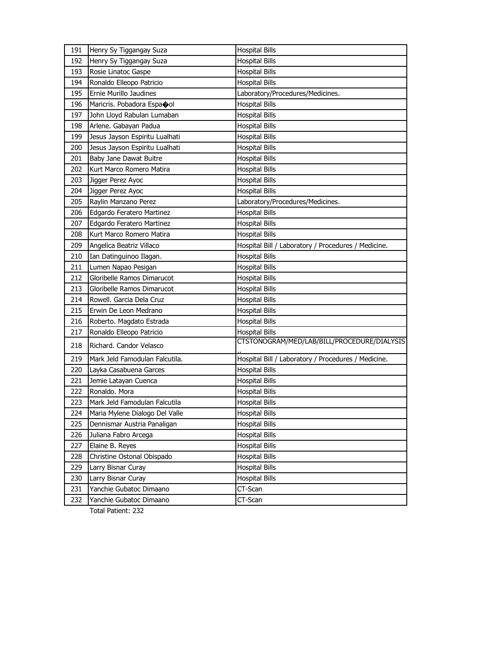| 191 | Henry Sy Tiggangay Suza        | <b>Hospital Bills</b>                               |
|-----|--------------------------------|-----------------------------------------------------|
| 192 | Henry Sy Tiggangay Suza        | <b>Hospital Bills</b>                               |
| 193 | Rosie Linatoc Gaspe            | <b>Hospital Bills</b>                               |
| 194 | Ronaldo Elleopo Patricio       | <b>Hospital Bills</b>                               |
| 195 | Ernie Murillo Jaudines         | Laboratory/Procedures/Medicines.                    |
| 196 | Maricris. Pobadora Espaool     | <b>Hospital Bills</b>                               |
| 197 | John Lloyd Rabulan Lumaban     | <b>Hospital Bills</b>                               |
| 198 | Arlene. Gabayan Padua          | <b>Hospital Bills</b>                               |
| 199 | Jesus Jayson Espiritu Lualhati | <b>Hospital Bills</b>                               |
| 200 | Jesus Jayson Espiritu Lualhati | <b>Hospital Bills</b>                               |
| 201 | Baby Jane Dawat Buitre         | <b>Hospital Bills</b>                               |
| 202 | Kurt Marco Romero Matira       | <b>Hospital Bills</b>                               |
| 203 | Jigger Perez Ayoc              | <b>Hospital Bills</b>                               |
| 204 | Jigger Perez Ayoc              | <b>Hospital Bills</b>                               |
| 205 | Raylin Manzano Perez           | Laboratory/Procedures/Medicines.                    |
| 206 | Edgardo Feratero Martinez      | <b>Hospital Bills</b>                               |
| 207 | Edgardo Feratero Martinez      | <b>Hospital Bills</b>                               |
| 208 | Kurt Marco Romero Matira       | <b>Hospital Bills</b>                               |
| 209 | Angelica Beatriz Villaco       | Hospital Bill / Laboratory / Procedures / Medicine. |
| 210 | Ian Datinguinoo Ilagan.        | <b>Hospital Bills</b>                               |
| 211 | Lumen Napao Pesigan            | <b>Hospital Bills</b>                               |
| 212 | Gloribelle Ramos Dimarucot     | <b>Hospital Bills</b>                               |
| 213 | Gloribelle Ramos Dimarucot     | <b>Hospital Bills</b>                               |
| 214 | Rowell. Garcia Dela Cruz       | <b>Hospital Bills</b>                               |
| 215 | Erwin De Leon Medrano          | <b>Hospital Bills</b>                               |
| 216 | Roberto. Magdato Estrada       | <b>Hospital Bills</b>                               |
| 217 | Ronaldo Elleopo Patricio       | <b>Hospital Bills</b>                               |
| 218 | Richard. Candor Velasco        | CTSTONOGRAM/MED/LAB/BILL/PROCEDURE/DIALYSIS         |
| 219 | Mark Jeld Famodulan Falcutila. | Hospital Bill / Laboratory / Procedures / Medicine. |
| 220 | Layka Casabuena Garces         | <b>Hospital Bills</b>                               |
| 221 | Jemie Latayan Cuenca           | <b>Hospital Bills</b>                               |
| 222 | Ronaldo. Mora                  | <b>Hospital Bills</b>                               |
| 223 | Mark Jeld Famodulan Falcutila  | <b>Hospital Bills</b>                               |
| 224 | Maria Mylene Dialogo Del Valle | <b>Hospital Bills</b>                               |
| 225 | Dennismar Austria Panaligan    | <b>Hospital Bills</b>                               |
| 226 | Juliana Fabro Arcega           | <b>Hospital Bills</b>                               |
| 227 | Elaine B. Reyes                | <b>Hospital Bills</b>                               |
| 228 | Christine Ostonal Obispado     | <b>Hospital Bills</b>                               |
| 229 | Larry Bisnar Curay             | <b>Hospital Bills</b>                               |
| 230 | Larry Bisnar Curay             | <b>Hospital Bills</b>                               |
| 231 | Yanchie Gubatoc Dimaano        | CT-Scan                                             |
| 232 | Yanchie Gubatoc Dimaano        | CT-Scan                                             |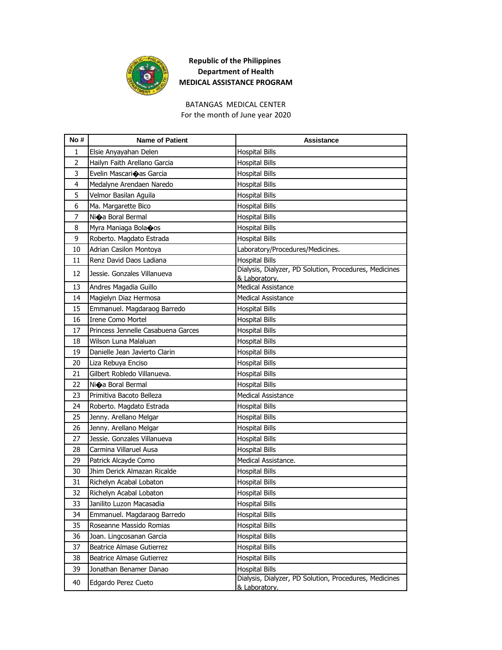

# BATANGAS MEDICAL CENTER

For the month of June year 2020

| No#            | <b>Name of Patient</b>             | <b>Assistance</b>                                                       |
|----------------|------------------------------------|-------------------------------------------------------------------------|
| 1              | Elsie Anyayahan Delen              | <b>Hospital Bills</b>                                                   |
| $\overline{2}$ | Hailyn Faith Arellano Garcia       | <b>Hospital Bills</b>                                                   |
| 3              | Evelin Mascarioas Garcia           | <b>Hospital Bills</b>                                                   |
| 4              | Medalyne Arendaen Naredo           | <b>Hospital Bills</b>                                                   |
| 5              | Velmor Basilan Aguila              | <b>Hospital Bills</b>                                                   |
| 6              | Ma. Margarette Bico                | <b>Hospital Bills</b>                                                   |
| 7              | Ni�a Boral Bermal                  | <b>Hospital Bills</b>                                                   |
| 8              | Myra Maniaga Bolacos               | <b>Hospital Bills</b>                                                   |
| 9              | Roberto. Magdato Estrada           | <b>Hospital Bills</b>                                                   |
| 10             | Adrian Casilon Montoya             | Laboratory/Procedures/Medicines.                                        |
| 11             | Renz David Daos Ladiana            | <b>Hospital Bills</b>                                                   |
| 12             | Jessie. Gonzales Villanueva        | Dialysis, Dialyzer, PD Solution, Procedures, Medicines<br>& Laboratory. |
| 13             | Andres Magadia Guillo              | <b>Medical Assistance</b>                                               |
| 14             | Magielyn Diaz Hermosa              | <b>Medical Assistance</b>                                               |
| 15             | Emmanuel. Magdaraog Barredo        | <b>Hospital Bills</b>                                                   |
| 16             | <b>Irene Como Mortel</b>           | <b>Hospital Bills</b>                                                   |
| 17             | Princess Jennelle Casabuena Garces | <b>Hospital Bills</b>                                                   |
| 18             | Wilson Luna Malaluan               | <b>Hospital Bills</b>                                                   |
| 19             | Danielle Jean Javierto Clarin      | <b>Hospital Bills</b>                                                   |
| 20             | Liza Rebuya Enciso                 | <b>Hospital Bills</b>                                                   |
| 21             | Gilbert Robledo Villanueva.        | <b>Hospital Bills</b>                                                   |
| 22             | Ni�a Boral Bermal                  | <b>Hospital Bills</b>                                                   |
| 23             | Primitiva Bacoto Belleza           | <b>Medical Assistance</b>                                               |
| 24             | Roberto. Magdato Estrada           | <b>Hospital Bills</b>                                                   |
| 25             | Jenny. Arellano Melgar             | <b>Hospital Bills</b>                                                   |
| 26             | Jenny. Arellano Melgar             | <b>Hospital Bills</b>                                                   |
| 27             | Jessie, Gonzales Villanueva        | <b>Hospital Bills</b>                                                   |
| 28             | Carmina Villaruel Ausa             | <b>Hospital Bills</b>                                                   |
| 29             | Patrick Alcayde Como               | Medical Assistance.                                                     |
| 30             | Jhim Derick Almazan Ricalde        | Hospital Bills                                                          |
| 31             | Richelyn Acabal Lobaton            | <b>Hospital Bills</b>                                                   |
| 32             | Richelyn Acabal Lobaton            | <b>Hospital Bills</b>                                                   |
| 33             | Janilito Luzon Macasadia           | <b>Hospital Bills</b>                                                   |
| 34             | Emmanuel. Magdaraog Barredo        | Hospital Bills                                                          |
| 35             | Roseanne Massido Romias            | <b>Hospital Bills</b>                                                   |
| 36             | Joan. Lingcosanan Garcia           | <b>Hospital Bills</b>                                                   |
| 37             | <b>Beatrice Almase Gutierrez</b>   | <b>Hospital Bills</b>                                                   |
| 38             | <b>Beatrice Almase Gutierrez</b>   | Hospital Bills                                                          |
| 39             | Jonathan Benamer Danao             | <b>Hospital Bills</b>                                                   |
| 40             | Edgardo Perez Cueto                | Dialysis, Dialyzer, PD Solution, Procedures, Medicines<br>& Laboratory. |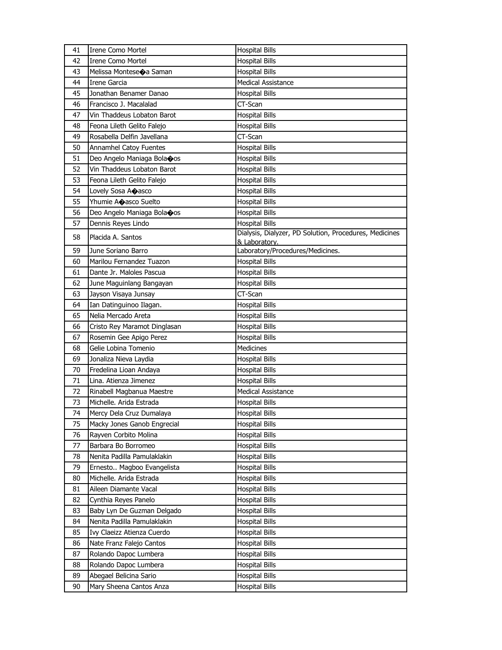| 41 | <b>Irene Como Mortel</b>             | <b>Hospital Bills</b>                                  |
|----|--------------------------------------|--------------------------------------------------------|
| 42 | Irene Como Mortel                    | <b>Hospital Bills</b>                                  |
| 43 | Melissa Monteseoa Saman              | <b>Hospital Bills</b>                                  |
| 44 | <b>Irene Garcia</b>                  | <b>Medical Assistance</b>                              |
| 45 | Jonathan Benamer Danao               | <b>Hospital Bills</b>                                  |
| 46 | Francisco J. Macalalad               | CT-Scan                                                |
| 47 | Vin Thaddeus Lobaton Barot           | <b>Hospital Bills</b>                                  |
| 48 | Feona Lileth Gelito Falejo           | <b>Hospital Bills</b>                                  |
| 49 | Rosabella Delfin Javellana           | CT-Scan                                                |
| 50 | <b>Annamhel Catoy Fuentes</b>        | <b>Hospital Bills</b>                                  |
| 51 | Deo Angelo Maniaga Bolaoos           | <b>Hospital Bills</b>                                  |
| 52 | Vin Thaddeus Lobaton Barot           | <b>Hospital Bills</b>                                  |
| 53 | Feona Lileth Gelito Falejo           | <b>Hospital Bills</b>                                  |
| 54 | Lovely Sosa Acasco                   | <b>Hospital Bills</b>                                  |
| 55 | Yhumie Aoasco Suelto                 | <b>Hospital Bills</b>                                  |
| 56 | Deo Angelo Maniaga Bola $\bullet$ os | <b>Hospital Bills</b>                                  |
| 57 | Dennis Reyes Lindo                   | <b>Hospital Bills</b>                                  |
| 58 | Placida A. Santos                    | Dialysis, Dialyzer, PD Solution, Procedures, Medicines |
|    |                                      | & Laboratory.                                          |
| 59 | June Soriano Barro                   | Laboratory/Procedures/Medicines.                       |
| 60 | Marilou Fernandez Tuazon             | <b>Hospital Bills</b>                                  |
| 61 | Dante Jr. Maloles Pascua             | <b>Hospital Bills</b>                                  |
| 62 | June Maguinlang Bangayan             | <b>Hospital Bills</b>                                  |
| 63 | Jayson Visaya Junsay                 | CT-Scan                                                |
| 64 | Ian Datinguinoo Ilagan.              | <b>Hospital Bills</b>                                  |
| 65 | Nelia Mercado Areta                  | <b>Hospital Bills</b>                                  |
| 66 | Cristo Rey Maramot Dinglasan         | <b>Hospital Bills</b>                                  |
| 67 | Rosemin Gee Apigo Perez              | <b>Hospital Bills</b>                                  |
| 68 | Gelie Lobina Tomenio                 | Medicines                                              |
| 69 | Jonaliza Nieva Laydia                | <b>Hospital Bills</b>                                  |
| 70 | Fredelina Lioan Andaya               | <b>Hospital Bills</b>                                  |
| 71 | Lina. Atienza Jimenez                | <b>Hospital Bills</b>                                  |
| 72 | Rinabell Magbanua Maestre            | <b>Medical Assistance</b>                              |
| 73 | Michelle. Arida Estrada              | <b>Hospital Bills</b>                                  |
| 74 | Mercy Dela Cruz Dumalaya             | <b>Hospital Bills</b>                                  |
| 75 | Macky Jones Ganob Engrecial          | Hospital Bills                                         |
| 76 | Rayven Corbito Molina                | Hospital Bills                                         |
| 77 | Barbara Bo Borromeo                  | Hospital Bills                                         |
| 78 | Nenita Padilla Pamulaklakin          | <b>Hospital Bills</b>                                  |
| 79 | Ernesto Magboo Evangelista           | Hospital Bills                                         |
| 80 | Michelle. Arida Estrada              | <b>Hospital Bills</b>                                  |
| 81 | Aileen Diamante Vacal                | Hospital Bills                                         |
| 82 | Cynthia Reyes Panelo                 | <b>Hospital Bills</b>                                  |
| 83 | Baby Lyn De Guzman Delgado           | Hospital Bills                                         |
| 84 | Nenita Padilla Pamulaklakin          | Hospital Bills                                         |
| 85 | Ivy Claeizz Atienza Cuerdo           | <b>Hospital Bills</b>                                  |
| 86 | Nate Franz Falejo Cantos             | Hospital Bills                                         |
| 87 | Rolando Dapoc Lumbera                | Hospital Bills                                         |
| 88 | Rolando Dapoc Lumbera                | <b>Hospital Bills</b>                                  |
| 89 | Abegael Belicina Sario               | Hospital Bills                                         |
| 90 | Mary Sheena Cantos Anza              | <b>Hospital Bills</b>                                  |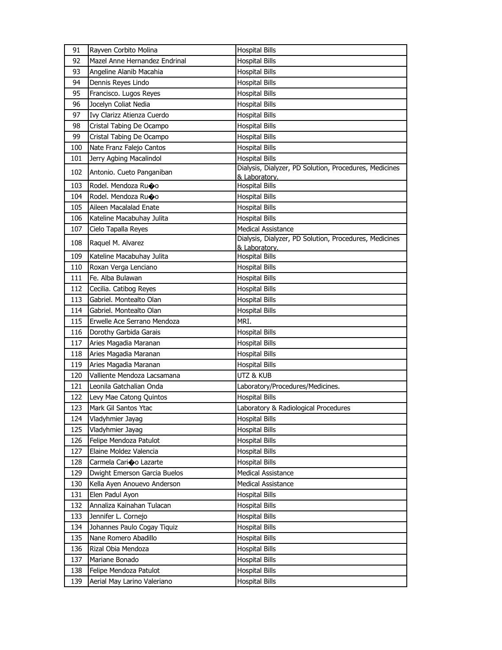| 91  | Rayven Corbito Molina                         | <b>Hospital Bills</b>                                                               |
|-----|-----------------------------------------------|-------------------------------------------------------------------------------------|
| 92  | Mazel Anne Hernandez Endrinal                 | <b>Hospital Bills</b>                                                               |
| 93  | Angeline Alanib Macahia                       | <b>Hospital Bills</b>                                                               |
| 94  | Dennis Reyes Lindo                            | <b>Hospital Bills</b>                                                               |
| 95  | Francisco. Lugos Reyes                        | <b>Hospital Bills</b>                                                               |
| 96  | Jocelyn Coliat Nedia                          | <b>Hospital Bills</b>                                                               |
| 97  | Ivy Clarizz Atienza Cuerdo                    | <b>Hospital Bills</b>                                                               |
| 98  | Cristal Tabing De Ocampo                      | <b>Hospital Bills</b>                                                               |
| 99  | Cristal Tabing De Ocampo                      | <b>Hospital Bills</b>                                                               |
| 100 | Nate Franz Falejo Cantos                      | <b>Hospital Bills</b>                                                               |
| 101 | Jerry Agbing Macalindol                       | <b>Hospital Bills</b>                                                               |
| 102 | Antonio. Cueto Panganiban                     | Dialysis, Dialyzer, PD Solution, Procedures, Medicines                              |
|     |                                               | & Laboratory.                                                                       |
| 103 | Rodel. Mendoza Ru�o                           | <b>Hospital Bills</b>                                                               |
| 104 | Rodel. Mendoza Ru�o<br>Aileen Macalalad Enate | <b>Hospital Bills</b>                                                               |
| 105 |                                               | <b>Hospital Bills</b>                                                               |
| 106 | Kateline Macabuhay Julita                     | <b>Hospital Bills</b>                                                               |
| 107 | Cielo Tapalla Reyes                           | <b>Medical Assistance</b><br>Dialysis, Dialyzer, PD Solution, Procedures, Medicines |
| 108 | Raquel M. Alvarez                             | & Laboratory.                                                                       |
| 109 | Kateline Macabuhay Julita                     | <b>Hospital Bills</b>                                                               |
| 110 | Roxan Verga Lenciano                          | Hospital Bills                                                                      |
| 111 | Fe. Alba Bulawan                              | <b>Hospital Bills</b>                                                               |
| 112 | Cecilia. Catibog Reyes                        | <b>Hospital Bills</b>                                                               |
| 113 | Gabriel. Montealto Olan                       | <b>Hospital Bills</b>                                                               |
| 114 | Gabriel. Montealto Olan                       | <b>Hospital Bills</b>                                                               |
|     |                                               |                                                                                     |
| 115 | Erwelle Ace Serrano Mendoza                   | MRI.                                                                                |
| 116 | Dorothy Garbida Garais                        | Hospital Bills                                                                      |
| 117 | Aries Magadia Maranan                         | <b>Hospital Bills</b>                                                               |
| 118 | Aries Magadia Maranan                         | <b>Hospital Bills</b>                                                               |
| 119 | Aries Magadia Maranan                         | <b>Hospital Bills</b>                                                               |
| 120 | Valliente Mendoza Lacsamana                   | utz & Kub                                                                           |
| 121 | Leonila Gatchalian Onda                       | Laboratory/Procedures/Medicines.                                                    |
| 122 | Levy Mae Catong Quintos                       | <b>Hospital Bills</b>                                                               |
| 123 | Mark Gil Santos Ytac                          | Laboratory & Radiological Procedures                                                |
| 124 | Vladyhmier Jayag                              | <b>Hospital Bills</b>                                                               |
| 125 | Vladyhmier Jayag                              | <b>Hospital Bills</b>                                                               |
| 126 | Felipe Mendoza Patulot                        | <b>Hospital Bills</b>                                                               |
| 127 | Elaine Moldez Valencia                        | <b>Hospital Bills</b>                                                               |
| 128 | Carmela Cario Lazarte                         | <b>Hospital Bills</b>                                                               |
| 129 | Dwight Emerson Garcia Buelos                  | Medical Assistance                                                                  |
| 130 | Kella Ayen Anouevo Anderson                   | <b>Medical Assistance</b>                                                           |
| 131 | Elen Padul Ayon                               | <b>Hospital Bills</b>                                                               |
| 132 | Annaliza Kainahan Tulacan                     | <b>Hospital Bills</b>                                                               |
| 133 | Jennifer L. Cornejo                           | <b>Hospital Bills</b>                                                               |
| 134 | Johannes Paulo Cogay Tiquiz                   | Hospital Bills                                                                      |
| 135 | Nane Romero Abadillo                          | <b>Hospital Bills</b>                                                               |
| 136 | Rizal Obia Mendoza                            | <b>Hospital Bills</b>                                                               |
| 137 | Mariane Bonado                                | <b>Hospital Bills</b>                                                               |
| 138 | Felipe Mendoza Patulot                        | Hospital Bills                                                                      |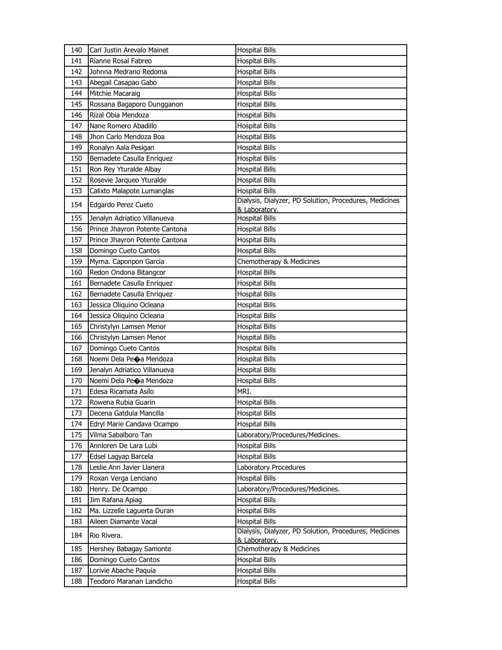| 140 | Carl Justin Arevalo Mainet     | <b>Hospital Bills</b>                                                   |
|-----|--------------------------------|-------------------------------------------------------------------------|
| 141 | Rianne Rosal Fabreo            | <b>Hospital Bills</b>                                                   |
| 142 | Johnna Medrano Redoma          | <b>Hospital Bills</b>                                                   |
| 143 | Abegail Casapao Gabo           | <b>Hospital Bills</b>                                                   |
| 144 | Mitchie Macaraig               | <b>Hospital Bills</b>                                                   |
| 145 | Rossana Bagaporo Dungganon     | <b>Hospital Bills</b>                                                   |
| 146 | Rizal Obia Mendoza             | Hospital Bills                                                          |
| 147 | Nane Romero Abadillo           | <b>Hospital Bills</b>                                                   |
| 148 | Jhon Carlo Mendoza Boa         | <b>Hospital Bills</b>                                                   |
| 149 | Ronalyn Aala Pesigan           | <b>Hospital Bills</b>                                                   |
| 150 | Bernadete Casulla Enriquez     | <b>Hospital Bills</b>                                                   |
| 151 | Ron Rey Yturalde Albay         | <b>Hospital Bills</b>                                                   |
| 152 | Rosevie Jarqueo Yturalde       | <b>Hospital Bills</b>                                                   |
| 153 | Calixto Malapote Lumanglas     | <b>Hospital Bills</b>                                                   |
| 154 | Edgardo Perez Cueto            | Dialysis, Dialyzer, PD Solution, Procedures, Medicines<br>& Laboratory. |
| 155 | Jenalyn Adriatico Villanueva   | <b>Hospital Bills</b>                                                   |
| 156 | Prince Jhayron Potente Cantona | <b>Hospital Bills</b>                                                   |
| 157 | Prince Jhayron Potente Cantona | <b>Hospital Bills</b>                                                   |
| 158 | Domingo Cueto Cantos           | <b>Hospital Bills</b>                                                   |
| 159 | Myrna. Caponpon Garcia         | Chemotherapy & Medicines                                                |
| 160 | Redon Ondona Bitangcor         | <b>Hospital Bills</b>                                                   |
| 161 | Bernadete Casulla Enriquez     | <b>Hospital Bills</b>                                                   |
| 162 | Bernadete Casulla Enriquez     | <b>Hospital Bills</b>                                                   |
| 163 | Jessica Oliquino Ocleana       | <b>Hospital Bills</b>                                                   |
| 164 | Jessica Oliquino Ocleana       | <b>Hospital Bills</b>                                                   |
| 165 | Christylyn Lamsen Menor        | <b>Hospital Bills</b>                                                   |
| 166 | Christylyn Lamsen Menor        | <b>Hospital Bills</b>                                                   |
| 167 | Domingo Cueto Cantos           | <b>Hospital Bills</b>                                                   |
| 168 | Noemi Dela Peoa Mendoza        | <b>Hospital Bills</b>                                                   |
| 169 | Jenalyn Adriatico Villanueva   | <b>Hospital Bills</b>                                                   |
| 170 | Noemi Dela Peoa Mendoza        | <b>Hospital Bills</b>                                                   |
| 171 | Edesa Ricamata Asilo           | MRI.                                                                    |
| 172 | Rowena Rubia Guarin            | <b>Hospital Bills</b>                                                   |
| 173 | Decena Gatdula Mancilla        | <b>Hospital Bills</b>                                                   |
| 174 | Edryl Marie Candava Ocampo     | <b>Hospital Bills</b>                                                   |
| 175 | Vilma Sabalboro Tan            | Laboratory/Procedures/Medicines.                                        |
| 176 | Annloren De Lara Lubi          | <b>Hospital Bills</b>                                                   |
| 177 | Edsel Lagyap Barcela           | <b>Hospital Bills</b>                                                   |
| 178 | Leslie Ann Javier Llanera      | Laboratory Procedures                                                   |
| 179 | Roxan Verga Lenciano           | <b>Hospital Bills</b>                                                   |
| 180 | Henry. De Ocampo               | Laboratory/Procedures/Medicines.                                        |
| 181 | Jim Rafana Apiag               | <b>Hospital Bills</b>                                                   |
| 182 | Ma. Lizzelle Laguerta Duran    | <b>Hospital Bills</b>                                                   |
| 183 | Aileen Diamante Vacal          | <b>Hospital Bills</b>                                                   |
| 184 | Rio Rivera.                    | Dialysis, Dialyzer, PD Solution, Procedures, Medicines<br>& Laboratory. |
| 185 | Hershey Babagay Samonte        | Chemotherapy & Medicines                                                |
| 186 | Domingo Cueto Cantos           | <b>Hospital Bills</b>                                                   |
| 187 | Lorivie Abache Paquia          | <b>Hospital Bills</b>                                                   |
| 188 | Teodoro Maranan Landicho       | <b>Hospital Bills</b>                                                   |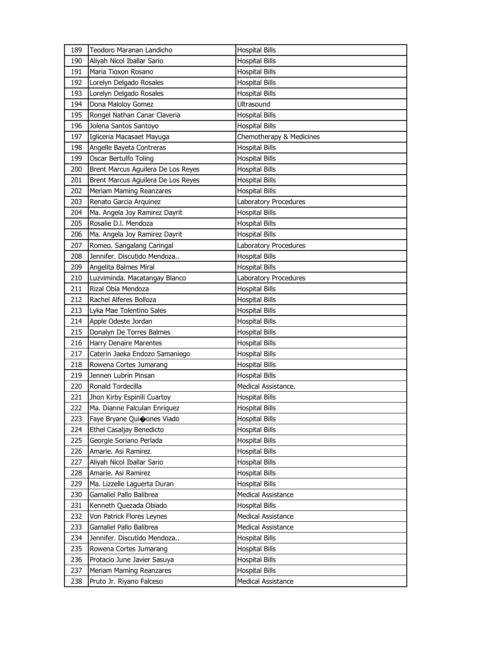| 189 | Teodoro Maranan Landicho           | <b>Hospital Bills</b>    |
|-----|------------------------------------|--------------------------|
| 190 | Aliyah Nicol Iballar Sario         | <b>Hospital Bills</b>    |
| 191 | Maria Tioxon Rosano                | <b>Hospital Bills</b>    |
| 192 | Lorelyn Delgado Rosales            | <b>Hospital Bills</b>    |
| 193 | Lorelyn Delgado Rosales            | <b>Hospital Bills</b>    |
| 194 | Dona Maloloy Gomez                 | Ultrasound               |
| 195 | Rongel Nathan Canar Claveria       | <b>Hospital Bills</b>    |
| 196 | Jolena Santos Santoyo              | <b>Hospital Bills</b>    |
| 197 | Igliceria Macasaet Mayuga          | Chemotherapy & Medicines |
| 198 | Angelle Bayeta Contreras           | <b>Hospital Bills</b>    |
| 199 | Oscar Bertulfo Toling              | <b>Hospital Bills</b>    |
| 200 | Brent Marcus Aguilera De Los Reyes | <b>Hospital Bills</b>    |
| 201 | Brent Marcus Aguilera De Los Reyes | <b>Hospital Bills</b>    |
| 202 | Meriam Maming Reanzares            | <b>Hospital Bills</b>    |
| 203 | Renato Garcia Arquinez             | Laboratory Procedures    |
| 204 | Ma. Angela Joy Ramirez Dayrit      | <b>Hospital Bills</b>    |
| 205 | Rosalie D.I. Mendoza               | <b>Hospital Bills</b>    |
| 206 | Ma. Angela Joy Ramirez Dayrit      | <b>Hospital Bills</b>    |
| 207 | Romeo. Sangalang Caringal          | Laboratory Procedures    |
| 208 | Jennifer. Discutido Mendoza        | <b>Hospital Bills</b>    |
| 209 | Angelita Balmes Miral              | <b>Hospital Bills</b>    |
| 210 | Luzviminda. Macatangay Blanco      | Laboratory Procedures    |
| 211 | Rizal Obia Mendoza                 | <b>Hospital Bills</b>    |
| 212 | Rachel Alferes Bolloza             | <b>Hospital Bills</b>    |
| 213 | Lyka Mae Tolentino Sales           | <b>Hospital Bills</b>    |
|     |                                    |                          |
| 214 | Apple Odeste Jordan                | <b>Hospital Bills</b>    |
| 215 | Donalyn De Torres Balmes           | <b>Hospital Bills</b>    |
| 216 | Harry Denaire Marentes             | <b>Hospital Bills</b>    |
| 217 | Caterin Jaeka Endozo Samaniego     | <b>Hospital Bills</b>    |
| 218 | Rowena Cortes Jumarang             | <b>Hospital Bills</b>    |
| 219 | Jennen Lubrin Pinsan               | <b>Hospital Bills</b>    |
| 220 | Ronald Tordecilla                  | Medical Assistance.      |
| 221 | Jhon Kirby Espinili Cuartoy        | <b>Hospital Bills</b>    |
| 222 | Ma. Dianne Falculan Enriquez       | <b>Hospital Bills</b>    |
| 223 | Faye Bryane Quicones Viado         | <b>Hospital Bills</b>    |
| 224 | Ethel Casaljay Benedicto           | <b>Hospital Bills</b>    |
| 225 | Georgie Soriano Perlada            | <b>Hospital Bills</b>    |
| 226 | Amarie. Asi Ramirez                | <b>Hospital Bills</b>    |
| 227 | Aliyah Nicol Iballar Sario         | Hospital Bills           |
| 228 | Amarie. Asi Ramirez                | <b>Hospital Bills</b>    |
| 229 | Ma. Lizzelle Laguerta Duran        | Hospital Bills           |
| 230 | Gamaliel Pallo Balibrea            | Medical Assistance       |
| 231 | Kenneth Quezada Obiado             | <b>Hospital Bills</b>    |
| 232 | Von Patrick Flores Leynes          | Medical Assistance       |
| 233 | Gamaliel Pallo Balibrea            | Medical Assistance       |
| 234 | Jennifer. Discutido Mendoza        | <b>Hospital Bills</b>    |
| 235 | Rowena Cortes Jumarang             | <b>Hospital Bills</b>    |
| 236 | Protacio June Javier Sasuya        | <b>Hospital Bills</b>    |
| 237 | Meriam Maming Reanzares            | <b>Hospital Bills</b>    |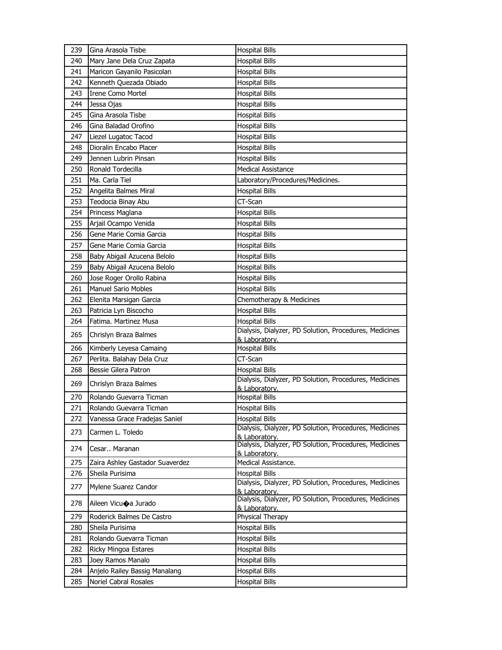| 239 | Gina Arasola Tisbe              | <b>Hospital Bills</b>                                                   |
|-----|---------------------------------|-------------------------------------------------------------------------|
| 240 | Mary Jane Dela Cruz Zapata      | <b>Hospital Bills</b>                                                   |
| 241 | Maricon Gayanilo Pasicolan      | <b>Hospital Bills</b>                                                   |
| 242 | Kenneth Quezada Obiado          | <b>Hospital Bills</b>                                                   |
| 243 | <b>Irene Como Mortel</b>        | <b>Hospital Bills</b>                                                   |
| 244 | Jessa Ojas                      | <b>Hospital Bills</b>                                                   |
| 245 | Gina Arasola Tisbe              | <b>Hospital Bills</b>                                                   |
| 246 | Gina Baladad Orofino            | <b>Hospital Bills</b>                                                   |
| 247 | Liezel Lugatoc Tacod            | <b>Hospital Bills</b>                                                   |
| 248 | Dioralin Encabo Placer          | <b>Hospital Bills</b>                                                   |
| 249 | Jennen Lubrin Pinsan            | <b>Hospital Bills</b>                                                   |
| 250 | Ronald Tordecilla               | <b>Medical Assistance</b>                                               |
| 251 | Ma. Carla Tiel                  | Laboratory/Procedures/Medicines.                                        |
| 252 | Angelita Balmes Miral           | <b>Hospital Bills</b>                                                   |
| 253 | Teodocia Binay Abu              | CT-Scan                                                                 |
| 254 | Princess Maglana                | Hospital Bills                                                          |
| 255 | Arjail Ocampo Venida            | <b>Hospital Bills</b>                                                   |
| 256 | Gene Marie Comia Garcia         | <b>Hospital Bills</b>                                                   |
| 257 | Gene Marie Comia Garcia         | <b>Hospital Bills</b>                                                   |
| 258 | Baby Abigail Azucena Belolo     | <b>Hospital Bills</b>                                                   |
| 259 | Baby Abigail Azucena Belolo     | <b>Hospital Bills</b>                                                   |
| 260 | Jose Roger Orollo Rabina        | <b>Hospital Bills</b>                                                   |
| 261 | <b>Manuel Sario Mobles</b>      | <b>Hospital Bills</b>                                                   |
| 262 | Elenita Marsigan Garcia         | Chemotherapy & Medicines                                                |
| 263 | Patricia Lyn Biscocho           | <b>Hospital Bills</b>                                                   |
| 264 | Fatima. Martinez Musa           | <b>Hospital Bills</b>                                                   |
| 265 | Chrislyn Braza Balmes           | Dialysis, Dialyzer, PD Solution, Procedures, Medicines<br>& Laboratory. |
| 266 | Kimberly Leyesa Camaing         | <b>Hospital Bills</b>                                                   |
| 267 | Perlita. Balahay Dela Cruz      | CT-Scan                                                                 |
| 268 | Bessie Gilera Patron            | <b>Hospital Bills</b>                                                   |
| 269 | Chrislyn Braza Balmes           | Dialysis, Dialyzer, PD Solution, Procedures, Medicines<br>& Laboratory. |
| 270 | Rolando Guevarra Ticman         | <b>Hospital Bills</b>                                                   |
| 271 | Rolando Guevarra Ticman         | <b>Hospital Bills</b>                                                   |
| 272 | Vanessa Grace Fradejas Saniel   | <b>Hospital Bills</b>                                                   |
| 273 | Carmen L. Toledo                | Dialysis, Dialyzer, PD Solution, Procedures, Medicines<br>& Laboratory. |
| 274 | Cesar Maranan                   | Dialysis, Dialyzer, PD Solution, Procedures, Medicines<br>& Laboratory. |
| 275 | Zaira Ashley Gastador Suaverdez | Medical Assistance.                                                     |
| 276 | Sheila Purisima                 | <b>Hospital Bills</b>                                                   |
| 277 | Mylene Suarez Candor            | Dialysis, Dialyzer, PD Solution, Procedures, Medicines<br>& Laboratory. |
| 278 | Aileen Vicuoa Jurado            | Dialysis, Dialyzer, PD Solution, Procedures, Medicines<br>& Laboratory. |
| 279 | Roderick Balmes De Castro       | Physical Therapy                                                        |
| 280 | Sheila Purisima                 | <b>Hospital Bills</b>                                                   |
| 281 | Rolando Guevarra Ticman         | <b>Hospital Bills</b>                                                   |
| 282 | Ricky Mingoa Estares            | <b>Hospital Bills</b>                                                   |
| 283 | Joey Ramos Manalo               | <b>Hospital Bills</b>                                                   |
| 284 | Anjelo Railey Bassig Manalang   | <b>Hospital Bills</b>                                                   |
| 285 | Noriel Cabral Rosales           | <b>Hospital Bills</b>                                                   |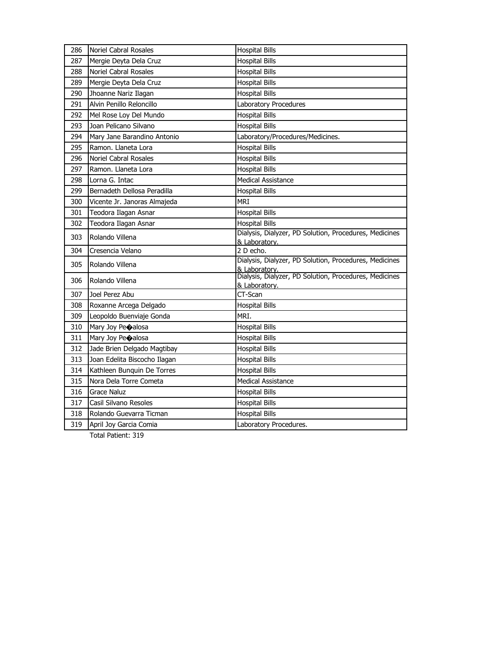| 286 | Noriel Cabral Rosales        | <b>Hospital Bills</b>                                                   |
|-----|------------------------------|-------------------------------------------------------------------------|
| 287 | Mergie Deyta Dela Cruz       | <b>Hospital Bills</b>                                                   |
| 288 | Noriel Cabral Rosales        | <b>Hospital Bills</b>                                                   |
| 289 | Mergie Deyta Dela Cruz       | <b>Hospital Bills</b>                                                   |
| 290 | Jhoanne Nariz Ilagan         | <b>Hospital Bills</b>                                                   |
| 291 | Alvin Penillo Reloncillo     | Laboratory Procedures                                                   |
| 292 | Mel Rose Loy Del Mundo       | <b>Hospital Bills</b>                                                   |
| 293 | Joan Pelicano Silvano        | <b>Hospital Bills</b>                                                   |
| 294 | Mary Jane Barandino Antonio  | Laboratory/Procedures/Medicines.                                        |
| 295 | Ramon. Llaneta Lora          | <b>Hospital Bills</b>                                                   |
| 296 | Noriel Cabral Rosales        | <b>Hospital Bills</b>                                                   |
| 297 | Ramon. Llaneta Lora          | <b>Hospital Bills</b>                                                   |
| 298 | Lorna G. Intac               | <b>Medical Assistance</b>                                               |
| 299 | Bernadeth Dellosa Peradilla  | <b>Hospital Bills</b>                                                   |
| 300 | Vicente Jr. Janoras Almajeda | <b>MRI</b>                                                              |
| 301 | Teodora Ilagan Asnar         | <b>Hospital Bills</b>                                                   |
| 302 | Teodora Ilagan Asnar         | <b>Hospital Bills</b>                                                   |
| 303 | Rolando Villena              | Dialysis, Dialyzer, PD Solution, Procedures, Medicines<br>& Laboratory. |
| 304 | Cresencia Velano             | 2 D echo.                                                               |
| 305 | Rolando Villena              | Dialysis, Dialyzer, PD Solution, Procedures, Medicines<br>& Laboratory. |
| 306 | Rolando Villena              | Dialysis, Dialyzer, PD Solution, Procedures, Medicines<br>& Laboratory. |
| 307 | Joel Perez Abu               | CT-Scan                                                                 |
| 308 | Roxanne Arcega Delgado       | <b>Hospital Bills</b>                                                   |
| 309 | Leopoldo Buenviaje Gonda     | MRI.                                                                    |
| 310 | Mary Joy Peoalosa            | <b>Hospital Bills</b>                                                   |
| 311 | Mary Joy Peoalosa            | <b>Hospital Bills</b>                                                   |
| 312 | Jade Brien Delgado Magtibay  | <b>Hospital Bills</b>                                                   |
| 313 | Joan Edelita Biscocho Ilagan | <b>Hospital Bills</b>                                                   |
| 314 | Kathleen Bunquin De Torres   | <b>Hospital Bills</b>                                                   |
| 315 | Nora Dela Torre Cometa       | <b>Medical Assistance</b>                                               |
| 316 | <b>Grace Naluz</b>           | <b>Hospital Bills</b>                                                   |
| 317 | Casil Silvano Resoles        | <b>Hospital Bills</b>                                                   |
| 318 | Rolando Guevarra Ticman      | <b>Hospital Bills</b>                                                   |
| 319 | April Joy Garcia Comia       | Laboratory Procedures.                                                  |
|     |                              |                                                                         |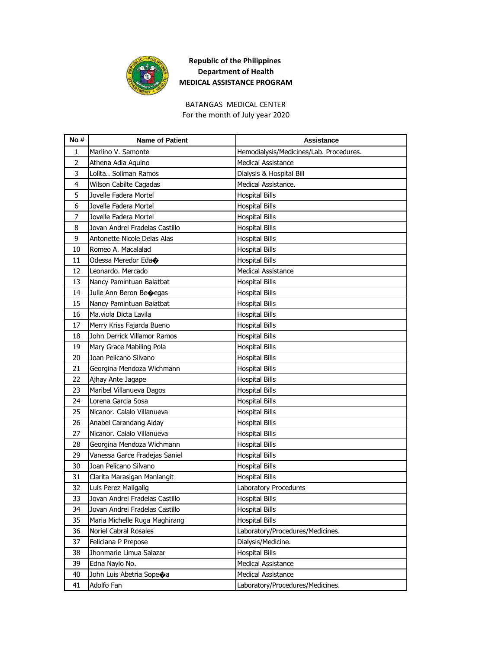

BATANGAS MEDICAL CENTER For the month of July year 2020

| No #           | <b>Name of Patient</b>         | <b>Assistance</b>                       |
|----------------|--------------------------------|-----------------------------------------|
| 1              | Marlino V. Samonte             | Hemodialysis/Medicines/Lab. Procedures. |
| $\overline{2}$ | Athena Adia Aquino             | Medical Assistance                      |
| 3              | Lolita Soliman Ramos           | Dialysis & Hospital Bill                |
| 4              | Wilson Cabilte Cagadas         | Medical Assistance.                     |
| 5              | Jovelle Fadera Mortel          | <b>Hospital Bills</b>                   |
| 6              | Jovelle Fadera Mortel          | Hospital Bills                          |
| 7              | Jovelle Fadera Mortel          | <b>Hospital Bills</b>                   |
| 8              | Jovan Andrei Fradelas Castillo | <b>Hospital Bills</b>                   |
| 9              | Antonette Nicole Delas Alas    | <b>Hospital Bills</b>                   |
| 10             | Romeo A. Macalalad             | <b>Hospital Bills</b>                   |
| 11             | Odessa Meredor Eda $\bullet$   | <b>Hospital Bills</b>                   |
| 12             | Leonardo. Mercado              | <b>Medical Assistance</b>               |
| 13             | Nancy Pamintuan Balatbat       | <b>Hospital Bills</b>                   |
| 14             | Julie Ann Beron Beoegas        | Hospital Bills                          |
| 15             | Nancy Pamintuan Balatbat       | <b>Hospital Bills</b>                   |
| 16             | Ma.viola Dicta Lavila          | Hospital Bills                          |
| 17             | Merry Kriss Fajarda Bueno      | <b>Hospital Bills</b>                   |
| 18             | John Derrick Villamor Ramos    | <b>Hospital Bills</b>                   |
| 19             | Mary Grace Mabiling Pola       | <b>Hospital Bills</b>                   |
| 20             | Joan Pelicano Silvano          | <b>Hospital Bills</b>                   |
| 21             | Georgina Mendoza Wichmann      | <b>Hospital Bills</b>                   |
| 22             | Ajhay Ante Jagape              | <b>Hospital Bills</b>                   |
| 23             | Maribel Villanueva Dagos       | <b>Hospital Bills</b>                   |
| 24             | Lorena Garcia Sosa             | <b>Hospital Bills</b>                   |
| 25             | Nicanor, Calalo Villanueva     | <b>Hospital Bills</b>                   |
| 26             | Anabel Carandang Alday         | Hospital Bills                          |
| 27             | Nicanor. Calalo Villanueva     | <b>Hospital Bills</b>                   |
| 28             | Georgina Mendoza Wichmann      | <b>Hospital Bills</b>                   |
| 29             | Vanessa Garce Fradejas Saniel  | <b>Hospital Bills</b>                   |
| 30             | Joan Pelicano Silvano          | Hospital Bills                          |
| 31             | Clarita Marasigan Manlangit    | <b>Hospital Bills</b>                   |
| 32             | Luis Perez Maligalig           | Laboratory Procedures                   |
| 33             | Jovan Andrei Fradelas Castillo | <b>Hospital Bills</b>                   |
| 34             | Jovan Andrei Fradelas Castillo | <b>Hospital Bills</b>                   |
| 35             | Maria Michelle Ruga Maghirang  | <b>Hospital Bills</b>                   |
| 36             | Noriel Cabral Rosales          | Laboratory/Procedures/Medicines.        |
| 37             | Feliciana P Prepose            | Dialysis/Medicine.                      |
| 38             | Jhonmarie Limua Salazar        | <b>Hospital Bills</b>                   |
| 39             | Edna Naylo No.                 | Medical Assistance                      |
| 40             | John Luis Abetria Sopeoa       | Medical Assistance                      |
| 41             | Adolfo Fan                     | Laboratory/Procedures/Medicines.        |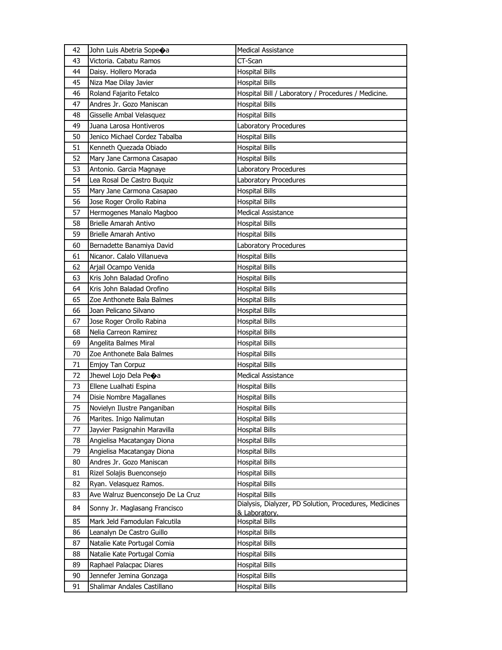| 42 | John Luis Abetria Sope $\spadesuit$ a | <b>Medical Assistance</b>                                               |
|----|---------------------------------------|-------------------------------------------------------------------------|
| 43 | Victoria. Cabatu Ramos                | CT-Scan                                                                 |
| 44 | Daisy. Hollero Morada                 | <b>Hospital Bills</b>                                                   |
| 45 | Niza Mae Dilay Javier                 | <b>Hospital Bills</b>                                                   |
| 46 | Roland Fajarito Fetalco               | Hospital Bill / Laboratory / Procedures / Medicine.                     |
| 47 | Andres Jr. Gozo Maniscan              | <b>Hospital Bills</b>                                                   |
| 48 | Gisselle Ambal Velasquez              | <b>Hospital Bills</b>                                                   |
| 49 | Juana Larosa Hontiveros               | Laboratory Procedures                                                   |
| 50 | Jenico Michael Cordez Tabalba         | <b>Hospital Bills</b>                                                   |
| 51 | Kenneth Quezada Obiado                | <b>Hospital Bills</b>                                                   |
| 52 | Mary Jane Carmona Casapao             | <b>Hospital Bills</b>                                                   |
| 53 | Antonio. Garcia Magnaye               | Laboratory Procedures                                                   |
| 54 | Lea Rosal De Castro Buquiz            | Laboratory Procedures                                                   |
| 55 | Mary Jane Carmona Casapao             | <b>Hospital Bills</b>                                                   |
| 56 | Jose Roger Orollo Rabina              | <b>Hospital Bills</b>                                                   |
| 57 | Hermogenes Manalo Magboo              | <b>Medical Assistance</b>                                               |
| 58 | Brielle Amarah Antivo                 | <b>Hospital Bills</b>                                                   |
| 59 | <b>Brielle Amarah Antivo</b>          | <b>Hospital Bills</b>                                                   |
| 60 | Bernadette Banamiya David             | Laboratory Procedures                                                   |
| 61 | Nicanor. Calalo Villanueva            | <b>Hospital Bills</b>                                                   |
| 62 | Arjail Ocampo Venida                  | <b>Hospital Bills</b>                                                   |
| 63 | Kris John Baladad Orofino             | <b>Hospital Bills</b>                                                   |
| 64 | Kris John Baladad Orofino             | <b>Hospital Bills</b>                                                   |
| 65 | Zoe Anthonete Bala Balmes             | <b>Hospital Bills</b>                                                   |
| 66 | Joan Pelicano Silvano                 | <b>Hospital Bills</b>                                                   |
| 67 | Jose Roger Orollo Rabina              | <b>Hospital Bills</b>                                                   |
| 68 | Nelia Carreon Ramirez                 | <b>Hospital Bills</b>                                                   |
| 69 | Angelita Balmes Miral                 | <b>Hospital Bills</b>                                                   |
| 70 | Zoe Anthonete Bala Balmes             | <b>Hospital Bills</b>                                                   |
| 71 | Emjoy Tan Corpuz                      | <b>Hospital Bills</b>                                                   |
| 72 | Jhewel Lojo Dela Peoa                 | <b>Medical Assistance</b>                                               |
| 73 | Ellene Lualhati Espina                | <b>Hospital Bills</b>                                                   |
| 74 | Disie Nombre Magallanes               | Hospital Bills                                                          |
| 75 | Novielyn Ilustre Panganiban           | <b>Hospital Bills</b>                                                   |
| 76 | Marites. Inigo Nalimutan              | <b>Hospital Bills</b>                                                   |
| 77 | Jayvier Pasignahin Maravilla          | <b>Hospital Bills</b>                                                   |
| 78 | Angielisa Macatangay Diona            | <b>Hospital Bills</b>                                                   |
| 79 | Angielisa Macatangay Diona            | <b>Hospital Bills</b>                                                   |
| 80 | Andres Jr. Gozo Maniscan              | <b>Hospital Bills</b>                                                   |
| 81 | Rizel Solajis Buenconsejo             | <b>Hospital Bills</b>                                                   |
| 82 | Ryan. Velasquez Ramos.                | <b>Hospital Bills</b>                                                   |
| 83 | Ave Walruz Buenconsejo De La Cruz     | <b>Hospital Bills</b>                                                   |
| 84 | Sonny Jr. Maglasang Francisco         | Dialysis, Dialyzer, PD Solution, Procedures, Medicines<br>& Laboratory. |
| 85 | Mark Jeld Famodulan Falcutila         | <b>Hospital Bills</b>                                                   |
| 86 | Leanalyn De Castro Guillo             | <b>Hospital Bills</b>                                                   |
| 87 | Natalie Kate Portugal Comia           | Hospital Bills                                                          |
| 88 | Natalie Kate Portugal Comia           | <b>Hospital Bills</b>                                                   |
| 89 | Raphael Palacpac Diares               | <b>Hospital Bills</b>                                                   |
| 90 | Jennefer Jemina Gonzaga               | <b>Hospital Bills</b>                                                   |
| 91 | Shalimar Andales Castillano           | <b>Hospital Bills</b>                                                   |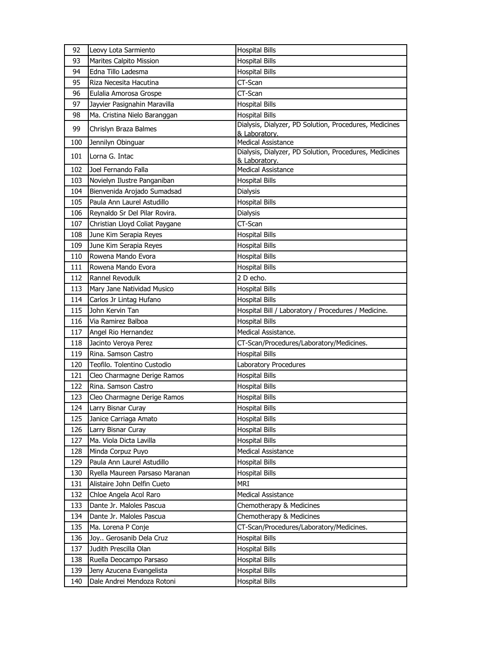| 92  | Leovy Lota Sarmiento           | <b>Hospital Bills</b>                                  |
|-----|--------------------------------|--------------------------------------------------------|
| 93  | <b>Marites Calpito Mission</b> | <b>Hospital Bills</b>                                  |
| 94  | Edna Tillo Ladesma             | <b>Hospital Bills</b>                                  |
| 95  | Riza Necesita Hacutina         | CT-Scan                                                |
| 96  | Eulalia Amorosa Grospe         | CT-Scan                                                |
| 97  | Jayvier Pasignahin Maravilla   | <b>Hospital Bills</b>                                  |
| 98  | Ma. Cristina Nielo Baranggan   | <b>Hospital Bills</b>                                  |
| 99  | Chrislyn Braza Balmes          | Dialysis, Dialyzer, PD Solution, Procedures, Medicines |
| 100 | Jennilyn Obinguar              | & Laboratory.<br><b>Medical Assistance</b>             |
|     |                                | Dialysis, Dialyzer, PD Solution, Procedures, Medicines |
| 101 | Lorna G. Intac                 | & Laboratory.                                          |
| 102 | Joel Fernando Falla            | <b>Medical Assistance</b>                              |
| 103 | Novielyn Ilustre Panganiban    | <b>Hospital Bills</b>                                  |
| 104 | Bienvenida Arojado Sumadsad    | Dialysis                                               |
| 105 | Paula Ann Laurel Astudillo     | <b>Hospital Bills</b>                                  |
| 106 | Reynaldo Sr Del Pilar Rovira.  | <b>Dialysis</b>                                        |
| 107 | Christian Lloyd Coliat Paygane | CT-Scan                                                |
| 108 | June Kim Serapia Reyes         | <b>Hospital Bills</b>                                  |
| 109 | June Kim Serapia Reyes         | <b>Hospital Bills</b>                                  |
| 110 | Rowena Mando Evora             | <b>Hospital Bills</b>                                  |
| 111 | Rowena Mando Evora             | <b>Hospital Bills</b>                                  |
| 112 | Rannel Revodulk                | 2 D echo.                                              |
| 113 | Mary Jane Natividad Musico     | <b>Hospital Bills</b>                                  |
| 114 | Carlos Jr Lintag Hufano        | <b>Hospital Bills</b>                                  |
| 115 | John Kervin Tan                | Hospital Bill / Laboratory / Procedures / Medicine.    |
|     |                                |                                                        |
| 116 | Via Ramirez Balboa             | <b>Hospital Bills</b>                                  |
| 117 | Angel Rio Hernandez            | Medical Assistance.                                    |
| 118 | Jacinto Veroya Perez           | CT-Scan/Procedures/Laboratory/Medicines.               |
| 119 | Rina, Samson Castro            | <b>Hospital Bills</b>                                  |
| 120 | Teofilo. Tolentino Custodio    | Laboratory Procedures                                  |
| 121 | Cleo Charmagne Derige Ramos    | <b>Hospital Bills</b>                                  |
| 122 | Rina. Samson Castro            | <b>Hospital Bills</b>                                  |
| 123 | Cleo Charmagne Derige Ramos    | <b>Hospital Bills</b>                                  |
| 124 | Larry Bisnar Curay             | <b>Hospital Bills</b>                                  |
| 125 | Janice Carriaga Amato          | <b>Hospital Bills</b>                                  |
| 126 | Larry Bisnar Curay             | <b>Hospital Bills</b>                                  |
| 127 | Ma. Viola Dicta Lavilla        | <b>Hospital Bills</b>                                  |
| 128 | Minda Corpuz Puyo              | Medical Assistance                                     |
| 129 | Paula Ann Laurel Astudillo     | <b>Hospital Bills</b>                                  |
| 130 | Ryella Maureen Parsaso Maranan | <b>Hospital Bills</b>                                  |
| 131 | Alistaire John Delfin Cueto    | MRI                                                    |
| 132 | Chloe Angela Acol Raro         | Medical Assistance                                     |
| 133 | Dante Jr. Maloles Pascua       | Chemotherapy & Medicines                               |
| 134 | Dante Jr. Maloles Pascua       | Chemotherapy & Medicines                               |
| 135 | Ma. Lorena P Conje             | CT-Scan/Procedures/Laboratory/Medicines.               |
| 136 | Joy Gerosanib Dela Cruz        | <b>Hospital Bills</b>                                  |
| 137 | Judith Prescilla Olan          | <b>Hospital Bills</b>                                  |
| 138 | Ruella Deocampo Parsaso        | <b>Hospital Bills</b>                                  |
| 139 | Jeny Azucena Evangelista       | <b>Hospital Bills</b>                                  |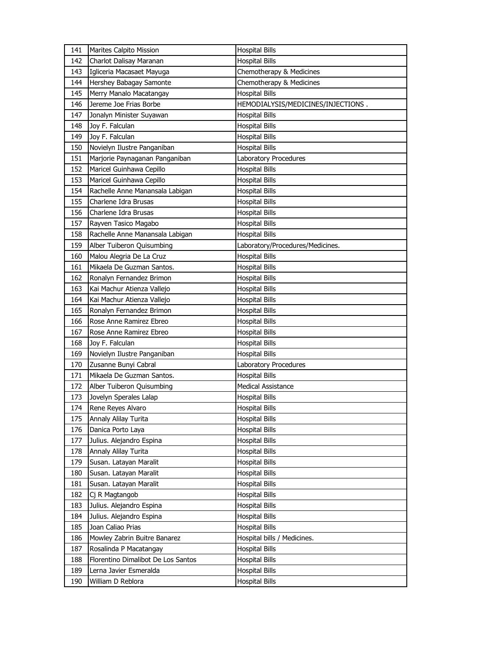| 141 | Marites Calpito Mission            | <b>Hospital Bills</b>              |
|-----|------------------------------------|------------------------------------|
| 142 | Charlot Dalisav Maranan            | <b>Hospital Bills</b>              |
| 143 | Igliceria Macasaet Mayuga          | Chemotherapy & Medicines           |
| 144 | Hershey Babagay Samonte            | Chemotherapy & Medicines           |
| 145 | Merry Manalo Macatangay            | <b>Hospital Bills</b>              |
| 146 | Jereme Joe Frias Borbe             | HEMODIALYSIS/MEDICINES/INJECTIONS. |
| 147 | Jonalyn Minister Suyawan           | <b>Hospital Bills</b>              |
| 148 | Joy F. Falculan                    | Hospital Bills                     |
| 149 | Joy F. Falculan                    | <b>Hospital Bills</b>              |
| 150 | Novielyn Ilustre Panganiban        | <b>Hospital Bills</b>              |
| 151 | Marjorie Paynaganan Panganiban     | Laboratory Procedures              |
| 152 | Maricel Guinhawa Cepillo           | <b>Hospital Bills</b>              |
| 153 | Maricel Guinhawa Cepillo           | Hospital Bills                     |
| 154 | Rachelle Anne Manansala Labigan    | Hospital Bills                     |
| 155 | Charlene Idra Brusas               | <b>Hospital Bills</b>              |
| 156 | Charlene Idra Brusas               | Hospital Bills                     |
| 157 | Rayven Tasico Magabo               | <b>Hospital Bills</b>              |
| 158 | Rachelle Anne Manansala Labigan    | <b>Hospital Bills</b>              |
| 159 | Alber Tuiberon Quisumbing          | Laboratory/Procedures/Medicines.   |
| 160 | Malou Alegria De La Cruz           | <b>Hospital Bills</b>              |
| 161 | Mikaela De Guzman Santos.          | Hospital Bills                     |
| 162 | Ronalyn Fernandez Brimon           | <b>Hospital Bills</b>              |
| 163 | Kai Machur Atienza Vallejo         | Hospital Bills                     |
| 164 | Kai Machur Atienza Vallejo         | Hospital Bills                     |
| 165 | Ronalyn Fernandez Brimon           | <b>Hospital Bills</b>              |
| 166 | Rose Anne Ramirez Ebreo            | Hospital Bills                     |
| 167 | Rose Anne Ramirez Ebreo            | <b>Hospital Bills</b>              |
| 168 | Joy F. Falculan                    | Hospital Bills                     |
| 169 | Novielyn Ilustre Panganiban        | <b>Hospital Bills</b>              |
| 170 | Zusanne Bunyi Cabral               | Laboratory Procedures              |
| 171 | Mikaela De Guzman Santos.          | <b>Hospital Bills</b>              |
| 172 | Alber Tuiberon Quisumbing          | <b>Medical Assistance</b>          |
| 173 | Jovelyn Sperales Lalap             | Hospital Bills                     |
| 174 | Rene Reyes Alvaro                  | <b>Hospital Bills</b>              |
| 175 | Annaly Alilay Turita               | <b>Hospital Bills</b>              |
| 176 | Danica Porto Laya                  | <b>Hospital Bills</b>              |
| 177 | Julius. Alejandro Espina           | <b>Hospital Bills</b>              |
| 178 | Annaly Alilay Turita               | <b>Hospital Bills</b>              |
| 179 | Susan. Latayan Maralit             | <b>Hospital Bills</b>              |
| 180 | Susan. Latayan Maralit             | Hospital Bills                     |
| 181 | Susan. Latayan Maralit             | <b>Hospital Bills</b>              |
| 182 | Cj R Magtangob                     | <b>Hospital Bills</b>              |
| 183 | Julius. Alejandro Espina           | Hospital Bills                     |
| 184 | Julius. Alejandro Espina           | <b>Hospital Bills</b>              |
| 185 | Joan Caliao Prias                  | Hospital Bills                     |
| 186 | Mowley Zabrin Buitre Banarez       | Hospital bills / Medicines.        |
| 187 | Rosalinda P Macatangay             | <b>Hospital Bills</b>              |
| 188 | Florentino Dimalibot De Los Santos | <b>Hospital Bills</b>              |
| 189 | Lerna Javier Esmeralda             | Hospital Bills                     |
| 190 | William D Reblora                  | Hospital Bills                     |
|     |                                    |                                    |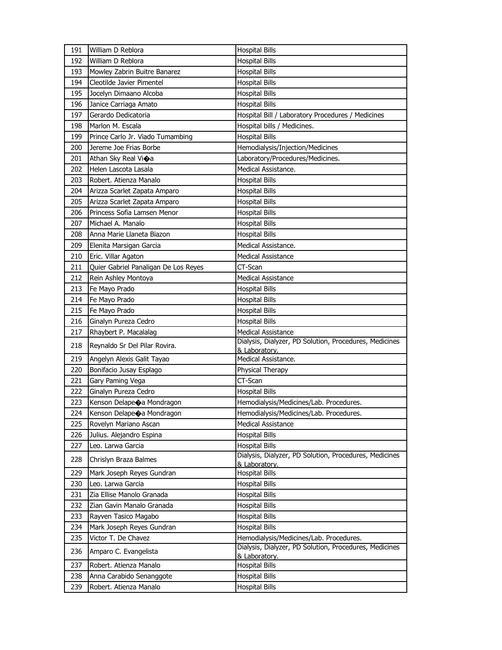| 191        | William D Reblora                                 | <b>Hospital Bills</b>                                                              |
|------------|---------------------------------------------------|------------------------------------------------------------------------------------|
| 192        | William D Reblora                                 | <b>Hospital Bills</b>                                                              |
| 193        | Mowley Zabrin Buitre Banarez                      | <b>Hospital Bills</b>                                                              |
| 194        | Cleotilde Javier Pimentel                         | <b>Hospital Bills</b>                                                              |
| 195        | Jocelyn Dimaano Alcoba                            | <b>Hospital Bills</b>                                                              |
| 196        | Janice Carriaga Amato                             | <b>Hospital Bills</b>                                                              |
| 197        | Gerardo Dedicatoria                               | Hospital Bill / Laboratory Procedures / Medicines                                  |
| 198        | Marlon M. Escala                                  | Hospital bills / Medicines.                                                        |
| 199        | Prince Carlo Jr. Viado Tumambing                  | <b>Hospital Bills</b>                                                              |
| 200        | Jereme Joe Frias Borbe                            | Hemodialysis/Injection/Medicines                                                   |
| 201        | Athan Sky Real Vioa                               | Laboratory/Procedures/Medicines.                                                   |
| 202        | Helen Lascota Lasala                              | Medical Assistance.                                                                |
| 203        | Robert, Atienza Manalo                            | <b>Hospital Bills</b>                                                              |
| 204        | Arizza Scarlet Zapata Amparo                      | <b>Hospital Bills</b>                                                              |
| 205        | Arizza Scarlet Zapata Amparo                      | <b>Hospital Bills</b>                                                              |
| 206        | Princess Sofia Lamsen Menor                       | <b>Hospital Bills</b>                                                              |
| 207        | Michael A. Manalo                                 | <b>Hospital Bills</b>                                                              |
| 208        | Anna Marie Llaneta Biazon                         | <b>Hospital Bills</b>                                                              |
| 209        | Elenita Marsigan Garcia                           | Medical Assistance.                                                                |
| 210        | Eric. Villar Agaton                               | Medical Assistance                                                                 |
| 211        | Quier Gabriel Panaligan De Los Reyes              | CT-Scan                                                                            |
| 212        | Rein Ashley Montoya                               | <b>Medical Assistance</b>                                                          |
| 213        | Fe Mayo Prado                                     | <b>Hospital Bills</b>                                                              |
| 214        | Fe Mayo Prado                                     | <b>Hospital Bills</b>                                                              |
| 215        | Fe Mayo Prado                                     | <b>Hospital Bills</b>                                                              |
| 216        | Ginalyn Pureza Cedro                              | <b>Hospital Bills</b>                                                              |
| 217        | Rhaybert P. Macalalag                             | <b>Medical Assistance</b>                                                          |
| 218        | Reynaldo Sr Del Pilar Rovira.                     | Dialysis, Dialyzer, PD Solution, Procedures, Medicines                             |
|            |                                                   | & Laboratory.                                                                      |
| 219        | Angelyn Alexis Galit Tayao                        | Medical Assistance.                                                                |
| 220        | Bonifacio Jusay Esplago                           | Physical Therapy                                                                   |
| 221        | Gary Paming Vega                                  | CT-Scan                                                                            |
| 222<br>223 | Ginalyn Pureza Cedro<br>Kenson Delape a Mondragon | <b>Hospital Bills</b>                                                              |
| 224        | Kenson Delape $\bigcirc$ a Mondragon              | Hemodialysis/Medicines/Lab. Procedures.<br>Hemodialysis/Medicines/Lab. Procedures. |
|            |                                                   |                                                                                    |
| 225        | Rovelyn Mariano Ascan                             | <b>Medical Assistance</b>                                                          |
| 226<br>227 | Julius. Alejandro Espina<br>Leo. Larwa Garcia     | <b>Hospital Bills</b><br><b>Hospital Bills</b>                                     |
|            |                                                   | Dialysis, Dialyzer, PD Solution, Procedures, Medicines                             |
| 228        | Chrislyn Braza Balmes                             | & Laboratory.                                                                      |
| 229        | Mark Joseph Reyes Gundran                         | <b>Hospital Bills</b>                                                              |
| 230        | Leo. Larwa Garcia                                 | <b>Hospital Bills</b>                                                              |
| 231        | Zia Ellise Manolo Granada                         | <b>Hospital Bills</b>                                                              |
| 232        | Zian Gavin Manalo Granada                         | <b>Hospital Bills</b>                                                              |
| 233        | Rayven Tasico Magabo                              | <b>Hospital Bills</b>                                                              |
| 234        | Mark Joseph Reyes Gundran                         | <b>Hospital Bills</b>                                                              |
| 235        | Victor T. De Chavez                               | Hemodialysis/Medicines/Lab. Procedures.                                            |
| 236        | Amparo C. Evangelista                             | Dialysis, Dialyzer, PD Solution, Procedures, Medicines                             |
| 237        | Robert. Atienza Manalo                            | & Laboratory.                                                                      |
| 238        |                                                   | <b>Hospital Bills</b><br><b>Hospital Bills</b>                                     |
|            | Anna Carabido Senanggote                          | <b>Hospital Bills</b>                                                              |
| 239        | Robert. Atienza Manalo                            |                                                                                    |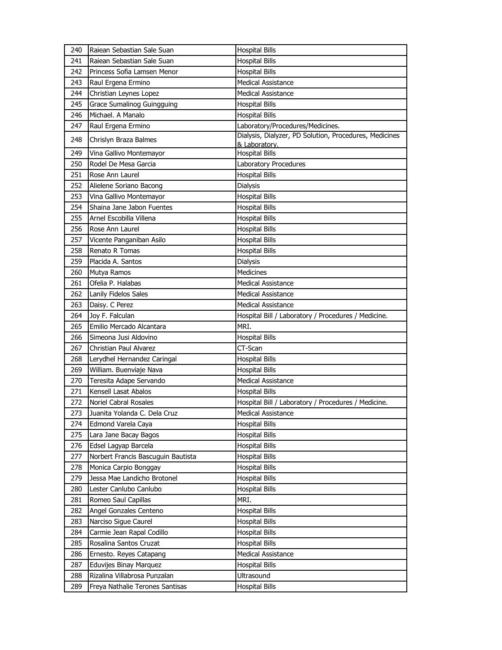| 240 | Raiean Sebastian Sale Suan         | <b>Hospital Bills</b>                                  |
|-----|------------------------------------|--------------------------------------------------------|
| 241 | Raiean Sebastian Sale Suan         | <b>Hospital Bills</b>                                  |
| 242 | Princess Sofia Lamsen Menor        | <b>Hospital Bills</b>                                  |
| 243 | Raul Ergena Ermino                 | <b>Medical Assistance</b>                              |
| 244 | Christian Leynes Lopez             | <b>Medical Assistance</b>                              |
| 245 | Grace Sumalinog Guingguing         | <b>Hospital Bills</b>                                  |
| 246 | Michael, A Manalo                  | <b>Hospital Bills</b>                                  |
| 247 | Raul Ergena Ermino                 | Laboratory/Procedures/Medicines.                       |
| 248 | Chrislyn Braza Balmes              | Dialysis, Dialyzer, PD Solution, Procedures, Medicines |
|     |                                    | & Laboratory.                                          |
| 249 | Vina Gallivo Montemayor            | <b>Hospital Bills</b>                                  |
| 250 | Rodel De Mesa Garcia               | Laboratory Procedures                                  |
| 251 | Rose Ann Laurel                    | <b>Hospital Bills</b>                                  |
| 252 | Alielene Soriano Bacong            | Dialysis                                               |
| 253 | Vina Gallivo Montemayor            | <b>Hospital Bills</b>                                  |
| 254 | Shaina Jane Jabon Fuentes          | <b>Hospital Bills</b>                                  |
| 255 | Arnel Escobilla Villena            | <b>Hospital Bills</b>                                  |
| 256 | Rose Ann Laurel                    | <b>Hospital Bills</b>                                  |
| 257 | Vicente Panganiban Asilo           | <b>Hospital Bills</b>                                  |
| 258 | Renato R Tomas                     | <b>Hospital Bills</b>                                  |
| 259 | Placida A. Santos                  | Dialysis                                               |
| 260 | Mutya Ramos                        | <b>Medicines</b>                                       |
| 261 | Ofelia P. Halabas                  | <b>Medical Assistance</b>                              |
| 262 | Lanily Fidelos Sales               | <b>Medical Assistance</b>                              |
| 263 | Daisy. C Perez                     | <b>Medical Assistance</b>                              |
| 264 | Joy F. Falculan                    | Hospital Bill / Laboratory / Procedures / Medicine.    |
| 265 | Emilio Mercado Alcantara           | MRI.                                                   |
| 266 | Simeona Jusi Aldovino              | <b>Hospital Bills</b>                                  |
| 267 | <b>Christian Paul Alvarez</b>      | CT-Scan                                                |
| 268 | Lerydhel Hernandez Caringal        | <b>Hospital Bills</b>                                  |
| 269 | William. Buenviaje Nava            | <b>Hospital Bills</b>                                  |
| 270 | Teresita Adape Servando            | <b>Medical Assistance</b>                              |
| 271 | Kensell Lasat Abalos               | <b>Hospital Bills</b>                                  |
| 272 | Noriel Cabral Rosales              | Hospital Bill / Laboratory / Procedures / Medicine.    |
| 273 | Juanita Yolanda C. Dela Cruz       | Medical Assistance                                     |
| 274 | Edmond Varela Caya                 | Hospital Bills                                         |
| 275 | Lara Jane Bacay Bagos              | <b>Hospital Bills</b>                                  |
| 276 | Edsel Lagyap Barcela               | Hospital Bills                                         |
| 277 | Norbert Francis Bascuguin Bautista | <b>Hospital Bills</b>                                  |
| 278 | Monica Carpio Bonggay              | Hospital Bills                                         |
| 279 | Jessa Mae Landicho Brotonel        | <b>Hospital Bills</b>                                  |
| 280 | Lester Canlubo Canlubo             | <b>Hospital Bills</b>                                  |
| 281 | Romeo Saul Capillas                | MRI.                                                   |
| 282 | Angel Gonzales Centeno             | <b>Hospital Bills</b>                                  |
| 283 | Narciso Sigue Caurel               | <b>Hospital Bills</b>                                  |
| 284 | Carmie Jean Rapal Codillo          | Hospital Bills                                         |
| 285 | Rosalina Santos Cruzat             | <b>Hospital Bills</b>                                  |
| 286 | Ernesto. Reyes Catapang            | Medical Assistance                                     |
| 287 | Eduvijes Binay Marquez             | <b>Hospital Bills</b>                                  |
| 288 | Rizalina Villabrosa Punzalan       | Ultrasound                                             |
| 289 | Freya Nathalie Terones Santisas    | <b>Hospital Bills</b>                                  |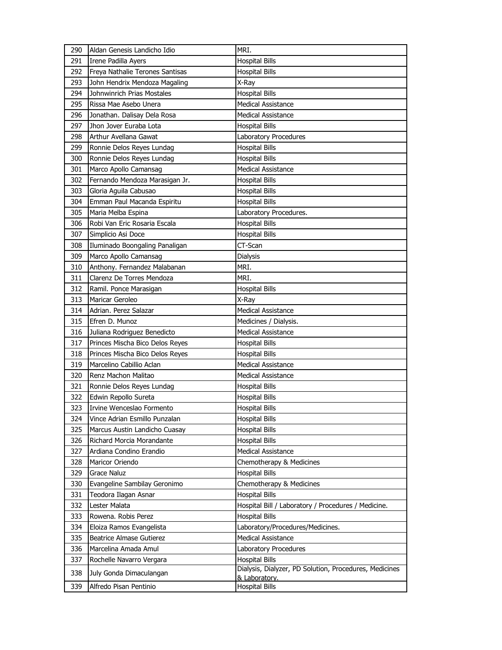| 290 | Aldan Genesis Landicho Idio     | MRI.                                                   |
|-----|---------------------------------|--------------------------------------------------------|
| 291 | Irene Padilla Ayers             | <b>Hospital Bills</b>                                  |
| 292 | Freya Nathalie Terones Santisas | <b>Hospital Bills</b>                                  |
| 293 | John Hendrix Mendoza Magaling   | X-Ray                                                  |
| 294 | Johnwinrich Prias Mostales      | <b>Hospital Bills</b>                                  |
| 295 | Rissa Mae Asebo Unera           | <b>Medical Assistance</b>                              |
| 296 | Jonathan. Dalisay Dela Rosa     | <b>Medical Assistance</b>                              |
| 297 | Jhon Jover Euraba Lota          | <b>Hospital Bills</b>                                  |
| 298 | Arthur Avellana Gawat           | Laboratory Procedures                                  |
| 299 | Ronnie Delos Reyes Lundag       | <b>Hospital Bills</b>                                  |
| 300 | Ronnie Delos Reyes Lundag       | <b>Hospital Bills</b>                                  |
| 301 | Marco Apollo Camansag           | <b>Medical Assistance</b>                              |
| 302 | Fernando Mendoza Marasigan Jr.  | <b>Hospital Bills</b>                                  |
| 303 | Gloria Aguila Cabusao           | <b>Hospital Bills</b>                                  |
| 304 | Emman Paul Macanda Espiritu     | <b>Hospital Bills</b>                                  |
| 305 | Maria Melba Espina              | Laboratory Procedures.                                 |
| 306 | Robi Van Eric Rosaria Escala    | <b>Hospital Bills</b>                                  |
| 307 | Simplicio Asi Doce              | <b>Hospital Bills</b>                                  |
| 308 | Iluminado Boongaling Panaligan  | CT-Scan                                                |
| 309 | Marco Apollo Camansag           | Dialysis                                               |
| 310 | Anthony. Fernandez Malabanan    | MRI.                                                   |
| 311 | Clarenz De Torres Mendoza       | MRI.                                                   |
| 312 | Ramil. Ponce Marasigan          | <b>Hospital Bills</b>                                  |
| 313 | Maricar Geroleo                 | X-Ray                                                  |
| 314 | Adrian. Perez Salazar           | <b>Medical Assistance</b>                              |
| 315 | Efren D. Munoz                  | Medicines / Dialysis.                                  |
| 316 | Juliana Rodriguez Benedicto     | <b>Medical Assistance</b>                              |
| 317 | Princes Mischa Bico Delos Reyes | <b>Hospital Bills</b>                                  |
| 318 | Princes Mischa Bico Delos Reyes | <b>Hospital Bills</b>                                  |
| 319 | Marcelino Cabillio Aclan        | <b>Medical Assistance</b>                              |
| 320 | Renz Machon Malitao             | <b>Medical Assistance</b>                              |
| 321 | Ronnie Delos Reyes Lundag       | <b>Hospital Bills</b>                                  |
| 322 | Edwin Repollo Sureta            | <b>Hospital Bills</b>                                  |
| 323 | Irvine Wenceslao Formento       | <b>Hospital Bills</b>                                  |
| 324 | Vince Adrian Esmillo Punzalan   | <b>Hospital Bills</b>                                  |
| 325 | Marcus Austin Landicho Cuasay   | <b>Hospital Bills</b>                                  |
| 326 | Richard Morcia Morandante       | <b>Hospital Bills</b>                                  |
| 327 | Ardiana Condino Erandio         | <b>Medical Assistance</b>                              |
| 328 | Maricor Oriendo                 | Chemotherapy & Medicines                               |
| 329 | Grace Naluz                     | <b>Hospital Bills</b>                                  |
| 330 | Evangeline Sambilay Geronimo    | Chemotherapy & Medicines                               |
| 331 | Teodora Ilagan Asnar            | <b>Hospital Bills</b>                                  |
| 332 | Lester Malata                   | Hospital Bill / Laboratory / Procedures / Medicine.    |
| 333 | Rowena. Robis Perez             | <b>Hospital Bills</b>                                  |
| 334 | Eloiza Ramos Evangelista        | Laboratory/Procedures/Medicines.                       |
| 335 | <b>Beatrice Almase Gutierez</b> | <b>Medical Assistance</b>                              |
| 336 | Marcelina Amada Amul            | Laboratory Procedures                                  |
| 337 | Rochelle Navarro Vergara        | <b>Hospital Bills</b>                                  |
| 338 | July Gonda Dimaculangan         | Dialysis, Dialyzer, PD Solution, Procedures, Medicines |
| 339 | Alfredo Pisan Pentinio          | & Laboratory.<br><b>Hospital Bills</b>                 |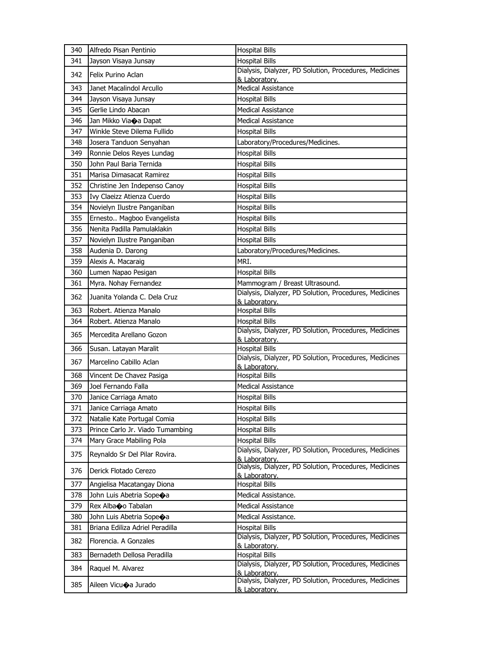| 340 | Alfredo Pisan Pentinio           | <b>Hospital Bills</b>                                                   |
|-----|----------------------------------|-------------------------------------------------------------------------|
| 341 | Jayson Visaya Junsay             | <b>Hospital Bills</b>                                                   |
| 342 | Felix Purino Aclan               | Dialysis, Dialyzer, PD Solution, Procedures, Medicines<br>& Laboratory. |
| 343 | Janet Macalindol Arcullo         | <b>Medical Assistance</b>                                               |
| 344 | Jayson Visaya Junsay             | <b>Hospital Bills</b>                                                   |
| 345 | Gerlie Lindo Abacan              | <b>Medical Assistance</b>                                               |
| 346 | Jan Mikko Viaoa Dapat            | <b>Medical Assistance</b>                                               |
| 347 | Winkle Steve Dilema Fullido      | <b>Hospital Bills</b>                                                   |
| 348 | Josera Tanduon Senyahan          | Laboratory/Procedures/Medicines.                                        |
| 349 | Ronnie Delos Reyes Lundag        | <b>Hospital Bills</b>                                                   |
| 350 | John Paul Baria Ternida          | <b>Hospital Bills</b>                                                   |
| 351 | Marisa Dimasacat Ramirez         | <b>Hospital Bills</b>                                                   |
| 352 | Christine Jen Indepenso Canoy    | <b>Hospital Bills</b>                                                   |
| 353 | Ivy Claeizz Atienza Cuerdo       | <b>Hospital Bills</b>                                                   |
| 354 | Novielyn Ilustre Panganiban      | <b>Hospital Bills</b>                                                   |
| 355 | Ernesto Magboo Evangelista       | <b>Hospital Bills</b>                                                   |
| 356 | Nenita Padilla Pamulaklakin      | <b>Hospital Bills</b>                                                   |
| 357 | Novielyn Ilustre Panganiban      | <b>Hospital Bills</b>                                                   |
| 358 | Audenia D. Darong                | Laboratory/Procedures/Medicines.                                        |
| 359 | Alexis A. Macaraig               | MRI.                                                                    |
| 360 | Lumen Napao Pesigan              | <b>Hospital Bills</b>                                                   |
| 361 | Myra. Nohay Fernandez            | Mammogram / Breast Ultrasound.                                          |
| 362 | Juanita Yolanda C. Dela Cruz     | Dialysis, Dialyzer, PD Solution, Procedures, Medicines<br>& Laboratory. |
| 363 | Robert. Atienza Manalo           | <b>Hospital Bills</b>                                                   |
| 364 | Robert. Atienza Manalo           | <b>Hospital Bills</b>                                                   |
| 365 | Mercedita Arellano Gozon         | Dialysis, Dialyzer, PD Solution, Procedures, Medicines<br>& Laboratory. |
| 366 | Susan. Latayan Maralit           | <b>Hospital Bills</b>                                                   |
| 367 | Marcelino Cabillo Aclan          | Dialysis, Dialyzer, PD Solution, Procedures, Medicines<br>& Laboratory. |
| 368 | Vincent De Chavez Pasiga         | <b>Hospital Bills</b>                                                   |
| 369 | Joel Fernando Falla              | Medical Assistance                                                      |
| 370 | Janice Carriaga Amato            | <b>Hospital Bills</b>                                                   |
| 371 | Janice Carriaga Amato            | <b>Hospital Bills</b>                                                   |
| 372 | Natalie Kate Portugal Comia      | <b>Hospital Bills</b>                                                   |
| 373 | Prince Carlo Jr. Viado Tumambing | <b>Hospital Bills</b>                                                   |
| 374 | Mary Grace Mabiling Pola         | <b>Hospital Bills</b>                                                   |
| 375 | Reynaldo Sr Del Pilar Rovira.    | Dialysis, Dialyzer, PD Solution, Procedures, Medicines<br>& Laboratory. |
| 376 | Derick Flotado Cerezo            | Dialysis, Dialyzer, PD Solution, Procedures, Medicines<br>& Laboratory. |
| 377 | Angielisa Macatangay Diona       | <b>Hospital Bills</b>                                                   |
| 378 | John Luis Abetria Sopeoa         | Medical Assistance.                                                     |
| 379 | Rex Albaoo Tabalan               | <b>Medical Assistance</b>                                               |
| 380 | John Luis Abetria Sopeoa         | Medical Assistance.                                                     |
| 381 | Briana Ediliza Adriel Peradilla  | <b>Hospital Bills</b>                                                   |
| 382 | Florencia. A Gonzales            | Dialysis, Dialyzer, PD Solution, Procedures, Medicines<br>& Laboratory. |
| 383 | Bernadeth Dellosa Peradilla      | <b>Hospital Bills</b>                                                   |
| 384 | Raquel M. Alvarez                | Dialysis, Dialyzer, PD Solution, Procedures, Medicines<br>& Laboratory. |
| 385 | Aileen Vicu�a Jurado             | Dialysis, Dialyzer, PD Solution, Procedures, Medicines<br>& Laboratory. |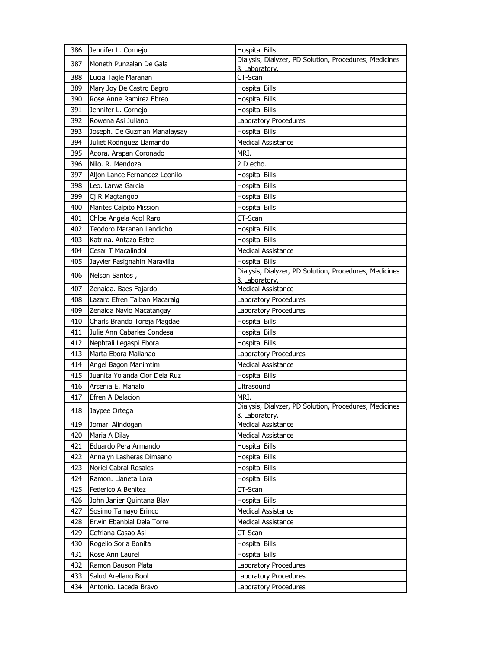| Dialysis, Dialyzer, PD Solution, Procedures, Medicines<br>387<br>Moneth Punzalan De Gala<br>& Laboratory. |  |
|-----------------------------------------------------------------------------------------------------------|--|
| CT-Scan<br>388<br>Lucia Tagle Maranan                                                                     |  |
| 389<br><b>Hospital Bills</b><br>Mary Joy De Castro Bagro                                                  |  |
| Rose Anne Ramirez Ebreo<br>390<br><b>Hospital Bills</b>                                                   |  |
| 391<br>Jennifer L. Cornejo<br><b>Hospital Bills</b>                                                       |  |
| 392<br>Rowena Asi Juliano<br>Laboratory Procedures                                                        |  |
| 393<br>Joseph. De Guzman Manalaysay<br><b>Hospital Bills</b>                                              |  |
| Juliet Rodriguez Llamando<br>394<br><b>Medical Assistance</b>                                             |  |
| 395<br>Adora. Arapan Coronado<br>MRI.                                                                     |  |
| Nilo. R. Mendoza.<br>396<br>2 D echo.                                                                     |  |
| 397<br>Aljon Lance Fernandez Leonilo<br><b>Hospital Bills</b>                                             |  |
| 398<br>Leo. Larwa Garcia<br><b>Hospital Bills</b>                                                         |  |
| 399<br>Cj R Magtangob<br><b>Hospital Bills</b>                                                            |  |
| Marites Calpito Mission<br>400<br><b>Hospital Bills</b>                                                   |  |
| CT-Scan<br>401<br>Chloe Angela Acol Raro                                                                  |  |
| 402<br>Teodoro Maranan Landicho<br><b>Hospital Bills</b>                                                  |  |
| 403<br>Katrina. Antazo Estre<br><b>Hospital Bills</b>                                                     |  |
| 404<br>Cesar T Macalindol<br><b>Medical Assistance</b>                                                    |  |
| 405<br>Jayvier Pasignahin Maravilla<br><b>Hospital Bills</b>                                              |  |
| Dialysis, Dialyzer, PD Solution, Procedures, Medicines<br>406<br>Nelson Santos,                           |  |
| & Laboratory.                                                                                             |  |
| 407<br>Zenaida. Baes Fajardo<br><b>Medical Assistance</b>                                                 |  |
| 408<br>Lazaro Efren Talban Macaraig<br>Laboratory Procedures                                              |  |
| 409<br>Laboratory Procedures<br>Zenaida Naylo Macatangay                                                  |  |
| 410<br>Charls Brando Toreja Magdael<br><b>Hospital Bills</b>                                              |  |
| Julie Ann Cabarles Condesa<br>411<br><b>Hospital Bills</b>                                                |  |
| 412<br>Nephtali Legaspi Ebora<br><b>Hospital Bills</b>                                                    |  |
| Marta Ebora Mallanao<br>413<br>Laboratory Procedures                                                      |  |
| <b>Medical Assistance</b><br>414<br>Angel Bagon Manimtim                                                  |  |
| 415<br>Juanita Yolanda Clor Dela Ruz<br><b>Hospital Bills</b>                                             |  |
| Arsenia E. Manalo<br><b>Ultrasound</b><br>416                                                             |  |
| MRI.<br>417<br>Efren A Delacion<br>Dialysis, Dialyzer, PD Solution, Procedures, Medicines                 |  |
| 418<br>Jaypee Ortega<br>& Laboratory.                                                                     |  |
| <b>Medical Assistance</b><br>419<br>Jomari Alindogan                                                      |  |
| 420<br>Maria A Dilay<br>Medical Assistance                                                                |  |
| 421<br>Eduardo Pera Armando<br><b>Hospital Bills</b>                                                      |  |
| 422<br>Annalyn Lasheras Dimaano<br><b>Hospital Bills</b>                                                  |  |
| 423<br>Noriel Cabral Rosales<br><b>Hospital Bills</b>                                                     |  |
| <b>Hospital Bills</b><br>424<br>Ramon. Llaneta Lora                                                       |  |
| CT-Scan<br>425<br>Federico A Benitez                                                                      |  |
| 426<br>John Janier Quintana Blay<br><b>Hospital Bills</b>                                                 |  |
| 427<br>Sosimo Tamayo Erinco<br>Medical Assistance                                                         |  |
| 428<br>Erwin Ebanbial Dela Torre<br>Medical Assistance                                                    |  |
| 429<br>Cefriana Casao Asi<br>CT-Scan                                                                      |  |
| 430<br>Rogelio Soria Bonita<br><b>Hospital Bills</b>                                                      |  |
| 431<br>Rose Ann Laurel<br><b>Hospital Bills</b>                                                           |  |
| 432<br>Ramon Bauson Plata<br>Laboratory Procedures                                                        |  |
| 433<br>Salud Arellano Bool<br>Laboratory Procedures                                                       |  |
| 434<br>Antonio. Laceda Bravo<br>Laboratory Procedures                                                     |  |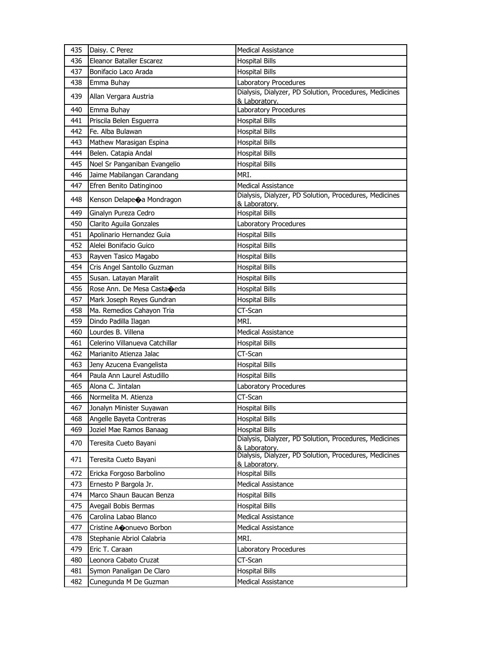| 435 | Daisy. C Perez                         | <b>Medical Assistance</b>                                               |
|-----|----------------------------------------|-------------------------------------------------------------------------|
| 436 | Eleanor Bataller Escarez               | <b>Hospital Bills</b>                                                   |
| 437 | Bonifacio Laco Arada                   | <b>Hospital Bills</b>                                                   |
| 438 | Emma Buhay                             | Laboratory Procedures                                                   |
| 439 | Allan Vergara Austria                  | Dialysis, Dialyzer, PD Solution, Procedures, Medicines<br>& Laboratory. |
| 440 | Emma Buhay                             | Laboratory Procedures                                                   |
| 441 | Priscila Belen Esguerra                | <b>Hospital Bills</b>                                                   |
| 442 | Fe. Alba Bulawan                       | <b>Hospital Bills</b>                                                   |
| 443 | Mathew Marasigan Espina                | <b>Hospital Bills</b>                                                   |
| 444 | Belen. Catapia Andal                   | <b>Hospital Bills</b>                                                   |
| 445 | Noel Sr Panganiban Evangelio           | <b>Hospital Bills</b>                                                   |
| 446 | Jaime Mabilangan Carandang             | MRI.                                                                    |
| 447 | Efren Benito Datinginoo                | <b>Medical Assistance</b>                                               |
| 448 | Kenson Delapeoa Mondragon              | Dialysis, Dialyzer, PD Solution, Procedures, Medicines<br>& Laboratory. |
| 449 | Ginalyn Pureza Cedro                   | <b>Hospital Bills</b>                                                   |
| 450 | Clarito Aguila Gonzales                | Laboratory Procedures                                                   |
| 451 | Apolinario Hernandez Guia              | <b>Hospital Bills</b>                                                   |
| 452 | Alelei Bonifacio Guico                 | <b>Hospital Bills</b>                                                   |
| 453 | Rayven Tasico Magabo                   | <b>Hospital Bills</b>                                                   |
| 454 | Cris Angel Santollo Guzman             | <b>Hospital Bills</b>                                                   |
| 455 | Susan. Latayan Maralit                 | <b>Hospital Bills</b>                                                   |
| 456 | Rose Ann. De Mesa Casta $\bigcirc$ eda | <b>Hospital Bills</b>                                                   |
| 457 | Mark Joseph Reyes Gundran              | <b>Hospital Bills</b>                                                   |
| 458 | Ma. Remedios Cahayon Tria              | CT-Scan                                                                 |
|     |                                        |                                                                         |
| 459 | Dindo Padilla Ilagan                   | MRI.                                                                    |
| 460 | Lourdes B. Villena                     | <b>Medical Assistance</b>                                               |
| 461 | Celerino Villanueva Catchillar         | <b>Hospital Bills</b>                                                   |
| 462 | Marianito Atienza Jalac                | CT-Scan                                                                 |
| 463 | Jeny Azucena Evangelista               | <b>Hospital Bills</b>                                                   |
| 464 | Paula Ann Laurel Astudillo             | <b>Hospital Bills</b>                                                   |
| 465 | Alona C. Jintalan                      | Laboratory Procedures                                                   |
| 466 | Normelita M. Atienza                   | CT-Scan                                                                 |
| 467 | Jonalyn Minister Suyawan               | <b>Hospital Bills</b>                                                   |
| 468 | Angelle Bayeta Contreras               | <b>Hospital Bills</b>                                                   |
| 469 | Joziel Mae Ramos Banaag                | <b>Hospital Bills</b>                                                   |
| 470 | Teresita Cueto Bayani                  | Dialysis, Dialyzer, PD Solution, Procedures, Medicines<br>& Laboratory. |
| 471 | Teresita Cueto Bayani                  | Dialysis, Dialyzer, PD Solution, Procedures, Medicines<br>& Laboratory. |
| 472 | Ericka Forgoso Barbolino               | <b>Hospital Bills</b>                                                   |
| 473 | Ernesto P Bargola Jr.                  | <b>Medical Assistance</b>                                               |
| 474 | Marco Shaun Baucan Benza               | <b>Hospital Bills</b>                                                   |
| 475 | Avegail Bobis Bermas                   | <b>Hospital Bills</b>                                                   |
| 476 | Carolina Labao Blanco                  | Medical Assistance                                                      |
| 477 | Cristine Aconuevo Borbon               | <b>Medical Assistance</b>                                               |
| 478 | Stephanie Abriol Calabria              | MRI.                                                                    |
| 479 | Eric T. Caraan                         | Laboratory Procedures                                                   |
| 480 | Leonora Cabato Cruzat                  | CT-Scan                                                                 |
| 481 | Symon Panaligan De Claro               | <b>Hospital Bills</b>                                                   |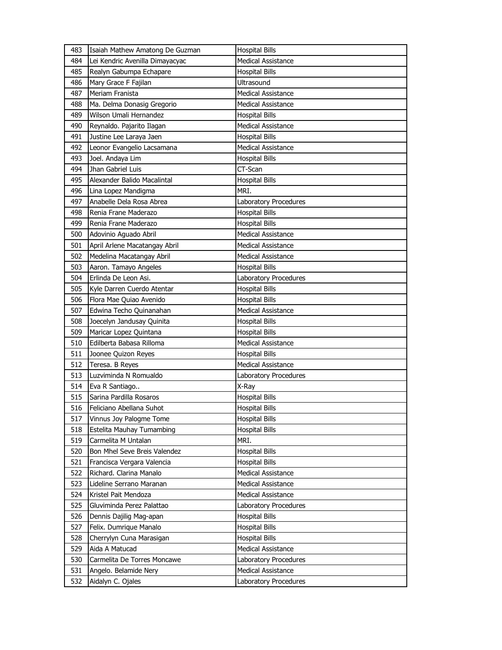| 483 | Isaiah Mathew Amatong De Guzman | <b>Hospital Bills</b>     |
|-----|---------------------------------|---------------------------|
| 484 | Lei Kendric Avenilla Dimayacyac | <b>Medical Assistance</b> |
| 485 | Realyn Gabumpa Echapare         | <b>Hospital Bills</b>     |
| 486 | Mary Grace F Fajilan            | Ultrasound                |
| 487 | Meriam Franista                 | <b>Medical Assistance</b> |
| 488 | Ma. Delma Donasig Gregorio      | <b>Medical Assistance</b> |
| 489 | Wilson Umali Hernandez          | <b>Hospital Bills</b>     |
| 490 | Reynaldo. Pajarito Ilagan       | <b>Medical Assistance</b> |
| 491 | Justine Lee Laraya Jaen         | <b>Hospital Bills</b>     |
| 492 | Leonor Evangelio Lacsamana      | <b>Medical Assistance</b> |
| 493 | Joel. Andaya Lim                | <b>Hospital Bills</b>     |
| 494 | Jhan Gabriel Luis               | CT-Scan                   |
| 495 | Alexander Balido Macalintal     | <b>Hospital Bills</b>     |
| 496 | Lina Lopez Mandigma             | MRI.                      |
| 497 | Anabelle Dela Rosa Abrea        | Laboratory Procedures     |
| 498 | Renia Frane Maderazo            | <b>Hospital Bills</b>     |
| 499 | Renia Frane Maderazo            | <b>Hospital Bills</b>     |
| 500 | Adovinio Aguado Abril           | <b>Medical Assistance</b> |
| 501 | April Arlene Macatangay Abril   | <b>Medical Assistance</b> |
| 502 | Medelina Macatangay Abril       | <b>Medical Assistance</b> |
| 503 | Aaron. Tamayo Angeles           | <b>Hospital Bills</b>     |
| 504 | Erlinda De Leon Asi.            | Laboratory Procedures     |
| 505 | Kyle Darren Cuerdo Atentar      | <b>Hospital Bills</b>     |
| 506 | Flora Mae Quiao Avenido         | <b>Hospital Bills</b>     |
| 507 | Edwina Techo Quinanahan         | <b>Medical Assistance</b> |
| 508 | Joecelyn Jandusay Quinita       | <b>Hospital Bills</b>     |
| 509 | Maricar Lopez Quintana          | <b>Hospital Bills</b>     |
| 510 | Edilberta Babasa Rilloma        | <b>Medical Assistance</b> |
| 511 | Joonee Quizon Reyes             |                           |
|     |                                 | <b>Hospital Bills</b>     |
| 512 | Teresa. B Reyes                 | <b>Medical Assistance</b> |
| 513 | Luzviminda N Romualdo           | Laboratory Procedures     |
| 514 | Eva R Santiago                  | X-Ray                     |
| 515 | Sarina Pardilla Rosaros         | <b>Hospital Bills</b>     |
| 516 | Feliciano Abellana Suhot        | <b>Hospital Bills</b>     |
| 517 | Vinnus Joy Palogme Tome         | <b>Hospital Bills</b>     |
| 518 | Estelita Mauhay Tumambing       | <b>Hospital Bills</b>     |
| 519 | Carmelita M Untalan             | MRI.                      |
| 520 | Bon Mhel Seve Breis Valendez    | <b>Hospital Bills</b>     |
| 521 | Francisca Vergara Valencia      | <b>Hospital Bills</b>     |
| 522 | Richard. Clarina Manalo         | Medical Assistance        |
| 523 | Lideline Serrano Maranan        | <b>Medical Assistance</b> |
| 524 | Kristel Pait Mendoza            | Medical Assistance        |
| 525 | Gluviminda Perez Palattao       | Laboratory Procedures     |
| 526 | Dennis Dajilig Mag-apan         | <b>Hospital Bills</b>     |
| 527 | Felix. Dumrique Manalo          | <b>Hospital Bills</b>     |
| 528 | Cherrylyn Cuna Marasigan        | <b>Hospital Bills</b>     |
| 529 | Aida A Matucad                  | Medical Assistance        |
| 530 | Carmelita De Torres Moncawe     | Laboratory Procedures     |
| 531 | Angelo. Belamide Nery           | <b>Medical Assistance</b> |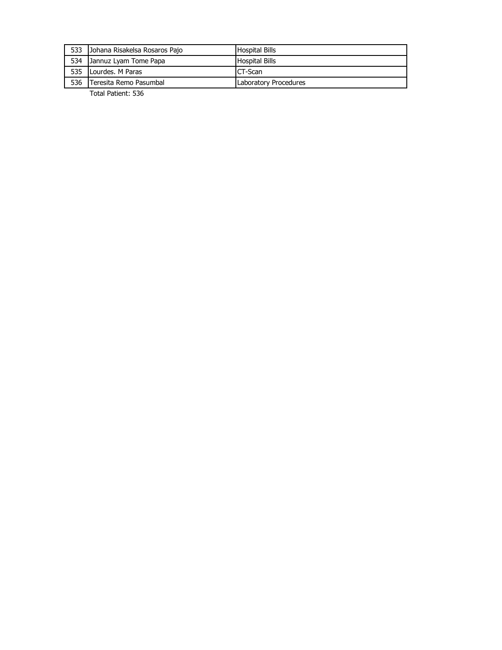| 533 | Johana Risakelsa Rosaros Pajo | Hospital Bills                |
|-----|-------------------------------|-------------------------------|
| 534 | Jannuz Lyam Tome Papa         | <b>Hospital Bills</b>         |
| 535 | Lourdes, M Paras              | CT-Scan                       |
| 536 | Teresita Remo Pasumbal        | <b>ILaboratory Procedures</b> |

Total Patient: 536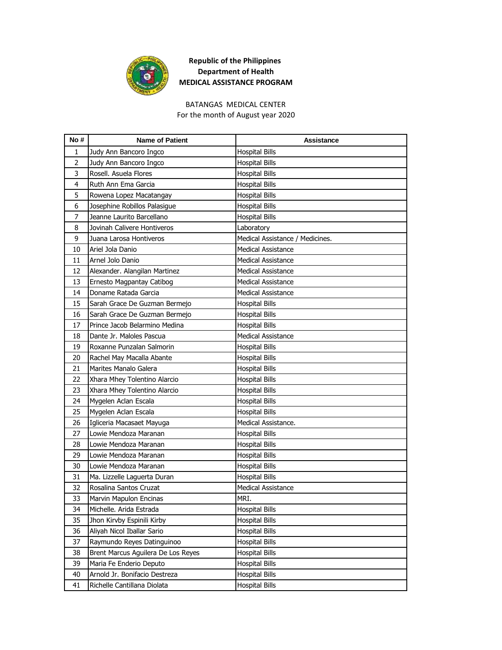

## **Republic of the Philippines Department of Health MEDICAL ASSISTANCE PROGRAM**

## BATANGAS MEDICAL CENTER

For the month of August year 2020

| No#            | <b>Name of Patient</b>             | <b>Assistance</b>               |
|----------------|------------------------------------|---------------------------------|
| 1              | Judy Ann Bancoro Ingco             | <b>Hospital Bills</b>           |
| $\overline{2}$ | Judy Ann Bancoro Ingco             | <b>Hospital Bills</b>           |
| 3              | Rosell, Asuela Flores              | <b>Hospital Bills</b>           |
| 4              | Ruth Ann Ema Garcia                | <b>Hospital Bills</b>           |
| 5              | Rowena Lopez Macatangay            | <b>Hospital Bills</b>           |
| 6              | Josephine Robillos Palasigue       | <b>Hospital Bills</b>           |
| 7              | Jeanne Laurito Barcellano          | <b>Hospital Bills</b>           |
| 8              | Jovinah Calivere Hontiveros        | Laboratory                      |
| 9              | Juana Larosa Hontiveros            | Medical Assistance / Medicines. |
| 10             | Ariel Jola Danio                   | <b>Medical Assistance</b>       |
| 11             | Arnel Jolo Danio                   | <b>Medical Assistance</b>       |
| 12             | Alexander. Alangilan Martinez      | <b>Medical Assistance</b>       |
| 13             | Ernesto Magpantay Catibog          | <b>Medical Assistance</b>       |
| 14             | Doname Ratada Garcia               | <b>Medical Assistance</b>       |
| 15             | Sarah Grace De Guzman Bermejo      | <b>Hospital Bills</b>           |
| 16             | Sarah Grace De Guzman Bermejo      | <b>Hospital Bills</b>           |
| 17             | Prince Jacob Belarmino Medina      | <b>Hospital Bills</b>           |
| 18             | Dante Jr. Maloles Pascua           | <b>Medical Assistance</b>       |
| 19             | Roxanne Punzalan Salmorin          | <b>Hospital Bills</b>           |
| 20             | Rachel May Macalla Abante          | <b>Hospital Bills</b>           |
| 21             | Marites Manalo Galera              | <b>Hospital Bills</b>           |
| 22             | Xhara Mhey Tolentino Alarcio       | <b>Hospital Bills</b>           |
| 23             | Xhara Mhey Tolentino Alarcio       | <b>Hospital Bills</b>           |
| 24             | Mygelen Aclan Escala               | <b>Hospital Bills</b>           |
| 25             | Mygelen Aclan Escala               | <b>Hospital Bills</b>           |
| 26             | Igliceria Macasaet Mayuga          | Medical Assistance.             |
| 27             | Lowie Mendoza Maranan              | <b>Hospital Bills</b>           |
| 28             | Lowie Mendoza Maranan              | <b>Hospital Bills</b>           |
| 29             | Lowie Mendoza Maranan              | <b>Hospital Bills</b>           |
| 30             | Lowie Mendoza Maranan              | <b>Hospital Bills</b>           |
| 31             | Ma. Lizzelle Laguerta Duran        | <b>Hospital Bills</b>           |
| 32             | Rosalina Santos Cruzat             | <b>Medical Assistance</b>       |
| 33             | Marvin Mapulon Encinas             | MRI.                            |
| 34             | Michelle. Arida Estrada            | <b>Hospital Bills</b>           |
| 35             | Jhon Kirvby Espinili Kirby         | <b>Hospital Bills</b>           |
| 36             | Aliyah Nicol Iballar Sario         | <b>Hospital Bills</b>           |
| 37             | Raymundo Reyes Datinguinoo         | <b>Hospital Bills</b>           |
| 38             | Brent Marcus Aguilera De Los Reyes | <b>Hospital Bills</b>           |
| 39             | Maria Fe Enderio Deputo            | Hospital Bills                  |
| 40             | Arnold Jr. Bonifacio Destreza      | Hospital Bills                  |
| 41             | Richelle Cantillana Diolata        | <b>Hospital Bills</b>           |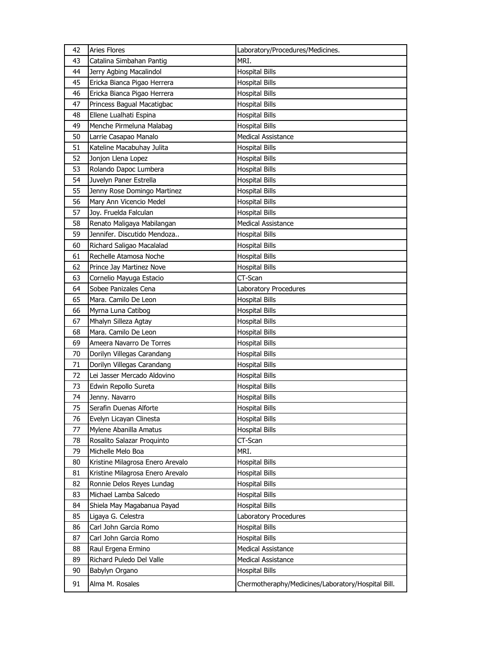| 42 | <b>Aries Flores</b>              | Laboratory/Procedures/Medicines.                   |
|----|----------------------------------|----------------------------------------------------|
| 43 | Catalina Simbahan Pantig         | MRI.                                               |
| 44 | Jerry Agbing Macalindol          | <b>Hospital Bills</b>                              |
| 45 | Ericka Bianca Pigao Herrera      | <b>Hospital Bills</b>                              |
| 46 | Ericka Bianca Pigao Herrera      | <b>Hospital Bills</b>                              |
| 47 | Princess Bagual Macatigbac       | <b>Hospital Bills</b>                              |
| 48 | Ellene Lualhati Espina           | Hospital Bills                                     |
| 49 | Menche Pirmeluna Malabag         | <b>Hospital Bills</b>                              |
| 50 | Larrie Casapao Manalo            | <b>Medical Assistance</b>                          |
| 51 | Kateline Macabuhay Julita        | <b>Hospital Bills</b>                              |
| 52 | Jonjon Llena Lopez               | <b>Hospital Bills</b>                              |
| 53 | Rolando Dapoc Lumbera            | <b>Hospital Bills</b>                              |
| 54 | Juvelyn Paner Estrella           | Hospital Bills                                     |
| 55 | Jenny Rose Domingo Martinez      | <b>Hospital Bills</b>                              |
| 56 | Mary Ann Vicencio Medel          | <b>Hospital Bills</b>                              |
| 57 | Joy. Fruelda Falculan            | <b>Hospital Bills</b>                              |
| 58 | Renato Maligaya Mabilangan       | <b>Medical Assistance</b>                          |
| 59 | Jennifer. Discutido Mendoza      | <b>Hospital Bills</b>                              |
| 60 | Richard Saligao Macalalad        | <b>Hospital Bills</b>                              |
| 61 | Rechelle Atamosa Noche           | <b>Hospital Bills</b>                              |
| 62 | Prince Jay Martinez Nove         | <b>Hospital Bills</b>                              |
| 63 | Cornelio Mayuga Estacio          | CT-Scan                                            |
| 64 | Sobee Panizales Cena             | Laboratory Procedures                              |
| 65 | Mara. Camilo De Leon             | <b>Hospital Bills</b>                              |
| 66 | Myrna Luna Catibog               | <b>Hospital Bills</b>                              |
| 67 | Mhalyn Silleza Agtay             | <b>Hospital Bills</b>                              |
| 68 | Mara. Camilo De Leon             | Hospital Bills                                     |
| 69 | Ameera Navarro De Torres         | Hospital Bills                                     |
| 70 | Dorilyn Villegas Carandang       | <b>Hospital Bills</b>                              |
| 71 | Dorilyn Villegas Carandang       | <b>Hospital Bills</b>                              |
| 72 | Lei Jasser Mercado Aldovino      | <b>Hospital Bills</b>                              |
| 73 | Edwin Repollo Sureta             | Hospital Bills                                     |
| 74 | Jenny. Navarro                   | <b>Hospital Bills</b>                              |
| 75 | Serafin Duenas Alforte           | Hospital Bills                                     |
| 76 | Evelyn Licayan Clinesta          | <b>Hospital Bills</b>                              |
| 77 | Mylene Abanilla Amatus           | <b>Hospital Bills</b>                              |
| 78 | Rosalito Salazar Proquinto       | CT-Scan                                            |
| 79 | Michelle Melo Boa                | MRI.                                               |
| 80 | Kristine Milagrosa Enero Arevalo | <b>Hospital Bills</b>                              |
| 81 | Kristine Milagrosa Enero Arevalo | <b>Hospital Bills</b>                              |
| 82 | Ronnie Delos Reyes Lundag        | <b>Hospital Bills</b>                              |
| 83 | Michael Lamba Salcedo            | <b>Hospital Bills</b>                              |
| 84 | Shiela May Magabanua Payad       | <b>Hospital Bills</b>                              |
| 85 | Ligaya G. Celestra               | Laboratory Procedures                              |
| 86 | Carl John Garcia Romo            | <b>Hospital Bills</b>                              |
| 87 | Carl John Garcia Romo            | <b>Hospital Bills</b>                              |
| 88 | Raul Ergena Ermino               | <b>Medical Assistance</b>                          |
| 89 | Richard Puledo Del Valle         | <b>Medical Assistance</b>                          |
|    |                                  |                                                    |
| 90 | Babylyn Organo                   | <b>Hospital Bills</b>                              |
| 91 | Alma M. Rosales                  | Chermotheraphy/Medicines/Laboratory/Hospital Bill. |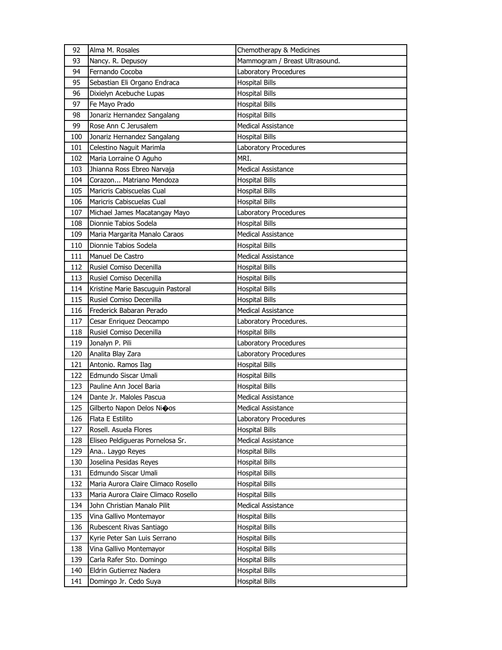| 93<br>Nancy. R. Depusoy<br>Mammogram / Breast Ultrasound.<br>Fernando Cocoba<br>94<br>Laboratory Procedures<br>Sebastian Eli Organo Endraca<br><b>Hospital Bills</b><br>95<br>96<br>Dixielyn Acebuche Lupas<br><b>Hospital Bills</b><br>97<br>Fe Mayo Prado<br><b>Hospital Bills</b><br>98<br>Jonariz Hernandez Sangalang<br><b>Hospital Bills</b><br>99<br>Rose Ann C Jerusalem<br><b>Medical Assistance</b><br>Jonariz Hernandez Sangalang<br><b>Hospital Bills</b><br>100<br>Celestino Naguit Marimla<br>101<br>Laboratory Procedures<br>MRI.<br>102<br>Maria Lorraine O Aguho<br><b>Medical Assistance</b><br>103<br>Jhianna Ross Ebreo Narvaja | 92  | Alma M. Rosales          | Chemotherapy & Medicines |
|-----------------------------------------------------------------------------------------------------------------------------------------------------------------------------------------------------------------------------------------------------------------------------------------------------------------------------------------------------------------------------------------------------------------------------------------------------------------------------------------------------------------------------------------------------------------------------------------------------------------------------------------------------|-----|--------------------------|--------------------------|
|                                                                                                                                                                                                                                                                                                                                                                                                                                                                                                                                                                                                                                                     |     |                          |                          |
|                                                                                                                                                                                                                                                                                                                                                                                                                                                                                                                                                                                                                                                     |     |                          |                          |
|                                                                                                                                                                                                                                                                                                                                                                                                                                                                                                                                                                                                                                                     |     |                          |                          |
|                                                                                                                                                                                                                                                                                                                                                                                                                                                                                                                                                                                                                                                     |     |                          |                          |
|                                                                                                                                                                                                                                                                                                                                                                                                                                                                                                                                                                                                                                                     |     |                          |                          |
|                                                                                                                                                                                                                                                                                                                                                                                                                                                                                                                                                                                                                                                     |     |                          |                          |
|                                                                                                                                                                                                                                                                                                                                                                                                                                                                                                                                                                                                                                                     |     |                          |                          |
|                                                                                                                                                                                                                                                                                                                                                                                                                                                                                                                                                                                                                                                     |     |                          |                          |
|                                                                                                                                                                                                                                                                                                                                                                                                                                                                                                                                                                                                                                                     |     |                          |                          |
|                                                                                                                                                                                                                                                                                                                                                                                                                                                                                                                                                                                                                                                     |     |                          |                          |
|                                                                                                                                                                                                                                                                                                                                                                                                                                                                                                                                                                                                                                                     |     |                          |                          |
|                                                                                                                                                                                                                                                                                                                                                                                                                                                                                                                                                                                                                                                     | 104 | Corazon Matriano Mendoza | <b>Hospital Bills</b>    |
| Maricris Cabiscuelas Cual<br>105<br><b>Hospital Bills</b>                                                                                                                                                                                                                                                                                                                                                                                                                                                                                                                                                                                           |     |                          |                          |
| Maricris Cabiscuelas Cual<br>106<br><b>Hospital Bills</b>                                                                                                                                                                                                                                                                                                                                                                                                                                                                                                                                                                                           |     |                          |                          |
| 107<br>Michael James Macatangay Mayo<br>Laboratory Procedures                                                                                                                                                                                                                                                                                                                                                                                                                                                                                                                                                                                       |     |                          |                          |
| Dionnie Tabios Sodela<br><b>Hospital Bills</b><br>108                                                                                                                                                                                                                                                                                                                                                                                                                                                                                                                                                                                               |     |                          |                          |
| 109<br>Maria Margarita Manalo Caraos<br><b>Medical Assistance</b>                                                                                                                                                                                                                                                                                                                                                                                                                                                                                                                                                                                   |     |                          |                          |
| Dionnie Tabios Sodela<br><b>Hospital Bills</b><br>110                                                                                                                                                                                                                                                                                                                                                                                                                                                                                                                                                                                               |     |                          |                          |
| Manuel De Castro<br><b>Medical Assistance</b><br>111                                                                                                                                                                                                                                                                                                                                                                                                                                                                                                                                                                                                |     |                          |                          |
| 112<br>Rusiel Comiso Decenilla<br><b>Hospital Bills</b>                                                                                                                                                                                                                                                                                                                                                                                                                                                                                                                                                                                             |     |                          |                          |
| 113<br>Rusiel Comiso Decenilla<br><b>Hospital Bills</b>                                                                                                                                                                                                                                                                                                                                                                                                                                                                                                                                                                                             |     |                          |                          |
| 114<br>Kristine Marie Bascuguin Pastoral<br><b>Hospital Bills</b>                                                                                                                                                                                                                                                                                                                                                                                                                                                                                                                                                                                   |     |                          |                          |
| Rusiel Comiso Decenilla<br>115<br><b>Hospital Bills</b>                                                                                                                                                                                                                                                                                                                                                                                                                                                                                                                                                                                             |     |                          |                          |
| Frederick Babaran Perado<br><b>Medical Assistance</b><br>116                                                                                                                                                                                                                                                                                                                                                                                                                                                                                                                                                                                        |     |                          |                          |
| 117<br>Cesar Enriquez Deocampo<br>Laboratory Procedures.                                                                                                                                                                                                                                                                                                                                                                                                                                                                                                                                                                                            |     |                          |                          |
| Rusiel Comiso Decenilla<br><b>Hospital Bills</b><br>118                                                                                                                                                                                                                                                                                                                                                                                                                                                                                                                                                                                             |     |                          |                          |
| 119<br>Jonalyn P. Pili<br>Laboratory Procedures                                                                                                                                                                                                                                                                                                                                                                                                                                                                                                                                                                                                     |     |                          |                          |
| Analita Blay Zara<br>Laboratory Procedures<br>120                                                                                                                                                                                                                                                                                                                                                                                                                                                                                                                                                                                                   |     |                          |                          |
| Antonio. Ramos Ilag<br><b>Hospital Bills</b><br>121                                                                                                                                                                                                                                                                                                                                                                                                                                                                                                                                                                                                 |     |                          |                          |
| 122<br>Edmundo Siscar Umali<br><b>Hospital Bills</b>                                                                                                                                                                                                                                                                                                                                                                                                                                                                                                                                                                                                |     |                          |                          |
| 123<br>Pauline Ann Jocel Baria<br><b>Hospital Bills</b>                                                                                                                                                                                                                                                                                                                                                                                                                                                                                                                                                                                             |     |                          |                          |
| 124<br>Dante Jr. Maloles Pascua<br><b>Medical Assistance</b>                                                                                                                                                                                                                                                                                                                                                                                                                                                                                                                                                                                        |     |                          |                          |
| 125<br>Gilberto Napon Delos Nioos<br><b>Medical Assistance</b>                                                                                                                                                                                                                                                                                                                                                                                                                                                                                                                                                                                      |     |                          |                          |
| 126<br>Flata E Estilito<br>Laboratory Procedures                                                                                                                                                                                                                                                                                                                                                                                                                                                                                                                                                                                                    |     |                          |                          |
| Rosell. Asuela Flores<br><b>Hospital Bills</b><br>127                                                                                                                                                                                                                                                                                                                                                                                                                                                                                                                                                                                               |     |                          |                          |
| 128<br>Eliseo Peldigueras Pornelosa Sr.<br>Medical Assistance                                                                                                                                                                                                                                                                                                                                                                                                                                                                                                                                                                                       |     |                          |                          |
| 129<br><b>Hospital Bills</b><br>Ana Laygo Reyes                                                                                                                                                                                                                                                                                                                                                                                                                                                                                                                                                                                                     |     |                          |                          |
| 130<br>Joselina Pesidas Reyes<br><b>Hospital Bills</b>                                                                                                                                                                                                                                                                                                                                                                                                                                                                                                                                                                                              |     |                          |                          |
| 131<br>Edmundo Siscar Umali<br><b>Hospital Bills</b>                                                                                                                                                                                                                                                                                                                                                                                                                                                                                                                                                                                                |     |                          |                          |
| 132<br>Maria Aurora Claire Climaco Rosello<br><b>Hospital Bills</b>                                                                                                                                                                                                                                                                                                                                                                                                                                                                                                                                                                                 |     |                          |                          |
| 133<br>Maria Aurora Claire Climaco Rosello<br><b>Hospital Bills</b>                                                                                                                                                                                                                                                                                                                                                                                                                                                                                                                                                                                 |     |                          |                          |
| 134<br>John Christian Manalo Pilit<br>Medical Assistance                                                                                                                                                                                                                                                                                                                                                                                                                                                                                                                                                                                            |     |                          |                          |
| 135<br>Vina Gallivo Montemayor<br><b>Hospital Bills</b>                                                                                                                                                                                                                                                                                                                                                                                                                                                                                                                                                                                             |     |                          |                          |
| 136<br>Rubescent Rivas Santiago<br><b>Hospital Bills</b>                                                                                                                                                                                                                                                                                                                                                                                                                                                                                                                                                                                            |     |                          |                          |
| 137<br>Kyrie Peter San Luis Serrano<br><b>Hospital Bills</b>                                                                                                                                                                                                                                                                                                                                                                                                                                                                                                                                                                                        |     |                          |                          |
| 138<br><b>Hospital Bills</b><br>Vina Gallivo Montemayor                                                                                                                                                                                                                                                                                                                                                                                                                                                                                                                                                                                             |     |                          |                          |
| 139<br><b>Hospital Bills</b><br>Carla Rafer Sto. Domingo                                                                                                                                                                                                                                                                                                                                                                                                                                                                                                                                                                                            |     |                          |                          |
| 140<br>Eldrin Gutierrez Nadera<br><b>Hospital Bills</b>                                                                                                                                                                                                                                                                                                                                                                                                                                                                                                                                                                                             |     |                          |                          |
| 141<br><b>Hospital Bills</b><br>Domingo Jr. Cedo Suya                                                                                                                                                                                                                                                                                                                                                                                                                                                                                                                                                                                               |     |                          |                          |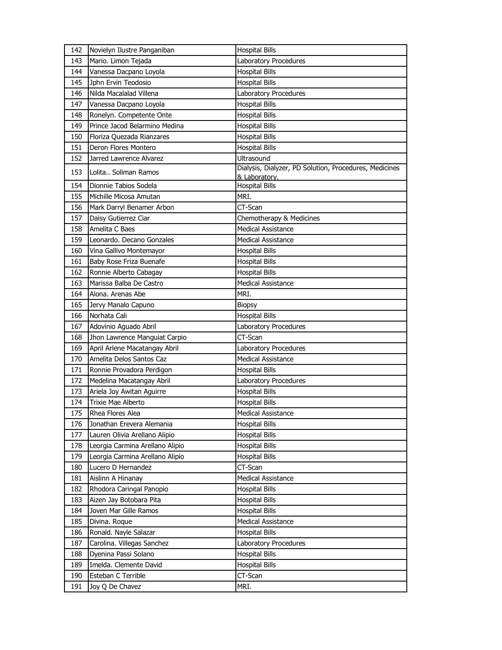| 142 | Novielyn Ilustre Panganiban     | <b>Hospital Bills</b>                                                   |
|-----|---------------------------------|-------------------------------------------------------------------------|
| 143 | Mario. Limon Tejada             | Laboratory Procedures                                                   |
| 144 | Vanessa Dacpano Loyola          | <b>Hospital Bills</b>                                                   |
| 145 | Jphn Ervin Teodosio             | <b>Hospital Bills</b>                                                   |
| 146 | Nilda Macalalad Villena         | Laboratory Procedures                                                   |
| 147 | Vanessa Dacpano Loyola          | <b>Hospital Bills</b>                                                   |
| 148 | Ronelyn. Competente Onte        | <b>Hospital Bills</b>                                                   |
| 149 | Prince Jacod Belarmino Medina   | <b>Hospital Bills</b>                                                   |
| 150 | Floriza Quezada Rianzares       | <b>Hospital Bills</b>                                                   |
| 151 | Deron Flores Montero            | <b>Hospital Bills</b>                                                   |
| 152 | Jarred Lawrence Alvarez         | Ultrasound                                                              |
| 153 | Lolita Soliman Ramos            | Dialysis, Dialyzer, PD Solution, Procedures, Medicines<br>& Laboratory. |
| 154 | Dionnie Tabios Sodela           | <b>Hospital Bills</b>                                                   |
| 155 | Michille Micosa Amutan          | MRI.                                                                    |
| 156 | Mark Darryl Benamer Arbon       | CT-Scan                                                                 |
| 157 | Daisy Gutierrez Ciar            | Chemotherapy & Medicines                                                |
| 158 | Amelita C Baes                  | <b>Medical Assistance</b>                                               |
| 159 | Leonardo. Decano Gonzales       | <b>Medical Assistance</b>                                               |
| 160 | Vina Gallivo Montemayor         | <b>Hospital Bills</b>                                                   |
| 161 | Baby Rose Friza Buenafe         | <b>Hospital Bills</b>                                                   |
| 162 | Ronnie Alberto Cabagay          | <b>Hospital Bills</b>                                                   |
| 163 | Marissa Balba De Castro         | <b>Medical Assistance</b>                                               |
| 164 | Alona. Arenas Abe               | MRI.                                                                    |
| 165 | Jervy Manalo Capuno             | <b>Biopsy</b>                                                           |
| 166 | Norhata Cali                    | <b>Hospital Bills</b>                                                   |
| 167 | Adovinio Aguado Abril           | Laboratory Procedures                                                   |
| 168 | Jhon Lawrence Manguiat Carpio   | CT-Scan                                                                 |
| 169 | April Arlene Macatangay Abril   | Laboratory Procedures                                                   |
| 170 | Amelita Delos Santos Caz        | <b>Medical Assistance</b>                                               |
| 171 | Ronnie Provadora Perdigon       | <b>Hospital Bills</b>                                                   |
| 172 | Medelina Macatangay Abril       | Laboratory Procedures                                                   |
| 173 | Ariela Joy Awitan Aguirre       | <b>Hospital Bills</b>                                                   |
| 174 | Trixie Mae Alberto              | <b>Hospital Bills</b>                                                   |
| 175 | Rhea Flores Alea                | Medical Assistance                                                      |
| 176 | Jonathan Erevera Alemania       | <b>Hospital Bills</b>                                                   |
| 177 | Lauren Olivia Arellano Alipio   | <b>Hospital Bills</b>                                                   |
| 178 | Leorgia Carmina Arellano Alipio | Hospital Bills                                                          |
| 179 | Leorgia Carmina Arellano Alipio | <b>Hospital Bills</b>                                                   |
| 180 | Lucero D Hernandez              | CT-Scan                                                                 |
| 181 | Aislinn A Hinanay               | Medical Assistance                                                      |
| 182 | Rhodora Caringal Panopio        | <b>Hospital Bills</b>                                                   |
| 183 | Aizen Jay Botobara Pita         | <b>Hospital Bills</b>                                                   |
| 184 | Joven Mar Gille Ramos           | Hospital Bills                                                          |
| 185 | Divina. Roque                   | <b>Medical Assistance</b>                                               |
| 186 | Ronald. Nayle Salazar           | <b>Hospital Bills</b>                                                   |
| 187 | Carolina. Villegas Sanchez      | Laboratory Procedures                                                   |
| 188 | Dyenina Passi Solano            | <b>Hospital Bills</b>                                                   |
| 189 | Imelda. Clemente David          | <b>Hospital Bills</b>                                                   |
| 190 | Esteban C Terrible              | CT-Scan                                                                 |
| 191 | Joy Q De Chavez                 | MRI.                                                                    |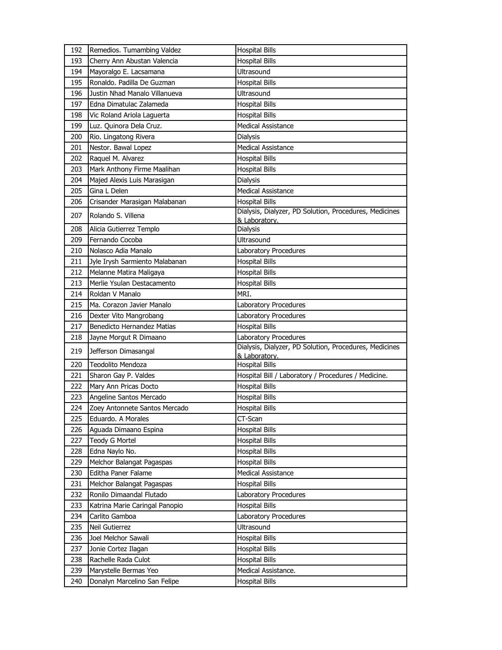| 192 | Remedios. Tumambing Valdez                 | <b>Hospital Bills</b>                                                           |
|-----|--------------------------------------------|---------------------------------------------------------------------------------|
| 193 | Cherry Ann Abustan Valencia                | <b>Hospital Bills</b>                                                           |
| 194 | Mayoralgo E. Lacsamana                     | <b>Ultrasound</b>                                                               |
| 195 | Ronaldo, Padilla De Guzman                 | <b>Hospital Bills</b>                                                           |
| 196 | Justin Nhad Manalo Villanueva              | <b>Ultrasound</b>                                                               |
| 197 | Edna Dimatulac Zalameda                    | <b>Hospital Bills</b>                                                           |
| 198 | Vic Roland Ariola Laguerta                 | <b>Hospital Bills</b>                                                           |
| 199 | Luz. Quinora Dela Cruz.                    | <b>Medical Assistance</b>                                                       |
| 200 | Rio. Lingatong Rivera                      | <b>Dialysis</b>                                                                 |
| 201 | Nestor. Bawal Lopez                        | <b>Medical Assistance</b>                                                       |
| 202 | Raquel M. Alvarez                          | <b>Hospital Bills</b>                                                           |
| 203 | Mark Anthony Firme Maalihan                | <b>Hospital Bills</b>                                                           |
| 204 | Majed Alexis Luis Marasigan                | <b>Dialysis</b>                                                                 |
| 205 | Gina L Delen                               | <b>Medical Assistance</b>                                                       |
| 206 | Crisander Marasigan Malabanan              | <b>Hospital Bills</b>                                                           |
| 207 | Rolando S. Villena                         | Dialysis, Dialyzer, PD Solution, Procedures, Medicines                          |
|     |                                            | & Laboratory.                                                                   |
| 208 | Alicia Gutierrez Templo<br>Fernando Cocoba | Dialysis<br>Ultrasound                                                          |
| 209 |                                            |                                                                                 |
| 210 | Nolasco Adia Manalo                        | Laboratory Procedures                                                           |
| 211 | Jyle Irysh Sarmiento Malabanan             | <b>Hospital Bills</b>                                                           |
| 212 | Melanne Matira Maligaya                    | <b>Hospital Bills</b>                                                           |
| 213 | Merlie Ysulan Destacamento                 | <b>Hospital Bills</b>                                                           |
| 214 | Roldan V Manalo                            | MRI.                                                                            |
| 215 | Ma. Corazon Javier Manalo                  | Laboratory Procedures                                                           |
| 216 | Dexter Vito Mangrobang                     | Laboratory Procedures                                                           |
| 217 | <b>Benedicto Hernandez Matias</b>          | <b>Hospital Bills</b>                                                           |
| 218 | Jayne Morgut R Dimaano                     | Laboratory Procedures<br>Dialysis, Dialyzer, PD Solution, Procedures, Medicines |
| 219 | Jefferson Dimasangal                       | & Laboratory.                                                                   |
| 220 | Teodolito Mendoza                          | <b>Hospital Bills</b>                                                           |
| 221 | Sharon Gay P. Valdes                       | Hospital Bill / Laboratory / Procedures / Medicine.                             |
| 222 | Mary Ann Pricas Docto                      | <b>Hospital Bills</b>                                                           |
| 223 | Angeline Santos Mercado                    | <b>Hospital Bills</b>                                                           |
| 224 | Zoey Antonnete Santos Mercado              | <b>Hospital Bills</b>                                                           |
| 225 | Eduardo. A Morales                         | CT-Scan                                                                         |
| 226 | Aguada Dimaano Espina                      | <b>Hospital Bills</b>                                                           |
| 227 | <b>Teody G Mortel</b>                      | <b>Hospital Bills</b>                                                           |
| 228 | Edna Naylo No.                             | <b>Hospital Bills</b>                                                           |
| 229 | Melchor Balangat Pagaspas                  | <b>Hospital Bills</b>                                                           |
| 230 | Editha Paner Falame                        | <b>Medical Assistance</b>                                                       |
| 231 | Melchor Balangat Pagaspas                  | <b>Hospital Bills</b>                                                           |
| 232 | Ronilo Dimaandal Flutado                   | Laboratory Procedures                                                           |
| 233 | Katrina Marie Caringal Panopio             | <b>Hospital Bills</b>                                                           |
| 234 | Carlito Gamboa                             | Laboratory Procedures                                                           |
| 235 | Neil Gutierrez                             | Ultrasound                                                                      |
| 236 | Joel Melchor Sawali                        | <b>Hospital Bills</b>                                                           |
| 237 | Jonie Cortez Ilagan                        | <b>Hospital Bills</b>                                                           |
| 238 | Rachelle Rada Culot                        | <b>Hospital Bills</b>                                                           |
| 239 | Marystelle Bermas Yeo                      | Medical Assistance.                                                             |
| 240 | Donalyn Marcelino San Felipe               | <b>Hospital Bills</b>                                                           |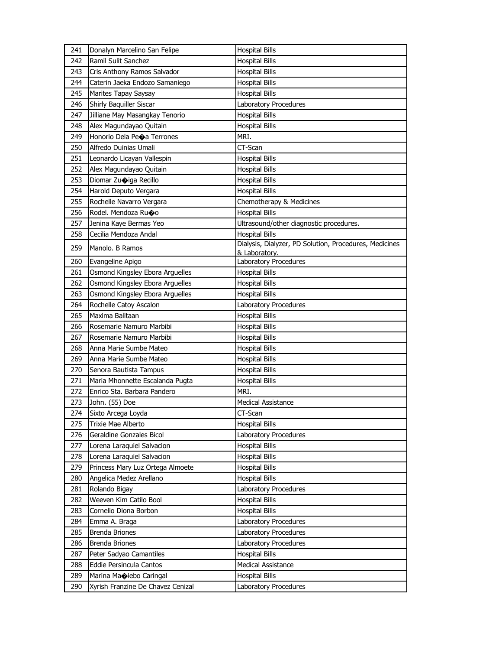| 241 | Donalyn Marcelino San Felipe      | <b>Hospital Bills</b>                                  |
|-----|-----------------------------------|--------------------------------------------------------|
| 242 | Ramil Sulit Sanchez               | <b>Hospital Bills</b>                                  |
| 243 | Cris Anthony Ramos Salvador       | <b>Hospital Bills</b>                                  |
| 244 | Caterin Jaeka Endozo Samaniego    | <b>Hospital Bills</b>                                  |
| 245 | Marites Tapay Saysay              | <b>Hospital Bills</b>                                  |
| 246 | Shirly Baquiller Siscar           | Laboratory Procedures                                  |
| 247 | Jilliane May Masangkay Tenorio    | <b>Hospital Bills</b>                                  |
| 248 | Alex Magundayao Quitain           | <b>Hospital Bills</b>                                  |
| 249 | Honorio Dela Peoa Terrones        | MRI.                                                   |
| 250 | Alfredo Duinias Umali             | CT-Scan                                                |
| 251 | Leonardo Licayan Vallespin        | <b>Hospital Bills</b>                                  |
| 252 | Alex Magundayao Quitain           | <b>Hospital Bills</b>                                  |
| 253 | Diomar Zuoiga Recillo             | <b>Hospital Bills</b>                                  |
| 254 | Harold Deputo Vergara             | <b>Hospital Bills</b>                                  |
| 255 | Rochelle Navarro Vergara          | Chemotherapy & Medicines                               |
| 256 | Rodel. Mendoza Ruoo               | <b>Hospital Bills</b>                                  |
| 257 | Jenina Kaye Bermas Yeo            | Ultrasound/other diagnostic procedures.                |
| 258 | Cecilia Mendoza Andal             | <b>Hospital Bills</b>                                  |
| 259 | Manolo. B Ramos                   | Dialysis, Dialyzer, PD Solution, Procedures, Medicines |
|     |                                   | & Laboratory.                                          |
| 260 | Evangeline Apigo                  | Laboratory Procedures                                  |
| 261 | Osmond Kingsley Ebora Arguelles   | <b>Hospital Bills</b>                                  |
| 262 | Osmond Kingsley Ebora Arguelles   | <b>Hospital Bills</b>                                  |
| 263 | Osmond Kingsley Ebora Arguelles   | <b>Hospital Bills</b>                                  |
| 264 | Rochelle Catoy Ascalon            | Laboratory Procedures                                  |
| 265 | Maxima Balitaan                   | <b>Hospital Bills</b>                                  |
| 266 | Rosemarie Namuro Marbibi          | <b>Hospital Bills</b>                                  |
| 267 | Rosemarie Namuro Marbibi          | <b>Hospital Bills</b>                                  |
| 268 | Anna Marie Sumbe Mateo            | <b>Hospital Bills</b>                                  |
| 269 | Anna Marie Sumbe Mateo            | <b>Hospital Bills</b>                                  |
| 270 | Senora Bautista Tampus            | <b>Hospital Bills</b>                                  |
| 271 | Maria Mhonnette Escalanda Pugta   | <b>Hospital Bills</b>                                  |
| 272 | Enrico Sta. Barbara Pandero       | MRI.                                                   |
| 273 | John. (55) Doe                    | <b>Medical Assistance</b>                              |
| 274 | Sixto Arcega Loyda                | CT-Scan                                                |
| 275 | Trixie Mae Alberto                | <b>Hospital Bills</b>                                  |
| 276 | Geraldine Gonzales Bicol          | Laboratory Procedures                                  |
| 277 | Lorena Laraquiel Salvacion        | <b>Hospital Bills</b>                                  |
| 278 | Lorena Laraquiel Salvacion        | <b>Hospital Bills</b>                                  |
| 279 | Princess Mary Luz Ortega Almoete  | <b>Hospital Bills</b>                                  |
| 280 | Angelica Medez Arellano           | <b>Hospital Bills</b>                                  |
| 281 | Rolando Bigay                     | Laboratory Procedures                                  |
| 282 | Weeven Kim Catilo Bool            | <b>Hospital Bills</b>                                  |
| 283 | Cornelio Diona Borbon             | <b>Hospital Bills</b>                                  |
| 284 | Emma A. Braga                     | Laboratory Procedures                                  |
| 285 | Brenda Briones                    | Laboratory Procedures                                  |
| 286 | <b>Brenda Briones</b>             | Laboratory Procedures                                  |
| 287 | Peter Sadyao Camantiles           | <b>Hospital Bills</b>                                  |
| 288 | Eddie Persincula Cantos           | Medical Assistance                                     |
| 289 | Marina Maniebo Caringal           | <b>Hospital Bills</b>                                  |
| 290 | Xyrish Franzine De Chavez Cenizal | Laboratory Procedures                                  |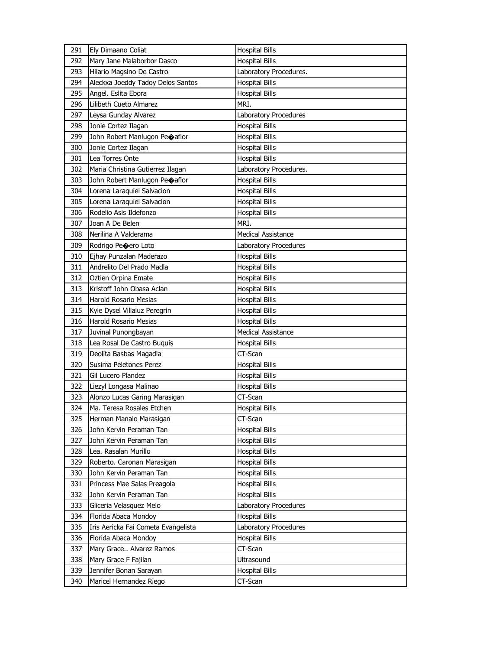| 291 | Ely Dimaano Coliat                  | <b>Hospital Bills</b>     |
|-----|-------------------------------------|---------------------------|
| 292 | Mary Jane Malaborbor Dasco          | <b>Hospital Bills</b>     |
| 293 | Hilario Magsino De Castro           | Laboratory Procedures.    |
| 294 | Aleckxa Joeddy Tadoy Delos Santos   | <b>Hospital Bills</b>     |
| 295 | Angel. Eslita Ebora                 | <b>Hospital Bills</b>     |
| 296 | Lilibeth Cueto Almarez              | MRI.                      |
| 297 | Leysa Gunday Alvarez                | Laboratory Procedures     |
| 298 | Jonie Cortez Ilagan                 | <b>Hospital Bills</b>     |
| 299 | John Robert Manlugon Peoaflor       | <b>Hospital Bills</b>     |
| 300 | Jonie Cortez Ilagan                 | <b>Hospital Bills</b>     |
| 301 | Lea Torres Onte                     | <b>Hospital Bills</b>     |
| 302 | Maria Christina Gutierrez Ilagan    | Laboratory Procedures.    |
| 303 | John Robert Manlugon Peoaflor       | <b>Hospital Bills</b>     |
| 304 | Lorena Laraquiel Salvacion          | <b>Hospital Bills</b>     |
| 305 | Lorena Laraquiel Salvacion          | <b>Hospital Bills</b>     |
| 306 | Rodelio Asis Ildefonzo              | <b>Hospital Bills</b>     |
| 307 | Joan A De Belen                     | MRI.                      |
| 308 | Nerilina A Valderama                | <b>Medical Assistance</b> |
| 309 | Rodrigo Peoero Loto                 | Laboratory Procedures     |
| 310 | Ejhay Punzalan Maderazo             | <b>Hospital Bills</b>     |
| 311 | Andrelito Del Prado Madla           | <b>Hospital Bills</b>     |
| 312 | Oztien Orpina Emate                 | <b>Hospital Bills</b>     |
| 313 | Kristoff John Obasa Aclan           | <b>Hospital Bills</b>     |
| 314 | Harold Rosario Mesias               | <b>Hospital Bills</b>     |
| 315 | Kyle Dysel Villaluz Peregrin        | <b>Hospital Bills</b>     |
| 316 | Harold Rosario Mesias               | <b>Hospital Bills</b>     |
| 317 | Juvinal Punongbayan                 | <b>Medical Assistance</b> |
| 318 | Lea Rosal De Castro Buquis          | <b>Hospital Bills</b>     |
| 319 | Deolita Basbas Magadia              | CT-Scan                   |
| 320 | Susima Peletones Perez              | <b>Hospital Bills</b>     |
| 321 | Gil Lucero Plandez                  | <b>Hospital Bills</b>     |
| 322 | Liezyl Longasa Malinao              | <b>Hospital Bills</b>     |
| 323 | Alonzo Lucas Garing Marasigan       | CT-Scan                   |
| 324 | Ma. Teresa Rosales Etchen           | <b>Hospital Bills</b>     |
| 325 | Herman Manalo Marasigan             | CT-Scan                   |
| 326 | John Kervin Peraman Tan             | <b>Hospital Bills</b>     |
| 327 | John Kervin Peraman Tan             | <b>Hospital Bills</b>     |
| 328 | Lea. Rasalan Murillo                | <b>Hospital Bills</b>     |
| 329 | Roberto. Caronan Marasigan          | <b>Hospital Bills</b>     |
| 330 | John Kervin Peraman Tan             | <b>Hospital Bills</b>     |
| 331 | Princess Mae Salas Preagola         | <b>Hospital Bills</b>     |
| 332 | John Kervin Peraman Tan             | <b>Hospital Bills</b>     |
| 333 | Gliceria Velasquez Melo             | Laboratory Procedures     |
| 334 | Florida Abaca Mondoy                | <b>Hospital Bills</b>     |
| 335 | Iris Aericka Fai Cometa Evangelista | Laboratory Procedures     |
| 336 | Florida Abaca Mondoy                | <b>Hospital Bills</b>     |
| 337 | Mary Grace Alvarez Ramos            | CT-Scan                   |
| 338 | Mary Grace F Fajilan                | Ultrasound                |
| 339 | Jennifer Bonan Sarayan              | <b>Hospital Bills</b>     |
| 340 | Maricel Hernandez Riego             | CT-Scan                   |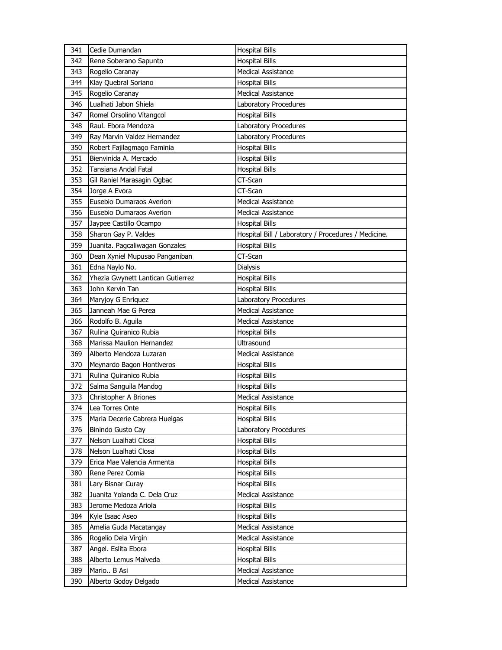| 341 | Cedie Dumandan                    | <b>Hospital Bills</b>                               |
|-----|-----------------------------------|-----------------------------------------------------|
| 342 | Rene Soberano Sapunto             | <b>Hospital Bills</b>                               |
| 343 | Rogelio Caranay                   | <b>Medical Assistance</b>                           |
| 344 | Klay Quebral Soriano              | <b>Hospital Bills</b>                               |
| 345 | Rogelio Caranay                   | <b>Medical Assistance</b>                           |
| 346 | Lualhati Jabon Shiela             | Laboratory Procedures                               |
| 347 | Romel Orsolino Vitangcol          | <b>Hospital Bills</b>                               |
| 348 | Raul. Ebora Mendoza               | Laboratory Procedures                               |
| 349 | Ray Marvin Valdez Hernandez       | Laboratory Procedures                               |
| 350 | Robert Fajilagmago Faminia        | <b>Hospital Bills</b>                               |
| 351 | Bienvinida A. Mercado             | <b>Hospital Bills</b>                               |
| 352 | Tansiana Andal Fatal              | <b>Hospital Bills</b>                               |
| 353 | Gil Raniel Marasagin Ogbac        | CT-Scan                                             |
| 354 | Jorge A Evora                     | CT-Scan                                             |
| 355 | Eusebio Dumaraos Averion          | <b>Medical Assistance</b>                           |
| 356 | Eusebio Dumaraos Averion          | <b>Medical Assistance</b>                           |
| 357 | Jaypee Castillo Ocampo            | <b>Hospital Bills</b>                               |
| 358 | Sharon Gay P. Valdes              | Hospital Bill / Laboratory / Procedures / Medicine. |
| 359 | Juanita. Pagcaliwagan Gonzales    | <b>Hospital Bills</b>                               |
| 360 | Dean Xyniel Mupusao Panganiban    | CT-Scan                                             |
| 361 | Edna Naylo No.                    | <b>Dialysis</b>                                     |
| 362 | Yhezia Gwynett Lantican Gutierrez | <b>Hospital Bills</b>                               |
| 363 | John Kervin Tan                   | <b>Hospital Bills</b>                               |
| 364 | Maryjoy G Enriquez                | Laboratory Procedures                               |
| 365 | Janneah Mae G Perea               | <b>Medical Assistance</b>                           |
| 366 | Rodolfo B. Aguila                 | Medical Assistance                                  |
| 367 | Rulina Quiranico Rubia            | <b>Hospital Bills</b>                               |
| 368 | Marissa Maulion Hernandez         | Ultrasound                                          |
| 369 | Alberto Mendoza Luzaran           | <b>Medical Assistance</b>                           |
| 370 | Meynardo Bagon Hontiveros         | <b>Hospital Bills</b>                               |
| 371 | Rulina Quiranico Rubia            | Hospital Bills                                      |
| 372 | Salma Sanguila Mandog             | <b>Hospital Bills</b>                               |
| 373 | Christopher A Briones             | <b>Medical Assistance</b>                           |
| 374 | Lea Torres Onte                   | <b>Hospital Bills</b>                               |
| 375 | Maria Decerie Cabrera Huelgas     | <b>Hospital Bills</b>                               |
| 376 | Binindo Gusto Cay                 | Laboratory Procedures                               |
| 377 | Nelson Lualhati Closa             | <b>Hospital Bills</b>                               |
| 378 | Nelson Lualhati Closa             | <b>Hospital Bills</b>                               |
| 379 | Erica Mae Valencia Armenta        | <b>Hospital Bills</b>                               |
| 380 | Rene Perez Comia                  | <b>Hospital Bills</b>                               |
| 381 | Lary Bisnar Curay                 | Hospital Bills                                      |
| 382 | Juanita Yolanda C. Dela Cruz      | Medical Assistance                                  |
| 383 | Jerome Medoza Ariola              | <b>Hospital Bills</b>                               |
| 384 | Kyle Isaac Aseo                   | <b>Hospital Bills</b>                               |
| 385 | Amelia Guda Macatangay            | Medical Assistance                                  |
| 386 |                                   |                                                     |
|     | Rogelio Dela Virgin               | Medical Assistance                                  |
| 387 | Angel. Eslita Ebora               | <b>Hospital Bills</b>                               |
| 388 | Alberto Lemus Malveda             | <b>Hospital Bills</b>                               |
| 389 | Mario B Asi                       | Medical Assistance<br>Medical Assistance            |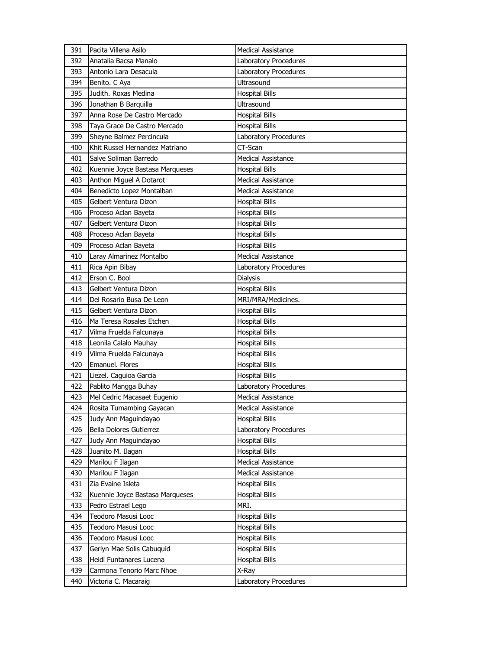| 391 | Pacita Villena Asilo            | <b>Medical Assistance</b>    |
|-----|---------------------------------|------------------------------|
| 392 | Anatalia Bacsa Manalo           | <b>Laboratory Procedures</b> |
| 393 | Antonio Lara Desacula           | Laboratory Procedures        |
| 394 | Benito. C Aya                   | <b>Ultrasound</b>            |
| 395 | Judith. Roxas Medina            | <b>Hospital Bills</b>        |
| 396 | Jonathan B Barquilla            | Ultrasound                   |
| 397 | Anna Rose De Castro Mercado     | <b>Hospital Bills</b>        |
| 398 | Taya Grace De Castro Mercado    | <b>Hospital Bills</b>        |
| 399 | Sheyne Balmez Percincula        | Laboratory Procedures        |
| 400 | Khit Russel Hernandez Matriano  | CT-Scan                      |
| 401 | Salve Soliman Barredo           | <b>Medical Assistance</b>    |
| 402 | Kuennie Joyce Bastasa Marqueses | <b>Hospital Bills</b>        |
| 403 | Anthon Miguel A Dotarot         | <b>Medical Assistance</b>    |
| 404 | Benedicto Lopez Montalban       | <b>Medical Assistance</b>    |
| 405 | Gelbert Ventura Dizon           | <b>Hospital Bills</b>        |
| 406 | Proceso Aclan Bayeta            | <b>Hospital Bills</b>        |
| 407 | Gelbert Ventura Dizon           | <b>Hospital Bills</b>        |
| 408 | Proceso Aclan Bayeta            | <b>Hospital Bills</b>        |
| 409 | Proceso Aclan Bayeta            | <b>Hospital Bills</b>        |
| 410 | Laray Almarinez Montalbo        | <b>Medical Assistance</b>    |
| 411 | Rica Apin Bibay                 | Laboratory Procedures        |
| 412 | Erson C. Bool                   | Dialysis                     |
| 413 | Gelbert Ventura Dizon           | <b>Hospital Bills</b>        |
| 414 | Del Rosario Busa De Leon        | MRI/MRA/Medicines.           |
| 415 | Gelbert Ventura Dizon           | <b>Hospital Bills</b>        |
|     |                                 |                              |
| 416 | Ma Teresa Rosales Etchen        | <b>Hospital Bills</b>        |
| 417 | Vilma Fruelda Falcunaya         | <b>Hospital Bills</b>        |
| 418 | Leonila Calalo Mauhay           | <b>Hospital Bills</b>        |
| 419 | Vilma Fruelda Falcunaya         | <b>Hospital Bills</b>        |
| 420 | Emanuel. Flores                 | <b>Hospital Bills</b>        |
| 421 | Liezel. Caguioa Garcia          | <b>Hospital Bills</b>        |
| 422 | Pablito Mangga Buhay            | Laboratory Procedures        |
| 423 | Mel Cedric Macasaet Eugenio     | <b>Medical Assistance</b>    |
| 424 | Rosita Tumambing Gayacan        | <b>Medical Assistance</b>    |
| 425 | Judy Ann Maguindayao            | <b>Hospital Bills</b>        |
| 426 | Bella Dolores Gutierrez         | Laboratory Procedures        |
| 427 | Judy Ann Maguindayao            | <b>Hospital Bills</b>        |
| 428 | Juanito M. Ilagan               | <b>Hospital Bills</b>        |
| 429 | Marilou F Ilagan                | <b>Medical Assistance</b>    |
| 430 | Marilou F Ilagan                | Medical Assistance           |
| 431 | Zia Evaine Isleta               | <b>Hospital Bills</b>        |
| 432 | Kuennie Joyce Bastasa Marqueses | <b>Hospital Bills</b>        |
| 433 | Pedro Estrael Lego              | MRI.                         |
| 434 | Teodoro Masusi Looc             | <b>Hospital Bills</b>        |
| 435 | Teodoro Masusi Looc             | <b>Hospital Bills</b>        |
| 436 | Teodoro Masusi Looc             | <b>Hospital Bills</b>        |
| 437 | Gerlyn Mae Solis Cabuquid       | <b>Hospital Bills</b>        |
| 438 | Heidi Funtanares Lucena         | <b>Hospital Bills</b>        |
| 439 | Carmona Tenorio Marc Nhoe       | X-Ray                        |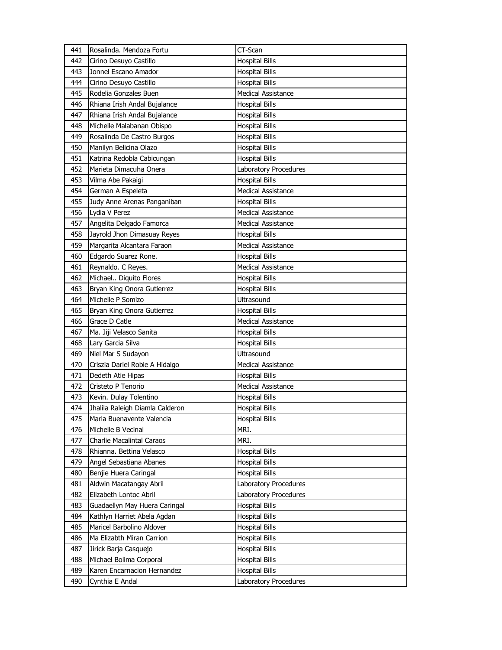| 441        | Rosalinda, Mendoza Fortu                                  | CT-Scan                                        |
|------------|-----------------------------------------------------------|------------------------------------------------|
| 442        | Cirino Desuyo Castillo                                    | <b>Hospital Bills</b>                          |
| 443        | Jonnel Escano Amador                                      | <b>Hospital Bills</b>                          |
| 444        | Cirino Desuyo Castillo                                    | <b>Hospital Bills</b>                          |
| 445        | Rodelia Gonzales Buen                                     | <b>Medical Assistance</b>                      |
| 446        | Rhiana Irish Andal Bujalance                              | <b>Hospital Bills</b>                          |
| 447        | Rhiana Irish Andal Bujalance                              | <b>Hospital Bills</b>                          |
| 448        | Michelle Malabanan Obispo                                 | <b>Hospital Bills</b>                          |
| 449        | Rosalinda De Castro Burgos                                | <b>Hospital Bills</b>                          |
| 450        | Manilyn Belicina Olazo                                    | <b>Hospital Bills</b>                          |
| 451        | Katrina Redobla Cabicungan                                | <b>Hospital Bills</b>                          |
| 452        | Marieta Dimacuha Onera                                    | Laboratory Procedures                          |
| 453        | Vilma Abe Pakaigi                                         | <b>Hospital Bills</b>                          |
| 454        | German A Espeleta                                         | <b>Medical Assistance</b>                      |
| 455        | Judy Anne Arenas Panganiban                               | <b>Hospital Bills</b>                          |
| 456        | Lydia V Perez                                             | <b>Medical Assistance</b>                      |
| 457        | Angelita Delgado Famorca                                  | <b>Medical Assistance</b>                      |
| 458        | Jayrold Jhon Dimasuay Reyes                               | <b>Hospital Bills</b>                          |
| 459        | Margarita Alcantara Faraon                                | <b>Medical Assistance</b>                      |
| 460        | Edgardo Suarez Rone.                                      | <b>Hospital Bills</b>                          |
| 461        | Reynaldo. C Reyes.                                        | <b>Medical Assistance</b>                      |
| 462        | Michael Diquito Flores                                    | <b>Hospital Bills</b>                          |
| 463        | Bryan King Onora Gutierrez                                | <b>Hospital Bills</b>                          |
| 464        | Michelle P Somizo                                         | Ultrasound                                     |
| 465        | Bryan King Onora Gutierrez                                | <b>Hospital Bills</b>                          |
| 466        | Grace D Catle                                             | <b>Medical Assistance</b>                      |
|            |                                                           |                                                |
| 467        |                                                           |                                                |
| 468        | Ma. Jiji Velasco Sanita                                   | <b>Hospital Bills</b>                          |
| 469        | Lary Garcia Silva                                         | <b>Hospital Bills</b><br><b>Ultrasound</b>     |
| 470        | Niel Mar S Sudayon                                        | <b>Medical Assistance</b>                      |
| 471        | Criszia Dariel Robie A Hidalgo<br>Dedeth Atie Hipas       |                                                |
| 472        | Cristeto P Tenorio                                        | <b>Hospital Bills</b>                          |
| 473        |                                                           | Medical Assistance                             |
| 474        | Kevin. Dulay Tolentino<br>Jhalila Raleigh Diamla Calderon | <b>Hospital Bills</b><br><b>Hospital Bills</b> |
| 475        | Marla Buenavente Valencia                                 |                                                |
| 476        | Michelle B Vecinal                                        | <b>Hospital Bills</b><br>MRI.                  |
| 477        | Charlie Macalintal Caraos                                 | MRI.                                           |
| 478        |                                                           | <b>Hospital Bills</b>                          |
| 479        | Rhianna. Bettina Velasco                                  | <b>Hospital Bills</b>                          |
| 480        | Angel Sebastiana Abanes                                   |                                                |
|            | Benjie Huera Caringal                                     | <b>Hospital Bills</b>                          |
| 481        | Aldwin Macatangay Abril                                   | Laboratory Procedures                          |
| 482<br>483 | Elizabeth Lontoc Abril<br>Guadaellyn May Huera Caringal   | Laboratory Procedures<br><b>Hospital Bills</b> |
| 484        | Kathlyn Harriet Abela Agdan                               | <b>Hospital Bills</b>                          |
| 485        | Maricel Barbolino Aldover                                 | <b>Hospital Bills</b>                          |
|            |                                                           |                                                |
| 486<br>487 | Ma Elizabth Miran Carrion                                 | <b>Hospital Bills</b>                          |
| 488        | Jirick Barja Casquejo                                     | <b>Hospital Bills</b><br><b>Hospital Bills</b> |
| 489        | Michael Bolima Corporal<br>Karen Encarnacion Hernandez    | <b>Hospital Bills</b>                          |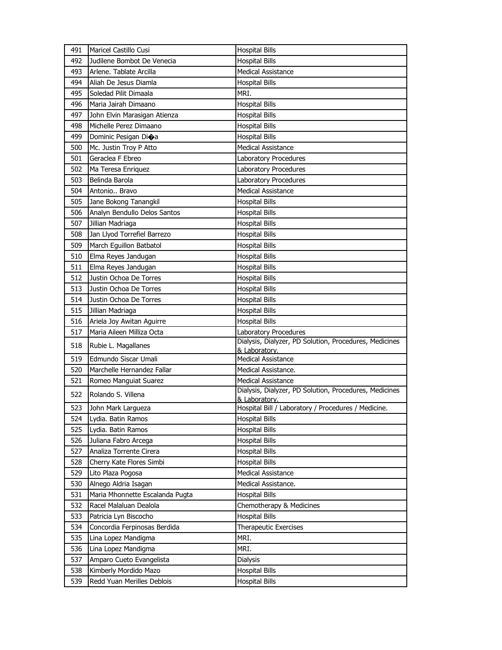| 491 | <b>Maricel Castillo Cusi</b>    | <b>Hospital Bills</b>                                  |
|-----|---------------------------------|--------------------------------------------------------|
| 492 | Judilene Bombot De Venecia      | <b>Hospital Bills</b>                                  |
| 493 | Arlene. Tablate Arcilla         | Medical Assistance                                     |
| 494 | Aliah De Jesus Diamla           | <b>Hospital Bills</b>                                  |
| 495 | Soledad Pilit Dimaala           | MRI.                                                   |
| 496 | Maria Jairah Dimaano            | <b>Hospital Bills</b>                                  |
| 497 | John Elvin Marasigan Atienza    | <b>Hospital Bills</b>                                  |
| 498 | Michelle Perez Dimaano          | <b>Hospital Bills</b>                                  |
| 499 | Dominic Pesigan Dioa            | <b>Hospital Bills</b>                                  |
| 500 | Mc. Justin Troy P Atto          | <b>Medical Assistance</b>                              |
| 501 | Geraclea F Ebreo                | Laboratory Procedures                                  |
| 502 | Ma Teresa Enriquez              | Laboratory Procedures                                  |
| 503 | Belinda Barola                  | Laboratory Procedures                                  |
| 504 | Antonio Bravo                   | <b>Medical Assistance</b>                              |
| 505 | Jane Bokong Tanangkil           | <b>Hospital Bills</b>                                  |
| 506 | Analyn Bendullo Delos Santos    | <b>Hospital Bills</b>                                  |
| 507 | Jillian Madriaga                | <b>Hospital Bills</b>                                  |
| 508 | Jan Llyod Torrefiel Barrezo     | <b>Hospital Bills</b>                                  |
| 509 | March Eguillon Batbatol         | <b>Hospital Bills</b>                                  |
| 510 | Elma Reyes Jandugan             | <b>Hospital Bills</b>                                  |
| 511 | Elma Reyes Jandugan             | <b>Hospital Bills</b>                                  |
| 512 | Justin Ochoa De Torres          | <b>Hospital Bills</b>                                  |
| 513 | Justin Ochoa De Torres          | <b>Hospital Bills</b>                                  |
| 514 | Justin Ochoa De Torres          | <b>Hospital Bills</b>                                  |
| 515 | Jillian Madriaga                | <b>Hospital Bills</b>                                  |
| 516 | Ariela Joy Awitan Aguirre       | <b>Hospital Bills</b>                                  |
| 517 | Maria Aileen Milliza Octa       | Laboratory Procedures                                  |
| 518 | Rubie L. Magallanes             | Dialysis, Dialyzer, PD Solution, Procedures, Medicines |
| 519 | Edmundo Siscar Umali            | & Laboratory.<br><b>Medical Assistance</b>             |
| 520 | Marchelle Hernandez Fallar      | Medical Assistance.                                    |
| 521 | Romeo Manguiat Suarez           | <b>Medical Assistance</b>                              |
|     |                                 | Dialysis, Dialyzer, PD Solution, Procedures, Medicines |
| 522 | Rolando S. Villena              | & Laboratory.                                          |
| 523 | John Mark Largueza              | Hospital Bill / Laboratory / Procedures / Medicine.    |
| 524 | Lydia. Batin Ramos              | <b>Hospital Bills</b>                                  |
| 525 | Lydia. Batin Ramos              | <b>Hospital Bills</b>                                  |
| 526 | Juliana Fabro Arcega            | <b>Hospital Bills</b>                                  |
| 527 | Analiza Torrente Cirera         | <b>Hospital Bills</b>                                  |
| 528 | Cherry Kate Flores Simbi        | <b>Hospital Bills</b>                                  |
| 529 | Lito Plaza Pogosa               | Medical Assistance                                     |
| 530 | Alnego Aldria Isagan            | Medical Assistance.                                    |
| 531 | Maria Mhonnette Escalanda Pugta | <b>Hospital Bills</b>                                  |
| 532 | Racel Malaluan Dealola          | Chemotherapy & Medicines                               |
| 533 | Patricia Lyn Biscocho           | <b>Hospital Bills</b>                                  |
| 534 | Concordia Ferpinosas Berdida    | <b>Therapeutic Exercises</b>                           |
| 535 | Lina Lopez Mandigma             | MRI.                                                   |
| 536 | Lina Lopez Mandigma             | MRI.                                                   |
| 537 | Amparo Cueto Evangelista        | Dialysis                                               |
| 538 | Kimberly Mordido Mazo           | <b>Hospital Bills</b>                                  |
| 539 | Redd Yuan Merilles Deblois      | <b>Hospital Bills</b>                                  |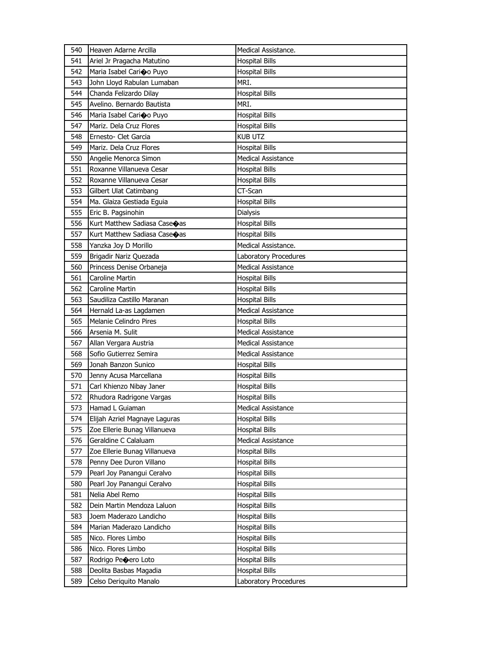| 540 | Heaven Adarne Arcilla         | Medical Assistance.          |
|-----|-------------------------------|------------------------------|
| 541 | Ariel Jr Pragacha Matutino    | <b>Hospital Bills</b>        |
| 542 | Maria Isabel Carioo Puyo      | <b>Hospital Bills</b>        |
| 543 | John Lloyd Rabulan Lumaban    | MRI.                         |
| 544 | Chanda Felizardo Dilay        | <b>Hospital Bills</b>        |
| 545 | Avelino. Bernardo Bautista    | MRI.                         |
| 546 | Maria Isabel Carioo Puyo      | <b>Hospital Bills</b>        |
| 547 | Mariz. Dela Cruz Flores       | <b>Hospital Bills</b>        |
| 548 | Ernesto- Clet Garcia          | <b>KUB UTZ</b>               |
| 549 | Mariz. Dela Cruz Flores       | <b>Hospital Bills</b>        |
| 550 | Angelie Menorca Simon         | <b>Medical Assistance</b>    |
| 551 | Roxanne Villanueva Cesar      | <b>Hospital Bills</b>        |
| 552 | Roxanne Villanueva Cesar      | <b>Hospital Bills</b>        |
| 553 | Gilbert Ulat Catimbang        | CT-Scan                      |
| 554 | Ma. Glaiza Gestiada Eguia     | <b>Hospital Bills</b>        |
| 555 | Eric B. Pagsinohin            | Dialysis                     |
| 556 | Kurt Matthew Sadiasa Caseoas  | <b>Hospital Bills</b>        |
| 557 | Kurt Matthew Sadiasa Caseoas  | <b>Hospital Bills</b>        |
| 558 | Yanzka Joy D Morillo          | Medical Assistance.          |
| 559 | Brigadir Nariz Quezada        | <b>Laboratory Procedures</b> |
| 560 | Princess Denise Orbaneja      | <b>Medical Assistance</b>    |
| 561 | Caroline Martin               | <b>Hospital Bills</b>        |
| 562 | Caroline Martin               | <b>Hospital Bills</b>        |
| 563 | Saudiliza Castillo Maranan    | <b>Hospital Bills</b>        |
| 564 | Hernald La-as Lagdamen        | <b>Medical Assistance</b>    |
|     | Melanie Celindro Pires        | <b>Hospital Bills</b>        |
| 565 |                               |                              |
| 566 | Arsenia M. Sulit              | <b>Medical Assistance</b>    |
| 567 | Allan Vergara Austria         | <b>Medical Assistance</b>    |
| 568 | Sofio Gutierrez Semira        | <b>Medical Assistance</b>    |
| 569 | Jonah Banzon Sunico           | <b>Hospital Bills</b>        |
| 570 | Jenny Acusa Marcellana        | Hospital Bills               |
| 571 | Carl Khienzo Nibay Janer      | <b>Hospital Bills</b>        |
| 572 | Rhudora Radrigone Vargas      | <b>Hospital Bills</b>        |
| 573 | Hamad L Guiaman               | <b>Medical Assistance</b>    |
| 574 | Elijah Azriel Magnaye Laguras | <b>Hospital Bills</b>        |
| 575 | Zoe Ellerie Bunag Villanueva  | <b>Hospital Bills</b>        |
| 576 | Geraldine C Calaluam          | <b>Medical Assistance</b>    |
| 577 | Zoe Ellerie Bunag Villanueva  | <b>Hospital Bills</b>        |
| 578 | Penny Dee Duron Villano       | <b>Hospital Bills</b>        |
| 579 | Pearl Joy Panangui Ceralvo    | <b>Hospital Bills</b>        |
| 580 | Pearl Joy Panangui Ceralvo    | Hospital Bills               |
| 581 | Nelia Abel Remo               | <b>Hospital Bills</b>        |
| 582 | Dein Martin Mendoza Laluon    | <b>Hospital Bills</b>        |
| 583 | Joem Maderazo Landicho        | <b>Hospital Bills</b>        |
| 584 | Marian Maderazo Landicho      | <b>Hospital Bills</b>        |
| 585 | Nico. Flores Limbo            | <b>Hospital Bills</b>        |
| 586 | Nico. Flores Limbo            | <b>Hospital Bills</b>        |
| 587 | Rodrigo Peoero Loto           | <b>Hospital Bills</b>        |
| 588 | Deolita Basbas Magadia        | <b>Hospital Bills</b>        |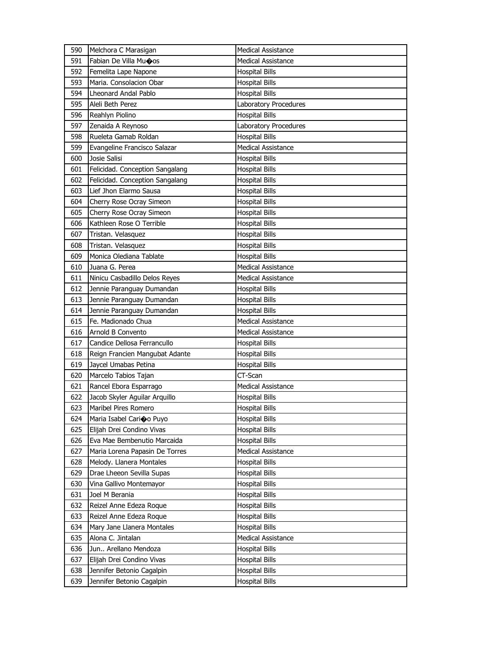| 590        | Melchora C Marasigan            | <b>Medical Assistance</b>    |
|------------|---------------------------------|------------------------------|
| 591        | Fabian De Villa Mu�os           | <b>Medical Assistance</b>    |
| 592        | Femelita Lape Napone            | <b>Hospital Bills</b>        |
| 593        | Maria. Consolacion Obar         | <b>Hospital Bills</b>        |
| 594        | Lheonard Andal Pablo            | <b>Hospital Bills</b>        |
| 595        | Aleli Beth Perez                | <b>Laboratory Procedures</b> |
| 596        | Reahlyn Piolino                 | <b>Hospital Bills</b>        |
| 597        | Zenaida A Reynoso               | Laboratory Procedures        |
| 598        | Rueleta Gamab Roldan            | <b>Hospital Bills</b>        |
| 599        | Evangeline Francisco Salazar    | <b>Medical Assistance</b>    |
| 600        | Josie Salisi                    | <b>Hospital Bills</b>        |
| 601        | Felicidad. Conception Sangalang | <b>Hospital Bills</b>        |
| 602        | Felicidad. Conception Sangalang | <b>Hospital Bills</b>        |
| 603        | Lief Jhon Elarmo Sausa          | <b>Hospital Bills</b>        |
| 604        | Cherry Rose Ocray Simeon        | <b>Hospital Bills</b>        |
| 605        | Cherry Rose Ocray Simeon        | <b>Hospital Bills</b>        |
| 606        | Kathleen Rose O Terrible        | <b>Hospital Bills</b>        |
| 607        | Tristan. Velasquez              | <b>Hospital Bills</b>        |
| 608        | Tristan. Velasquez              | <b>Hospital Bills</b>        |
| 609        | Monica Olediana Tablate         | <b>Hospital Bills</b>        |
| 610        | Juana G. Perea                  | <b>Medical Assistance</b>    |
| 611        | Ninicu Casbadillo Delos Reyes   | Medical Assistance           |
| 612        | Jennie Paranguay Dumandan       | <b>Hospital Bills</b>        |
| 613        | Jennie Paranguay Dumandan       | <b>Hospital Bills</b>        |
| 614        | Jennie Paranguay Dumandan       | <b>Hospital Bills</b>        |
|            |                                 |                              |
| 615        | Fe. Madionado Chua              | <b>Medical Assistance</b>    |
| 616        | Arnold B Convento               | <b>Medical Assistance</b>    |
| 617        | Candice Dellosa Ferrancullo     | <b>Hospital Bills</b>        |
| 618        | Reign Francien Mangubat Adante  | <b>Hospital Bills</b>        |
| 619        | Jaycel Umabas Petina            | <b>Hospital Bills</b>        |
| 620        | Marcelo Tabios Tajan            | CT-Scan                      |
| 621        | Rancel Ebora Esparrago          | <b>Medical Assistance</b>    |
| 622        | Jacob Skyler Aguilar Arquillo   | <b>Hospital Bills</b>        |
| 623        | Maribel Pires Romero            | <b>Hospital Bills</b>        |
| 624        | Maria Isabel Carioo Puyo        | <b>Hospital Bills</b>        |
| 625        | Elijah Drei Condino Vivas       | <b>Hospital Bills</b>        |
| 626        | Eva Mae Bembenutio Marcaida     | <b>Hospital Bills</b>        |
| 627        | Maria Lorena Papasin De Torres  | Medical Assistance           |
| 628        | Melody. Llanera Montales        | <b>Hospital Bills</b>        |
| 629        | Drae Lheeon Sevilla Supas       | <b>Hospital Bills</b>        |
| 630        | Vina Gallivo Montemayor         | <b>Hospital Bills</b>        |
| 631        | Joel M Berania                  | <b>Hospital Bills</b>        |
| 632        | Reizel Anne Edeza Roque         | <b>Hospital Bills</b>        |
| 633        | Reizel Anne Edeza Roque         | <b>Hospital Bills</b>        |
| 634        | Mary Jane Llanera Montales      | <b>Hospital Bills</b>        |
| 635        | Alona C. Jintalan               | <b>Medical Assistance</b>    |
| 636        | Jun Arellano Mendoza            | <b>Hospital Bills</b>        |
| 637        | Elijah Drei Condino Vivas       | <b>Hospital Bills</b>        |
| 638<br>639 | Jennifer Betonio Cagalpin       | <b>Hospital Bills</b>        |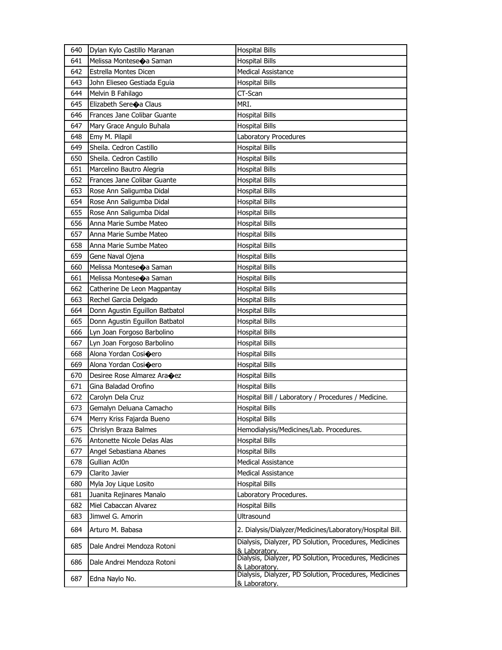| 640 | Dylan Kylo Castillo Maranan            | <b>Hospital Bills</b>                                                   |
|-----|----------------------------------------|-------------------------------------------------------------------------|
| 641 | Melissa Monteseoa Saman                | <b>Hospital Bills</b>                                                   |
| 642 | <b>Estrella Montes Dicen</b>           | <b>Medical Assistance</b>                                               |
| 643 | John Elieseo Gestiada Eguia            | <b>Hospital Bills</b>                                                   |
| 644 | Melvin B Fahilago                      | CT-Scan                                                                 |
| 645 | Elizabeth Sere $\bigcirc$ a Claus      | MRI.                                                                    |
| 646 | Frances Jane Colibar Guante            | <b>Hospital Bills</b>                                                   |
| 647 | Mary Grace Angulo Buhala               | <b>Hospital Bills</b>                                                   |
| 648 | Emy M. Pilapil                         | Laboratory Procedures                                                   |
| 649 | Sheila. Cedron Castillo                | <b>Hospital Bills</b>                                                   |
| 650 | Sheila, Cedron Castillo                | <b>Hospital Bills</b>                                                   |
| 651 | Marcelino Bautro Alegria               | <b>Hospital Bills</b>                                                   |
| 652 | Frances Jane Colibar Guante            | <b>Hospital Bills</b>                                                   |
| 653 | Rose Ann Saligumba Didal               | <b>Hospital Bills</b>                                                   |
| 654 | Rose Ann Saligumba Didal               | <b>Hospital Bills</b>                                                   |
| 655 | Rose Ann Saligumba Didal               | <b>Hospital Bills</b>                                                   |
| 656 | Anna Marie Sumbe Mateo                 | <b>Hospital Bills</b>                                                   |
| 657 | Anna Marie Sumbe Mateo                 | <b>Hospital Bills</b>                                                   |
| 658 | Anna Marie Sumbe Mateo                 | <b>Hospital Bills</b>                                                   |
| 659 | Gene Naval Ojena                       | <b>Hospital Bills</b>                                                   |
| 660 | Melissa Monteseoa Saman                | <b>Hospital Bills</b>                                                   |
| 661 | Melissa Monteseoa Saman                | <b>Hospital Bills</b>                                                   |
| 662 | Catherine De Leon Magpantay            | <b>Hospital Bills</b>                                                   |
| 663 | Rechel Garcia Delgado                  | <b>Hospital Bills</b>                                                   |
| 664 | Donn Agustin Eguillon Batbatol         | <b>Hospital Bills</b>                                                   |
| 665 | Donn Agustin Eguillon Batbatol         | <b>Hospital Bills</b>                                                   |
| 666 | Lyn Joan Forgoso Barbolino             | Hospital Bills                                                          |
| 667 | Lyn Joan Forgoso Barbolino             | <b>Hospital Bills</b>                                                   |
| 668 | Alona Yordan Cosi�ero                  | <b>Hospital Bills</b>                                                   |
| 669 | Alona Yordan Cosioero                  | <b>Hospital Bills</b>                                                   |
| 670 | Desiree Rose Almarez Ara $\bigcirc$ ez | <b>Hospital Bills</b>                                                   |
| 671 | Gina Baladad Orofino                   | <b>Hospital Bills</b>                                                   |
| 672 | Carolyn Dela Cruz                      | Hospital Bill / Laboratory / Procedures / Medicine.                     |
| 673 | Gemalyn Deluana Camacho                | <b>Hospital Bills</b>                                                   |
| 674 | Merry Kriss Fajarda Bueno              | <b>Hospital Bills</b>                                                   |
| 675 | Chrislyn Braza Balmes                  | Hemodialysis/Medicines/Lab. Procedures.                                 |
| 676 | Antonette Nicole Delas Alas            | <b>Hospital Bills</b>                                                   |
| 677 | Angel Sebastiana Abanes                | <b>Hospital Bills</b>                                                   |
| 678 | Gullian Acl0n                          | <b>Medical Assistance</b>                                               |
| 679 | Clarito Javier                         | Medical Assistance                                                      |
| 680 | Myla Joy Lique Losito                  | <b>Hospital Bills</b>                                                   |
| 681 | Juanita Rejinares Manalo               | Laboratory Procedures.                                                  |
| 682 | Miel Cabaccan Alvarez                  | <b>Hospital Bills</b>                                                   |
| 683 | Jimwel G. Amorin                       | Ultrasound                                                              |
| 684 | Arturo M. Babasa                       | 2. Dialysis/Dialyzer/Medicines/Laboratory/Hospital Bill.                |
| 685 | Dale Andrei Mendoza Rotoni             | Dialysis, Dialyzer, PD Solution, Procedures, Medicines<br>& Laboratory. |
| 686 | Dale Andrei Mendoza Rotoni             | Dialysis, Dialyzer, PD Solution, Procedures, Medicines<br>& Laboratorv. |
| 687 | Edna Naylo No.                         | Dialysis, Dialyzer, PD Solution, Procedures, Medicines<br>& Laboratory. |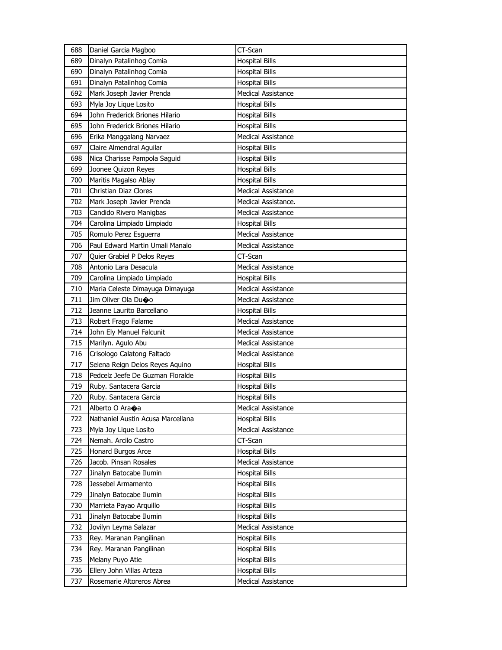| 688 | Daniel Garcia Magboo              | CT-Scan                   |
|-----|-----------------------------------|---------------------------|
| 689 | Dinalyn Patalinhog Comia          | <b>Hospital Bills</b>     |
| 690 | Dinalyn Patalinhog Comia          | <b>Hospital Bills</b>     |
| 691 | Dinalyn Patalinhog Comia          | <b>Hospital Bills</b>     |
| 692 | Mark Joseph Javier Prenda         | <b>Medical Assistance</b> |
| 693 | Myla Joy Lique Losito             | Hospital Bills            |
| 694 | John Frederick Briones Hilario    | <b>Hospital Bills</b>     |
| 695 | John Frederick Briones Hilario    | <b>Hospital Bills</b>     |
| 696 | Erika Manggalang Narvaez          | <b>Medical Assistance</b> |
| 697 | Claire Almendral Aguilar          | <b>Hospital Bills</b>     |
| 698 | Nica Charisse Pampola Saguid      | <b>Hospital Bills</b>     |
| 699 | Joonee Quizon Reyes               | <b>Hospital Bills</b>     |
| 700 | Maritis Magalso Ablay             | <b>Hospital Bills</b>     |
| 701 | Christian Diaz Clores             | <b>Medical Assistance</b> |
| 702 | Mark Joseph Javier Prenda         | Medical Assistance.       |
| 703 | Candido Rivero Manigbas           | Medical Assistance        |
| 704 | Carolina Limpiado Limpiado        | <b>Hospital Bills</b>     |
| 705 | Romulo Perez Esguerra             | <b>Medical Assistance</b> |
| 706 | Paul Edward Martin Umali Manalo   | <b>Medical Assistance</b> |
| 707 | Quier Grabiel P Delos Reyes       | CT-Scan                   |
| 708 | Antonio Lara Desacula             | <b>Medical Assistance</b> |
| 709 | Carolina Limpiado Limpiado        | <b>Hospital Bills</b>     |
| 710 | Maria Celeste Dimayuga Dimayuga   | Medical Assistance        |
| 711 | Jim Oliver Ola Du�o               | <b>Medical Assistance</b> |
| 712 | Jeanne Laurito Barcellano         | <b>Hospital Bills</b>     |
|     |                                   |                           |
| 713 | Robert Frago Falame               | Medical Assistance        |
| 714 | John Ely Manuel Falcunit          | <b>Medical Assistance</b> |
| 715 | Marilyn. Agulo Abu                | Medical Assistance        |
| 716 | Crisologo Calatong Faltado        | <b>Medical Assistance</b> |
| 717 | Selena Reign Delos Reyes Aquino   | <b>Hospital Bills</b>     |
| 718 | Pedcelz Jeefe De Guzman Floralde  | Hospital Bills            |
| 719 | Ruby. Santacera Garcia            | <b>Hospital Bills</b>     |
| 720 | Ruby. Santacera Garcia            | <b>Hospital Bills</b>     |
| 721 | Alberto O Ara+a                   | Medical Assistance        |
| 722 | Nathaniel Austin Acusa Marcellana | <b>Hospital Bills</b>     |
| 723 | Myla Joy Lique Losito             | Medical Assistance        |
| 724 | Nemah. Arcilo Castro              | CT-Scan                   |
| 725 | Honard Burgos Arce                | <b>Hospital Bills</b>     |
| 726 | Jacob. Pinsan Rosales             | Medical Assistance        |
| 727 | Jinalyn Batocabe Ilumin           | <b>Hospital Bills</b>     |
| 728 | Jessebel Armamento                | Hospital Bills            |
| 729 | Jinalyn Batocabe Ilumin           | Hospital Bills            |
| 730 | Marrieta Payao Arquillo           | <b>Hospital Bills</b>     |
| 731 | Jinalyn Batocabe Ilumin           | <b>Hospital Bills</b>     |
| 732 | Jovilyn Leyma Salazar             | Medical Assistance        |
| 733 | Rey. Maranan Pangilinan           | <b>Hospital Bills</b>     |
| 734 | Rey. Maranan Pangilinan           | <b>Hospital Bills</b>     |
| 735 | Melany Puyo Atie                  | <b>Hospital Bills</b>     |
| 736 | Ellery John Villas Arteza         | <b>Hospital Bills</b>     |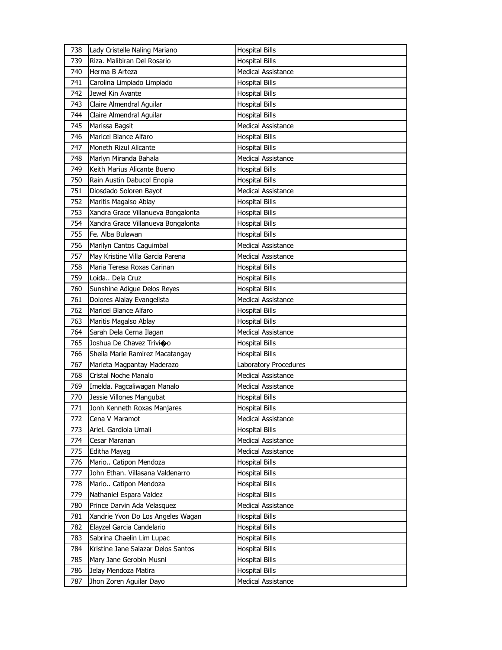| 738 | Lady Cristelle Naling Mariano      | <b>Hospital Bills</b>     |
|-----|------------------------------------|---------------------------|
| 739 | Riza, Malibiran Del Rosario        | <b>Hospital Bills</b>     |
| 740 | Herma B Arteza                     | <b>Medical Assistance</b> |
| 741 | Carolina Limpiado Limpiado         | <b>Hospital Bills</b>     |
| 742 | Jewel Kin Avante                   | <b>Hospital Bills</b>     |
| 743 | Claire Almendral Aguilar           | <b>Hospital Bills</b>     |
| 744 | Claire Almendral Aquilar           | <b>Hospital Bills</b>     |
| 745 | Marissa Bagsit                     | <b>Medical Assistance</b> |
| 746 | Maricel Blance Alfaro              | <b>Hospital Bills</b>     |
| 747 | Moneth Rizul Alicante              | <b>Hospital Bills</b>     |
| 748 | Marlyn Miranda Bahala              | <b>Medical Assistance</b> |
| 749 | Keith Marius Alicante Bueno        | <b>Hospital Bills</b>     |
| 750 | Rain Austin Dabucol Enopia         | <b>Hospital Bills</b>     |
| 751 | Diosdado Soloren Bayot             | <b>Medical Assistance</b> |
| 752 | Maritis Magalso Ablay              | <b>Hospital Bills</b>     |
| 753 | Xandra Grace Villanueva Bongalonta | <b>Hospital Bills</b>     |
| 754 | Xandra Grace Villanueva Bongalonta | <b>Hospital Bills</b>     |
| 755 | Fe. Alba Bulawan                   | <b>Hospital Bills</b>     |
| 756 | Marilyn Cantos Caguimbal           | <b>Medical Assistance</b> |
| 757 | May Kristine Villa Garcia Parena   | <b>Medical Assistance</b> |
| 758 | Maria Teresa Roxas Carinan         | <b>Hospital Bills</b>     |
| 759 | Loida Dela Cruz                    | <b>Hospital Bills</b>     |
| 760 | Sunshine Adigue Delos Reyes        | <b>Hospital Bills</b>     |
| 761 | Dolores Alalay Evangelista         | <b>Medical Assistance</b> |
| 762 | Maricel Blance Alfaro              | <b>Hospital Bills</b>     |
| 763 | Maritis Magalso Ablay              | <b>Hospital Bills</b>     |
| 764 | Sarah Dela Cerna Ilagan            | Medical Assistance        |
| 765 | Joshua De Chavez Trivioo           | <b>Hospital Bills</b>     |
| 766 | Sheila Marie Ramirez Macatangay    | <b>Hospital Bills</b>     |
| 767 | Marieta Magpantay Maderazo         | Laboratory Procedures     |
| 768 | Cristal Noche Manalo               | <b>Medical Assistance</b> |
| 769 | Imelda. Pagcaliwagan Manalo        | <b>Medical Assistance</b> |
| 770 | Jessie Villones Mangubat           | <b>Hospital Bills</b>     |
| 771 | Jonh Kenneth Roxas Manjares        | <b>Hospital Bills</b>     |
| 772 | Cena V Maramot                     | Medical Assistance        |
| 773 | Ariel. Gardiola Umali              | <b>Hospital Bills</b>     |
| 774 | Cesar Maranan                      | <b>Medical Assistance</b> |
| 775 | Editha Mayag                       | Medical Assistance        |
| 776 | Mario Catipon Mendoza              | <b>Hospital Bills</b>     |
| 777 | John Ethan. Villasana Valdenarro   | <b>Hospital Bills</b>     |
| 778 | Mario Catipon Mendoza              | <b>Hospital Bills</b>     |
| 779 | Nathaniel Espara Valdez            | <b>Hospital Bills</b>     |
| 780 | Prince Darvin Ada Velasquez        | <b>Medical Assistance</b> |
| 781 | Xandrie Yvon Do Los Angeles Wagan  | <b>Hospital Bills</b>     |
| 782 | Elayzel Garcia Candelario          | <b>Hospital Bills</b>     |
| 783 | Sabrina Chaelin Lim Lupac          | Hospital Bills            |
| 784 | Kristine Jane Salazar Delos Santos | <b>Hospital Bills</b>     |
| 785 | Mary Jane Gerobin Musni            | <b>Hospital Bills</b>     |
| 786 | Jelay Mendoza Matira               | Hospital Bills            |
| 787 | Jhon Zoren Aguilar Dayo            | Medical Assistance        |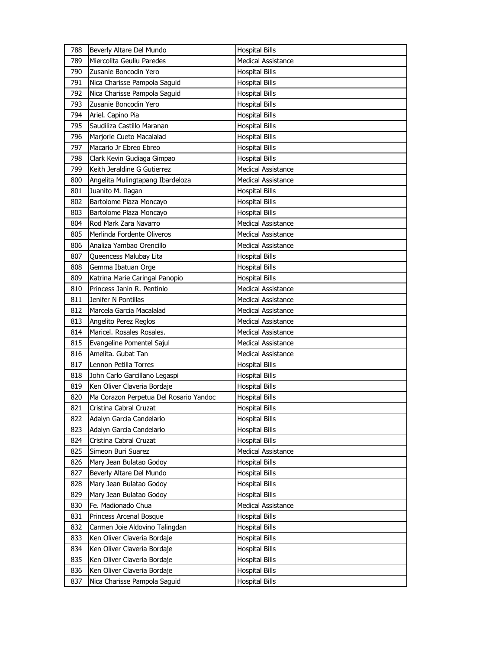| 788 | Beverly Altare Del Mundo               | <b>Hospital Bills</b>     |
|-----|----------------------------------------|---------------------------|
| 789 | Miercolita Geuliu Paredes              | <b>Medical Assistance</b> |
| 790 | Zusanie Boncodin Yero                  | <b>Hospital Bills</b>     |
| 791 | Nica Charisse Pampola Saguid           | <b>Hospital Bills</b>     |
| 792 | Nica Charisse Pampola Saguid           | <b>Hospital Bills</b>     |
| 793 | Zusanie Boncodin Yero                  | <b>Hospital Bills</b>     |
| 794 | Ariel. Capino Pia                      | <b>Hospital Bills</b>     |
| 795 | Saudiliza Castillo Maranan             | <b>Hospital Bills</b>     |
| 796 | Marjorie Cueto Macalalad               | <b>Hospital Bills</b>     |
| 797 | Macario Jr Ebreo Ebreo                 | <b>Hospital Bills</b>     |
| 798 | Clark Kevin Gudiaga Gimpao             | <b>Hospital Bills</b>     |
| 799 | Keith Jeraldine G Gutierrez            | <b>Medical Assistance</b> |
| 800 | Angelita Mulingtapang Ibardeloza       | <b>Medical Assistance</b> |
| 801 | Juanito M. Ilagan                      | <b>Hospital Bills</b>     |
| 802 | Bartolome Plaza Moncayo                | <b>Hospital Bills</b>     |
| 803 | Bartolome Plaza Moncayo                | <b>Hospital Bills</b>     |
| 804 | Rod Mark Zara Navarro                  | <b>Medical Assistance</b> |
| 805 | Merlinda Fordente Oliveros             | Medical Assistance        |
| 806 | Analiza Yambao Orencillo               | <b>Medical Assistance</b> |
| 807 | Queencess Malubay Lita                 | <b>Hospital Bills</b>     |
| 808 | Gemma Ibatuan Orge                     | <b>Hospital Bills</b>     |
| 809 | Katrina Marie Caringal Panopio         | <b>Hospital Bills</b>     |
| 810 | Princess Janin R. Pentinio             | Medical Assistance        |
| 811 | Jenifer N Pontillas                    | <b>Medical Assistance</b> |
| 812 | Marcela Garcia Macalalad               | Medical Assistance        |
|     |                                        |                           |
| 813 | Angelito Perez Reglos                  | Medical Assistance        |
| 814 | Maricel. Rosales Rosales.              | <b>Medical Assistance</b> |
| 815 | Evangeline Pomentel Sajul              | Medical Assistance        |
| 816 | Amelita. Gubat Tan                     | <b>Medical Assistance</b> |
| 817 | Lennon Petilla Torres                  | <b>Hospital Bills</b>     |
| 818 | John Carlo Garcillano Legaspi          | Hospital Bills            |
| 819 | Ken Oliver Claveria Bordaje            | Hospital Bills            |
| 820 | Ma Corazon Perpetua Del Rosario Yandoc | <b>Hospital Bills</b>     |
| 821 | Cristina Cabral Cruzat                 | <b>Hospital Bills</b>     |
| 822 | Adalyn Garcia Candelario               | <b>Hospital Bills</b>     |
| 823 | Adalyn Garcia Candelario               | <b>Hospital Bills</b>     |
| 824 | Cristina Cabral Cruzat                 | <b>Hospital Bills</b>     |
| 825 | Simeon Buri Suarez                     | Medical Assistance        |
| 826 | Mary Jean Bulatao Godoy                | <b>Hospital Bills</b>     |
| 827 | Beverly Altare Del Mundo               | <b>Hospital Bills</b>     |
| 828 | Mary Jean Bulatao Godoy                | Hospital Bills            |
| 829 | Mary Jean Bulatao Godoy                | Hospital Bills            |
| 830 | Fe. Madionado Chua                     | Medical Assistance        |
| 831 | Princess Arcenal Bosque                | <b>Hospital Bills</b>     |
| 832 | Carmen Joie Aldovino Talingdan         | <b>Hospital Bills</b>     |
| 833 | Ken Oliver Claveria Bordaje            | Hospital Bills            |
| 834 | Ken Oliver Claveria Bordaje            | <b>Hospital Bills</b>     |
| 835 | Ken Oliver Claveria Bordaje            | <b>Hospital Bills</b>     |
| 836 | Ken Oliver Claveria Bordaje            | Hospital Bills            |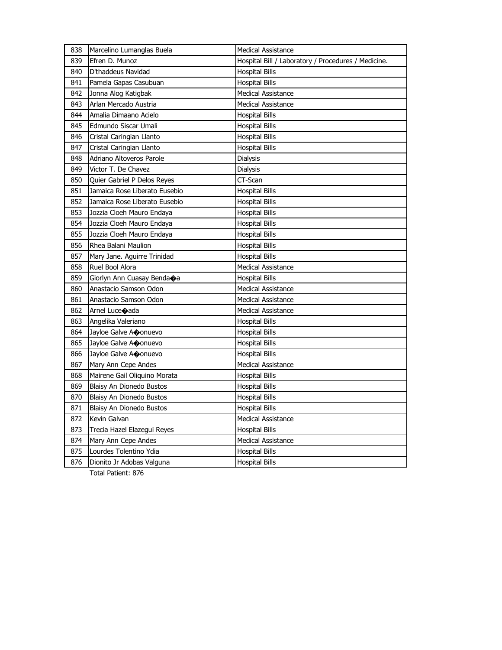| 838 | Marcelino Lumanglas Buela     | <b>Medical Assistance</b>                           |
|-----|-------------------------------|-----------------------------------------------------|
| 839 | Efren D. Munoz                | Hospital Bill / Laboratory / Procedures / Medicine. |
| 840 | D'thaddeus Navidad            | <b>Hospital Bills</b>                               |
| 841 | Pamela Gapas Casubuan         | <b>Hospital Bills</b>                               |
| 842 | Jonna Alog Katigbak           | <b>Medical Assistance</b>                           |
| 843 | Arlan Mercado Austria         | <b>Medical Assistance</b>                           |
| 844 | Amalia Dimaano Acielo         | <b>Hospital Bills</b>                               |
| 845 | Edmundo Siscar Umali          | <b>Hospital Bills</b>                               |
| 846 | Cristal Caringian Llanto      | <b>Hospital Bills</b>                               |
| 847 | Cristal Caringian Llanto      | <b>Hospital Bills</b>                               |
| 848 | Adriano Altoveros Parole      | Dialysis                                            |
| 849 | Victor T. De Chavez           | Dialysis                                            |
| 850 | Quier Gabriel P Delos Reyes   | CT-Scan                                             |
| 851 | Jamaica Rose Liberato Eusebio | <b>Hospital Bills</b>                               |
| 852 | Jamaica Rose Liberato Eusebio | Hospital Bills                                      |
| 853 | Jozzia Cloeh Mauro Endaya     | <b>Hospital Bills</b>                               |
| 854 | Jozzia Cloeh Mauro Endaya     | <b>Hospital Bills</b>                               |
| 855 | Jozzia Cloeh Mauro Endaya     | <b>Hospital Bills</b>                               |
| 856 | Rhea Balani Maulion           | <b>Hospital Bills</b>                               |
| 857 | Mary Jane. Aguirre Trinidad   | <b>Hospital Bills</b>                               |
| 858 | Ruel Bool Alora               | <b>Medical Assistance</b>                           |
| 859 | Giorlyn Ann Cuasay Bendaoa    | <b>Hospital Bills</b>                               |
| 860 | Anastacio Samson Odon         | <b>Medical Assistance</b>                           |
| 861 | Anastacio Samson Odon         | <b>Medical Assistance</b>                           |
| 862 | Arnel Luce<br>ada             | <b>Medical Assistance</b>                           |
| 863 | Angelika Valeriano            | Hospital Bills                                      |
| 864 | Jayloe Galve Aconuevo         | <b>Hospital Bills</b>                               |
| 865 | Jayloe Galve Aconuevo         | <b>Hospital Bills</b>                               |
| 866 | Jayloe Galve Aconuevo         | <b>Hospital Bills</b>                               |
| 867 | Mary Ann Cepe Andes           | <b>Medical Assistance</b>                           |
| 868 | Mairene Gail Oliquino Morata  | <b>Hospital Bills</b>                               |
| 869 | Blaisy An Dionedo Bustos      | <b>Hospital Bills</b>                               |
| 870 | Blaisy An Dionedo Bustos      | <b>Hospital Bills</b>                               |
| 871 | Blaisy An Dionedo Bustos      | Hospital Bills                                      |
| 872 | Kevin Galvan                  | <b>Medical Assistance</b>                           |
| 873 | Trecia Hazel Elazegui Reyes   | <b>Hospital Bills</b>                               |
| 874 | Mary Ann Cepe Andes           | <b>Medical Assistance</b>                           |
| 875 | Lourdes Tolentino Ydia        | <b>Hospital Bills</b>                               |
| 876 | Dionito Jr Adobas Valguna     | <b>Hospital Bills</b>                               |

Total Patient: 876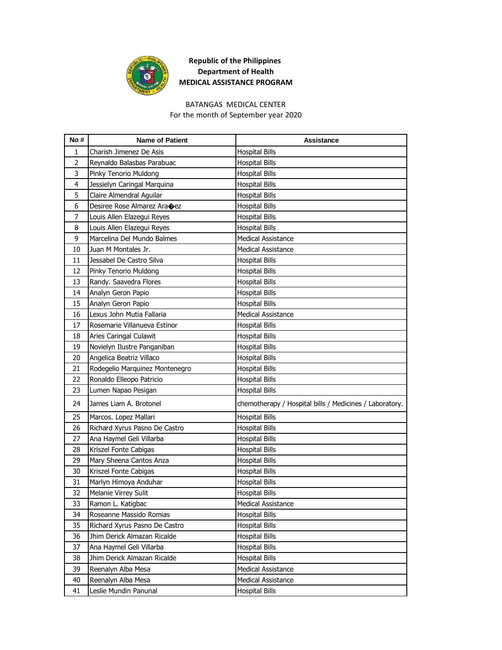

## **Republic of the Philippines Department of Health MEDICAL ASSISTANCE PROGRAM**

## BATANGAS MEDICAL CENTER

For the month of September year 2020

| No#            | <b>Name of Patient</b>         | Assistance                                              |
|----------------|--------------------------------|---------------------------------------------------------|
| 1              | Charish Jimenez De Asis        | <b>Hospital Bills</b>                                   |
| $\overline{2}$ | Reynaldo Balasbas Parabuac     | <b>Hospital Bills</b>                                   |
| 3              | Pinky Tenorio Muldong          | <b>Hospital Bills</b>                                   |
| 4              | Jessielyn Caringal Marquina    | <b>Hospital Bills</b>                                   |
| 5              | Claire Almendral Aguilar       | <b>Hospital Bills</b>                                   |
| 6              | Desiree Rose Almarez Ara�ez    | <b>Hospital Bills</b>                                   |
| 7              | Louis Allen Elazegui Reyes     | <b>Hospital Bills</b>                                   |
| 8              | Louis Allen Elazegui Reyes     | <b>Hospital Bills</b>                                   |
| 9              | Marcelina Del Mundo Balmes     | <b>Medical Assistance</b>                               |
| 10             | Juan M Montales Jr.            | <b>Medical Assistance</b>                               |
| 11             | Jessabel De Castro Silva       | <b>Hospital Bills</b>                                   |
| 12             | Pinky Tenorio Muldong          | <b>Hospital Bills</b>                                   |
| 13             | Randy. Saavedra Flores         | <b>Hospital Bills</b>                                   |
| 14             | Analyn Geron Papio             | <b>Hospital Bills</b>                                   |
| 15             | Analyn Geron Papio             | <b>Hospital Bills</b>                                   |
| 16             | Lexus John Mutia Fallaria      | <b>Medical Assistance</b>                               |
| 17             | Rosemarie Villanueva Estinor   | <b>Hospital Bills</b>                                   |
| 18             | Aries Caringal Culawit         | <b>Hospital Bills</b>                                   |
| 19             | Novielyn Ilustre Panganiban    | <b>Hospital Bills</b>                                   |
| 20             | Angelica Beatriz Villaco       | <b>Hospital Bills</b>                                   |
| 21             | Rodegelio Marquinez Montenegro | <b>Hospital Bills</b>                                   |
| 22             | Ronaldo Elleopo Patricio       | <b>Hospital Bills</b>                                   |
| 23             | Lumen Napao Pesigan            | <b>Hospital Bills</b>                                   |
| 24             | James Liam A. Brotonel         | chemotherapy / Hospital bills / Medicines / Laboratory. |
| 25             | Marcos. Lopez Mallari          | <b>Hospital Bills</b>                                   |
| 26             | Richard Xyrus Pasno De Castro  | <b>Hospital Bills</b>                                   |
| 27             | Ana Haymel Geli Villarba       | <b>Hospital Bills</b>                                   |
| 28             | Kriszel Fonte Cabigas          | <b>Hospital Bills</b>                                   |
| 29             | Mary Sheena Cantos Anza        | <b>Hospital Bills</b>                                   |
| 30             | Kriszel Fonte Cabigas          | <b>Hospital Bills</b>                                   |
| 31             | Marlyn Himoya Anduhar          | <b>Hospital Bills</b>                                   |
| 32             | Melanie Virrey Sulit           | <b>Hospital Bills</b>                                   |
| 33             | Ramon L. Katigbac              | Medical Assistance                                      |
| 34             | Roseanne Massido Romias        | <b>Hospital Bills</b>                                   |
| 35             | Richard Xyrus Pasno De Castro  | Hospital Bills                                          |
| 36             | Jhim Derick Almazan Ricalde    | Hospital Bills                                          |
| 37             | Ana Haymel Geli Villarba       | <b>Hospital Bills</b>                                   |
| 38             | Jhim Derick Almazan Ricalde    | <b>Hospital Bills</b>                                   |
| 39             | Reenalyn Alba Mesa             | Medical Assistance                                      |
| 40             | Reenalyn Alba Mesa             | Medical Assistance                                      |
| 41             | Leslie Mundin Panunal          | <b>Hospital Bills</b>                                   |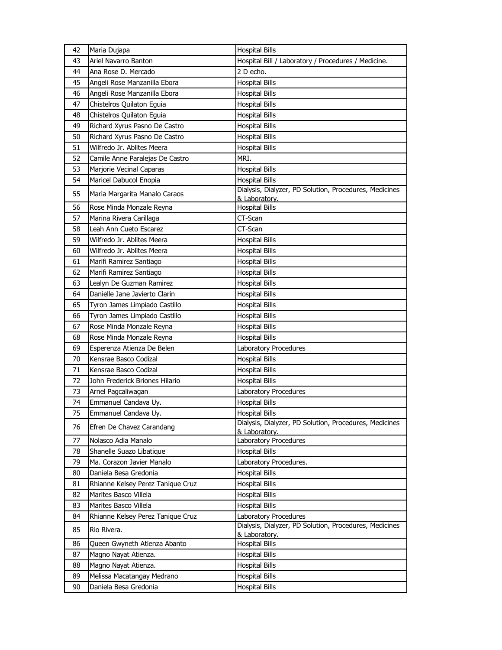| 42 | Maria Dujapa                      | <b>Hospital Bills</b>                                                           |
|----|-----------------------------------|---------------------------------------------------------------------------------|
| 43 | Ariel Navarro Banton              | Hospital Bill / Laboratory / Procedures / Medicine.                             |
| 44 | Ana Rose D. Mercado               | 2 D echo.                                                                       |
| 45 | Angeli Rose Manzanilla Ebora      | <b>Hospital Bills</b>                                                           |
| 46 | Angeli Rose Manzanilla Ebora      | <b>Hospital Bills</b>                                                           |
| 47 | Chistelros Quilaton Equia         | <b>Hospital Bills</b>                                                           |
| 48 | Chistelros Quilaton Eguia         | <b>Hospital Bills</b>                                                           |
| 49 | Richard Xyrus Pasno De Castro     | <b>Hospital Bills</b>                                                           |
| 50 | Richard Xyrus Pasno De Castro     | <b>Hospital Bills</b>                                                           |
| 51 | Wilfredo Jr. Ablites Meera        | <b>Hospital Bills</b>                                                           |
| 52 | Camile Anne Paralejas De Castro   | MRI.                                                                            |
| 53 | Marjorie Vecinal Caparas          | <b>Hospital Bills</b>                                                           |
| 54 | Maricel Dabucol Enopia            | <b>Hospital Bills</b>                                                           |
| 55 | Maria Margarita Manalo Caraos     | Dialysis, Dialyzer, PD Solution, Procedures, Medicines                          |
|    |                                   | & Laboratory.                                                                   |
| 56 | Rose Minda Monzale Reyna          | <b>Hospital Bills</b>                                                           |
| 57 | Marina Rivera Carillaga           | CT-Scan                                                                         |
| 58 | Leah Ann Cueto Escarez            | CT-Scan                                                                         |
| 59 | Wilfredo Jr. Ablites Meera        | <b>Hospital Bills</b>                                                           |
| 60 | Wilfredo Jr. Ablites Meera        | <b>Hospital Bills</b>                                                           |
| 61 | Marifi Ramirez Santiago           | <b>Hospital Bills</b>                                                           |
| 62 | Marifi Ramirez Santiago           | <b>Hospital Bills</b>                                                           |
| 63 | Lealyn De Guzman Ramirez          | <b>Hospital Bills</b>                                                           |
| 64 | Danielle Jane Javierto Clarin     | <b>Hospital Bills</b>                                                           |
| 65 | Tyron James Limpiado Castillo     | <b>Hospital Bills</b>                                                           |
| 66 | Tyron James Limpiado Castillo     | <b>Hospital Bills</b>                                                           |
| 67 | Rose Minda Monzale Reyna          | <b>Hospital Bills</b>                                                           |
| 68 | Rose Minda Monzale Reyna          | <b>Hospital Bills</b>                                                           |
| 69 | Esperenza Atienza De Belen        | Laboratory Procedures                                                           |
| 70 | Kensrae Basco Codizal             | <b>Hospital Bills</b>                                                           |
| 71 | Kensrae Basco Codizal             | <b>Hospital Bills</b>                                                           |
| 72 | John Frederick Briones Hilario    | <b>Hospital Bills</b>                                                           |
| 73 | Arnel Pagcaliwagan                | Laboratory Procedures                                                           |
| 74 | Emmanuel Candava Uy.              | <b>Hospital Bills</b>                                                           |
| 75 | Emmanuel Candava Uy.              | <b>Hospital Bills</b><br>Dialysis, Dialyzer, PD Solution, Procedures, Medicines |
| 76 | Efren De Chavez Carandang         | & Laboratory.                                                                   |
| 77 | Nolasco Adia Manalo               | Laboratory Procedures                                                           |
| 78 | Shanelle Suazo Libatique          | <b>Hospital Bills</b>                                                           |
| 79 | Ma. Corazon Javier Manalo         | Laboratory Procedures.                                                          |
| 80 | Daniela Besa Gredonia             | <b>Hospital Bills</b>                                                           |
| 81 | Rhianne Kelsey Perez Tanique Cruz | <b>Hospital Bills</b>                                                           |
| 82 | Marites Basco Villela             | <b>Hospital Bills</b>                                                           |
| 83 | Marites Basco Villela             | <b>Hospital Bills</b>                                                           |
| 84 | Rhianne Kelsey Perez Tanique Cruz | Laboratory Procedures                                                           |
| 85 | Rio Rivera.                       | Dialysis, Dialyzer, PD Solution, Procedures, Medicines<br>& Laboratory.         |
| 86 | Queen Gwyneth Atienza Abanto      | <b>Hospital Bills</b>                                                           |
| 87 | Magno Nayat Atienza.              | <b>Hospital Bills</b>                                                           |
| 88 | Magno Nayat Atienza.              | <b>Hospital Bills</b>                                                           |
| 89 | Melissa Macatangay Medrano        | <b>Hospital Bills</b>                                                           |
| 90 | Daniela Besa Gredonia             | <b>Hospital Bills</b>                                                           |
|    |                                   |                                                                                 |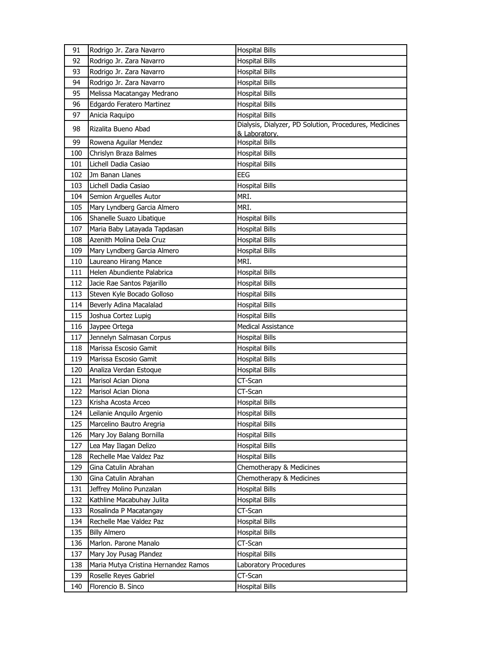| 91  | Rodrigo Jr. Zara Navarro             | <b>Hospital Bills</b>                                  |
|-----|--------------------------------------|--------------------------------------------------------|
| 92  | Rodrigo Jr. Zara Navarro             | <b>Hospital Bills</b>                                  |
| 93  | Rodrigo Jr. Zara Navarro             | <b>Hospital Bills</b>                                  |
| 94  | Rodrigo Jr. Zara Navarro             | <b>Hospital Bills</b>                                  |
| 95  | Melissa Macatangay Medrano           | <b>Hospital Bills</b>                                  |
| 96  | Edgardo Feratero Martinez            | <b>Hospital Bills</b>                                  |
| 97  | Anicia Raquipo                       | <b>Hospital Bills</b>                                  |
| 98  | Rizalita Bueno Abad                  | Dialysis, Dialyzer, PD Solution, Procedures, Medicines |
| 99  | Rowena Aguilar Mendez                | & Laboratory.<br><b>Hospital Bills</b>                 |
| 100 | Chrislyn Braza Balmes                | <b>Hospital Bills</b>                                  |
| 101 | Lichell Dadia Casiao                 | <b>Hospital Bills</b>                                  |
| 102 | Jm Banan Llanes                      | EEG                                                    |
| 103 | Lichell Dadia Casiao                 | <b>Hospital Bills</b>                                  |
| 104 | Semion Arguelles Autor               | MRI.                                                   |
| 105 | Mary Lyndberg Garcia Almero          | MRI.                                                   |
| 106 | Shanelle Suazo Libatique             | <b>Hospital Bills</b>                                  |
| 107 | Maria Baby Latayada Tapdasan         | <b>Hospital Bills</b>                                  |
| 108 | Azenith Molina Dela Cruz             | <b>Hospital Bills</b>                                  |
| 109 | Mary Lyndberg Garcia Almero          | <b>Hospital Bills</b>                                  |
| 110 | Laureano Hirang Mance                | MRI.                                                   |
| 111 | Helen Abundiente Palabrica           | <b>Hospital Bills</b>                                  |
| 112 | Jacie Rae Santos Pajarillo           | <b>Hospital Bills</b>                                  |
| 113 | Steven Kyle Bocado Golloso           | <b>Hospital Bills</b>                                  |
| 114 | Beverly Adina Macalalad              | <b>Hospital Bills</b>                                  |
| 115 | Joshua Cortez Lupig                  | <b>Hospital Bills</b>                                  |
| 116 | Jaypee Ortega                        | <b>Medical Assistance</b>                              |
| 117 | Jennelyn Salmasan Corpus             | <b>Hospital Bills</b>                                  |
| 118 | Marissa Escosio Gamit                | Hospital Bills                                         |
| 119 | Marissa Escosio Gamit                | <b>Hospital Bills</b>                                  |
| 120 | Analiza Verdan Estoque               | <b>Hospital Bills</b>                                  |
| 121 | Marisol Acian Diona                  | CT-Scan                                                |
| 122 | Marisol Acian Diona                  | CT-Scan                                                |
| 123 | Krisha Acosta Arceo                  | <b>Hospital Bills</b>                                  |
| 124 | Leilanie Anquilo Argenio             | <b>Hospital Bills</b>                                  |
| 125 | Marcelino Bautro Aregria             | <b>Hospital Bills</b>                                  |
| 126 | Mary Joy Balang Bornilla             | Hospital Bills                                         |
| 127 | Lea May Ilagan Delizo                | <b>Hospital Bills</b>                                  |
| 128 | Rechelle Mae Valdez Paz              | <b>Hospital Bills</b>                                  |
| 129 | Gina Catulin Abrahan                 | Chemotherapy & Medicines                               |
| 130 | Gina Catulin Abrahan                 | Chemotherapy & Medicines                               |
| 131 | Jeffrey Molino Punzalan              | <b>Hospital Bills</b>                                  |
| 132 | Kathline Macabuhay Julita            | <b>Hospital Bills</b>                                  |
| 133 | Rosalinda P Macatangay               | CT-Scan                                                |
| 134 | Rechelle Mae Valdez Paz              | <b>Hospital Bills</b>                                  |
| 135 | <b>Billy Almero</b>                  | <b>Hospital Bills</b>                                  |
| 136 | Marlon. Parone Manalo                | CT-Scan                                                |
| 137 | Mary Joy Pusag Plandez               | <b>Hospital Bills</b>                                  |
| 138 | Maria Mutya Cristina Hernandez Ramos | Laboratory Procedures                                  |
| 139 | Roselle Reyes Gabriel                | CT-Scan                                                |
| 140 | Florencio B. Sinco                   | <b>Hospital Bills</b>                                  |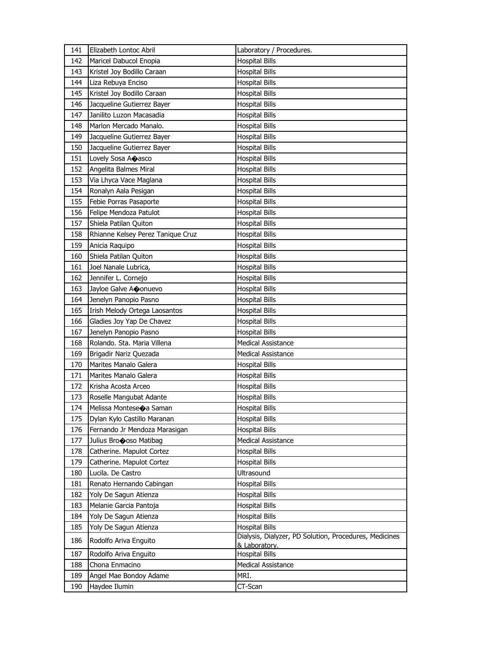| 141 | Elizabeth Lontoc Abril            | Laboratory / Procedures.                               |
|-----|-----------------------------------|--------------------------------------------------------|
| 142 | Maricel Dabucol Enopia            | <b>Hospital Bills</b>                                  |
| 143 | Kristel Joy Bodillo Caraan        | Hospital Bills                                         |
| 144 | Liza Rebuya Enciso                | <b>Hospital Bills</b>                                  |
| 145 | Kristel Joy Bodillo Caraan        | <b>Hospital Bills</b>                                  |
| 146 | Jacqueline Gutierrez Bayer        | <b>Hospital Bills</b>                                  |
| 147 | Janilito Luzon Macasadia          | <b>Hospital Bills</b>                                  |
| 148 | Marlon Mercado Manalo.            | <b>Hospital Bills</b>                                  |
| 149 | Jacqueline Gutierrez Bayer        | <b>Hospital Bills</b>                                  |
| 150 | Jacqueline Gutierrez Bayer        | <b>Hospital Bills</b>                                  |
| 151 | Lovely Sosa Acasco                | <b>Hospital Bills</b>                                  |
| 152 | Angelita Balmes Miral             | <b>Hospital Bills</b>                                  |
| 153 | Via Lhyca Vace Maglana            | Hospital Bills                                         |
| 154 | Ronalyn Aala Pesigan              | <b>Hospital Bills</b>                                  |
| 155 | Febie Porras Pasaporte            | <b>Hospital Bills</b>                                  |
| 156 | Felipe Mendoza Patulot            | <b>Hospital Bills</b>                                  |
| 157 | Shiela Patilan Quiton             | <b>Hospital Bills</b>                                  |
| 158 | Rhianne Kelsey Perez Tanique Cruz | <b>Hospital Bills</b>                                  |
| 159 | Anicia Raquipo                    | <b>Hospital Bills</b>                                  |
| 160 | Shiela Patilan Quiton             | <b>Hospital Bills</b>                                  |
| 161 | Joel Nanale Lubrica,              | <b>Hospital Bills</b>                                  |
| 162 | Jennifer L. Cornejo               | Hospital Bills                                         |
| 163 | Jayloe Galve Aconuevo             | Hospital Bills                                         |
| 164 | Jenelyn Panopio Pasno             | <b>Hospital Bills</b>                                  |
| 165 | Irish Melody Ortega Laosantos     | <b>Hospital Bills</b>                                  |
| 166 | Gladies Joy Yap De Chavez         | Hospital Bills                                         |
| 167 | Jenelyn Panopio Pasno             | Hospital Bills                                         |
| 168 | Rolando. Sta. Maria Villena       | <b>Medical Assistance</b>                              |
| 169 | Brigadir Nariz Quezada            | <b>Medical Assistance</b>                              |
| 170 | Marites Manalo Galera             | <b>Hospital Bills</b>                                  |
| 171 | Marites Manalo Galera             | <b>Hospital Bills</b>                                  |
| 172 | Krisha Acosta Arceo               | Hospital Bills                                         |
| 173 | Roselle Mangubat Adante           | Hospital Bills                                         |
| 174 | Melissa Monteseoa Saman           | <b>Hospital Bills</b>                                  |
| 175 | Dylan Kylo Castillo Maranan       | <b>Hospital Bills</b>                                  |
| 176 | Fernando Jr Mendoza Marasigan     | <b>Hospital Bills</b>                                  |
| 177 | Julius Brocoso Matibag            | Medical Assistance                                     |
| 178 | Catherine. Mapulot Cortez         | <b>Hospital Bills</b>                                  |
| 179 | Catherine. Mapulot Cortez         | <b>Hospital Bills</b>                                  |
| 180 | Lucila. De Castro                 | Ultrasound                                             |
| 181 | Renato Hernando Cabingan          | <b>Hospital Bills</b>                                  |
| 182 | Yoly De Sagun Atienza             | <b>Hospital Bills</b>                                  |
| 183 | Melanie Garcia Pantoja            | <b>Hospital Bills</b>                                  |
| 184 | Yoly De Sagun Atienza             | <b>Hospital Bills</b>                                  |
| 185 | Yoly De Sagun Atienza             | <b>Hospital Bills</b>                                  |
| 186 | Rodolfo Ariva Enguito             | Dialysis, Dialyzer, PD Solution, Procedures, Medicines |
| 187 | Rodolfo Ariva Enguito             | & Laboratory.<br><b>Hospital Bills</b>                 |
| 188 | Chona Enmacino                    | <b>Medical Assistance</b>                              |
| 189 | Angel Mae Bondoy Adame            | MRI.                                                   |
| 190 | Haydee Ilumin                     | CT-Scan                                                |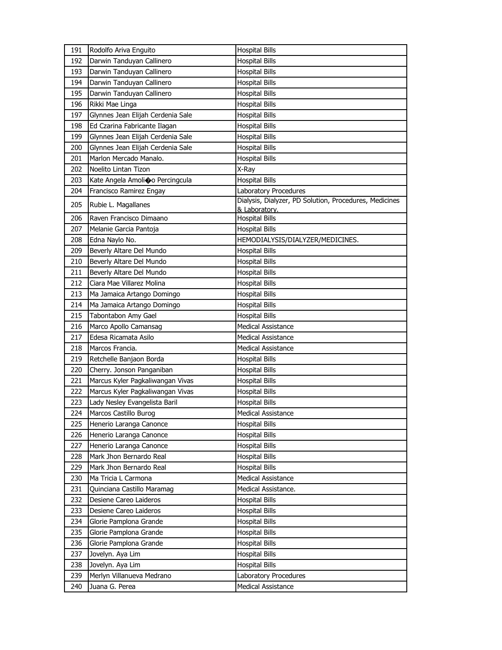| 191 | Rodolfo Ariva Enguito             | <b>Hospital Bills</b>                                  |
|-----|-----------------------------------|--------------------------------------------------------|
| 192 | Darwin Tanduyan Callinero         | <b>Hospital Bills</b>                                  |
| 193 | Darwin Tanduyan Callinero         | <b>Hospital Bills</b>                                  |
| 194 | Darwin Tanduyan Callinero         | <b>Hospital Bills</b>                                  |
| 195 | Darwin Tanduyan Callinero         | <b>Hospital Bills</b>                                  |
| 196 | Rikki Mae Linga                   | <b>Hospital Bills</b>                                  |
| 197 | Glynnes Jean Elijah Cerdenia Sale | <b>Hospital Bills</b>                                  |
| 198 | Ed Czarina Fabricante Ilagan      | <b>Hospital Bills</b>                                  |
| 199 | Glynnes Jean Elijah Cerdenia Sale | <b>Hospital Bills</b>                                  |
| 200 | Glynnes Jean Elijah Cerdenia Sale | <b>Hospital Bills</b>                                  |
| 201 | Marlon Mercado Manalo.            | <b>Hospital Bills</b>                                  |
| 202 | Noelito Lintan Tizon              | X-Ray                                                  |
| 203 | Kate Angela Amolio o Percingcula  | <b>Hospital Bills</b>                                  |
| 204 | Francisco Ramirez Engay           | Laboratory Procedures                                  |
| 205 | Rubie L. Magallanes               | Dialysis, Dialyzer, PD Solution, Procedures, Medicines |
|     |                                   | & Laboratory.                                          |
| 206 | Raven Francisco Dimaano           | <b>Hospital Bills</b>                                  |
| 207 | Melanie Garcia Pantoja            | <b>Hospital Bills</b>                                  |
| 208 | Edna Naylo No.                    | HEMODIALYSIS/DIALYZER/MEDICINES.                       |
| 209 | Beverly Altare Del Mundo          | <b>Hospital Bills</b>                                  |
| 210 | Beverly Altare Del Mundo          | <b>Hospital Bills</b>                                  |
| 211 | Beverly Altare Del Mundo          | <b>Hospital Bills</b>                                  |
| 212 | Ciara Mae Villarez Molina         | <b>Hospital Bills</b>                                  |
| 213 | Ma Jamaica Artango Domingo        | <b>Hospital Bills</b>                                  |
| 214 | Ma Jamaica Artango Domingo        | <b>Hospital Bills</b>                                  |
| 215 | Tabontabon Amy Gael               | <b>Hospital Bills</b>                                  |
| 216 | Marco Apollo Camansag             | Medical Assistance                                     |
| 217 | Edesa Ricamata Asilo              | <b>Medical Assistance</b>                              |
| 218 | Marcos Francia.                   | <b>Medical Assistance</b>                              |
| 219 | Retchelle Banjaon Borda           | <b>Hospital Bills</b>                                  |
| 220 | Cherry. Jonson Panganiban         | <b>Hospital Bills</b>                                  |
| 221 | Marcus Kyler Pagkaliwangan Vivas  | <b>Hospital Bills</b>                                  |
| 222 | Marcus Kyler Pagkaliwangan Vivas  | <b>Hospital Bills</b>                                  |
| 223 | Lady Nesley Evangelista Baril     | <b>Hospital Bills</b>                                  |
| 224 | Marcos Castillo Burog             | <b>Medical Assistance</b>                              |
| 225 | Henerio Laranga Canonce           | Hospital Bills                                         |
| 226 | Henerio Laranga Canonce           | <b>Hospital Bills</b>                                  |
| 227 | Henerio Laranga Canonce           | Hospital Bills                                         |
| 228 | Mark Jhon Bernardo Real           | <b>Hospital Bills</b>                                  |
| 229 | Mark Jhon Bernardo Real           | <b>Hospital Bills</b>                                  |
| 230 | Ma Tricia L Carmona               | <b>Medical Assistance</b>                              |
| 231 | Quinciana Castillo Maramag        | Medical Assistance.                                    |
| 232 | Desiene Careo Laideros            | <b>Hospital Bills</b>                                  |
| 233 | Desiene Careo Laideros            | <b>Hospital Bills</b>                                  |
| 234 | Glorie Pamplona Grande            | <b>Hospital Bills</b>                                  |
| 235 | Glorie Pamplona Grande            | <b>Hospital Bills</b>                                  |
| 236 | Glorie Pamplona Grande            | <b>Hospital Bills</b>                                  |
| 237 | Jovelyn. Aya Lim                  | Hospital Bills                                         |
| 238 | Jovelyn. Aya Lim                  | <b>Hospital Bills</b>                                  |
| 239 | Merlyn Villanueva Medrano         | Laboratory Procedures                                  |
| 240 | Juana G. Perea                    | <b>Medical Assistance</b>                              |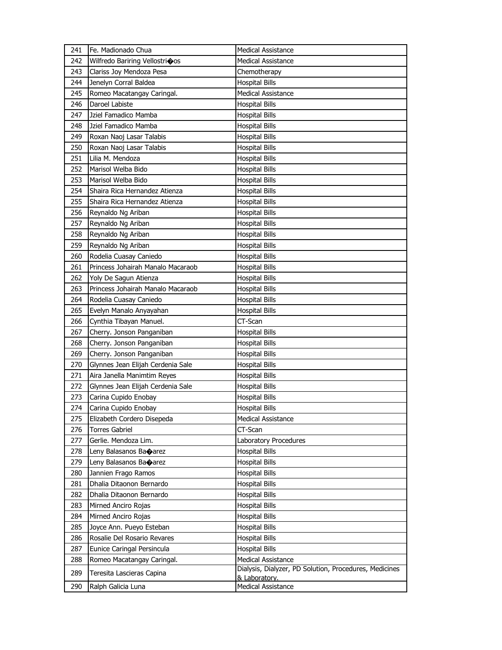| 241 | Fe. Madionado Chua                | <b>Medical Assistance</b>                              |
|-----|-----------------------------------|--------------------------------------------------------|
| 242 | Wilfredo Bariring Vellostricos    | Medical Assistance                                     |
| 243 | Clariss Joy Mendoza Pesa          | Chemotherapy                                           |
| 244 | Jenelyn Corral Baldea             | <b>Hospital Bills</b>                                  |
| 245 | Romeo Macatangay Caringal.        | <b>Medical Assistance</b>                              |
| 246 | Daroel Labiste                    | <b>Hospital Bills</b>                                  |
| 247 | Jziel Famadico Mamba              | Hospital Bills                                         |
| 248 | Jziel Famadico Mamba              | <b>Hospital Bills</b>                                  |
| 249 | Roxan Naoj Lasar Talabis          | <b>Hospital Bills</b>                                  |
| 250 | Roxan Naoj Lasar Talabis          | <b>Hospital Bills</b>                                  |
| 251 | Lilia M. Mendoza                  | <b>Hospital Bills</b>                                  |
| 252 | Marisol Welba Bido                | <b>Hospital Bills</b>                                  |
| 253 | Marisol Welba Bido                | <b>Hospital Bills</b>                                  |
| 254 | Shaira Rica Hernandez Atienza     | <b>Hospital Bills</b>                                  |
| 255 | Shaira Rica Hernandez Atienza     | <b>Hospital Bills</b>                                  |
| 256 | Reynaldo Ng Ariban                | <b>Hospital Bills</b>                                  |
| 257 | Reynaldo Ng Ariban                | Hospital Bills                                         |
| 258 | Reynaldo Ng Ariban                | <b>Hospital Bills</b>                                  |
| 259 | Reynaldo Ng Ariban                | <b>Hospital Bills</b>                                  |
| 260 | Rodelia Cuasay Caniedo            | <b>Hospital Bills</b>                                  |
| 261 | Princess Johairah Manalo Macaraob | <b>Hospital Bills</b>                                  |
| 262 | Yoly De Sagun Atienza             | Hospital Bills                                         |
| 263 | Princess Johairah Manalo Macaraob | <b>Hospital Bills</b>                                  |
| 264 | Rodelia Cuasay Caniedo            | <b>Hospital Bills</b>                                  |
| 265 | Evelyn Manalo Anyayahan           | <b>Hospital Bills</b>                                  |
| 266 | Cynthia Tibayan Manuel.           | CT-Scan                                                |
| 267 | Cherry. Jonson Panganiban         | Hospital Bills                                         |
| 268 | Cherry. Jonson Panganiban         | <b>Hospital Bills</b>                                  |
| 269 | Cherry. Jonson Panganiban         | Hospital Bills                                         |
| 270 | Glynnes Jean Elijah Cerdenia Sale | <b>Hospital Bills</b>                                  |
| 271 | Aira Janella Manimtim Reyes       | Hospital Bills                                         |
| 272 | Glynnes Jean Elijah Cerdenia Sale | Hospital Bills                                         |
| 273 | Carina Cupido Enobay              | Hospital Bills                                         |
| 274 | Carina Cupido Enobay              | <b>Hospital Bills</b>                                  |
| 275 | Elizabeth Cordero Disepeda        | <b>Medical Assistance</b>                              |
| 276 | <b>Torres Gabriel</b>             | CT-Scan                                                |
| 277 | Gerlie. Mendoza Lim.              | Laboratory Procedures                                  |
| 278 | Leny Balasanos Banarez            | <b>Hospital Bills</b>                                  |
| 279 | Leny Balasanos Baoarez            | <b>Hospital Bills</b>                                  |
| 280 | Jannien Frago Ramos               | <b>Hospital Bills</b>                                  |
| 281 | Dhalia Ditaonon Bernardo          | <b>Hospital Bills</b>                                  |
| 282 | Dhalia Ditaonon Bernardo          | <b>Hospital Bills</b>                                  |
| 283 | Mirned Anciro Rojas               | <b>Hospital Bills</b>                                  |
| 284 | Mirned Anciro Rojas               | <b>Hospital Bills</b>                                  |
| 285 | Joyce Ann. Pueyo Esteban          | <b>Hospital Bills</b>                                  |
| 286 | Rosalie Del Rosario Revares       | <b>Hospital Bills</b>                                  |
| 287 | Eunice Caringal Persincula        | <b>Hospital Bills</b>                                  |
| 288 | Romeo Macatangay Caringal.        | Medical Assistance                                     |
| 289 | Teresita Lascieras Capina         | Dialysis, Dialyzer, PD Solution, Procedures, Medicines |
| 290 | Ralph Galicia Luna                | & Laboratory.<br><b>Medical Assistance</b>             |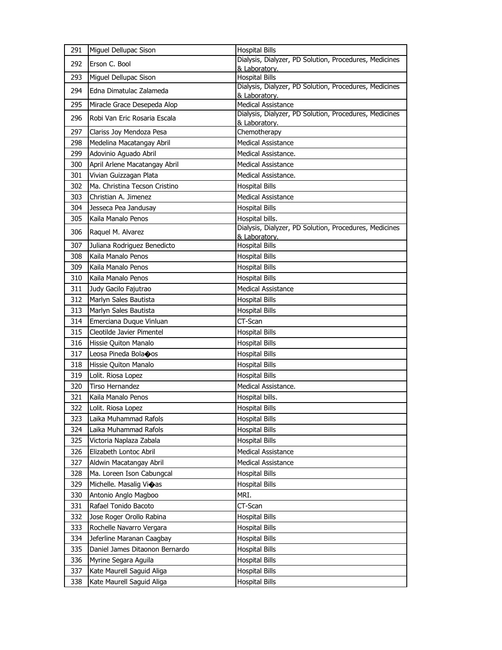| 291 | Miguel Dellupac Sison          | <b>Hospital Bills</b>                                                   |
|-----|--------------------------------|-------------------------------------------------------------------------|
| 292 | Erson C. Bool                  | Dialysis, Dialyzer, PD Solution, Procedures, Medicines<br>& Laboratory. |
| 293 | Miguel Dellupac Sison          | <b>Hospital Bills</b>                                                   |
| 294 | Edna Dimatulac Zalameda        | Dialysis, Dialyzer, PD Solution, Procedures, Medicines<br>& Laboratory. |
| 295 | Miracle Grace Desepeda Alop    | <b>Medical Assistance</b>                                               |
| 296 | Robi Van Eric Rosaria Escala   | Dialysis, Dialyzer, PD Solution, Procedures, Medicines<br>& Laboratory. |
| 297 | Clariss Joy Mendoza Pesa       | Chemotherapy                                                            |
| 298 | Medelina Macatangay Abril      | <b>Medical Assistance</b>                                               |
| 299 | Adovinio Aguado Abril          | Medical Assistance.                                                     |
| 300 | April Arlene Macatangay Abril  | <b>Medical Assistance</b>                                               |
| 301 | Vivian Guizzagan Plata         | Medical Assistance.                                                     |
| 302 | Ma. Christina Tecson Cristino  | <b>Hospital Bills</b>                                                   |
| 303 | Christian A. Jimenez           | <b>Medical Assistance</b>                                               |
| 304 | Jesseca Pea Jandusay           | <b>Hospital Bills</b>                                                   |
| 305 | Kaila Manalo Penos             | Hospital bills.                                                         |
| 306 |                                | Dialysis, Dialyzer, PD Solution, Procedures, Medicines                  |
|     | Raquel M. Alvarez              | & Laboratory.                                                           |
| 307 | Juliana Rodriguez Benedicto    | <b>Hospital Bills</b>                                                   |
| 308 | Kaila Manalo Penos             | <b>Hospital Bills</b>                                                   |
| 309 | Kaila Manalo Penos             | <b>Hospital Bills</b>                                                   |
| 310 | Kaila Manalo Penos             | <b>Hospital Bills</b>                                                   |
| 311 | Judy Gacilo Fajutrao           | <b>Medical Assistance</b>                                               |
| 312 | Marlyn Sales Bautista          | <b>Hospital Bills</b>                                                   |
| 313 | Marlyn Sales Bautista          | <b>Hospital Bills</b>                                                   |
| 314 | Emerciana Duque Vinluan        | CT-Scan                                                                 |
| 315 | Cleotilde Javier Pimentel      | <b>Hospital Bills</b>                                                   |
| 316 | Hissie Quiton Manalo           | <b>Hospital Bills</b>                                                   |
| 317 | Leosa Pineda Bola $\bullet$ os | <b>Hospital Bills</b>                                                   |
| 318 | Hissie Quiton Manalo           | <b>Hospital Bills</b>                                                   |
| 319 | Lolit. Riosa Lopez             | <b>Hospital Bills</b>                                                   |
| 320 | Tirso Hernandez                | Medical Assistance.                                                     |
| 321 | Kaila Manalo Penos             | Hospital bills.                                                         |
| 322 | Lolit. Riosa Lopez             | <b>Hospital Bills</b>                                                   |
| 323 | Laika Muhammad Rafols          | <b>Hospital Bills</b>                                                   |
| 324 | Laika Muhammad Rafols          | <b>Hospital Bills</b>                                                   |
| 325 | Victoria Naplaza Zabala        | <b>Hospital Bills</b>                                                   |
| 326 | Elizabeth Lontoc Abril         | <b>Medical Assistance</b>                                               |
| 327 | Aldwin Macatangay Abril        | Medical Assistance                                                      |
| 328 | Ma. Loreen Ison Cabungcal      | <b>Hospital Bills</b>                                                   |
| 329 | Michelle. Masalig Vioas        | <b>Hospital Bills</b>                                                   |
| 330 | Antonio Anglo Magboo           | MRI.                                                                    |
| 331 | Rafael Tonido Bacoto           | CT-Scan                                                                 |
| 332 | Jose Roger Orollo Rabina       | <b>Hospital Bills</b>                                                   |
| 333 | Rochelle Navarro Vergara       | <b>Hospital Bills</b>                                                   |
| 334 | Jeferline Maranan Caagbay      | <b>Hospital Bills</b>                                                   |
| 335 | Daniel James Ditaonon Bernardo | <b>Hospital Bills</b>                                                   |
| 336 | Myrine Segara Aguila           | <b>Hospital Bills</b>                                                   |
| 337 | Kate Maurell Saguid Aliga      | <b>Hospital Bills</b>                                                   |
| 338 | Kate Maurell Saguid Aliga      | <b>Hospital Bills</b>                                                   |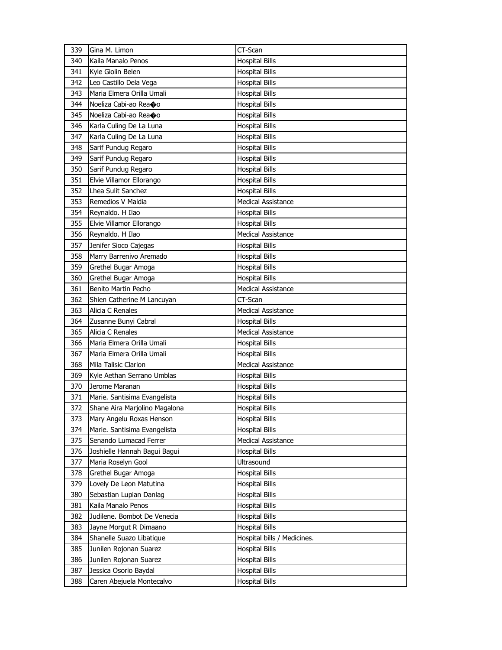| 339 | Gina M. Limon                 | CT-Scan                     |
|-----|-------------------------------|-----------------------------|
| 340 | Kaila Manalo Penos            | <b>Hospital Bills</b>       |
| 341 | Kyle Giolin Belen             | <b>Hospital Bills</b>       |
| 342 | Leo Castillo Dela Vega        | <b>Hospital Bills</b>       |
| 343 | Maria Elmera Orilla Umali     | <b>Hospital Bills</b>       |
| 344 | Noeliza Cabi-ao Rea�o         | <b>Hospital Bills</b>       |
| 345 | Noeliza Cabi-ao Rea�o         | <b>Hospital Bills</b>       |
| 346 | Karla Culing De La Luna       | <b>Hospital Bills</b>       |
| 347 | Karla Culing De La Luna       | <b>Hospital Bills</b>       |
| 348 | Sarif Pundug Regaro           | <b>Hospital Bills</b>       |
| 349 | Sarif Pundug Regaro           | <b>Hospital Bills</b>       |
| 350 | Sarif Pundug Regaro           | <b>Hospital Bills</b>       |
| 351 | Elvie Villamor Ellorango      | <b>Hospital Bills</b>       |
| 352 | Lhea Sulit Sanchez            | <b>Hospital Bills</b>       |
| 353 | Remedios V Maldia             | <b>Medical Assistance</b>   |
| 354 | Reynaldo. H Ilao              | <b>Hospital Bills</b>       |
| 355 | Elvie Villamor Ellorango      | <b>Hospital Bills</b>       |
| 356 | Reynaldo. H Ilao              | <b>Medical Assistance</b>   |
| 357 | Jenifer Sioco Cajegas         | <b>Hospital Bills</b>       |
| 358 | Marry Barrenivo Aremado       | <b>Hospital Bills</b>       |
| 359 | Grethel Bugar Amoga           | <b>Hospital Bills</b>       |
| 360 | Grethel Bugar Amoga           | <b>Hospital Bills</b>       |
| 361 | Benito Martin Pecho           | <b>Medical Assistance</b>   |
| 362 | Shien Catherine M Lancuyan    | CT-Scan                     |
| 363 | Alicia C Renales              | <b>Medical Assistance</b>   |
| 364 | Zusanne Bunyi Cabral          | <b>Hospital Bills</b>       |
| 365 | Alicia C Renales              | <b>Medical Assistance</b>   |
| 366 | Maria Elmera Orilla Umali     | <b>Hospital Bills</b>       |
| 367 | Maria Elmera Orilla Umali     | <b>Hospital Bills</b>       |
| 368 | Mila Talisic Clarion          | <b>Medical Assistance</b>   |
| 369 | Kyle Aethan Serrano Umblas    | <b>Hospital Bills</b>       |
| 370 | Jerome Maranan                | <b>Hospital Bills</b>       |
| 371 | Marie. Santisima Evangelista  | <b>Hospital Bills</b>       |
| 372 | Shane Aira Marjolino Magalona | <b>Hospital Bills</b>       |
| 373 | Mary Angelu Roxas Henson      | <b>Hospital Bills</b>       |
| 374 | Marie. Santisima Evangelista  | <b>Hospital Bills</b>       |
| 375 | Senando Lumacad Ferrer        | <b>Medical Assistance</b>   |
| 376 | Joshielle Hannah Bagui Bagui  | <b>Hospital Bills</b>       |
| 377 | Maria Roselyn Gool            | Ultrasound                  |
| 378 | Grethel Bugar Amoga           | <b>Hospital Bills</b>       |
| 379 | Lovely De Leon Matutina       | Hospital Bills              |
| 380 | Sebastian Lupian Danlag       | <b>Hospital Bills</b>       |
| 381 | Kaila Manalo Penos            | <b>Hospital Bills</b>       |
| 382 | Judilene. Bombot De Venecia   | <b>Hospital Bills</b>       |
| 383 | Jayne Morgut R Dimaano        | <b>Hospital Bills</b>       |
| 384 | Shanelle Suazo Libatique      | Hospital bills / Medicines. |
| 385 | Junilen Rojonan Suarez        | <b>Hospital Bills</b>       |
| 386 | Junilen Rojonan Suarez        | <b>Hospital Bills</b>       |
| 387 | Jessica Osorio Baydal         | <b>Hospital Bills</b>       |
| 388 | Caren Abejuela Montecalvo     | <b>Hospital Bills</b>       |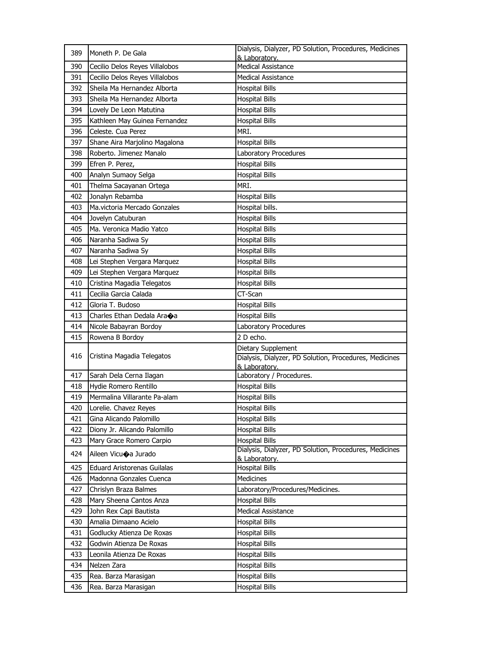| 389 | Moneth P. De Gala                    | Dialysis, Dialyzer, PD Solution, Procedures, Medicines<br>& Laboratory.                       |
|-----|--------------------------------------|-----------------------------------------------------------------------------------------------|
| 390 | Cecilio Delos Reyes Villalobos       | <b>Medical Assistance</b>                                                                     |
| 391 | Cecilio Delos Reyes Villalobos       | <b>Medical Assistance</b>                                                                     |
| 392 | Sheila Ma Hernandez Alborta          | <b>Hospital Bills</b>                                                                         |
| 393 | Sheila Ma Hernandez Alborta          | <b>Hospital Bills</b>                                                                         |
| 394 | Lovely De Leon Matutina              | <b>Hospital Bills</b>                                                                         |
| 395 | Kathleen May Guinea Fernandez        | <b>Hospital Bills</b>                                                                         |
| 396 | Celeste. Cua Perez                   | MRI.                                                                                          |
| 397 | Shane Aira Marjolino Magalona        | <b>Hospital Bills</b>                                                                         |
| 398 | Roberto, Jimenez Manalo              | Laboratory Procedures                                                                         |
| 399 | Efren P. Perez,                      | <b>Hospital Bills</b>                                                                         |
| 400 | Analyn Sumaoy Selga                  | <b>Hospital Bills</b>                                                                         |
| 401 | Thelma Sacayanan Ortega              | MRI.                                                                                          |
| 402 | Jonalyn Rebamba                      | <b>Hospital Bills</b>                                                                         |
| 403 | Ma.victoria Mercado Gonzales         | Hospital bills.                                                                               |
| 404 | Jovelyn Catuburan                    | <b>Hospital Bills</b>                                                                         |
| 405 | Ma. Veronica Madio Yatco             | <b>Hospital Bills</b>                                                                         |
| 406 | Naranha Sadiwa Sy                    | <b>Hospital Bills</b>                                                                         |
| 407 | Naranha Sadiwa Sy                    | <b>Hospital Bills</b>                                                                         |
| 408 | Lei Stephen Vergara Marquez          | <b>Hospital Bills</b>                                                                         |
| 409 | Lei Stephen Vergara Marquez          | <b>Hospital Bills</b>                                                                         |
| 410 | Cristina Magadia Telegatos           | <b>Hospital Bills</b>                                                                         |
| 411 | Cecilia Garcia Calada                | CT-Scan                                                                                       |
| 412 | Gloria T. Budoso                     | <b>Hospital Bills</b>                                                                         |
| 413 | Charles Ethan Dedala Ara $\bullet$ a | <b>Hospital Bills</b>                                                                         |
| 414 | Nicole Babayran Bordoy               | Laboratory Procedures                                                                         |
| 415 | Rowena B Bordoy                      | 2 D echo.                                                                                     |
| 416 | Cristina Magadia Telegatos           | Dietary Supplement<br>Dialysis, Dialyzer, PD Solution, Procedures, Medicines<br>& Laboratory. |
| 417 | Sarah Dela Cerna Ilagan              | Laboratory / Procedures.                                                                      |
| 418 | Hydie Romero Rentillo                | <b>Hospital Bills</b>                                                                         |
| 419 | Mermalina Villarante Pa-alam         | <b>Hospital Bills</b>                                                                         |
| 420 | Lorelie. Chavez Reyes                | <b>Hospital Bills</b>                                                                         |
| 421 | Gina Alicando Palomillo              | <b>Hospital Bills</b>                                                                         |
| 422 | Diony Jr. Alicando Palomillo         | <b>Hospital Bills</b>                                                                         |
| 423 | Mary Grace Romero Carpio             | <b>Hospital Bills</b>                                                                         |
| 424 | Aileen Vicuoa Jurado                 | Dialysis, Dialyzer, PD Solution, Procedures, Medicines<br>& Laboratory.                       |
| 425 | <b>Eduard Aristorenas Guilalas</b>   | <b>Hospital Bills</b>                                                                         |
| 426 | Madonna Gonzales Cuenca              | Medicines                                                                                     |
| 427 | Chrislyn Braza Balmes                | Laboratory/Procedures/Medicines.                                                              |
| 428 | Mary Sheena Cantos Anza              | <b>Hospital Bills</b>                                                                         |
| 429 | John Rex Capi Bautista               | <b>Medical Assistance</b>                                                                     |
| 430 | Amalia Dimaano Acielo                | <b>Hospital Bills</b>                                                                         |
| 431 | Godlucky Atienza De Roxas            | <b>Hospital Bills</b>                                                                         |
| 432 | Godwin Atienza De Roxas              | <b>Hospital Bills</b>                                                                         |
| 433 | Leonila Atienza De Roxas             | <b>Hospital Bills</b>                                                                         |
| 434 | Nelzen Zara                          | <b>Hospital Bills</b>                                                                         |
| 435 | Rea. Barza Marasigan                 | <b>Hospital Bills</b>                                                                         |
| 436 | Rea. Barza Marasigan                 | <b>Hospital Bills</b>                                                                         |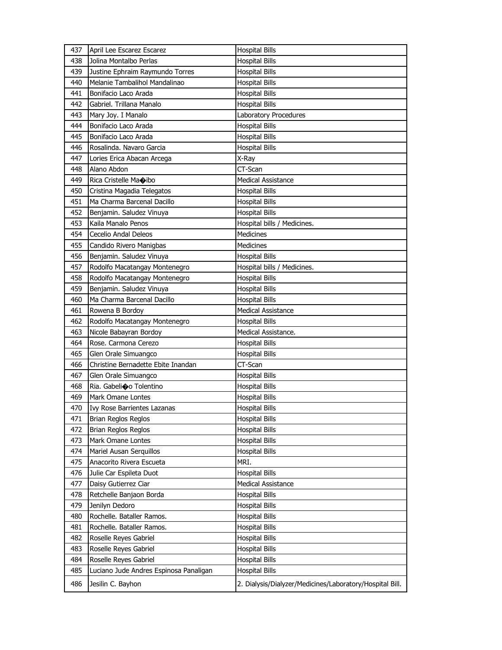| 437 | April Lee Escarez Escarez              | <b>Hospital Bills</b>                                    |
|-----|----------------------------------------|----------------------------------------------------------|
| 438 | Jolina Montalbo Perlas                 | <b>Hospital Bills</b>                                    |
| 439 | Justine Ephraim Raymundo Torres        | <b>Hospital Bills</b>                                    |
| 440 | Melanie Tambalihol Mandalinao          | <b>Hospital Bills</b>                                    |
| 441 | Bonifacio Laco Arada                   | <b>Hospital Bills</b>                                    |
| 442 | Gabriel. Trillana Manalo               | <b>Hospital Bills</b>                                    |
| 443 | Mary Joy. I Manalo                     | Laboratory Procedures                                    |
| 444 | Bonifacio Laco Arada                   | <b>Hospital Bills</b>                                    |
| 445 | Bonifacio Laco Arada                   | <b>Hospital Bills</b>                                    |
| 446 | Rosalinda. Navaro Garcia               | <b>Hospital Bills</b>                                    |
| 447 | Lories Erica Abacan Arcega             | X-Ray                                                    |
| 448 | Alano Abdon                            | CT-Scan                                                  |
| 449 | Rica Cristelle Maoibo                  | <b>Medical Assistance</b>                                |
| 450 | Cristina Magadia Telegatos             | <b>Hospital Bills</b>                                    |
| 451 | Ma Charma Barcenal Dacillo             | <b>Hospital Bills</b>                                    |
| 452 | Benjamin. Saludez Vinuya               | <b>Hospital Bills</b>                                    |
| 453 | Kaila Manalo Penos                     | Hospital bills / Medicines.                              |
| 454 | Cecelio Andal Deleos                   | <b>Medicines</b>                                         |
| 455 | Candido Rivero Manigbas                | <b>Medicines</b>                                         |
| 456 | Benjamin. Saludez Vinuya               | <b>Hospital Bills</b>                                    |
| 457 | Rodolfo Macatangay Montenegro          | Hospital bills / Medicines.                              |
| 458 | Rodolfo Macatangay Montenegro          | <b>Hospital Bills</b>                                    |
| 459 | Benjamin. Saludez Vinuya               | <b>Hospital Bills</b>                                    |
| 460 | Ma Charma Barcenal Dacillo             | <b>Hospital Bills</b>                                    |
| 461 | Rowena B Bordoy                        | <b>Medical Assistance</b>                                |
| 462 | Rodolfo Macatangay Montenegro          | <b>Hospital Bills</b>                                    |
| 463 | Nicole Babayran Bordoy                 | Medical Assistance.                                      |
| 464 | Rose. Carmona Cerezo                   | <b>Hospital Bills</b>                                    |
| 465 | Glen Orale Simuangco                   | <b>Hospital Bills</b>                                    |
| 466 | Christine Bernadette Ebite Inandan     | CT-Scan                                                  |
| 467 | Glen Orale Simuangco                   | <b>Hospital Bills</b>                                    |
| 468 | Ria. Gabelioo Tolentino                | <b>Hospital Bills</b>                                    |
| 469 | <b>Mark Omane Lontes</b>               | <b>Hospital Bills</b>                                    |
| 470 | <b>Ivy Rose Barrientes Lazanas</b>     | <b>Hospital Bills</b>                                    |
| 471 | <b>Brian Reglos Reglos</b>             | <b>Hospital Bills</b>                                    |
| 472 | Brian Reglos Reglos                    | <b>Hospital Bills</b>                                    |
| 473 | Mark Omane Lontes                      | <b>Hospital Bills</b>                                    |
| 474 | Mariel Ausan Serquillos                | <b>Hospital Bills</b>                                    |
| 475 | Anacorito Rivera Escueta               | MRI.                                                     |
| 476 | Julie Car Espileta Duot                | <b>Hospital Bills</b>                                    |
| 477 | Daisy Gutierrez Ciar                   | Medical Assistance                                       |
| 478 | Retchelle Banjaon Borda                | <b>Hospital Bills</b>                                    |
| 479 | Jenilyn Dedoro                         | <b>Hospital Bills</b>                                    |
| 480 | Rochelle. Bataller Ramos.              | <b>Hospital Bills</b>                                    |
| 481 | Rochelle. Bataller Ramos.              | <b>Hospital Bills</b>                                    |
| 482 | Roselle Reyes Gabriel                  | <b>Hospital Bills</b>                                    |
| 483 | Roselle Reyes Gabriel                  | <b>Hospital Bills</b>                                    |
| 484 | Roselle Reyes Gabriel                  | <b>Hospital Bills</b>                                    |
| 485 | Luciano Jude Andres Espinosa Panaligan | <b>Hospital Bills</b>                                    |
| 486 | Jesilin C. Bayhon                      | 2. Dialysis/Dialyzer/Medicines/Laboratory/Hospital Bill. |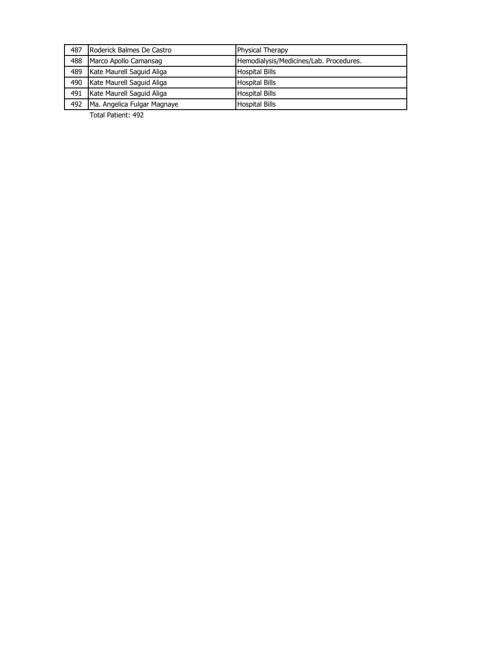| 487 | Roderick Balmes De Castro   | <b>Physical Therapy</b>                 |
|-----|-----------------------------|-----------------------------------------|
| 488 | Marco Apollo Camansag       | Hemodialysis/Medicines/Lab. Procedures. |
| 489 | Kate Maurell Saguid Aliga   | <b>Hospital Bills</b>                   |
| 490 | Kate Maurell Saguid Aliga   | <b>Hospital Bills</b>                   |
| 491 | Kate Maurell Saguid Aliga   | <b>Hospital Bills</b>                   |
| 492 | Ma. Angelica Fulgar Magnaye | <b>Hospital Bills</b>                   |

Total Patient: 492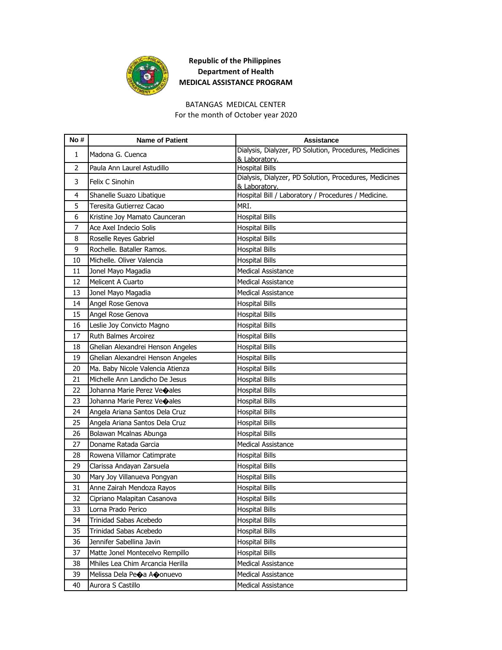

## **Republic of the Philippines Department of Health MEDICAL ASSISTANCE PROGRAM**

## BATANGAS MEDICAL CENTER

For the month of October year 2020

| No#            | <b>Name of Patient</b>                 | <b>Assistance</b>                                                               |
|----------------|----------------------------------------|---------------------------------------------------------------------------------|
| 1              | Madona G. Cuenca                       | Dialysis, Dialyzer, PD Solution, Procedures, Medicines                          |
|                |                                        | & Laboratory.                                                                   |
| $\overline{2}$ | Paula Ann Laurel Astudillo             | <b>Hospital Bills</b><br>Dialysis, Dialyzer, PD Solution, Procedures, Medicines |
| 3              | Felix C Sinohin                        | & Laboratory.                                                                   |
| 4              | Shanelle Suazo Libatique               | Hospital Bill / Laboratory / Procedures / Medicine.                             |
| 5              | Teresita Gutierrez Cacao               | MRI.                                                                            |
| 6              | Kristine Joy Mamato Caunceran          | <b>Hospital Bills</b>                                                           |
| 7              | Ace Axel Indecio Solis                 | <b>Hospital Bills</b>                                                           |
| 8              | Roselle Reyes Gabriel                  | <b>Hospital Bills</b>                                                           |
| 9              | Rochelle, Bataller Ramos.              | <b>Hospital Bills</b>                                                           |
| 10             | Michelle. Oliver Valencia              | <b>Hospital Bills</b>                                                           |
| 11             | Jonel Mayo Magadia                     | <b>Medical Assistance</b>                                                       |
| 12             | Melicent A Cuarto                      | <b>Medical Assistance</b>                                                       |
| 13             | Jonel Mayo Magadia                     | <b>Medical Assistance</b>                                                       |
| 14             | Angel Rose Genova                      | <b>Hospital Bills</b>                                                           |
| 15             | Angel Rose Genova                      | <b>Hospital Bills</b>                                                           |
| 16             | Leslie Joy Convicto Magno              | <b>Hospital Bills</b>                                                           |
| 17             | Ruth Balmes Arcoirez                   | <b>Hospital Bills</b>                                                           |
| 18             | Ghelian Alexandrei Henson Angeles      | <b>Hospital Bills</b>                                                           |
| 19             | Ghelian Alexandrei Henson Angeles      | <b>Hospital Bills</b>                                                           |
| 20             | Ma. Baby Nicole Valencia Atienza       | <b>Hospital Bills</b>                                                           |
| 21             | Michelle Ann Landicho De Jesus         | <b>Hospital Bills</b>                                                           |
| 22             | Johanna Marie Perez Ve $\bigcirc$ ales | <b>Hospital Bills</b>                                                           |
| 23             | Johanna Marie Perez Veoales            | <b>Hospital Bills</b>                                                           |
| 24             | Angela Ariana Santos Dela Cruz         | <b>Hospital Bills</b>                                                           |
| 25             | Angela Ariana Santos Dela Cruz         | <b>Hospital Bills</b>                                                           |
| 26             | Bolawan Mcalnas Abunga                 | <b>Hospital Bills</b>                                                           |
| 27             | Doname Ratada Garcia                   | <b>Medical Assistance</b>                                                       |
| 28             | Rowena Villamor Catimprate             | <b>Hospital Bills</b>                                                           |
| 29             | Clarissa Andayan Zarsuela              | <b>Hospital Bills</b>                                                           |
| 30             | Mary Joy Villanueva Pongyan            | Hospital Bills                                                                  |
| 31             | Anne Zairah Mendoza Rayos              | <b>Hospital Bills</b>                                                           |
| 32             | Cipriano Malapitan Casanova            | <b>Hospital Bills</b>                                                           |
| 33             | Lorna Prado Perico                     | <b>Hospital Bills</b>                                                           |
| 34             | Trinidad Sabas Acebedo                 | <b>Hospital Bills</b>                                                           |
| 35             | Trinidad Sabas Acebedo                 | <b>Hospital Bills</b>                                                           |
| 36             | Jennifer Sabellina Javin               | <b>Hospital Bills</b>                                                           |
| 37             | Matte Jonel Montecelvo Rempillo        | <b>Hospital Bills</b>                                                           |
| 38             | Mhiles Lea Chim Arcancia Herilla       | Medical Assistance                                                              |
| 39             | Melissa Dela Peoa Ao onuevo            | Medical Assistance                                                              |
| 40             | Aurora S Castillo                      | Medical Assistance                                                              |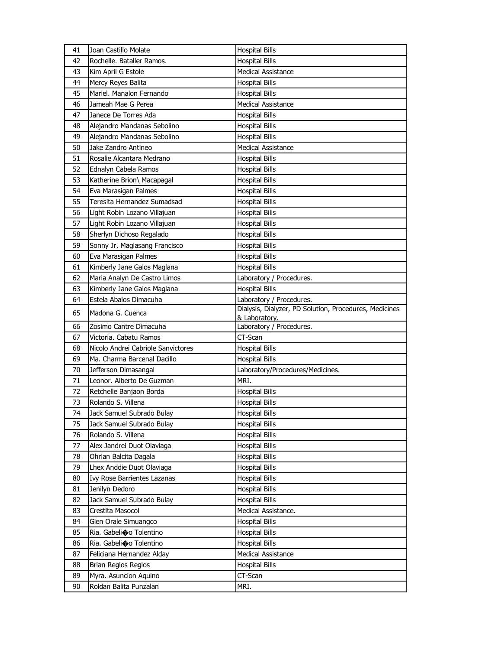| 41 | Joan Castillo Molate               | <b>Hospital Bills</b>                                  |
|----|------------------------------------|--------------------------------------------------------|
| 42 | Rochelle, Bataller Ramos.          | <b>Hospital Bills</b>                                  |
| 43 | Kim April G Estole                 | <b>Medical Assistance</b>                              |
| 44 | Mercy Reyes Balita                 | <b>Hospital Bills</b>                                  |
| 45 | Mariel, Manalon Fernando           | <b>Hospital Bills</b>                                  |
| 46 | Jameah Mae G Perea                 | <b>Medical Assistance</b>                              |
| 47 | Janece De Torres Ada               | <b>Hospital Bills</b>                                  |
| 48 | Alejandro Mandanas Sebolino        | <b>Hospital Bills</b>                                  |
| 49 | Alejandro Mandanas Sebolino        | <b>Hospital Bills</b>                                  |
| 50 | Jake Zandro Antineo                | <b>Medical Assistance</b>                              |
| 51 | Rosalie Alcantara Medrano          | <b>Hospital Bills</b>                                  |
| 52 | Ednalyn Cabela Ramos               | <b>Hospital Bills</b>                                  |
| 53 | Katherine Brion\ Macapagal         | <b>Hospital Bills</b>                                  |
| 54 | Eva Marasigan Palmes               | <b>Hospital Bills</b>                                  |
| 55 | Teresita Hernandez Sumadsad        | <b>Hospital Bills</b>                                  |
| 56 | Light Robin Lozano Villajuan       | <b>Hospital Bills</b>                                  |
| 57 | Light Robin Lozano Villajuan       | <b>Hospital Bills</b>                                  |
| 58 | Sherlyn Dichoso Regalado           | <b>Hospital Bills</b>                                  |
| 59 | Sonny Jr. Maglasang Francisco      | <b>Hospital Bills</b>                                  |
| 60 | Eva Marasigan Palmes               | <b>Hospital Bills</b>                                  |
| 61 | Kimberly Jane Galos Maglana        | <b>Hospital Bills</b>                                  |
| 62 | Maria Analyn De Castro Limos       | Laboratory / Procedures.                               |
| 63 | Kimberly Jane Galos Maglana        | <b>Hospital Bills</b>                                  |
| 64 | Estela Abalos Dimacuha             | Laboratory / Procedures.                               |
| 65 | Madona G. Cuenca                   | Dialysis, Dialyzer, PD Solution, Procedures, Medicines |
|    |                                    | & Laboratory.                                          |
| 66 | Zosimo Cantre Dimacuha             | Laboratory / Procedures.                               |
| 67 | Victoria. Cabatu Ramos             | CT-Scan                                                |
| 68 | Nicolo Andrei Cabriole Sanvictores | <b>Hospital Bills</b>                                  |
| 69 | Ma. Charma Barcenal Dacillo        | <b>Hospital Bills</b>                                  |
| 70 | Jefferson Dimasangal               | Laboratory/Procedures/Medicines.                       |
| 71 | Leonor. Alberto De Guzman          | MRI.                                                   |
| 72 | Retchelle Banjaon Borda            | <b>Hospital Bills</b>                                  |
| 73 | Rolando S. Villena                 | <b>Hospital Bills</b>                                  |
| 74 | Jack Samuel Subrado Bulay          | <b>Hospital Bills</b>                                  |
| 75 | Jack Samuel Subrado Bulay          | Hospital Bills                                         |
| 76 | Rolando S. Villena                 | <b>Hospital Bills</b>                                  |
| 77 | Alex Jandrei Duot Olaviaga         | <b>Hospital Bills</b>                                  |
| 78 | Ohrlan Balcita Dagala              | <b>Hospital Bills</b>                                  |
| 79 | Lhex Anddie Duot Olaviaga          | <b>Hospital Bills</b>                                  |
| 80 | Ivy Rose Barrientes Lazanas        | <b>Hospital Bills</b>                                  |
| 81 | Jenilyn Dedoro                     | <b>Hospital Bills</b>                                  |
| 82 | Jack Samuel Subrado Bulay          | <b>Hospital Bills</b>                                  |
| 83 | Crestita Masocol                   | Medical Assistance.                                    |
| 84 | Glen Orale Simuangco               | <b>Hospital Bills</b>                                  |
| 85 | Ria. Gabelio Tolentino             | <b>Hospital Bills</b>                                  |
| 86 | Ria. Gabelio Tolentino             | <b>Hospital Bills</b>                                  |
| 87 | Feliciana Hernandez Alday          | Medical Assistance                                     |
| 88 | Brian Reglos Reglos                | <b>Hospital Bills</b>                                  |
| 89 | Myra. Asuncion Aquino              | CT-Scan                                                |
| 90 | Roldan Balita Punzalan             | MRI.                                                   |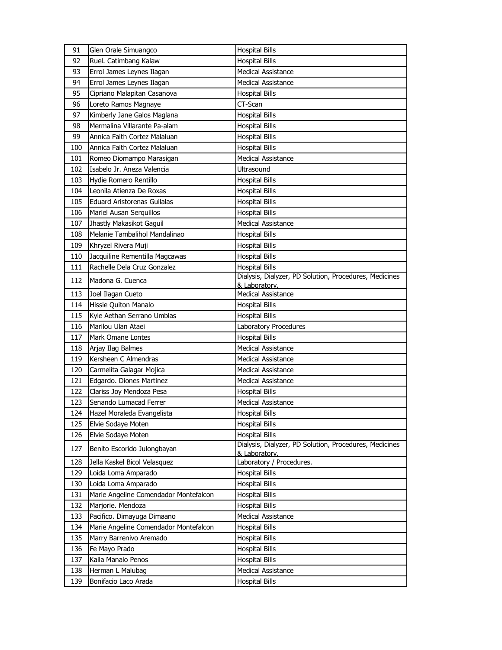| 91  | Glen Orale Simuangco                  | <b>Hospital Bills</b>                                                   |
|-----|---------------------------------------|-------------------------------------------------------------------------|
| 92  | Ruel. Catimbang Kalaw                 | <b>Hospital Bills</b>                                                   |
| 93  | Errol James Leynes Ilagan             | <b>Medical Assistance</b>                                               |
| 94  | Errol James Leynes Ilagan             | <b>Medical Assistance</b>                                               |
| 95  | Cipriano Malapitan Casanova           | <b>Hospital Bills</b>                                                   |
| 96  | Loreto Ramos Magnaye                  | CT-Scan                                                                 |
| 97  | Kimberly Jane Galos Maglana           | <b>Hospital Bills</b>                                                   |
| 98  | Mermalina Villarante Pa-alam          | <b>Hospital Bills</b>                                                   |
| 99  | Annica Faith Cortez Malaluan          | <b>Hospital Bills</b>                                                   |
| 100 | Annica Faith Cortez Malaluan          | <b>Hospital Bills</b>                                                   |
| 101 | Romeo Diomampo Marasigan              | <b>Medical Assistance</b>                                               |
| 102 | Isabelo Jr. Aneza Valencia            | Ultrasound                                                              |
| 103 | Hydie Romero Rentillo                 | <b>Hospital Bills</b>                                                   |
| 104 | Leonila Atienza De Roxas              | <b>Hospital Bills</b>                                                   |
| 105 | <b>Eduard Aristorenas Guilalas</b>    | <b>Hospital Bills</b>                                                   |
| 106 | Mariel Ausan Serguillos               | <b>Hospital Bills</b>                                                   |
| 107 | Jhastly Makasikot Gaguil              | <b>Medical Assistance</b>                                               |
| 108 | Melanie Tambalihol Mandalinao         | <b>Hospital Bills</b>                                                   |
| 109 | Khryzel Rivera Muji                   | <b>Hospital Bills</b>                                                   |
| 110 | Jacquiline Rementilla Magcawas        | <b>Hospital Bills</b>                                                   |
| 111 | Rachelle Dela Cruz Gonzalez           | <b>Hospital Bills</b>                                                   |
| 112 | Madona G. Cuenca                      | Dialysis, Dialyzer, PD Solution, Procedures, Medicines<br>& Laboratory. |
| 113 | Joel Ilagan Cueto                     | <b>Medical Assistance</b>                                               |
| 114 | Hissie Quiton Manalo                  | <b>Hospital Bills</b>                                                   |
| 115 | Kyle Aethan Serrano Umblas            | <b>Hospital Bills</b>                                                   |
| 116 | Marilou Ulan Ataei                    | Laboratory Procedures                                                   |
| 117 | Mark Omane Lontes                     | <b>Hospital Bills</b>                                                   |
| 118 | Arjay Ilag Balmes                     | <b>Medical Assistance</b>                                               |
| 119 | Kersheen C Almendras                  | <b>Medical Assistance</b>                                               |
| 120 | Carmelita Galagar Mojica              | <b>Medical Assistance</b>                                               |
| 121 | Edgardo. Diones Martinez              | <b>Medical Assistance</b>                                               |
| 122 | Clariss Joy Mendoza Pesa              | <b>Hospital Bills</b>                                                   |
| 123 | Senando Lumacad Ferrer                | Medical Assistance                                                      |
| 124 | Hazel Moraleda Evangelista            | <b>Hospital Bills</b>                                                   |
| 125 | Elvie Sodaye Moten                    | <b>Hospital Bills</b>                                                   |
| 126 | Elvie Sodaye Moten                    | <b>Hospital Bills</b>                                                   |
| 127 | Benito Escorido Julongbayan           | Dialysis, Dialyzer, PD Solution, Procedures, Medicines<br>& Laboratory. |
| 128 | Jella Kaskel Bicol Velasquez          | Laboratory / Procedures.                                                |
| 129 | Loida Loma Amparado                   | Hospital Bills                                                          |
| 130 | Loida Loma Amparado                   | <b>Hospital Bills</b>                                                   |
| 131 | Marie Angeline Comendador Montefalcon | <b>Hospital Bills</b>                                                   |
| 132 | Marjorie. Mendoza                     | <b>Hospital Bills</b>                                                   |
| 133 | Pacifico. Dimayuga Dimaano            | <b>Medical Assistance</b>                                               |
| 134 | Marie Angeline Comendador Montefalcon | <b>Hospital Bills</b>                                                   |
| 135 | Marry Barrenivo Aremado               | <b>Hospital Bills</b>                                                   |
| 136 | Fe Mayo Prado                         | <b>Hospital Bills</b>                                                   |
| 137 | Kaila Manalo Penos                    | <b>Hospital Bills</b>                                                   |
| 138 | Herman L Malubag                      | <b>Medical Assistance</b>                                               |
| 139 | Bonifacio Laco Arada                  | <b>Hospital Bills</b>                                                   |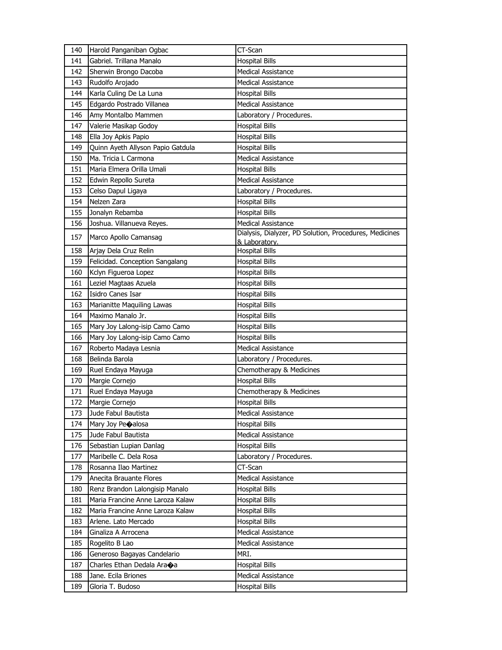| 140 | Harold Panganiban Ogbac               | CT-Scan                                                |
|-----|---------------------------------------|--------------------------------------------------------|
| 141 | Gabriel. Trillana Manalo              | <b>Hospital Bills</b>                                  |
| 142 | Sherwin Brongo Dacoba                 | <b>Medical Assistance</b>                              |
| 143 | Rudolfo Arojado                       | <b>Medical Assistance</b>                              |
| 144 | Karla Culing De La Luna               | <b>Hospital Bills</b>                                  |
| 145 | Edgardo Postrado Villanea             | <b>Medical Assistance</b>                              |
| 146 | Amy Montalbo Mammen                   | Laboratory / Procedures.                               |
| 147 | Valerie Masikap Godoy                 | <b>Hospital Bills</b>                                  |
| 148 | Ella Joy Apkis Papio                  | <b>Hospital Bills</b>                                  |
| 149 | Quinn Ayeth Allyson Papio Gatdula     | <b>Hospital Bills</b>                                  |
| 150 | Ma. Tricia L Carmona                  | <b>Medical Assistance</b>                              |
| 151 | Maria Elmera Orilla Umali             | <b>Hospital Bills</b>                                  |
| 152 | Edwin Repollo Sureta                  | <b>Medical Assistance</b>                              |
| 153 | Celso Dapul Ligaya                    | Laboratory / Procedures.                               |
| 154 | Nelzen Zara                           | <b>Hospital Bills</b>                                  |
| 155 | Jonalyn Rebamba                       | <b>Hospital Bills</b>                                  |
| 156 | Joshua. Villanueva Reyes.             | <b>Medical Assistance</b>                              |
| 157 | Marco Apollo Camansag                 | Dialysis, Dialyzer, PD Solution, Procedures, Medicines |
|     |                                       | & Laboratory.                                          |
| 158 | Arjay Dela Cruz Relin                 | <b>Hospital Bills</b>                                  |
| 159 | Felicidad. Conception Sangalang       | <b>Hospital Bills</b>                                  |
| 160 | Kclyn Figueroa Lopez                  | <b>Hospital Bills</b>                                  |
| 161 | Leziel Magtaas Azuela                 | <b>Hospital Bills</b>                                  |
| 162 | Isidro Canes Isar                     | <b>Hospital Bills</b>                                  |
| 163 | Marianitte Maquiling Lawas            | <b>Hospital Bills</b>                                  |
| 164 | Maximo Manalo Jr.                     | <b>Hospital Bills</b>                                  |
| 165 | Mary Joy Lalong-isip Camo Camo        | <b>Hospital Bills</b>                                  |
| 166 | Mary Joy Lalong-isip Camo Camo        | <b>Hospital Bills</b>                                  |
| 167 | Roberto Madaya Lesnia                 | <b>Medical Assistance</b>                              |
| 168 | Belinda Barola                        | Laboratory / Procedures.                               |
| 169 | Ruel Endaya Mayuga                    | Chemotherapy & Medicines                               |
| 170 | Margie Cornejo                        | <b>Hospital Bills</b>                                  |
| 171 | Ruel Endaya Mayuga                    | Chemotherapy & Medicines                               |
| 172 | Margie Cornejo                        | <b>Hospital Bills</b>                                  |
| 173 | Jude Fabul Bautista                   | <b>Medical Assistance</b>                              |
| 174 | Mary Joy Pecalosa                     | <b>Hospital Bills</b>                                  |
| 175 | Jude Fabul Bautista                   | Medical Assistance                                     |
| 176 | Sebastian Lupian Danlag               | <b>Hospital Bills</b>                                  |
| 177 | Maribelle C. Dela Rosa                | Laboratory / Procedures.                               |
| 178 | Rosanna Ilao Martinez                 | CT-Scan                                                |
| 179 | Anecita Brauante Flores               | <b>Medical Assistance</b>                              |
| 180 | Renz Brandon Lalongisip Manalo        | <b>Hospital Bills</b>                                  |
| 181 | Maria Francine Anne Laroza Kalaw      | <b>Hospital Bills</b>                                  |
| 182 | Maria Francine Anne Laroza Kalaw      | <b>Hospital Bills</b>                                  |
| 183 | Arlene. Lato Mercado                  | <b>Hospital Bills</b>                                  |
| 184 | Ginaliza A Arrocena                   | <b>Medical Assistance</b>                              |
| 185 | Rogelito B Lao                        | <b>Medical Assistance</b>                              |
| 186 | Generoso Bagayas Candelario           | MRI.                                                   |
| 187 | Charles Ethan Dedala Ara $\bigcirc$ a | <b>Hospital Bills</b>                                  |
| 188 | Jane. Ecila Briones                   | Medical Assistance                                     |
| 189 | Gloria T. Budoso                      | <b>Hospital Bills</b>                                  |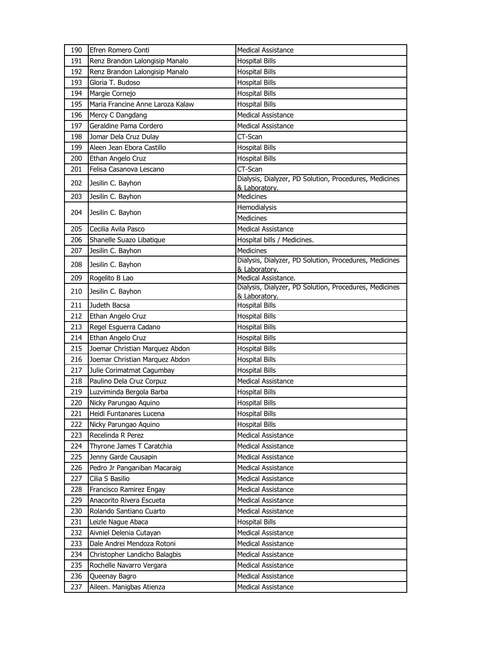| 190 | Efren Romero Conti               | <b>Medical Assistance</b>                                               |
|-----|----------------------------------|-------------------------------------------------------------------------|
| 191 | Renz Brandon Lalongisip Manalo   | <b>Hospital Bills</b>                                                   |
| 192 | Renz Brandon Lalongisip Manalo   | <b>Hospital Bills</b>                                                   |
| 193 | Gloria T. Budoso                 | <b>Hospital Bills</b>                                                   |
| 194 | Margie Cornejo                   | <b>Hospital Bills</b>                                                   |
| 195 | Maria Francine Anne Laroza Kalaw | <b>Hospital Bills</b>                                                   |
| 196 | Mercy C Dangdang                 | <b>Medical Assistance</b>                                               |
| 197 | Geraldine Pama Cordero           | <b>Medical Assistance</b>                                               |
| 198 | Jomar Dela Cruz Dulay            | CT-Scan                                                                 |
| 199 | Aleen Jean Ebora Castillo        | <b>Hospital Bills</b>                                                   |
| 200 | Ethan Angelo Cruz                | <b>Hospital Bills</b>                                                   |
| 201 | Felisa Casanova Lescano          | CT-Scan                                                                 |
| 202 | Jesilin C. Bayhon                | Dialysis, Dialyzer, PD Solution, Procedures, Medicines                  |
| 203 | Jesilin C. Bayhon                | & Laboratory.<br>Medicines                                              |
|     |                                  | Hemodialysis                                                            |
| 204 | Jesilin C. Bayhon                | <b>Medicines</b>                                                        |
| 205 | Cecilia Avila Pasco              | <b>Medical Assistance</b>                                               |
| 206 | Shanelle Suazo Libatique         | Hospital bills / Medicines.                                             |
| 207 | Jesilin C. Bayhon                | <b>Medicines</b>                                                        |
|     |                                  | Dialysis, Dialyzer, PD Solution, Procedures, Medicines                  |
| 208 | Jesilin C. Bayhon                | & Laboratory.                                                           |
| 209 | Rogelito B Lao                   | Medical Assistance.                                                     |
| 210 | Jesilin C. Bayhon                | Dialysis, Dialyzer, PD Solution, Procedures, Medicines<br>& Laboratory. |
| 211 | Judeth Bacsa                     | <b>Hospital Bills</b>                                                   |
| 212 | Ethan Angelo Cruz                | <b>Hospital Bills</b>                                                   |
| 213 | Regel Esguerra Cadano            | <b>Hospital Bills</b>                                                   |
| 214 | Ethan Angelo Cruz                | <b>Hospital Bills</b>                                                   |
| 215 | Joemar Christian Marquez Abdon   | <b>Hospital Bills</b>                                                   |
| 216 | Joemar Christian Marquez Abdon   | <b>Hospital Bills</b>                                                   |
| 217 | Julie Corimatmat Cagumbay        | <b>Hospital Bills</b>                                                   |
| 218 | Paulino Dela Cruz Corpuz         | <b>Medical Assistance</b>                                               |
| 219 | Luzviminda Bergola Barba         | <b>Hospital Bills</b>                                                   |
| 220 | Nicky Parungao Aquino            | <b>Hospital Bills</b>                                                   |
| 221 | Heidi Funtanares Lucena          | <b>Hospital Bills</b>                                                   |
| 222 | Nicky Parungao Aquino            | <b>Hospital Bills</b>                                                   |
| 223 | Recelinda R Perez                | Medical Assistance                                                      |
| 224 | Thyrone James T Caratchia        | <b>Medical Assistance</b>                                               |
| 225 | Jenny Garde Causapin             | <b>Medical Assistance</b>                                               |
| 226 | Pedro Jr Panganiban Macaraig     | Medical Assistance                                                      |
| 227 | Cilia S Basilio                  | <b>Medical Assistance</b>                                               |
| 228 | Francisco Ramirez Engay          | <b>Medical Assistance</b>                                               |
| 229 | Anacorito Rivera Escueta         | <b>Medical Assistance</b>                                               |
| 230 | Rolando Santiano Cuarto          | <b>Medical Assistance</b>                                               |
| 231 | Leizle Nague Abaca               | <b>Hospital Bills</b>                                                   |
| 232 | Aivniel Delenia Cutayan          | Medical Assistance                                                      |
| 233 | Dale Andrei Mendoza Rotoni       | <b>Medical Assistance</b>                                               |
| 234 | Christopher Landicho Balagbis    | <b>Medical Assistance</b>                                               |
| 235 | Rochelle Navarro Vergara         | <b>Medical Assistance</b>                                               |
| 236 | Queenay Bagro                    | Medical Assistance                                                      |
| 237 | Aileen. Manigbas Atienza         | Medical Assistance                                                      |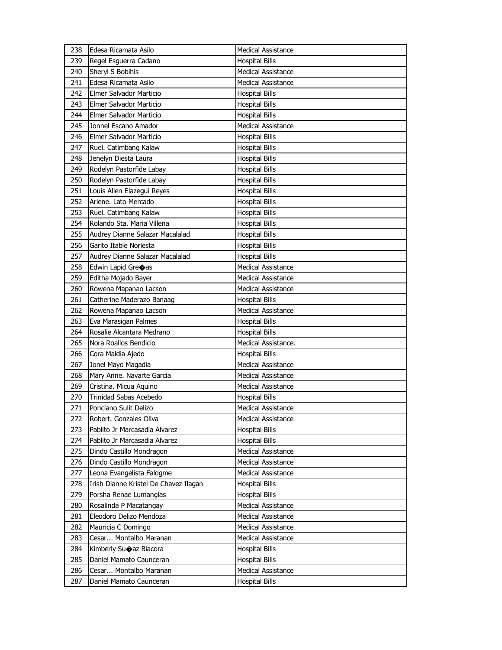| 238 | Edesa Ricamata Asilo                  | <b>Medical Assistance</b> |
|-----|---------------------------------------|---------------------------|
| 239 | Regel Esguerra Cadano                 | <b>Hospital Bills</b>     |
| 240 | Sheryl S Bobihis                      | <b>Medical Assistance</b> |
| 241 | Edesa Ricamata Asilo                  | <b>Medical Assistance</b> |
| 242 | Elmer Salvador Marticio               | <b>Hospital Bills</b>     |
| 243 | Elmer Salvador Marticio               | <b>Hospital Bills</b>     |
| 244 | Elmer Salvador Marticio               | <b>Hospital Bills</b>     |
| 245 | Jonnel Escano Amador                  | <b>Medical Assistance</b> |
| 246 | Elmer Salvador Marticio               | <b>Hospital Bills</b>     |
| 247 | Ruel. Catimbang Kalaw                 | <b>Hospital Bills</b>     |
| 248 | Jenelyn Diesta Laura                  | <b>Hospital Bills</b>     |
| 249 | Rodelyn Pastorfide Labay              | <b>Hospital Bills</b>     |
| 250 | Rodelyn Pastorfide Labay              | <b>Hospital Bills</b>     |
| 251 | Louis Allen Elazegui Reyes            | <b>Hospital Bills</b>     |
| 252 | Arlene. Lato Mercado                  | <b>Hospital Bills</b>     |
| 253 | Ruel. Catimbang Kalaw                 | <b>Hospital Bills</b>     |
| 254 | Rolando Sta. Maria Villena            | <b>Hospital Bills</b>     |
| 255 | Audrey Dianne Salazar Macalalad       | <b>Hospital Bills</b>     |
| 256 | Garito Itable Noriesta                | <b>Hospital Bills</b>     |
| 257 | Audrey Dianne Salazar Macalalad       | <b>Hospital Bills</b>     |
| 258 | Edwin Lapid Gre $\diamond$ as         | <b>Medical Assistance</b> |
| 259 | Editha Mojado Bayer                   | <b>Medical Assistance</b> |
| 260 | Rowena Mapanao Lacson                 | <b>Medical Assistance</b> |
| 261 | Catherine Maderazo Banaag             | <b>Hospital Bills</b>     |
| 262 | Rowena Mapanao Lacson                 | <b>Medical Assistance</b> |
| 263 | Eva Marasigan Palmes                  | <b>Hospital Bills</b>     |
| 264 | Rosalie Alcantara Medrano             | <b>Hospital Bills</b>     |
| 265 | Nora Roallos Bendicio                 | Medical Assistance.       |
| 266 | Cora Maldia Ajedo                     | <b>Hospital Bills</b>     |
| 267 | Jonel Mayo Magadia                    | <b>Medical Assistance</b> |
| 268 | Mary Anne. Navarte Garcia             | Medical Assistance        |
| 269 | Cristina. Micua Aquino                | <b>Medical Assistance</b> |
| 270 | Trinidad Sabas Acebedo                | <b>Hospital Bills</b>     |
| 271 | Ponciano Sulit Delizo                 | <b>Medical Assistance</b> |
| 272 | Robert. Gonzales Oliva                | Medical Assistance        |
| 273 | Pablito Jr Marcasadia Alvarez         | <b>Hospital Bills</b>     |
| 274 | Pablito Jr Marcasadia Alvarez         | <b>Hospital Bills</b>     |
| 275 | Dindo Castillo Mondragon              | <b>Medical Assistance</b> |
| 276 | Dindo Castillo Mondragon              | <b>Medical Assistance</b> |
| 277 | Leona Evangelista Falogme             | <b>Medical Assistance</b> |
| 278 | Irish Dianne Kristel De Chavez Ilagan | Hospital Bills            |
| 279 | Porsha Renae Lumanglas                | <b>Hospital Bills</b>     |
| 280 | Rosalinda P Macatangay                | Medical Assistance        |
| 281 | Eleodoro Delizo Mendoza               | <b>Medical Assistance</b> |
| 282 | Mauricia C Domingo                    | <b>Medical Assistance</b> |
| 283 | Cesar Montalbo Maranan                | <b>Medical Assistance</b> |
| 284 | Kimberly Suoaz Biacora                | <b>Hospital Bills</b>     |
| 285 | Daniel Mamato Caunceran               | <b>Hospital Bills</b>     |
| 286 | Cesar Montalbo Maranan                | <b>Medical Assistance</b> |
| 287 | Daniel Mamato Caunceran               | <b>Hospital Bills</b>     |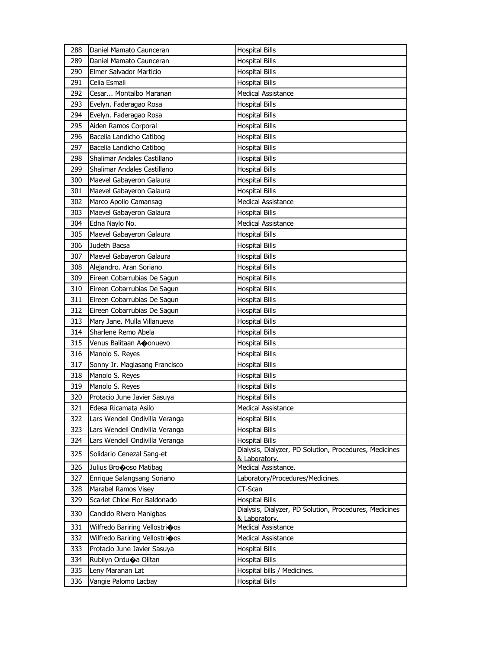| 288 | Daniel Mamato Caunceran                    | <b>Hospital Bills</b>                                                   |
|-----|--------------------------------------------|-------------------------------------------------------------------------|
| 289 | Daniel Mamato Caunceran                    | <b>Hospital Bills</b>                                                   |
| 290 | Elmer Salvador Marticio                    | <b>Hospital Bills</b>                                                   |
| 291 | Celia Esmali                               | <b>Hospital Bills</b>                                                   |
| 292 | Cesar Montalbo Maranan                     | <b>Medical Assistance</b>                                               |
| 293 | Evelyn. Faderagao Rosa                     | <b>Hospital Bills</b>                                                   |
| 294 | Evelyn. Faderagao Rosa                     | <b>Hospital Bills</b>                                                   |
| 295 | Aiden Ramos Corporal                       | <b>Hospital Bills</b>                                                   |
| 296 | Bacelia Landicho Catibog                   | <b>Hospital Bills</b>                                                   |
| 297 | Bacelia Landicho Catibog                   | <b>Hospital Bills</b>                                                   |
| 298 | Shalimar Andales Castillano                | <b>Hospital Bills</b>                                                   |
| 299 | Shalimar Andales Castillano                | <b>Hospital Bills</b>                                                   |
| 300 | Maevel Gabayeron Galaura                   | <b>Hospital Bills</b>                                                   |
| 301 | Maevel Gabayeron Galaura                   | <b>Hospital Bills</b>                                                   |
| 302 | Marco Apollo Camansag                      | Medical Assistance                                                      |
| 303 | Maevel Gabayeron Galaura                   | <b>Hospital Bills</b>                                                   |
| 304 | Edna Naylo No.                             | <b>Medical Assistance</b>                                               |
| 305 | Maevel Gabayeron Galaura                   | <b>Hospital Bills</b>                                                   |
| 306 | Judeth Bacsa                               | <b>Hospital Bills</b>                                                   |
| 307 | Maevel Gabayeron Galaura                   | <b>Hospital Bills</b>                                                   |
| 308 | Alejandro. Aran Soriano                    | <b>Hospital Bills</b>                                                   |
| 309 | Eireen Cobarrubias De Sagun                | <b>Hospital Bills</b>                                                   |
| 310 | Eireen Cobarrubias De Sagun                | <b>Hospital Bills</b>                                                   |
| 311 | Eireen Cobarrubias De Sagun                | <b>Hospital Bills</b>                                                   |
| 312 | Eireen Cobarrubias De Sagun                | <b>Hospital Bills</b>                                                   |
| 313 | Mary Jane. Mulla Villanueva                | <b>Hospital Bills</b>                                                   |
| 314 | Sharlene Remo Abela                        | <b>Hospital Bills</b>                                                   |
| 315 | Venus Balitaan Aonuevo                     | <b>Hospital Bills</b>                                                   |
| 316 | Manolo S. Reyes                            | <b>Hospital Bills</b>                                                   |
| 317 | Sonny Jr. Maglasang Francisco              | <b>Hospital Bills</b>                                                   |
| 318 | Manolo S. Reyes                            | <b>Hospital Bills</b>                                                   |
| 319 | Manolo S. Reyes                            | <b>Hospital Bills</b>                                                   |
| 320 | Protacio June Javier Sasuya                | <b>Hospital Bills</b>                                                   |
| 321 | Edesa Ricamata Asilo                       | <b>Medical Assistance</b>                                               |
| 322 | Lars Wendell Ondivilla Veranga             | <b>Hospital Bills</b>                                                   |
| 323 | Lars Wendell Ondivilla Veranga             | <b>Hospital Bills</b>                                                   |
| 324 | Lars Wendell Ondivilla Veranga             | <b>Hospital Bills</b>                                                   |
| 325 | Solidario Cenezal Sang-et                  | Dialysis, Dialyzer, PD Solution, Procedures, Medicines<br>& Laboratory. |
| 326 | Julius Brocoso Matibag                     | Medical Assistance.                                                     |
| 327 | Enrique Salangsang Soriano                 | Laboratory/Procedures/Medicines.                                        |
| 328 | Marabel Ramos Visey                        | CT-Scan                                                                 |
| 329 | Scarlet Chloe Flor Baldonado               | <b>Hospital Bills</b>                                                   |
| 330 | Candido Rivero Manigbas                    | Dialysis, Dialyzer, PD Solution, Procedures, Medicines                  |
|     |                                            | & Laboratory.                                                           |
| 331 | Wilfredo Bariring Vellostrioos             | <b>Medical Assistance</b>                                               |
| 332 | Wilfredo Bariring Vellostri $\clubsuit$ os | Medical Assistance                                                      |
| 333 | Protacio June Javier Sasuya                | <b>Hospital Bills</b>                                                   |
| 334 | Rubilyn Ordu $\spadesuit$ a Olitan         | <b>Hospital Bills</b>                                                   |
| 335 | Leny Maranan Lat                           | Hospital bills / Medicines.                                             |
| 336 | Vangie Palomo Lacbay                       | <b>Hospital Bills</b>                                                   |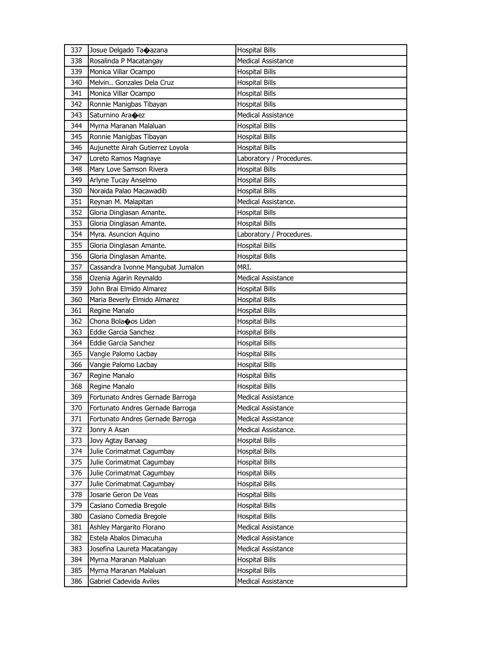| 337 | Josue Delgado Ta $\spadesuit$ azana | <b>Hospital Bills</b>     |
|-----|-------------------------------------|---------------------------|
| 338 | Rosalinda P Macatangay              | Medical Assistance        |
| 339 | Monica Villar Ocampo                | <b>Hospital Bills</b>     |
| 340 | Melvin Gonzales Dela Cruz           | <b>Hospital Bills</b>     |
| 341 | Monica Villar Ocampo                | <b>Hospital Bills</b>     |
| 342 | Ronnie Manigbas Tibayan             | <b>Hospital Bills</b>     |
| 343 | Saturnino Ara�ez                    | Medical Assistance        |
| 344 | Myrna Maranan Malaluan              | <b>Hospital Bills</b>     |
| 345 | Ronnie Manigbas Tibayan             | <b>Hospital Bills</b>     |
| 346 | Aujunette Airah Gutierrez Loyola    | <b>Hospital Bills</b>     |
| 347 | Loreto Ramos Magnaye                | Laboratory / Procedures.  |
| 348 | Mary Love Samson Rivera             | <b>Hospital Bills</b>     |
| 349 | Arlyne Tucay Anselmo                | <b>Hospital Bills</b>     |
| 350 | Noraida Palao Macawadib             | <b>Hospital Bills</b>     |
| 351 | Reynan M. Malapitan                 | Medical Assistance.       |
| 352 | Gloria Dinglasan Amante.            | <b>Hospital Bills</b>     |
| 353 | Gloria Dinglasan Amante.            | <b>Hospital Bills</b>     |
| 354 | Myra. Asuncion Aquino               | Laboratory / Procedures.  |
| 355 | Gloria Dinglasan Amante.            | <b>Hospital Bills</b>     |
| 356 | Gloria Dinglasan Amante.            | <b>Hospital Bills</b>     |
| 357 | Cassandra Ivonne Mangubat Jumalon   | MRI.                      |
| 358 | Ozenia Agarin Reynaldo              | <b>Medical Assistance</b> |
| 359 | John Brai Elmido Almarez            | <b>Hospital Bills</b>     |
| 360 | Maria Beverly Elmido Almarez        | <b>Hospital Bills</b>     |
| 361 | Regine Manalo                       | <b>Hospital Bills</b>     |
| 362 | Chona Bolaoos Lidan                 | <b>Hospital Bills</b>     |
|     |                                     |                           |
| 363 | <b>Eddie Garcia Sanchez</b>         | <b>Hospital Bills</b>     |
| 364 | Eddie Garcia Sanchez                | <b>Hospital Bills</b>     |
| 365 | Vangie Palomo Lacbay                | <b>Hospital Bills</b>     |
| 366 | Vangie Palomo Lacbay                | <b>Hospital Bills</b>     |
| 367 | Regine Manalo                       | <b>Hospital Bills</b>     |
| 368 | Regine Manalo                       | <b>Hospital Bills</b>     |
| 369 | Fortunato Andres Gernade Barroga    | <b>Medical Assistance</b> |
| 370 | Fortunato Andres Gernade Barroga    | <b>Medical Assistance</b> |
| 371 | Fortunato Andres Gernade Barroga    | <b>Medical Assistance</b> |
| 372 | Jonry A Asan                        | Medical Assistance.       |
| 373 | Jovy Agtay Banaag                   | <b>Hospital Bills</b>     |
| 374 | Julie Corimatmat Cagumbay           | <b>Hospital Bills</b>     |
| 375 | Julie Corimatmat Cagumbay           | <b>Hospital Bills</b>     |
| 376 | Julie Corimatmat Cagumbay           | <b>Hospital Bills</b>     |
| 377 | Julie Corimatmat Cagumbay           | <b>Hospital Bills</b>     |
| 378 | Josarie Geron De Veas               | <b>Hospital Bills</b>     |
| 379 | Casiano Comedia Bregole             | <b>Hospital Bills</b>     |
| 380 | Casiano Comedia Bregole             | <b>Hospital Bills</b>     |
| 381 | Ashley Margarito Florano            | Medical Assistance        |
| 382 | Estela Abalos Dimacuha              | Medical Assistance        |
| 383 | Josefina Laureta Macatangay         | <b>Medical Assistance</b> |
| 384 | Myrna Maranan Malaluan              | <b>Hospital Bills</b>     |
| 385 | Myrna Maranan Malaluan              | <b>Hospital Bills</b>     |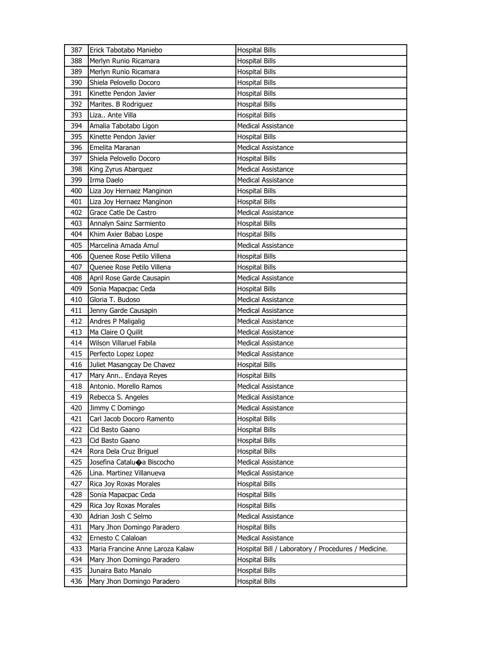| 387        | Erick Tabotabo Maniebo                            | <b>Hospital Bills</b>                               |
|------------|---------------------------------------------------|-----------------------------------------------------|
| 388        | Merlyn Runio Ricamara                             | <b>Hospital Bills</b>                               |
| 389        | Merlyn Runio Ricamara                             | <b>Hospital Bills</b>                               |
| 390        | Shiela Pelovello Docoro                           | <b>Hospital Bills</b>                               |
| 391        | Kinette Pendon Javier                             | <b>Hospital Bills</b>                               |
| 392        | Marites. B Rodriguez                              | <b>Hospital Bills</b>                               |
| 393        | Liza Ante Villa                                   | <b>Hospital Bills</b>                               |
| 394        | Amalia Tabotabo Ligon                             | <b>Medical Assistance</b>                           |
| 395        | Kinette Pendon Javier                             | <b>Hospital Bills</b>                               |
| 396        | Emelita Maranan                                   | <b>Medical Assistance</b>                           |
| 397        | Shiela Pelovello Docoro                           | <b>Hospital Bills</b>                               |
| 398        | King Zyrus Abarquez                               | <b>Medical Assistance</b>                           |
| 399        | Irma Daelo                                        | <b>Medical Assistance</b>                           |
| 400        | Liza Joy Hernaez Manginon                         | <b>Hospital Bills</b>                               |
| 401        | Liza Joy Hernaez Manginon                         | <b>Hospital Bills</b>                               |
| 402        | Grace Catle De Castro                             | Medical Assistance                                  |
| 403        | Annalyn Sainz Sarmiento                           | <b>Hospital Bills</b>                               |
| 404        | Khim Axier Babao Lospe                            | <b>Hospital Bills</b>                               |
| 405        | Marcelina Amada Amul                              | <b>Medical Assistance</b>                           |
| 406        | Quenee Rose Petilo Villena                        | <b>Hospital Bills</b>                               |
| 407        | Quenee Rose Petilo Villena                        | <b>Hospital Bills</b>                               |
| 408        | April Rose Garde Causapin                         | Medical Assistance                                  |
| 409        | Sonia Mapacpac Ceda                               | <b>Hospital Bills</b>                               |
| 410        | Gloria T. Budoso                                  | <b>Medical Assistance</b>                           |
| 411        | Jenny Garde Causapin                              | <b>Medical Assistance</b>                           |
| 412        | Andres P Maligalig                                | Medical Assistance                                  |
|            |                                                   |                                                     |
|            |                                                   |                                                     |
| 413        | Ma Claire O Quilit                                | <b>Medical Assistance</b>                           |
| 414        | Wilson Villaruel Fabila                           | <b>Medical Assistance</b>                           |
| 415        | Perfecto Lopez Lopez                              | <b>Medical Assistance</b>                           |
| 416        | Juliet Masangcay De Chavez                        | <b>Hospital Bills</b>                               |
| 417        | Mary Ann Endaya Reyes                             | <b>Hospital Bills</b>                               |
| 418        | Antonio. Morello Ramos                            | <b>Medical Assistance</b>                           |
| 419        | Rebecca S. Angeles                                | <b>Medical Assistance</b>                           |
| 420        | Jimmy C Domingo                                   | Medical Assistance                                  |
| 421        | Carl Jacob Docoro Ramento                         | <b>Hospital Bills</b>                               |
| 422        | Cid Basto Gaano                                   | <b>Hospital Bills</b>                               |
| 423        | Cid Basto Gaano                                   | <b>Hospital Bills</b>                               |
| 424        | Rora Dela Cruz Briguel                            | <b>Hospital Bills</b>                               |
| 425        | Josefina Catalu $\bullet$ a Biscocho              | Medical Assistance                                  |
| 426        | Lina. Martinez Villanueva                         | Medical Assistance                                  |
| 427        | Rica Joy Roxas Morales                            | Hospital Bills                                      |
| 428        | Sonia Mapacpac Ceda                               | <b>Hospital Bills</b>                               |
| 429        | Rica Joy Roxas Morales                            | <b>Hospital Bills</b>                               |
| 430        | Adrian Josh C Selmo                               | Medical Assistance                                  |
| 431        | Mary Jhon Domingo Paradero                        | <b>Hospital Bills</b>                               |
| 432        | Ernesto C Calaloan                                | Medical Assistance                                  |
| 433        | Maria Francine Anne Laroza Kalaw                  | Hospital Bill / Laboratory / Procedures / Medicine. |
| 434        | Mary Jhon Domingo Paradero                        | <b>Hospital Bills</b>                               |
| 435<br>436 | Junaira Bato Manalo<br>Mary Jhon Domingo Paradero | <b>Hospital Bills</b><br><b>Hospital Bills</b>      |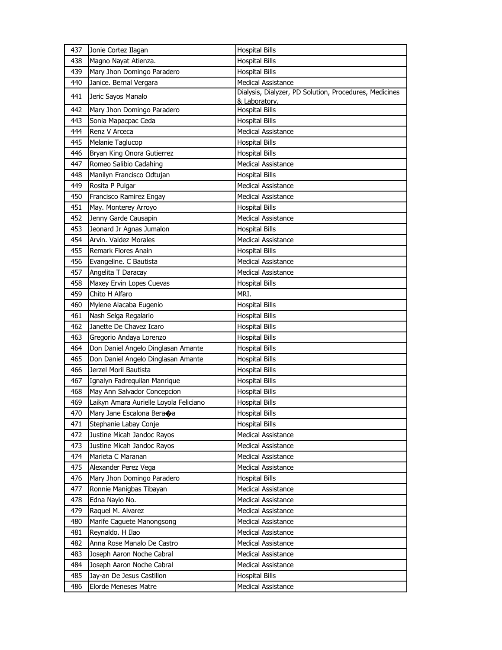| 437 | Jonie Cortez Ilagan                    | <b>Hospital Bills</b>                                                   |
|-----|----------------------------------------|-------------------------------------------------------------------------|
| 438 | Magno Nayat Atienza.                   | <b>Hospital Bills</b>                                                   |
| 439 | Mary Jhon Domingo Paradero             | <b>Hospital Bills</b>                                                   |
| 440 | Janice. Bernal Vergara                 | <b>Medical Assistance</b>                                               |
| 441 | Jeric Sayos Manalo                     | Dialysis, Dialyzer, PD Solution, Procedures, Medicines<br>& Laboratory. |
| 442 | Mary Jhon Domingo Paradero             | <b>Hospital Bills</b>                                                   |
| 443 | Sonia Mapacpac Ceda                    | <b>Hospital Bills</b>                                                   |
| 444 | Renz V Arceca                          | Medical Assistance                                                      |
| 445 | Melanie Taglucop                       | <b>Hospital Bills</b>                                                   |
| 446 | Bryan King Onora Gutierrez             | <b>Hospital Bills</b>                                                   |
| 447 | Romeo Salibio Cadahing                 | <b>Medical Assistance</b>                                               |
| 448 | Manilyn Francisco Odtujan              | <b>Hospital Bills</b>                                                   |
| 449 | Rosita P Pulgar                        | <b>Medical Assistance</b>                                               |
| 450 | Francisco Ramirez Engay                | <b>Medical Assistance</b>                                               |
| 451 | May. Monterey Arroyo                   | <b>Hospital Bills</b>                                                   |
| 452 | Jenny Garde Causapin                   | <b>Medical Assistance</b>                                               |
| 453 | Jeonard Jr Agnas Jumalon               | <b>Hospital Bills</b>                                                   |
| 454 | Arvin. Valdez Morales                  | <b>Medical Assistance</b>                                               |
| 455 | Remark Flores Anain                    | <b>Hospital Bills</b>                                                   |
| 456 | Evangeline. C Bautista                 | Medical Assistance                                                      |
| 457 | Angelita T Daracay                     | <b>Medical Assistance</b>                                               |
| 458 | Maxey Ervin Lopes Cuevas               | <b>Hospital Bills</b>                                                   |
| 459 | Chito H Alfaro                         | MRI.                                                                    |
| 460 | Mylene Alacaba Eugenio                 | <b>Hospital Bills</b>                                                   |
| 461 | Nash Selga Regalario                   | <b>Hospital Bills</b>                                                   |
| 462 | Janette De Chavez Icaro                | <b>Hospital Bills</b>                                                   |
| 463 | Gregorio Andaya Lorenzo                | <b>Hospital Bills</b>                                                   |
| 464 | Don Daniel Angelo Dinglasan Amante     | <b>Hospital Bills</b>                                                   |
| 465 | Don Daniel Angelo Dinglasan Amante     | <b>Hospital Bills</b>                                                   |
| 466 | Jerzel Moril Bautista                  | <b>Hospital Bills</b>                                                   |
| 467 | Ignalyn Fadreguilan Manrigue           | <b>Hospital Bills</b>                                                   |
| 468 | May Ann Salvador Concepcion            | <b>Hospital Bills</b>                                                   |
| 469 | Laikyn Amara Aurielle Loyola Feliciano | <b>Hospital Bills</b>                                                   |
| 470 | Mary Jane Escalona Beraoa              | <b>Hospital Bills</b>                                                   |
| 471 | Stephanie Labay Conje                  | <b>Hospital Bills</b>                                                   |
| 472 | Justine Micah Jandoc Rayos             | <b>Medical Assistance</b>                                               |
| 473 | Justine Micah Jandoc Rayos             | Medical Assistance                                                      |
| 474 | Marieta C Maranan                      | Medical Assistance                                                      |
| 475 | Alexander Perez Vega                   | <b>Medical Assistance</b>                                               |
| 476 | Mary Jhon Domingo Paradero             | <b>Hospital Bills</b>                                                   |
| 477 | Ronnie Manigbas Tibayan                | <b>Medical Assistance</b>                                               |
| 478 | Edna Naylo No.                         | Medical Assistance                                                      |
| 479 | Raquel M. Alvarez                      | Medical Assistance                                                      |
| 480 | Marife Caguete Manongsong              | <b>Medical Assistance</b>                                               |
| 481 | Reynaldo. H Ilao                       | Medical Assistance                                                      |
| 482 | Anna Rose Manalo De Castro             | Medical Assistance                                                      |
| 483 | Joseph Aaron Noche Cabral              | Medical Assistance                                                      |
| 484 | Joseph Aaron Noche Cabral              | Medical Assistance                                                      |
| 485 | Jay-an De Jesus Castillon              | <b>Hospital Bills</b>                                                   |
| 486 | Elorde Meneses Matre                   | Medical Assistance                                                      |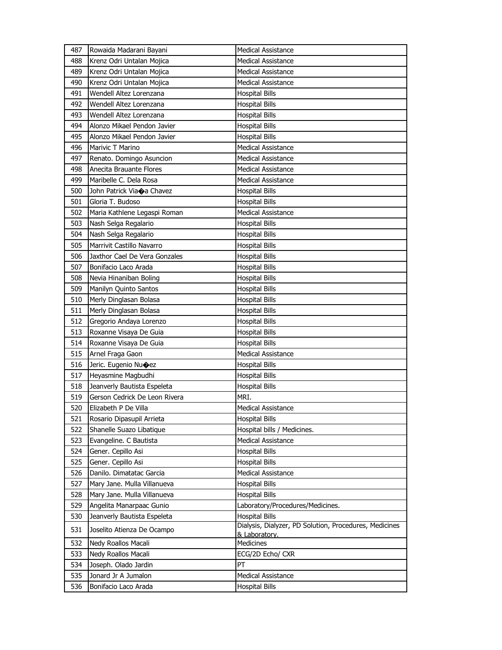| 487 | Rowaida Madarani Bayani                | <b>Medical Assistance</b>                                               |
|-----|----------------------------------------|-------------------------------------------------------------------------|
| 488 | Krenz Odri Untalan Mojica              | <b>Medical Assistance</b>                                               |
| 489 | Krenz Odri Untalan Mojica              | <b>Medical Assistance</b>                                               |
| 490 | Krenz Odri Untalan Mojica              | <b>Medical Assistance</b>                                               |
| 491 | Wendell Altez Lorenzana                | <b>Hospital Bills</b>                                                   |
| 492 | Wendell Altez Lorenzana                | <b>Hospital Bills</b>                                                   |
| 493 | Wendell Altez Lorenzana                | <b>Hospital Bills</b>                                                   |
| 494 | Alonzo Mikael Pendon Javier            | <b>Hospital Bills</b>                                                   |
| 495 | Alonzo Mikael Pendon Javier            | <b>Hospital Bills</b>                                                   |
| 496 | Marivic T Marino                       | <b>Medical Assistance</b>                                               |
| 497 | Renato. Domingo Asuncion               | Medical Assistance                                                      |
| 498 | Anecita Brauante Flores                | <b>Medical Assistance</b>                                               |
| 499 | Maribelle C. Dela Rosa                 | <b>Medical Assistance</b>                                               |
| 500 | John Patrick Via $\spadesuit$ a Chavez | <b>Hospital Bills</b>                                                   |
| 501 | Gloria T. Budoso                       | <b>Hospital Bills</b>                                                   |
| 502 | Maria Kathlene Legaspi Roman           | Medical Assistance                                                      |
| 503 | Nash Selga Regalario                   | <b>Hospital Bills</b>                                                   |
| 504 | Nash Selga Regalario                   | <b>Hospital Bills</b>                                                   |
| 505 | Marrivit Castillo Navarro              | <b>Hospital Bills</b>                                                   |
| 506 | Jaxthor Cael De Vera Gonzales          | <b>Hospital Bills</b>                                                   |
| 507 | Bonifacio Laco Arada                   | <b>Hospital Bills</b>                                                   |
| 508 | Nevia Hinaniban Boling                 | <b>Hospital Bills</b>                                                   |
| 509 | Manilyn Quinto Santos                  | <b>Hospital Bills</b>                                                   |
| 510 | Merly Dinglasan Bolasa                 | <b>Hospital Bills</b>                                                   |
| 511 | Merly Dinglasan Bolasa                 | <b>Hospital Bills</b>                                                   |
| 512 | Gregorio Andaya Lorenzo                | <b>Hospital Bills</b>                                                   |
| 513 | Roxanne Visaya De Guia                 | <b>Hospital Bills</b>                                                   |
| 514 | Roxanne Visaya De Guia                 | <b>Hospital Bills</b>                                                   |
| 515 | Arnel Fraga Gaon                       | <b>Medical Assistance</b>                                               |
| 516 | Jeric. Eugenio Nu $\bigcirc$ ez        | <b>Hospital Bills</b>                                                   |
| 517 | Heyasmine Magbudhi                     | Hospital Bills                                                          |
| 518 | Jeanverly Bautista Espeleta            | <b>Hospital Bills</b>                                                   |
| 519 | Gerson Cedrick De Leon Rivera          | MRI.                                                                    |
| 520 | Elizabeth P De Villa                   | <b>Medical Assistance</b>                                               |
| 521 | Rosario Dipasupil Arrieta              | <b>Hospital Bills</b>                                                   |
| 522 | Shanelle Suazo Libatique               | Hospital bills / Medicines.                                             |
| 523 | Evangeline. C Bautista                 | <b>Medical Assistance</b>                                               |
| 524 | Gener. Cepillo Asi                     | <b>Hospital Bills</b>                                                   |
| 525 | Gener. Cepillo Asi                     | <b>Hospital Bills</b>                                                   |
| 526 | Danilo. Dimatatac Garcia               | <b>Medical Assistance</b>                                               |
| 527 | Mary Jane. Mulla Villanueva            | Hospital Bills                                                          |
| 528 | Mary Jane. Mulla Villanueva            | <b>Hospital Bills</b>                                                   |
| 529 | Angelita Manarpaac Gunio               | Laboratory/Procedures/Medicines.                                        |
| 530 | Jeanverly Bautista Espeleta            | <b>Hospital Bills</b>                                                   |
| 531 | Joselito Atienza De Ocampo             | Dialysis, Dialyzer, PD Solution, Procedures, Medicines<br>& Laboratory. |
| 532 | Nedy Roallos Macali                    | Medicines                                                               |
| 533 | Nedy Roallos Macali                    | ECG/2D Echo/ CXR                                                        |
| 534 | Joseph. Olado Jardin                   | PT                                                                      |
| 535 | Jonard Jr A Jumalon                    | <b>Medical Assistance</b>                                               |
| 536 | Bonifacio Laco Arada                   | <b>Hospital Bills</b>                                                   |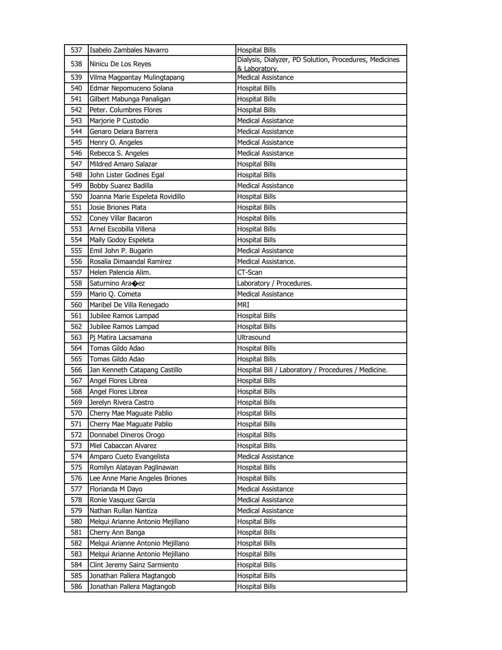| 537 | Isabelo Zambales Navarro         | <b>Hospital Bills</b>                                                   |
|-----|----------------------------------|-------------------------------------------------------------------------|
| 538 | Ninicu De Los Reyes              | Dialysis, Dialyzer, PD Solution, Procedures, Medicines<br>& Laboratory. |
| 539 | Vilma Magpantay Mulingtapang     | <b>Medical Assistance</b>                                               |
| 540 | Edmar Nepomuceno Solana          | <b>Hospital Bills</b>                                                   |
| 541 | Gilbert Mabunga Panaligan        | <b>Hospital Bills</b>                                                   |
| 542 | Peter. Columbres Flores          | <b>Hospital Bills</b>                                                   |
| 543 | Marjorie P Custodio              | <b>Medical Assistance</b>                                               |
| 544 | Genaro Delara Barrera            | Medical Assistance                                                      |
| 545 | Henry O. Angeles                 | <b>Medical Assistance</b>                                               |
| 546 | Rebecca S. Angeles               | <b>Medical Assistance</b>                                               |
| 547 | Mildred Amaro Salazar            | <b>Hospital Bills</b>                                                   |
| 548 | John Lister Godines Egal         | <b>Hospital Bills</b>                                                   |
| 549 | Bobby Suarez Badilla             | Medical Assistance                                                      |
| 550 | Joanna Marie Espeleta Rovidillo  | <b>Hospital Bills</b>                                                   |
| 551 | Josie Briones Plata              | <b>Hospital Bills</b>                                                   |
| 552 | Conev Villar Bacaron             | <b>Hospital Bills</b>                                                   |
| 553 | Arnel Escobilla Villena          | <b>Hospital Bills</b>                                                   |
| 554 | Maily Godoy Espeleta             | <b>Hospital Bills</b>                                                   |
| 555 | Emil John P. Bugarin             | Medical Assistance                                                      |
| 556 | Rosalia Dimaandal Ramirez        | Medical Assistance.                                                     |
| 557 | Helen Palencia Alim.             | CT-Scan                                                                 |
| 558 | Saturnino Ara�ez                 | Laboratory / Procedures.                                                |
| 559 | Mario Q. Cometa                  | <b>Medical Assistance</b>                                               |
| 560 | Maribel De Villa Renegado        | <b>MRI</b>                                                              |
| 561 | Jubilee Ramos Lampad             | <b>Hospital Bills</b>                                                   |
| 562 | Jubilee Ramos Lampad             | <b>Hospital Bills</b>                                                   |
| 563 | Pi Matira Lacsamana              | Ultrasound                                                              |
| 564 | Tomas Gildo Adao                 | <b>Hospital Bills</b>                                                   |
| 565 | Tomas Gildo Adao                 | <b>Hospital Bills</b>                                                   |
| 566 | Jan Kenneth Catapang Castillo    | Hospital Bill / Laboratory / Procedures / Medicine.                     |
| 567 | Angel Flores Librea              | <b>Hospital Bills</b>                                                   |
| 568 | Angel Flores Librea              | <b>Hospital Bills</b>                                                   |
| 569 | Jerelyn Rivera Castro            | <b>Hospital Bills</b>                                                   |
| 570 | Cherry Mae Maguate Pablio        | <b>Hospital Bills</b>                                                   |
| 571 | Cherry Mae Maguate Pablio        | <b>Hospital Bills</b>                                                   |
| 572 | Donnabel Dineros Orogo           | <b>Hospital Bills</b>                                                   |
| 573 | Miel Cabaccan Alvarez            | <b>Hospital Bills</b>                                                   |
| 574 | Amparo Cueto Evangelista         | Medical Assistance                                                      |
| 575 | Romilyn Alatayan Paglinawan      | <b>Hospital Bills</b>                                                   |
| 576 | Lee Anne Marie Angeles Briones   | <b>Hospital Bills</b>                                                   |
| 577 | Florianda M Dayo                 | Medical Assistance                                                      |
| 578 | Ronie Vasquez Garcia             | Medical Assistance                                                      |
| 579 | Nathan Rullan Nantiza            | Medical Assistance                                                      |
| 580 | Melqui Arianne Antonio Mejillano | <b>Hospital Bills</b>                                                   |
| 581 | Cherry Ann Banga                 | <b>Hospital Bills</b>                                                   |
| 582 | Melqui Arianne Antonio Mejillano | Hospital Bills                                                          |
| 583 | Melqui Arianne Antonio Mejillano | <b>Hospital Bills</b>                                                   |
| 584 | Clint Jeremy Sainz Sarmiento     | <b>Hospital Bills</b>                                                   |
| 585 | Jonathan Pallera Magtangob       | <b>Hospital Bills</b>                                                   |
| 586 | Jonathan Pallera Magtangob       | <b>Hospital Bills</b>                                                   |
|     |                                  |                                                                         |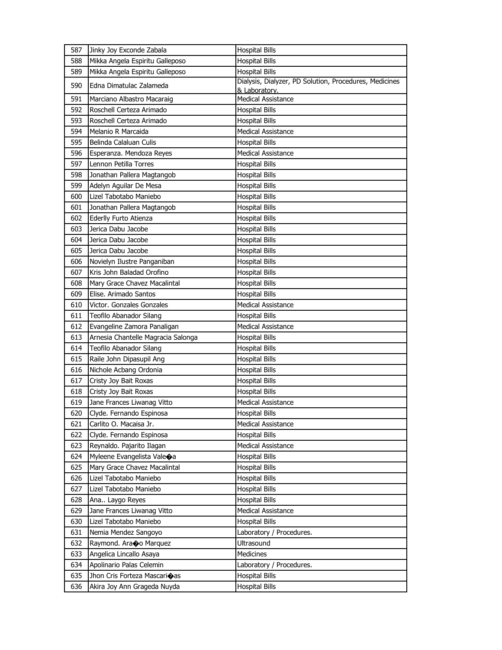| 587 | Jinky Joy Exconde Zabala              | <b>Hospital Bills</b>                                                   |
|-----|---------------------------------------|-------------------------------------------------------------------------|
| 588 | Mikka Angela Espiritu Galleposo       | <b>Hospital Bills</b>                                                   |
| 589 | Mikka Angela Espiritu Galleposo       | <b>Hospital Bills</b>                                                   |
| 590 | Edna Dimatulac Zalameda               | Dialysis, Dialyzer, PD Solution, Procedures, Medicines<br>& Laboratory. |
| 591 | Marciano Albastro Macaraig            | <b>Medical Assistance</b>                                               |
| 592 | Roschell Certeza Arimado              | <b>Hospital Bills</b>                                                   |
| 593 | Roschell Certeza Arimado              | <b>Hospital Bills</b>                                                   |
| 594 | Melanio R Marcaida                    | <b>Medical Assistance</b>                                               |
| 595 | Belinda Calaluan Culis                | <b>Hospital Bills</b>                                                   |
| 596 | Esperanza. Mendoza Reyes              | <b>Medical Assistance</b>                                               |
| 597 | Lennon Petilla Torres                 | <b>Hospital Bills</b>                                                   |
| 598 | Jonathan Pallera Magtangob            | <b>Hospital Bills</b>                                                   |
| 599 | Adelyn Aguilar De Mesa                | <b>Hospital Bills</b>                                                   |
| 600 | Lizel Tabotabo Maniebo                | <b>Hospital Bills</b>                                                   |
| 601 | Jonathan Pallera Magtangob            | <b>Hospital Bills</b>                                                   |
| 602 | Ederlly Furto Atienza                 | <b>Hospital Bills</b>                                                   |
| 603 | Jerica Dabu Jacobe                    | <b>Hospital Bills</b>                                                   |
| 604 | Jerica Dabu Jacobe                    | <b>Hospital Bills</b>                                                   |
| 605 | Jerica Dabu Jacobe                    | <b>Hospital Bills</b>                                                   |
| 606 | Novielyn Ilustre Panganiban           | <b>Hospital Bills</b>                                                   |
| 607 | Kris John Baladad Orofino             | <b>Hospital Bills</b>                                                   |
| 608 | Mary Grace Chavez Macalintal          | <b>Hospital Bills</b>                                                   |
| 609 | Elise. Arimado Santos                 | <b>Hospital Bills</b>                                                   |
| 610 | Victor. Gonzales Gonzales             | <b>Medical Assistance</b>                                               |
| 611 | Teofilo Abanador Silang               | <b>Hospital Bills</b>                                                   |
| 612 | Evangeline Zamora Panaligan           | <b>Medical Assistance</b>                                               |
| 613 | Arnesia Chantelle Magracia Salonga    | <b>Hospital Bills</b>                                                   |
| 614 | Teofilo Abanador Silang               | <b>Hospital Bills</b>                                                   |
| 615 | Raile John Dipasupil Ang              | <b>Hospital Bills</b>                                                   |
| 616 | Nichole Acbang Ordonia                | <b>Hospital Bills</b>                                                   |
| 617 | Cristy Joy Bait Roxas                 | <b>Hospital Bills</b>                                                   |
| 618 | Cristy Joy Bait Roxas                 | <b>Hospital Bills</b>                                                   |
| 619 | Jane Frances Liwanag Vitto            | <b>Medical Assistance</b>                                               |
| 620 | Clyde. Fernando Espinosa              | <b>Hospital Bills</b>                                                   |
| 621 | Carlito O. Macaisa Jr.                | Medical Assistance                                                      |
| 622 | Clyde. Fernando Espinosa              | <b>Hospital Bills</b>                                                   |
| 623 | Reynaldo. Pajarito Ilagan             | <b>Medical Assistance</b>                                               |
| 624 | Myleene Evangelista Vale $\bigcirc$ a | <b>Hospital Bills</b>                                                   |
| 625 | Mary Grace Chavez Macalintal          | <b>Hospital Bills</b>                                                   |
| 626 | Lizel Tabotabo Maniebo                | <b>Hospital Bills</b>                                                   |
| 627 | Lizel Tabotabo Maniebo                | <b>Hospital Bills</b>                                                   |
| 628 | Ana Laygo Reyes                       | <b>Hospital Bills</b>                                                   |
| 629 | Jane Frances Liwanag Vitto            | Medical Assistance                                                      |
| 630 | Lizel Tabotabo Maniebo                | <b>Hospital Bills</b>                                                   |
| 631 | Nemia Mendez Sangoyo                  | Laboratory / Procedures.                                                |
| 632 | Raymond. Arano Marquez                | Ultrasound                                                              |
| 633 | Angelica Lincallo Asaya               | Medicines                                                               |
| 634 | Apolinario Palas Celemin              | Laboratory / Procedures.                                                |
| 635 | Jhon Cris Forteza Mascarioas          | <b>Hospital Bills</b>                                                   |
| 636 | Akira Joy Ann Grageda Nuyda           | <b>Hospital Bills</b>                                                   |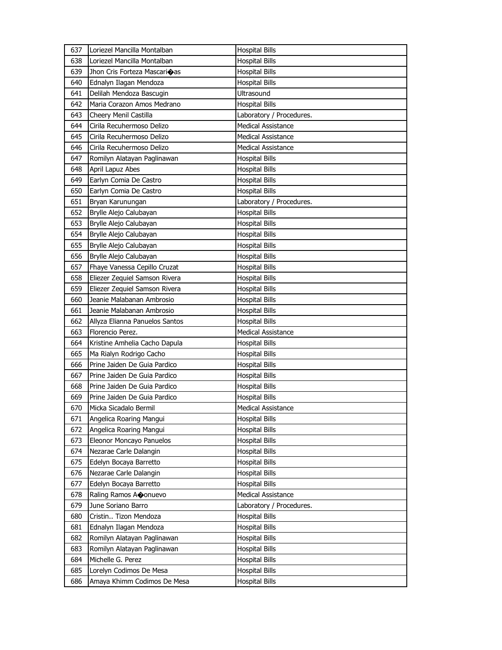| 638<br>Loriezel Mancilla Montalban<br><b>Hospital Bills</b><br>639<br>Jhon Cris Forteza Mascarioas<br><b>Hospital Bills</b><br>Ednalyn Ilagan Mendoza<br>640<br><b>Hospital Bills</b><br>641<br>Delilah Mendoza Bascugin<br>Ultrasound<br>Maria Corazon Amos Medrano<br>642<br><b>Hospital Bills</b><br>643<br>Cheery Menil Castilla<br>Laboratory / Procedures.<br>644<br>Cirila Recuhermoso Delizo<br><b>Medical Assistance</b><br>Medical Assistance<br>645<br>Cirila Recuhermoso Delizo<br>Cirila Recuhermoso Delizo<br>646<br><b>Medical Assistance</b><br>647<br>Romilyn Alatayan Paglinawan<br><b>Hospital Bills</b><br>648<br>April Lapuz Abes<br>Hospital Bills<br>649<br>Earlyn Comia De Castro<br><b>Hospital Bills</b><br>650<br>Earlyn Comia De Castro<br><b>Hospital Bills</b><br>651<br>Laboratory / Procedures.<br>Bryan Karunungan<br><b>Hospital Bills</b><br>652<br>Brylle Alejo Calubayan<br>653<br>Brylle Alejo Calubayan<br>Hospital Bills<br>654<br>Brylle Alejo Calubayan<br><b>Hospital Bills</b><br>655<br>Brylle Alejo Calubayan<br><b>Hospital Bills</b><br>656<br>Brylle Alejo Calubayan<br><b>Hospital Bills</b><br>Fhaye Vanessa Cepillo Cruzat<br>657<br><b>Hospital Bills</b><br>658<br>Eliezer Zequiel Samson Rivera<br>Hospital Bills<br>659<br>Eliezer Zequiel Samson Rivera<br>Hospital Bills |
|------------------------------------------------------------------------------------------------------------------------------------------------------------------------------------------------------------------------------------------------------------------------------------------------------------------------------------------------------------------------------------------------------------------------------------------------------------------------------------------------------------------------------------------------------------------------------------------------------------------------------------------------------------------------------------------------------------------------------------------------------------------------------------------------------------------------------------------------------------------------------------------------------------------------------------------------------------------------------------------------------------------------------------------------------------------------------------------------------------------------------------------------------------------------------------------------------------------------------------------------------------------------------------------------------------------------------------|
|                                                                                                                                                                                                                                                                                                                                                                                                                                                                                                                                                                                                                                                                                                                                                                                                                                                                                                                                                                                                                                                                                                                                                                                                                                                                                                                                    |
|                                                                                                                                                                                                                                                                                                                                                                                                                                                                                                                                                                                                                                                                                                                                                                                                                                                                                                                                                                                                                                                                                                                                                                                                                                                                                                                                    |
|                                                                                                                                                                                                                                                                                                                                                                                                                                                                                                                                                                                                                                                                                                                                                                                                                                                                                                                                                                                                                                                                                                                                                                                                                                                                                                                                    |
|                                                                                                                                                                                                                                                                                                                                                                                                                                                                                                                                                                                                                                                                                                                                                                                                                                                                                                                                                                                                                                                                                                                                                                                                                                                                                                                                    |
|                                                                                                                                                                                                                                                                                                                                                                                                                                                                                                                                                                                                                                                                                                                                                                                                                                                                                                                                                                                                                                                                                                                                                                                                                                                                                                                                    |
|                                                                                                                                                                                                                                                                                                                                                                                                                                                                                                                                                                                                                                                                                                                                                                                                                                                                                                                                                                                                                                                                                                                                                                                                                                                                                                                                    |
|                                                                                                                                                                                                                                                                                                                                                                                                                                                                                                                                                                                                                                                                                                                                                                                                                                                                                                                                                                                                                                                                                                                                                                                                                                                                                                                                    |
|                                                                                                                                                                                                                                                                                                                                                                                                                                                                                                                                                                                                                                                                                                                                                                                                                                                                                                                                                                                                                                                                                                                                                                                                                                                                                                                                    |
|                                                                                                                                                                                                                                                                                                                                                                                                                                                                                                                                                                                                                                                                                                                                                                                                                                                                                                                                                                                                                                                                                                                                                                                                                                                                                                                                    |
|                                                                                                                                                                                                                                                                                                                                                                                                                                                                                                                                                                                                                                                                                                                                                                                                                                                                                                                                                                                                                                                                                                                                                                                                                                                                                                                                    |
|                                                                                                                                                                                                                                                                                                                                                                                                                                                                                                                                                                                                                                                                                                                                                                                                                                                                                                                                                                                                                                                                                                                                                                                                                                                                                                                                    |
|                                                                                                                                                                                                                                                                                                                                                                                                                                                                                                                                                                                                                                                                                                                                                                                                                                                                                                                                                                                                                                                                                                                                                                                                                                                                                                                                    |
|                                                                                                                                                                                                                                                                                                                                                                                                                                                                                                                                                                                                                                                                                                                                                                                                                                                                                                                                                                                                                                                                                                                                                                                                                                                                                                                                    |
|                                                                                                                                                                                                                                                                                                                                                                                                                                                                                                                                                                                                                                                                                                                                                                                                                                                                                                                                                                                                                                                                                                                                                                                                                                                                                                                                    |
|                                                                                                                                                                                                                                                                                                                                                                                                                                                                                                                                                                                                                                                                                                                                                                                                                                                                                                                                                                                                                                                                                                                                                                                                                                                                                                                                    |
|                                                                                                                                                                                                                                                                                                                                                                                                                                                                                                                                                                                                                                                                                                                                                                                                                                                                                                                                                                                                                                                                                                                                                                                                                                                                                                                                    |
|                                                                                                                                                                                                                                                                                                                                                                                                                                                                                                                                                                                                                                                                                                                                                                                                                                                                                                                                                                                                                                                                                                                                                                                                                                                                                                                                    |
|                                                                                                                                                                                                                                                                                                                                                                                                                                                                                                                                                                                                                                                                                                                                                                                                                                                                                                                                                                                                                                                                                                                                                                                                                                                                                                                                    |
|                                                                                                                                                                                                                                                                                                                                                                                                                                                                                                                                                                                                                                                                                                                                                                                                                                                                                                                                                                                                                                                                                                                                                                                                                                                                                                                                    |
|                                                                                                                                                                                                                                                                                                                                                                                                                                                                                                                                                                                                                                                                                                                                                                                                                                                                                                                                                                                                                                                                                                                                                                                                                                                                                                                                    |
|                                                                                                                                                                                                                                                                                                                                                                                                                                                                                                                                                                                                                                                                                                                                                                                                                                                                                                                                                                                                                                                                                                                                                                                                                                                                                                                                    |
|                                                                                                                                                                                                                                                                                                                                                                                                                                                                                                                                                                                                                                                                                                                                                                                                                                                                                                                                                                                                                                                                                                                                                                                                                                                                                                                                    |
| Jeanie Malabanan Ambrosio<br>660<br><b>Hospital Bills</b>                                                                                                                                                                                                                                                                                                                                                                                                                                                                                                                                                                                                                                                                                                                                                                                                                                                                                                                                                                                                                                                                                                                                                                                                                                                                          |
| 661<br>Jeanie Malabanan Ambrosio<br><b>Hospital Bills</b>                                                                                                                                                                                                                                                                                                                                                                                                                                                                                                                                                                                                                                                                                                                                                                                                                                                                                                                                                                                                                                                                                                                                                                                                                                                                          |
| 662<br>Allyza Elianna Panuelos Santos<br><b>Hospital Bills</b>                                                                                                                                                                                                                                                                                                                                                                                                                                                                                                                                                                                                                                                                                                                                                                                                                                                                                                                                                                                                                                                                                                                                                                                                                                                                     |
| 663<br>Florencio Perez.<br><b>Medical Assistance</b>                                                                                                                                                                                                                                                                                                                                                                                                                                                                                                                                                                                                                                                                                                                                                                                                                                                                                                                                                                                                                                                                                                                                                                                                                                                                               |
| 664<br>Kristine Amhelia Cacho Dapula<br><b>Hospital Bills</b>                                                                                                                                                                                                                                                                                                                                                                                                                                                                                                                                                                                                                                                                                                                                                                                                                                                                                                                                                                                                                                                                                                                                                                                                                                                                      |
| Ma Rialyn Rodrigo Cacho<br>665<br><b>Hospital Bills</b>                                                                                                                                                                                                                                                                                                                                                                                                                                                                                                                                                                                                                                                                                                                                                                                                                                                                                                                                                                                                                                                                                                                                                                                                                                                                            |
| Prine Jaiden De Guia Pardico<br>666<br><b>Hospital Bills</b>                                                                                                                                                                                                                                                                                                                                                                                                                                                                                                                                                                                                                                                                                                                                                                                                                                                                                                                                                                                                                                                                                                                                                                                                                                                                       |
| Prine Jaiden De Guia Pardico<br>667<br><b>Hospital Bills</b>                                                                                                                                                                                                                                                                                                                                                                                                                                                                                                                                                                                                                                                                                                                                                                                                                                                                                                                                                                                                                                                                                                                                                                                                                                                                       |
| 668<br>Prine Jaiden De Guia Pardico<br>Hospital Bills                                                                                                                                                                                                                                                                                                                                                                                                                                                                                                                                                                                                                                                                                                                                                                                                                                                                                                                                                                                                                                                                                                                                                                                                                                                                              |
| 669<br>Prine Jaiden De Guia Pardico<br><b>Hospital Bills</b>                                                                                                                                                                                                                                                                                                                                                                                                                                                                                                                                                                                                                                                                                                                                                                                                                                                                                                                                                                                                                                                                                                                                                                                                                                                                       |
| 670<br><b>Medical Assistance</b><br>Micka Sicadalo Bermil                                                                                                                                                                                                                                                                                                                                                                                                                                                                                                                                                                                                                                                                                                                                                                                                                                                                                                                                                                                                                                                                                                                                                                                                                                                                          |
| 671<br>Angelica Roaring Mangui<br><b>Hospital Bills</b>                                                                                                                                                                                                                                                                                                                                                                                                                                                                                                                                                                                                                                                                                                                                                                                                                                                                                                                                                                                                                                                                                                                                                                                                                                                                            |
| Angelica Roaring Mangui<br><b>Hospital Bills</b><br>672                                                                                                                                                                                                                                                                                                                                                                                                                                                                                                                                                                                                                                                                                                                                                                                                                                                                                                                                                                                                                                                                                                                                                                                                                                                                            |
| 673<br>Eleonor Moncayo Panuelos<br><b>Hospital Bills</b>                                                                                                                                                                                                                                                                                                                                                                                                                                                                                                                                                                                                                                                                                                                                                                                                                                                                                                                                                                                                                                                                                                                                                                                                                                                                           |
| 674<br>Nezarae Carle Dalangin<br><b>Hospital Bills</b>                                                                                                                                                                                                                                                                                                                                                                                                                                                                                                                                                                                                                                                                                                                                                                                                                                                                                                                                                                                                                                                                                                                                                                                                                                                                             |
| Edelyn Bocaya Barretto<br>675<br><b>Hospital Bills</b>                                                                                                                                                                                                                                                                                                                                                                                                                                                                                                                                                                                                                                                                                                                                                                                                                                                                                                                                                                                                                                                                                                                                                                                                                                                                             |
| Nezarae Carle Dalangin<br><b>Hospital Bills</b><br>676                                                                                                                                                                                                                                                                                                                                                                                                                                                                                                                                                                                                                                                                                                                                                                                                                                                                                                                                                                                                                                                                                                                                                                                                                                                                             |
| <b>Hospital Bills</b><br>677<br>Edelyn Bocaya Barretto                                                                                                                                                                                                                                                                                                                                                                                                                                                                                                                                                                                                                                                                                                                                                                                                                                                                                                                                                                                                                                                                                                                                                                                                                                                                             |
| 678<br>Raling Ramos Aconuevo<br>Medical Assistance                                                                                                                                                                                                                                                                                                                                                                                                                                                                                                                                                                                                                                                                                                                                                                                                                                                                                                                                                                                                                                                                                                                                                                                                                                                                                 |
| 679<br>June Soriano Barro<br>Laboratory / Procedures.                                                                                                                                                                                                                                                                                                                                                                                                                                                                                                                                                                                                                                                                                                                                                                                                                                                                                                                                                                                                                                                                                                                                                                                                                                                                              |
| Cristin Tizon Mendoza<br><b>Hospital Bills</b><br>680                                                                                                                                                                                                                                                                                                                                                                                                                                                                                                                                                                                                                                                                                                                                                                                                                                                                                                                                                                                                                                                                                                                                                                                                                                                                              |
| Ednalyn Ilagan Mendoza<br><b>Hospital Bills</b><br>681                                                                                                                                                                                                                                                                                                                                                                                                                                                                                                                                                                                                                                                                                                                                                                                                                                                                                                                                                                                                                                                                                                                                                                                                                                                                             |
| Romilyn Alatayan Paglinawan<br><b>Hospital Bills</b><br>682                                                                                                                                                                                                                                                                                                                                                                                                                                                                                                                                                                                                                                                                                                                                                                                                                                                                                                                                                                                                                                                                                                                                                                                                                                                                        |
| Romilyn Alatayan Paglinawan<br>683<br>Hospital Bills                                                                                                                                                                                                                                                                                                                                                                                                                                                                                                                                                                                                                                                                                                                                                                                                                                                                                                                                                                                                                                                                                                                                                                                                                                                                               |
| 684<br>Michelle G. Perez<br><b>Hospital Bills</b>                                                                                                                                                                                                                                                                                                                                                                                                                                                                                                                                                                                                                                                                                                                                                                                                                                                                                                                                                                                                                                                                                                                                                                                                                                                                                  |
| 685<br>Lorelyn Codimos De Mesa<br>Hospital Bills                                                                                                                                                                                                                                                                                                                                                                                                                                                                                                                                                                                                                                                                                                                                                                                                                                                                                                                                                                                                                                                                                                                                                                                                                                                                                   |
| <b>Hospital Bills</b><br>686<br>Amaya Khimm Codimos De Mesa                                                                                                                                                                                                                                                                                                                                                                                                                                                                                                                                                                                                                                                                                                                                                                                                                                                                                                                                                                                                                                                                                                                                                                                                                                                                        |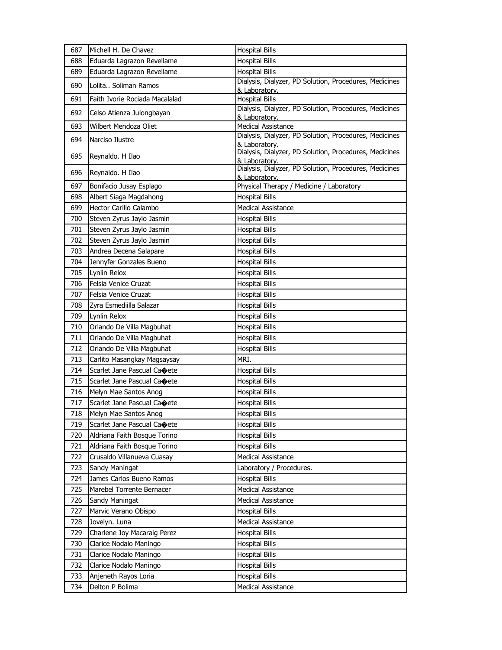| 687 | Michell H. De Chavez           | <b>Hospital Bills</b>                                                   |
|-----|--------------------------------|-------------------------------------------------------------------------|
| 688 | Eduarda Lagrazon Revellame     | <b>Hospital Bills</b>                                                   |
| 689 | Eduarda Lagrazon Revellame     | <b>Hospital Bills</b>                                                   |
| 690 | Lolita Soliman Ramos           | Dialysis, Dialyzer, PD Solution, Procedures, Medicines<br>& Laboratory. |
| 691 | Faith Ivorie Rociada Macalalad | <b>Hospital Bills</b>                                                   |
| 692 | Celso Atienza Julongbayan      | Dialysis, Dialyzer, PD Solution, Procedures, Medicines<br>& Laboratory. |
| 693 | Wilbert Mendoza Oliet          | <b>Medical Assistance</b>                                               |
| 694 | Narciso Ilustre                | Dialysis, Dialyzer, PD Solution, Procedures, Medicines                  |
| 695 | Reynaldo. H Ilao               | & Laboratory.<br>Dialysis, Dialyzer, PD Solution, Procedures, Medicines |
| 696 | Reynaldo. H Ilao               | & Laboratory.<br>Dialysis, Dialyzer, PD Solution, Procedures, Medicines |
| 697 | Bonifacio Jusay Esplago        | & Laboratory.<br>Physical Therapy / Medicine / Laboratory               |
| 698 | Albert Siaga Magdahong         | <b>Hospital Bills</b>                                                   |
| 699 | Hector Carillo Calambo         | <b>Medical Assistance</b>                                               |
| 700 | Steven Zyrus Jaylo Jasmin      | <b>Hospital Bills</b>                                                   |
| 701 | Steven Zyrus Jaylo Jasmin      | <b>Hospital Bills</b>                                                   |
| 702 | Steven Zyrus Jaylo Jasmin      | <b>Hospital Bills</b>                                                   |
| 703 | Andrea Decena Salapare         | <b>Hospital Bills</b>                                                   |
| 704 | Jennyfer Gonzales Bueno        | <b>Hospital Bills</b>                                                   |
| 705 | Lynlin Relox                   | <b>Hospital Bills</b>                                                   |
| 706 | Felsia Venice Cruzat           | <b>Hospital Bills</b>                                                   |
| 707 | Felsia Venice Cruzat           | <b>Hospital Bills</b>                                                   |
| 708 | Zyra Esmediilla Salazar        | <b>Hospital Bills</b>                                                   |
| 709 | Lynlin Relox                   | <b>Hospital Bills</b>                                                   |
| 710 | Orlando De Villa Magbuhat      | <b>Hospital Bills</b>                                                   |
| 711 | Orlando De Villa Magbuhat      | <b>Hospital Bills</b>                                                   |
| 712 | Orlando De Villa Magbuhat      | <b>Hospital Bills</b>                                                   |
| 713 | Carlito Masangkay Magsaysay    | MRI.                                                                    |
| 714 | Scarlet Jane Pascual Caoete    | <b>Hospital Bills</b>                                                   |
| 715 | Scarlet Jane Pascual Caoete    | <b>Hospital Bills</b>                                                   |
| 716 | Melyn Mae Santos Anog          | <b>Hospital Bills</b>                                                   |
| 717 | Scarlet Jane Pascual Caoete    | <b>Hospital Bills</b>                                                   |
| 718 | Melyn Mae Santos Anog          | <b>Hospital Bills</b>                                                   |
| 719 | Scarlet Jane Pascual Caoete    | <b>Hospital Bills</b>                                                   |
| 720 | Aldriana Faith Bosque Torino   | <b>Hospital Bills</b>                                                   |
| 721 | Aldriana Faith Bosque Torino   | <b>Hospital Bills</b>                                                   |
| 722 | Crusaldo Villanueva Cuasay     | <b>Medical Assistance</b>                                               |
| 723 | Sandy Maningat                 | Laboratory / Procedures.                                                |
| 724 | James Carlos Bueno Ramos       | <b>Hospital Bills</b>                                                   |
| 725 | Marebel Torrente Bernacer      | <b>Medical Assistance</b>                                               |
| 726 | Sandy Maningat                 | Medical Assistance                                                      |
| 727 | Marvic Verano Obispo           | <b>Hospital Bills</b>                                                   |
| 728 | Jovelyn. Luna                  | <b>Medical Assistance</b>                                               |
| 729 | Charlene Joy Macaraig Perez    | <b>Hospital Bills</b>                                                   |
| 730 | Clarice Nodalo Maningo         | <b>Hospital Bills</b>                                                   |
| 731 | Clarice Nodalo Maningo         | <b>Hospital Bills</b>                                                   |
| 732 | Clarice Nodalo Maningo         | <b>Hospital Bills</b>                                                   |
| 733 | Anjeneth Rayos Loria           | <b>Hospital Bills</b>                                                   |
| 734 | Delton P Bolima                | Medical Assistance                                                      |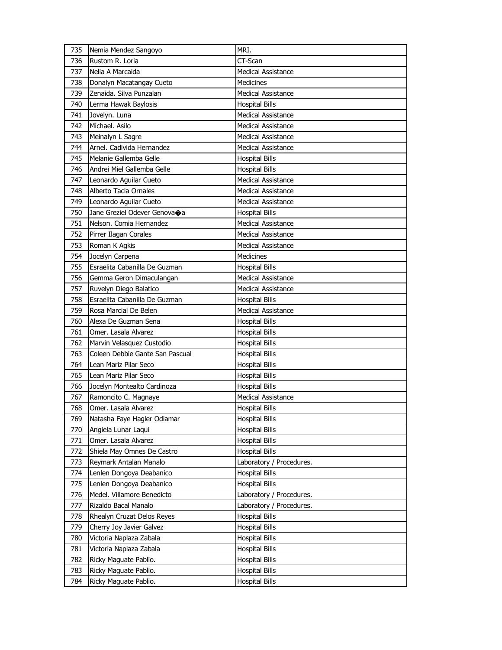| 735 | Nemia Mendez Sangoyo            | MRI.                      |
|-----|---------------------------------|---------------------------|
| 736 | Rustom R. Loria                 | CT-Scan                   |
| 737 | Nelia A Marcaida                | Medical Assistance        |
| 738 | Donalyn Macatangay Cueto        | <b>Medicines</b>          |
| 739 | Zenaida. Silva Punzalan         | <b>Medical Assistance</b> |
| 740 | Lerma Hawak Baylosis            | <b>Hospital Bills</b>     |
| 741 | Jovelyn. Luna                   | <b>Medical Assistance</b> |
| 742 | Michael. Asilo                  | <b>Medical Assistance</b> |
| 743 | Meinalyn L Sagre                | <b>Medical Assistance</b> |
| 744 | Arnel. Cadivida Hernandez       | <b>Medical Assistance</b> |
| 745 | Melanie Gallemba Gelle          | <b>Hospital Bills</b>     |
| 746 | Andrei Miel Gallemba Gelle      | <b>Hospital Bills</b>     |
| 747 | Leonardo Aguilar Cueto          | <b>Medical Assistance</b> |
| 748 | Alberto Tacla Ornales           | <b>Medical Assistance</b> |
| 749 | Leonardo Aguilar Cueto          | <b>Medical Assistance</b> |
| 750 | Jane Greziel Odever Genovaoa    | <b>Hospital Bills</b>     |
| 751 | Nelson, Comia Hernandez         | Medical Assistance        |
| 752 | Pirrer Ilagan Corales           | <b>Medical Assistance</b> |
| 753 | Roman K Agkis                   | <b>Medical Assistance</b> |
| 754 | Jocelyn Carpena                 | <b>Medicines</b>          |
| 755 | Esraelita Cabanilla De Guzman   | <b>Hospital Bills</b>     |
| 756 | Gemma Geron Dimaculangan        | Medical Assistance        |
| 757 | Ruvelyn Diego Balatico          | Medical Assistance        |
| 758 | Esraelita Cabanilla De Guzman   | <b>Hospital Bills</b>     |
| 759 | Rosa Marcial De Belen           | Medical Assistance        |
| 760 | Alexa De Guzman Sena            | <b>Hospital Bills</b>     |
| 761 | Omer. Lasala Alvarez            | <b>Hospital Bills</b>     |
| 762 | Marvin Velasquez Custodio       | <b>Hospital Bills</b>     |
| 763 | Coleen Debbie Gante San Pascual | <b>Hospital Bills</b>     |
| 764 | Lean Mariz Pilar Seco           | <b>Hospital Bills</b>     |
| 765 | Lean Mariz Pilar Seco           | Hospital Bills            |
| 766 | Jocelyn Montealto Cardinoza     | <b>Hospital Bills</b>     |
| 767 | Ramoncito C. Magnaye            | Medical Assistance        |
| 768 | Omer, Lasala Alvarez            | <b>Hospital Bills</b>     |
| 769 | Natasha Faye Hagler Odiamar     | <b>Hospital Bills</b>     |
| 770 | Angiela Lunar Lagui             | <b>Hospital Bills</b>     |
| 771 | Omer. Lasala Alvarez            | <b>Hospital Bills</b>     |
| 772 | Shiela May Omnes De Castro      | <b>Hospital Bills</b>     |
| 773 | Reymark Antalan Manalo          | Laboratory / Procedures.  |
| 774 | Lenlen Dongoya Deabanico        | <b>Hospital Bills</b>     |
| 775 | Lenlen Dongoya Deabanico        | Hospital Bills            |
| 776 | Medel. Villamore Benedicto      | Laboratory / Procedures.  |
| 777 | Rizaldo Bacal Manalo            | Laboratory / Procedures.  |
| 778 | Rhealyn Cruzat Delos Reyes      | <b>Hospital Bills</b>     |
| 779 | Cherry Joy Javier Galvez        | <b>Hospital Bills</b>     |
| 780 | Victoria Naplaza Zabala         | Hospital Bills            |
| 781 | Victoria Naplaza Zabala         | <b>Hospital Bills</b>     |
| 782 | Ricky Maguate Pablio.           | <b>Hospital Bills</b>     |
| 783 | Ricky Maguate Pablio.           | <b>Hospital Bills</b>     |
| 784 | Ricky Maguate Pablio.           | <b>Hospital Bills</b>     |